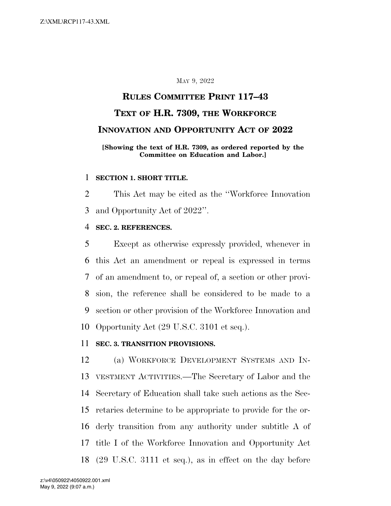## MAY 9, 2022

# **RULES COMMITTEE PRINT 117–43 TEXT OF H.R. 7309, THE WORKFORCE INNOVATION AND OPPORTUNITY ACT OF 2022**

## **[Showing the text of H.R. 7309, as ordered reported by the Committee on Education and Labor.]**

## **SECTION 1. SHORT TITLE.**

 This Act may be cited as the ''Workforce Innovation and Opportunity Act of 2022''.

## **SEC. 2. REFERENCES.**

 Except as otherwise expressly provided, whenever in this Act an amendment or repeal is expressed in terms of an amendment to, or repeal of, a section or other provi- sion, the reference shall be considered to be made to a section or other provision of the Workforce Innovation and Opportunity Act (29 U.S.C. 3101 et seq.).

## **SEC. 3. TRANSITION PROVISIONS.**

 (a) WORKFORCE DEVELOPMENT SYSTEMS AND IN- VESTMENT ACTIVITIES.—The Secretary of Labor and the Secretary of Education shall take such actions as the Sec- retaries determine to be appropriate to provide for the or- derly transition from any authority under subtitle A of title I of the Workforce Innovation and Opportunity Act (29 U.S.C. 3111 et seq.), as in effect on the day before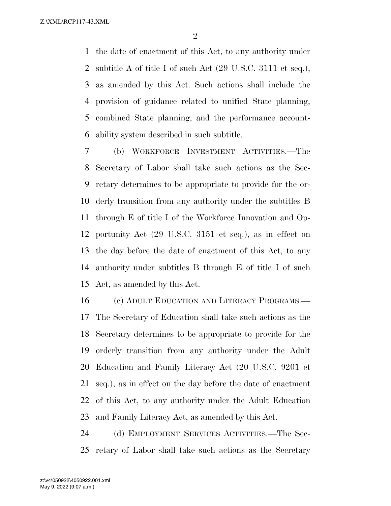the date of enactment of this Act, to any authority under subtitle A of title I of such Act (29 U.S.C. 3111 et seq.), as amended by this Act. Such actions shall include the provision of guidance related to unified State planning, combined State planning, and the performance account-ability system described in such subtitle.

 (b) WORKFORCE INVESTMENT ACTIVITIES.—The Secretary of Labor shall take such actions as the Sec- retary determines to be appropriate to provide for the or- derly transition from any authority under the subtitles B through E of title I of the Workforce Innovation and Op- portunity Act (29 U.S.C. 3151 et seq.), as in effect on the day before the date of enactment of this Act, to any authority under subtitles B through E of title I of such Act, as amended by this Act.

 (c) ADULT EDUCATION AND LITERACY PROGRAMS.— The Secretary of Education shall take such actions as the Secretary determines to be appropriate to provide for the orderly transition from any authority under the Adult Education and Family Literacy Act (20 U.S.C. 9201 et seq.), as in effect on the day before the date of enactment of this Act, to any authority under the Adult Education and Family Literacy Act, as amended by this Act.

 (d) EMPLOYMENT SERVICES ACTIVITIES.—The Sec-retary of Labor shall take such actions as the Secretary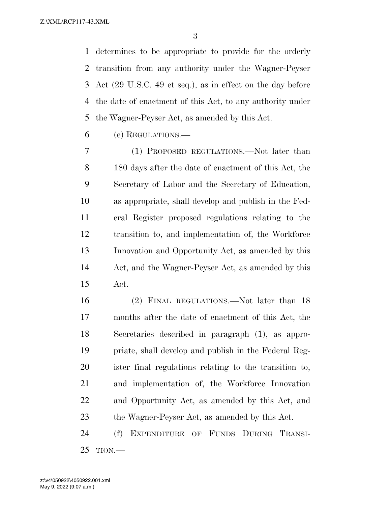determines to be appropriate to provide for the orderly transition from any authority under the Wagner-Peyser Act (29 U.S.C. 49 et seq.), as in effect on the day before the date of enactment of this Act, to any authority under the Wagner-Peyser Act, as amended by this Act.

(e) REGULATIONS.—

 (1) PROPOSED REGULATIONS.—Not later than 180 days after the date of enactment of this Act, the Secretary of Labor and the Secretary of Education, as appropriate, shall develop and publish in the Fed- eral Register proposed regulations relating to the transition to, and implementation of, the Workforce Innovation and Opportunity Act, as amended by this Act, and the Wagner-Peyser Act, as amended by this Act.

 (2) FINAL REGULATIONS.—Not later than 18 months after the date of enactment of this Act, the Secretaries described in paragraph (1), as appro- priate, shall develop and publish in the Federal Reg- ister final regulations relating to the transition to, and implementation of, the Workforce Innovation and Opportunity Act, as amended by this Act, and the Wagner-Peyser Act, as amended by this Act.

 (f) EXPENDITURE OF FUNDS DURING TRANSI-TION.—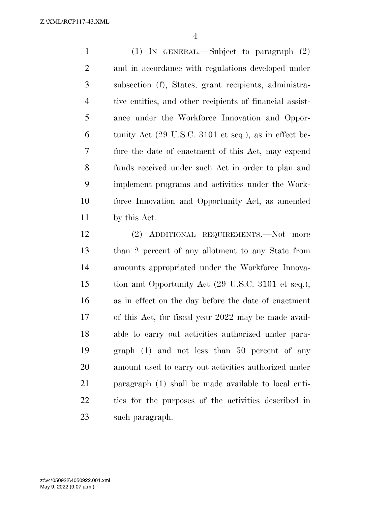(1) IN GENERAL.—Subject to paragraph (2) and in accordance with regulations developed under subsection (f), States, grant recipients, administra- tive entities, and other recipients of financial assist- ance under the Workforce Innovation and Oppor- tunity Act (29 U.S.C. 3101 et seq.), as in effect be- fore the date of enactment of this Act, may expend funds received under such Act in order to plan and implement programs and activities under the Work- force Innovation and Opportunity Act, as amended by this Act.

 (2) ADDITIONAL REQUIREMENTS.—Not more than 2 percent of any allotment to any State from amounts appropriated under the Workforce Innova- tion and Opportunity Act (29 U.S.C. 3101 et seq.), as in effect on the day before the date of enactment of this Act, for fiscal year 2022 may be made avail- able to carry out activities authorized under para- graph (1) and not less than 50 percent of any amount used to carry out activities authorized under paragraph (1) shall be made available to local enti- ties for the purposes of the activities described in such paragraph.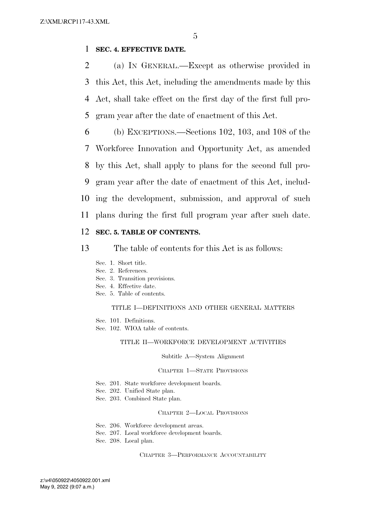## 1 **SEC. 4. EFFECTIVE DATE.**

 (a) IN GENERAL.—Except as otherwise provided in this Act, this Act, including the amendments made by this Act, shall take effect on the first day of the first full pro-gram year after the date of enactment of this Act.

 (b) EXCEPTIONS.—Sections 102, 103, and 108 of the Workforce Innovation and Opportunity Act, as amended by this Act, shall apply to plans for the second full pro- gram year after the date of enactment of this Act, includ- ing the development, submission, and approval of such plans during the first full program year after such date.

## 12 **SEC. 5. TABLE OF CONTENTS.**

13 The table of contents for this Act is as follows:

- Sec. 1. Short title.
- Sec. 2. References.
- Sec. 3. Transition provisions.
- Sec. 4. Effective date.
- Sec. 5. Table of contents.

#### TITLE I—DEFINITIONS AND OTHER GENERAL MATTERS

- Sec. 101. Definitions.
- Sec. 102. WIOA table of contents.

#### TITLE II—WORKFORCE DEVELOPMENT ACTIVITIES

#### Subtitle A—System Alignment

#### CHAPTER 1—STATE PROVISIONS

- Sec. 201. State workforce development boards.
- Sec. 202. Unified State plan.
- Sec. 203. Combined State plan.

#### CHAPTER 2—LOCAL PROVISIONS

- Sec. 206. Workforce development areas.
- Sec. 207. Local workforce development boards.
- Sec. 208. Local plan.

CHAPTER 3—PERFORMANCE ACCOUNTABILITY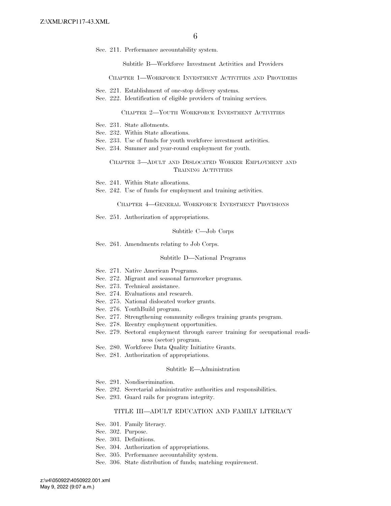Sec. 211. Performance accountability system.

Subtitle B—Workforce Investment Activities and Providers

CHAPTER 1—WORKFORCE INVESTMENT ACTIVITIES AND PROVIDERS

- Sec. 221. Establishment of one-stop delivery systems.
- Sec. 222. Identification of eligible providers of training services.

#### CHAPTER 2—YOUTH WORKFORCE INVESTMENT ACTIVITIES

- Sec. 231. State allotments.
- Sec. 232. Within State allocations.
- Sec. 233. Use of funds for youth workforce investment activities.
- Sec. 234. Summer and year-round employment for youth.

#### CHAPTER 3—ADULT AND DISLOCATED WORKER EMPLOYMENT AND TRAINING ACTIVITIES

- Sec. 241. Within State allocations.
- Sec. 242. Use of funds for employment and training activities.

CHAPTER 4—GENERAL WORKFORCE INVESTMENT PROVISIONS

Sec. 251. Authorization of appropriations.

#### Subtitle C—Job Corps

Sec. 261. Amendments relating to Job Corps.

#### Subtitle D—National Programs

- Sec. 271. Native American Programs.
- Sec. 272. Migrant and seasonal farmworker programs.
- Sec. 273. Technical assistance.
- Sec. 274. Evaluations and research.
- Sec. 275. National dislocated worker grants.
- Sec. 276. YouthBuild program.
- Sec. 277. Strengthening community colleges training grants program.
- Sec. 278. Reentry employment opportunities.
- Sec. 279. Sectoral employment through career training for occupational readiness (sector) program.
- Sec. 280. Workforce Data Quality Initiative Grants.
- Sec. 281. Authorization of appropriations.

#### Subtitle E—Administration

- Sec. 291. Nondiscrimination.
- Sec. 292. Secretarial administrative authorities and responsibilities.
- Sec. 293. Guard rails for program integrity.

#### TITLE III—ADULT EDUCATION AND FAMILY LITERACY

- Sec. 301. Family literacy.
- Sec. 302. Purpose.
- Sec. 303. Definitions.
- Sec. 304. Authorization of appropriations.
- Sec. 305. Performance accountability system.
- Sec. 306. State distribution of funds; matching requirement.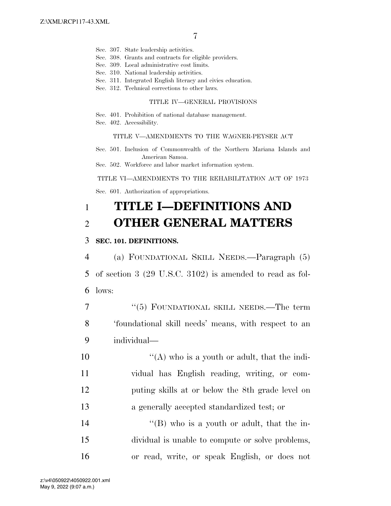- Sec. 307. State leadership activities.
- Sec. 308. Grants and contracts for eligible providers.
- Sec. 309. Local administrative cost limits.
- Sec. 310. National leadership activities.
- Sec. 311. Integrated English literacy and civics education.
- Sec. 312. Technical corrections to other laws.

#### TITLE IV—GENERAL PROVISIONS

- Sec. 401. Prohibition of national database management.
- Sec. 402. Accessibility.

#### TITLE V—AMENDMENTS TO THE WAGNER-PEYSER ACT

- Sec. 501. Inclusion of Commonwealth of the Northern Mariana Islands and American Samoa.
- Sec. 502. Workforce and labor market information system.

#### TITLE VI—AMENDMENTS TO THE REHABILITATION ACT OF 1973

Sec. 601. Authorization of appropriations.

## 1 **TITLE I—DEFINITIONS AND**  2 **OTHER GENERAL MATTERS**

## 3 **SEC. 101. DEFINITIONS.**

4 (a) FOUNDATIONAL SKILL NEEDS.—Paragraph (5) 5 of section 3 (29 U.S.C. 3102) is amended to read as fol-6 lows:

7 "(5) FOUNDATIONAL SKILL NEEDS.—The term 8 'foundational skill needs' means, with respect to an 9 individual—

 $\langle (A)$  who is a youth or adult, that the indi- vidual has English reading, writing, or com- puting skills at or below the 8th grade level on a generally accepted standardized test; or

14 ''(B) who is a youth or adult, that the in-15 dividual is unable to compute or solve problems, 16 or read, write, or speak English, or does not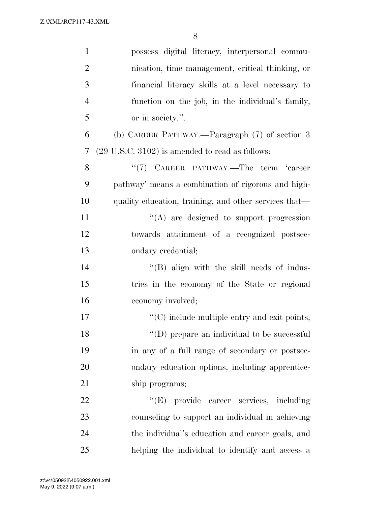| $\mathbf{1}$   | possess digital literacy, interpersonal commu-             |
|----------------|------------------------------------------------------------|
| $\overline{2}$ | nication, time management, critical thinking, or           |
| 3              | financial literacy skills at a level necessary to          |
| $\overline{4}$ | function on the job, in the individual's family,           |
| 5              | or in society.".                                           |
| 6              | (b) CAREER PATHWAY.—Paragraph (7) of section 3             |
| 7              | $(29 \text{ U.S.C. } 3102)$ is amended to read as follows: |
| 8              | "(7) CAREER PATHWAY.—The term 'career                      |
| 9              | pathway' means a combination of rigorous and high-         |
| 10             | quality education, training, and other services that—      |
| 11             | "(A) are designed to support progression                   |
| 12             | towards attainment of a recognized postsec-                |
| 13             | ondary credential;                                         |
| 14             | "(B) align with the skill needs of indus-                  |
| 15             | tries in the economy of the State or regional              |
| 16             | economy involved;                                          |
| 17             | $\cdot$ (C) include multiple entry and exit points;        |
| 18             | $\lq\lq$ (D) prepare an individual to be successful        |
| 19             | in any of a full range of secondary or postsec-            |
| 20             | ondary education options, including apprentice-            |
| 21             | ship programs;                                             |
| 22             | "(E) provide career services, including                    |
| 23             | counseling to support an individual in achieving           |
| 24             | the individual's education and career goals, and           |
| 25             | helping the individual to identify and access a            |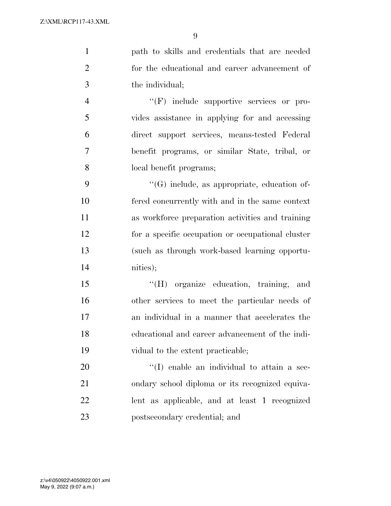path to skills and credentials that are needed for the educational and career advancement of the individual;

 $\langle f$  '(F) include supportive services or pro- vides assistance in applying for and accessing direct support services, means-tested Federal benefit programs, or similar State, tribal, or local benefit programs;

 ''(G) include, as appropriate, education of- fered concurrently with and in the same context as workforce preparation activities and training for a specific occupation or occupational cluster (such as through work-based learning opportu-nities);

 ''(H) organize education, training, and other services to meet the particular needs of an individual in a manner that accelerates the educational and career advancement of the indi-vidual to the extent practicable;

 $\cdot$  (I) enable an individual to attain a sec- ondary school diploma or its recognized equiva- lent as applicable, and at least 1 recognized postsecondary credential; and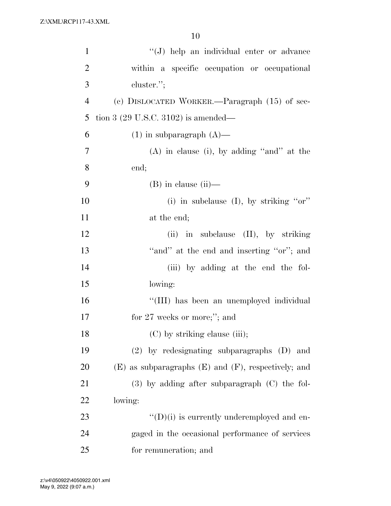| $\mathbf{1}$   | "(J) help an individual enter or advance                   |
|----------------|------------------------------------------------------------|
| $\overline{2}$ | within a specific occupation or occupational               |
| 3              | cluster.";                                                 |
| $\overline{4}$ | (c) DISLOCATED WORKER.—Paragraph (15) of sec-              |
| 5              | tion 3 $(29 \text{ U.S.C. } 3102)$ is amended—             |
| 6              | $(1)$ in subparagraph $(A)$ —                              |
| 7              | $(A)$ in clause (i), by adding "and" at the                |
| 8              | end;                                                       |
| 9              | $(B)$ in clause $(ii)$ —                                   |
| 10             | (i) in subclause $(I)$ , by striking "or"                  |
| 11             | at the end;                                                |
| 12             | $(ii)$ in subclause $(II)$ , by striking                   |
| 13             | "and" at the end and inserting "or"; and                   |
| 14             | (iii) by adding at the end the fol-                        |
| 15             | lowing:                                                    |
| 16             | "(III) has been an unemployed individual                   |
| 17             | for $27$ weeks or more;"; and                              |
| 18             | (C) by striking clause (iii);                              |
| 19             | $(2)$ by redesignating subparagraphs $(D)$ and             |
| 20             | $(E)$ as subparagraphs $(E)$ and $(F)$ , respectively; and |
| 21             | $(3)$ by adding after subparagraph $(C)$ the fol-          |
| 22             | lowing:                                                    |
| 23             | $\lq\lq$ (D)(i) is currently underemployed and en-         |
| 24             | gaged in the occasional performance of services            |
| 25             | for remuneration; and                                      |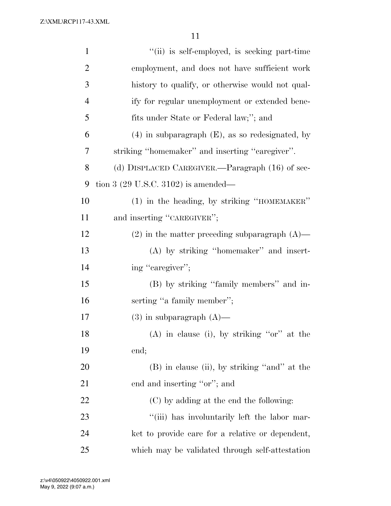| $\mathbf{1}$   | "(ii) is self-employed, is seeking part-time         |
|----------------|------------------------------------------------------|
| $\overline{2}$ | employment, and does not have sufficient work        |
| 3              | history to qualify, or otherwise would not qual-     |
| $\overline{4}$ | ify for regular unemployment or extended bene-       |
| 5              | fits under State or Federal law;"; and               |
| 6              | $(4)$ in subparagraph $(E)$ , as so redesignated, by |
| 7              | striking "homemaker" and inserting "caregiver".      |
| 8              | (d) DISPLACED CAREGIVER.—Paragraph (16) of sec-      |
| 9              | tion 3 $(29 \text{ U.S.C. } 3102)$ is amended—       |
| 10             | (1) in the heading, by striking "HOMEMAKER"          |
| 11             | and inserting "CAREGIVER";                           |
| 12             | $(2)$ in the matter preceding subparagraph $(A)$ —   |
| 13             | (A) by striking "homemaker" and insert-              |
| 14             | ing "caregiver";                                     |
| 15             | (B) by striking "family members" and in-             |
| 16             | serting "a family member";                           |
| 17             | $(3)$ in subparagraph $(A)$ —                        |
| 18             | $(A)$ in clause (i), by striking "or" at the         |
| 19             | end;                                                 |
| 20             | (B) in clause (ii), by striking "and" at the         |
| 21             | end and inserting "or"; and                          |
| 22             | (C) by adding at the end the following:              |
| 23             | "(iii) has involuntarily left the labor mar-         |
| 24             | ket to provide care for a relative or dependent,     |
| 25             | which may be validated through self-attestation      |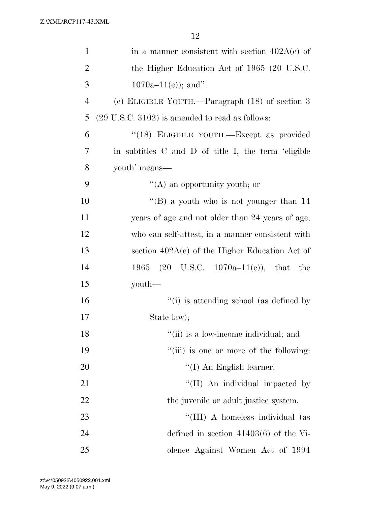| $\mathbf{1}$   | in a manner consistent with section $402A(e)$ of           |
|----------------|------------------------------------------------------------|
| $\overline{2}$ | the Higher Education Act of 1965 (20 U.S.C.                |
| 3              | $1070a-11(e)$ ; and".                                      |
| $\overline{4}$ | (e) ELIGIBLE YOUTH.—Paragraph (18) of section 3            |
| 5              | $(29 \text{ U.S.C. } 3102)$ is amended to read as follows: |
| 6              | "(18) ELIGIBLE YOUTH.—Except as provided                   |
| 7              | in subtitles C and D of title I, the term 'eligible        |
| 8              | youth' means—                                              |
| 9              | $\lq\lq$ (A) an opportunity youth; or                      |
| 10             | "(B) a youth who is not younger than $14$                  |
| 11             | years of age and not older than 24 years of age,           |
| 12             | who can self-attest, in a manner consistent with           |
| 13             | section $402A(e)$ of the Higher Education Act of           |
| 14             | 1965 (20 U.S.C. 1070a-11(e)), that the                     |
| 15             | youth—                                                     |
| 16             | "(i) is attending school (as defined by                    |
| 17             | State law);                                                |
| 18             | "(ii) is a low-income individual; and                      |
| 19             | "(iii) is one or more of the following:                    |
| 20             | $\lq (I)$ An English learner.                              |
| 21             | "(II) An individual impacted by                            |
| 22             | the juvenile or adult justice system.                      |
| 23             | "(III) A homeless individual (as                           |
| 24             | defined in section $41403(6)$ of the Vi-                   |
| 25             | olence Against Women Act of 1994                           |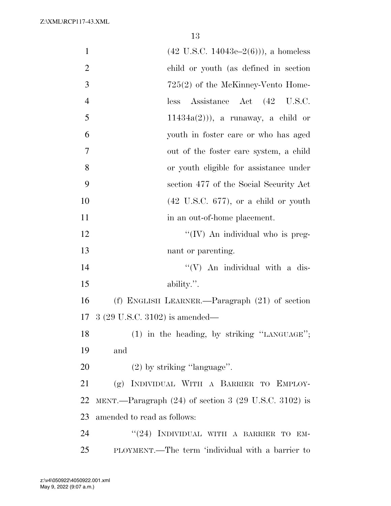| $\mathbf{1}$   | $(42 \text{ U.S.C. } 14043\text{e} - 2(6)))$ , a homeless          |
|----------------|--------------------------------------------------------------------|
| $\overline{2}$ | child or youth (as defined in section                              |
| 3              | $725(2)$ of the McKinney-Vento Home-                               |
| $\overline{4}$ | Assistance Act (42 U.S.C.<br>less                                  |
| 5              | $11434a(2)$ ), a runaway, a child or                               |
| 6              | youth in foster care or who has aged                               |
| 7              | out of the foster care system, a child                             |
| 8              | or youth eligible for assistance under                             |
| 9              | section 477 of the Social Security Act                             |
| 10             | $(42 \text{ U.S.C. } 677)$ , or a child or youth                   |
| 11             | in an out-of-home placement.                                       |
| 12             | "(IV) An individual who is preg-                                   |
| 13             | nant or parenting.                                                 |
| 14             | $\lq\lq (V)$ An individual with a dis-                             |
| 15             | ability.".                                                         |
| 16             | (f) ENGLISH LEARNER.—Paragraph $(21)$ of section                   |
| 17             | $3(29 \text{ U.S.C. } 3102)$ is amended—                           |
| 18             | (1) in the heading, by striking "LANGUAGE";                        |
| 19             | and                                                                |
| 20             | $(2)$ by striking "language".                                      |
| 21             | (g) INDIVIDUAL WITH A BARRIER TO EMPLOY-                           |
| 22             | MENT.—Paragraph $(24)$ of section 3 $(29 \text{ U.S.C. } 3102)$ is |
| 23             | amended to read as follows:                                        |
| 24             | "(24) INDIVIDUAL WITH A BARRIER TO EM-                             |
| 25             | PLOYMENT.—The term 'individual with a barrier to                   |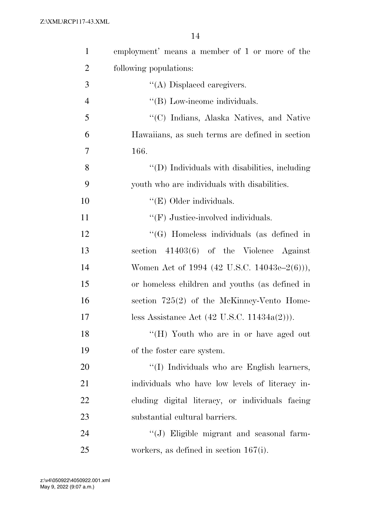| $\mathbf{1}$   | employment' means a member of 1 or more of the          |
|----------------|---------------------------------------------------------|
| $\overline{2}$ | following populations:                                  |
| 3              | $\lq\lq$ Displaced caregivers.                          |
| $\overline{4}$ | "(B) Low-income individuals.                            |
| 5              | "(C) Indians, Alaska Natives, and Native                |
| 6              | Hawaiians, as such terms are defined in section         |
| 7              | 166.                                                    |
| 8              | "(D) Individuals with disabilities, including           |
| 9              | youth who are individuals with disabilities.            |
| 10             | " $(E)$ Older individuals.                              |
| 11             | $``(F)$ Justice-involved individuals.                   |
| 12             | "(G) Homeless individuals (as defined in                |
| 13             | section $41403(6)$ of the Violence Against              |
| 14             | Women Act of 1994 (42 U.S.C. 14043e–2(6))),             |
| 15             | or homeless children and youths (as defined in          |
| 16             | section $725(2)$ of the McKinney-Vento Home-            |
| 17             | less Assistance Act $(42 \text{ U.S.C. } 11434a(2)))$ . |
| 18             | "(H) Youth who are in or have aged out                  |
| 19             | of the foster care system.                              |
| 20             | "(I) Individuals who are English learners,              |
| 21             | individuals who have low levels of literacy in-         |
| 22             | cluding digital literacy, or individuals facing         |
| 23             | substantial cultural barriers.                          |
| 24             | "(J) Eligible migrant and seasonal farm-                |
| 25             | workers, as defined in section $167(i)$ .               |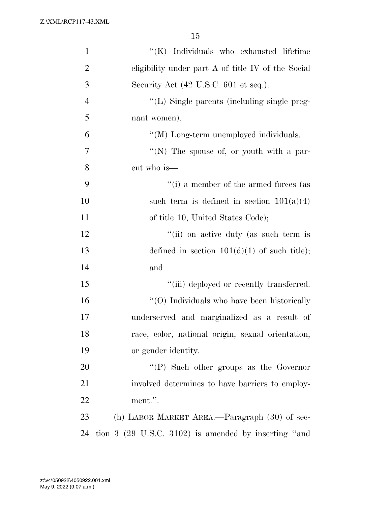| $\mathbf{1}$   | "(K) Individuals who exhausted lifetime                  |
|----------------|----------------------------------------------------------|
| $\overline{2}$ | eligibility under part $A$ of title IV of the Social     |
| 3              | Security Act $(42 \text{ U.S.C. } 601 \text{ et seq.}).$ |
| $\overline{4}$ | "(L) Single parents (including single preg-              |
| 5              | nant women).                                             |
| 6              | "(M) Long-term unemployed individuals.                   |
| 7              | "(N) The spouse of, or youth with a par-                 |
| 8              | ent who is—                                              |
| 9              | "(i) a member of the armed forces (as                    |
| 10             | such term is defined in section $101(a)(4)$              |
| 11             | of title 10, United States Code);                        |
| 12             | "(ii) on active duty (as such term is                    |
| 13             | defined in section $101(d)(1)$ of such title);           |
| 14             | and                                                      |
| 15             | "(iii) deployed or recently transferred.                 |
| 16             | $\cdot$ (O) Individuals who have been historically       |
| 17             | underserved and marginalized as a result of              |
| 18             | race, color, national origin, sexual orientation,        |
| 19             | or gender identity.                                      |
| 20             | $\lq\lq(P)$ Such other groups as the Governor            |
| 21             | involved determines to have barriers to employ-          |
| 22             | ment.".                                                  |
| 23             | (h) LABOR MARKET AREA.—Paragraph (30) of sec-            |
| 24             | tion $3$ (29 U.S.C. 3102) is amended by inserting "and   |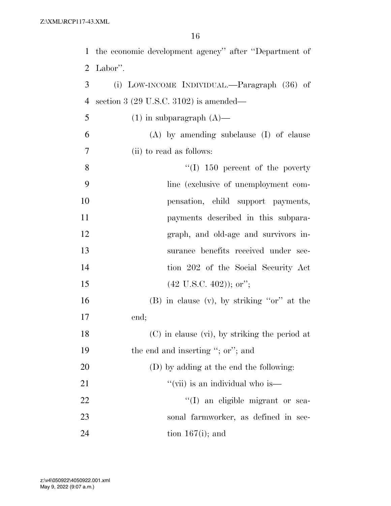|                | 1 the economic development agency" after "Department of |
|----------------|---------------------------------------------------------|
| 2              | Labor".                                                 |
| 3              | (i) LOW-INCOME INDIVIDUAL.—Paragraph (36) of            |
| 4              | section 3 $(29 \text{ U.S.C. } 3102)$ is amended—       |
| 5              | $(1)$ in subparagraph $(A)$ —                           |
| 6              | $(A)$ by amending subclause $(I)$ of clause             |
| $\overline{7}$ | (ii) to read as follows:                                |
| 8              | $\lq (I)$ 150 percent of the poverty                    |
| 9              | line (exclusive of unemployment com-                    |
| 10             | pensation, child support payments,                      |
| 11             | payments described in this subpara-                     |
| 12             | graph, and old-age and survivors in-                    |
| 13             | surance benefits received under sec-                    |
| 14             | tion 202 of the Social Security Act                     |
| 15             | $(42 \text{ U.S.C. } 402)$ ); or";                      |
| 16             | $(B)$ in clause $(v)$ , by striking "or" at the         |
| 17             | end;                                                    |
| 18             | $(C)$ in clause (vi), by striking the period at         |
| 19             | the end and inserting "; or"; and                       |
| 20             | (D) by adding at the end the following:                 |
| 21             | "(vii) is an individual who is—                         |
| 22             | "(I) an eligible migrant or sea-                        |
| 23             | sonal farmworker, as defined in sec-                    |
| 24             | tion $167(i)$ ; and                                     |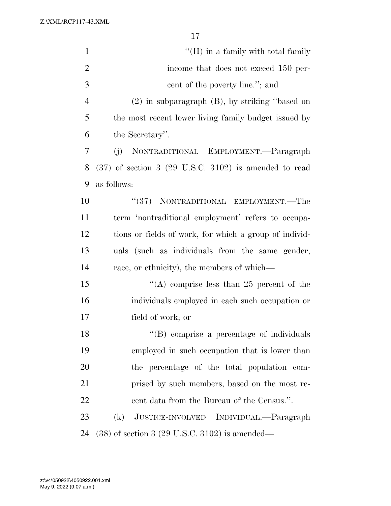| $\mathbf{1}$   | $\lq\lq$ (II) in a family with total family                        |
|----------------|--------------------------------------------------------------------|
| $\overline{2}$ | income that does not exceed 150 per-                               |
| 3              | cent of the poverty line."; and                                    |
| $\overline{4}$ | $(2)$ in subparagraph $(B)$ , by striking "based on                |
| 5              | the most recent lower living family budget issued by               |
| 6              | the Secretary".                                                    |
| 7              | NONTRADITIONAL EMPLOYMENT.—Paragraph<br>(i)                        |
| 8              | $(37)$ of section 3 $(29 \text{ U.S.C. } 3102)$ is amended to read |
| 9              | as follows:                                                        |
| 10             | "(37) NONTRADITIONAL EMPLOYMENT.—The                               |
| 11             | term 'nontraditional employment' refers to occupa-                 |
| 12             | tions or fields of work, for which a group of individ-             |
| 13             | uals (such as individuals from the same gender,                    |
| 14             | race, or ethnicity), the members of which—                         |
| 15             | "(A) comprise less than 25 percent of the                          |
| 16             | individuals employed in each such occupation or                    |
| 17             | field of work; or                                                  |
| 18             | "(B) comprise a percentage of individuals                          |
| 19             | employed in such occupation that is lower than                     |
| 20             | the percentage of the total population com-                        |
| 21             | prised by such members, based on the most re-                      |
| 22             | cent data from the Bureau of the Census.".                         |
| 23             | JUSTICE-INVOLVED INDIVIDUAL.—Paragraph<br>(k)                      |
| 24             | $(38)$ of section 3 $(29 \text{ U.S.C. } 3102)$ is amended—        |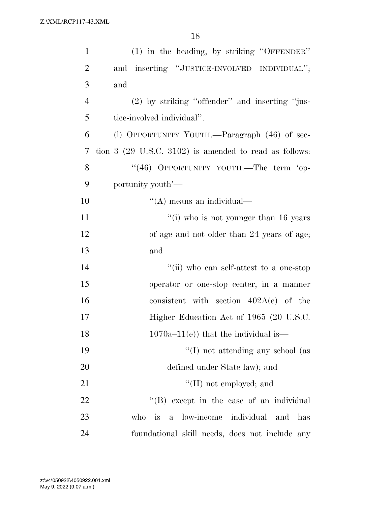| $\mathbf{1}$   | (1) in the heading, by striking "OFFENDER"                                 |
|----------------|----------------------------------------------------------------------------|
| $\overline{2}$ | and inserting "JUSTICE-INVOLVED INDIVIDUAL";                               |
| 3              | and                                                                        |
| $\overline{4}$ | (2) by striking "offender" and inserting "jus-                             |
| 5              | tice-involved individual".                                                 |
| 6              | (l) OPPORTUNITY YOUTH.—Paragraph (46) of sec-                              |
| 7              | tion $3$ (29 U.S.C. 3102) is amended to read as follows:                   |
| 8              | "(46) OPPORTUNITY YOUTH.—The term 'op-                                     |
| 9              | portunity youth'—                                                          |
| 10             | $\lq\lq$ means an individual—                                              |
| 11             | $f'(i)$ who is not younger than 16 years                                   |
| 12             | of age and not older than 24 years of age;                                 |
| 13             | and                                                                        |
| 14             | "(ii) who can self-attest to a one-stop                                    |
| 15             | operator or one-stop center, in a manner                                   |
| 16             | consistent with section $402A(e)$ of the                                   |
| 17             | Higher Education Act of 1965 (20 U.S.C.                                    |
| 18             | $1070a-11(e)$ that the individual is—                                      |
| 19             | $\lq\lq$ (I) not attending any school (as                                  |
| 20             | defined under State law); and                                              |
| 21             | $\lq\lq$ (II) not employed; and                                            |
| 22             | $\lq\lq$ (B) except in the case of an individual                           |
| 23             | individual<br>low-income<br>who<br><i>is</i><br>$\mathbf{a}$<br>and<br>has |
| 24             | foundational skill needs, does not include any                             |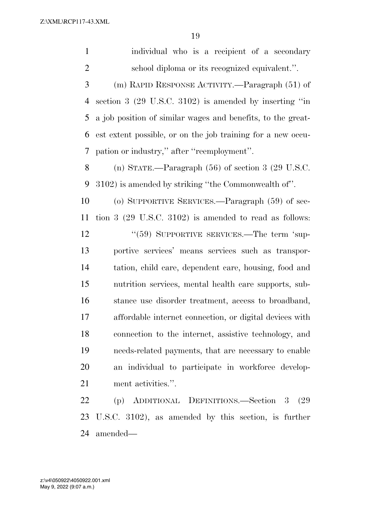individual who is a recipient of a secondary school diploma or its recognized equivalent.''. (m) RAPID RESPONSE ACTIVITY.—Paragraph (51) of section 3 (29 U.S.C. 3102) is amended by inserting ''in a job position of similar wages and benefits, to the great- est extent possible, or on the job training for a new occu- pation or industry,'' after ''reemployment''. (n) STATE.—Paragraph (56) of section 3 (29 U.S.C. 3102) is amended by striking ''the Commonwealth of''. (o) SUPPORTIVE SERVICES.—Paragraph (59) of sec- tion 3 (29 U.S.C. 3102) is amended to read as follows: 12 "(59) SUPPORTIVE SERVICES.—The term 'sup- portive services' means services such as transpor- tation, child care, dependent care, housing, food and nutrition services, mental health care supports, sub- stance use disorder treatment, access to broadband, affordable internet connection, or digital devices with connection to the internet, assistive technology, and needs-related payments, that are necessary to enable an individual to participate in workforce develop- ment activities.''. (p) ADDITIONAL DEFINITIONS.—Section 3 (29

 U.S.C. 3102), as amended by this section, is further amended—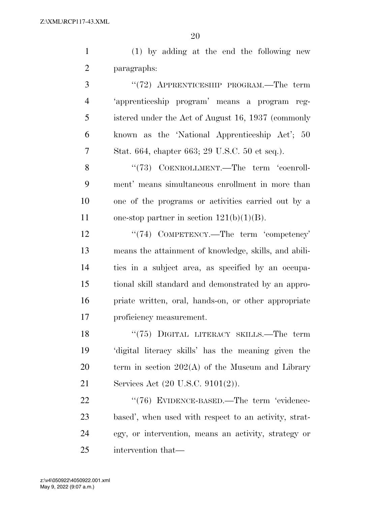(1) by adding at the end the following new paragraphs:

 ''(72) APPRENTICESHIP PROGRAM.—The term 'apprenticeship program' means a program reg- istered under the Act of August 16, 1937 (commonly known as the 'National Apprenticeship Act'; 50 Stat. 664, chapter 663; 29 U.S.C. 50 et seq.).

8 "(73) COENROLLMENT.—The term 'coenroll- ment' means simultaneous enrollment in more than one of the programs or activities carried out by a 11 one-stop partner in section  $121(b)(1)(B)$ .

12 '(74) COMPETENCY.—The term 'competency' means the attainment of knowledge, skills, and abili- ties in a subject area, as specified by an occupa- tional skill standard and demonstrated by an appro- priate written, oral, hands-on, or other appropriate proficiency measurement.

18 "(75) DIGITAL LITERACY SKILLS.—The term 'digital literacy skills' has the meaning given the term in section 202(A) of the Museum and Library Services Act (20 U.S.C. 9101(2)).

22 "(76) EVIDENCE-BASED.—The term 'evidence- based', when used with respect to an activity, strat- egy, or intervention, means an activity, strategy or intervention that—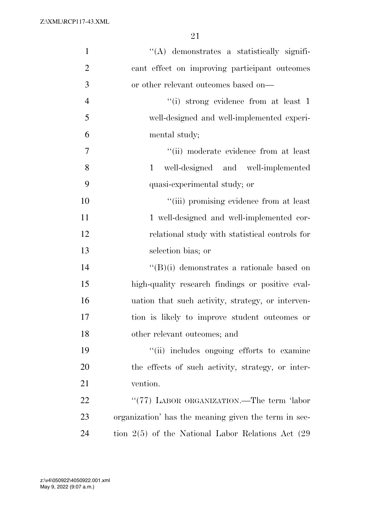| $\mathbf{1}$   | "(A) demonstrates a statistically signifi-             |
|----------------|--------------------------------------------------------|
| $\overline{2}$ | cant effect on improving participant outcomes          |
| $\mathfrak{Z}$ | or other relevant outcomes based on—                   |
| $\overline{4}$ | "(i) strong evidence from at least 1                   |
| 5              | well-designed and well-implemented experi-             |
| 6              | mental study;                                          |
| 7              | "(ii) moderate evidence from at least                  |
| 8              | well-designed and well-implemented<br>$\mathbf{1}$     |
| 9              | quasi-experimental study; or                           |
| 10             | "(iii) promising evidence from at least                |
| 11             | 1 well-designed and well-implemented cor-              |
| 12             | relational study with statistical controls for         |
| 13             | selection bias; or                                     |
| 14             | $\lq\lq(B)(i)$ demonstrates a rationale based on       |
| 15             | high-quality research findings or positive eval-       |
| 16             | uation that such activity, strategy, or interven-      |
| 17             | tion is likely to improve student outcomes or          |
| 18             | other relevant outcomes; and                           |
| 19             | "(ii) includes ongoing efforts to examine              |
| 20             | the effects of such activity, strategy, or inter-      |
| 21             | vention.                                               |
| 22             | "(77) LABOR ORGANIZATION.—The term 'labor              |
| 23             | organization' has the meaning given the term in sec-   |
| 24             | tion $2(5)$ of the National Labor Relations Act $(29)$ |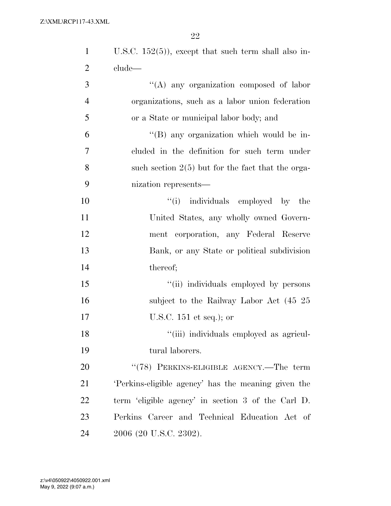| $\mathbf{1}$   | U.S.C. $152(5)$ , except that such term shall also in- |
|----------------|--------------------------------------------------------|
| $\overline{2}$ | clude—                                                 |
| 3              | $\lq\lq$ any organization composed of labor            |
| $\overline{4}$ | organizations, such as a labor union federation        |
| 5              | or a State or municipal labor body; and                |
| 6              | "(B) any organization which would be in-               |
| $\tau$         | cluded in the definition for such term under           |
| 8              | such section $2(5)$ but for the fact that the orga-    |
| 9              | nization represents—                                   |
| 10             | "(i) individuals employed by the                       |
| 11             | United States, any wholly owned Govern-                |
| 12             | ment corporation, any Federal Reserve                  |
| 13             | Bank, or any State or political subdivision            |
| 14             | thereof;                                               |
| 15             | "(ii) individuals employed by persons                  |
| 16             | subject to the Railway Labor Act (45 25)               |
| 17             | U.S.C. $151$ et seq.); or                              |
| 18             | "(iii) individuals employed as agricul-                |
| 19             | tural laborers.                                        |
| 20             | "(78) PERKINS-ELIGIBLE AGENCY.—The term                |
| 21             | Perkins-eligible agency' has the meaning given the     |
| 22             | term 'eligible agency' in section 3 of the Carl D.     |
| 23             | Perkins Career and Technical Education Act of          |
| 24             | 2006 (20 U.S.C. 2302).                                 |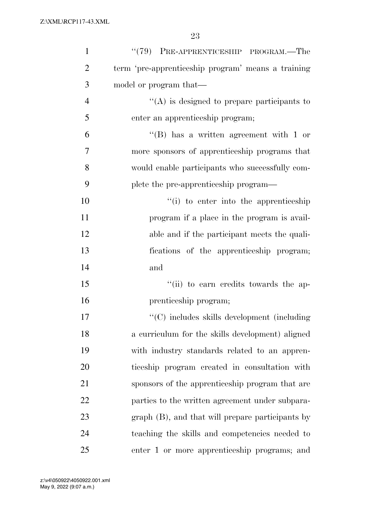| $\mathbf{1}$   | $``(79)$ PRE-APPRENTICESHIP PROGRAM.—The           |
|----------------|----------------------------------------------------|
| $\overline{2}$ | term 'pre-apprenticeship program' means a training |
| 3              | model or program that—                             |
| $\overline{4}$ | $\lq\lq$ is designed to prepare participants to    |
| 5              | enter an apprenticeship program;                   |
| 6              | "(B) has a written agreement with 1 or             |
| 7              | more sponsors of apprenticeship programs that      |
| 8              | would enable participants who successfully com-    |
| 9              | plete the pre-apprenticeship program—              |
| 10             | "(i) to enter into the apprenticeship              |
| 11             | program if a place in the program is avail-        |
| 12             | able and if the participant meets the quali-       |
| 13             | fications of the apprenticeship program;           |
| 14             | and                                                |
| 15             | "(ii) to earn credits towards the ap-              |
| 16             | prenticeship program;                              |
| 17             | "(C) includes skills development (including        |
| 18             | a curriculum for the skills development) aligned   |
| 19             | with industry standards related to an appren-      |
| 20             | ticeship program created in consultation with      |
| 21             | sponsors of the apprenticeship program that are    |
| 22             | parties to the written agreement under subpara-    |
| 23             | graph (B), and that will prepare participants by   |
| 24             | teaching the skills and competencies needed to     |
| 25             | enter 1 or more apprenticeship programs; and       |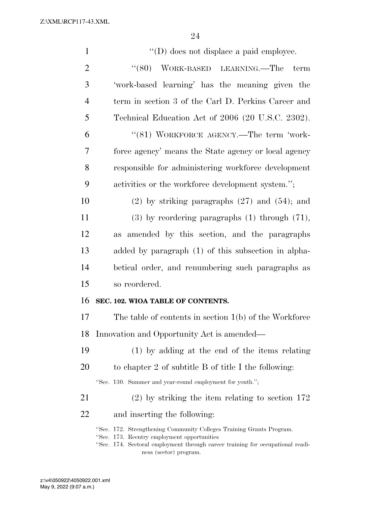| $\mathbf{1}$   | $\lq\lq$ (D) does not displace a paid employee.                                                                                                                                                                                 |
|----------------|---------------------------------------------------------------------------------------------------------------------------------------------------------------------------------------------------------------------------------|
| $\overline{2}$ | (680)<br>WORK-BASED LEARNING.—The<br>term                                                                                                                                                                                       |
| 3              | 'work-based learning' has the meaning given the                                                                                                                                                                                 |
| $\overline{4}$ | term in section 3 of the Carl D. Perkins Career and                                                                                                                                                                             |
| 5              | Technical Education Act of 2006 (20 U.S.C. 2302).                                                                                                                                                                               |
| 6              | "(81) WORKFORCE AGENCY.—The term 'work-                                                                                                                                                                                         |
| 7              | force agency' means the State agency or local agency                                                                                                                                                                            |
| 8              | responsible for administering workforce development                                                                                                                                                                             |
| 9              | activities or the workforce development system.";                                                                                                                                                                               |
| 10             | $(2)$ by striking paragraphs $(27)$ and $(54)$ ; and                                                                                                                                                                            |
| 11             | $(3)$ by reordering paragraphs $(1)$ through $(71)$ ,                                                                                                                                                                           |
| 12             | as amended by this section, and the paragraphs                                                                                                                                                                                  |
| 13             | added by paragraph (1) of this subsection in alpha-                                                                                                                                                                             |
| 14             | betical order, and renumbering such paragraphs as                                                                                                                                                                               |
| 15             | so reordered.                                                                                                                                                                                                                   |
| 16             | SEC. 102. WIOA TABLE OF CONTENTS.                                                                                                                                                                                               |
| 17             | The table of contents in section $1(b)$ of the Workforce                                                                                                                                                                        |
| 18             | Innovation and Opportunity Act is amended—                                                                                                                                                                                      |
| 19             | $(1)$ by adding at the end of the items relating                                                                                                                                                                                |
| 20             | to chapter 2 of subtitle B of title I the following:                                                                                                                                                                            |
|                | "Sec. 130. Summer and year-round employment for youth.";                                                                                                                                                                        |
| 21             | $(2)$ by striking the item relating to section 172                                                                                                                                                                              |
| 22             | and inserting the following:                                                                                                                                                                                                    |
|                | "Sec. 172. Strengthening Community Colleges Training Grants Program.<br>"Sec. 173. Reentry employment opportunities<br>"Sec. 174. Sectoral employment through career training for occupational readi-<br>ness (sector) program. |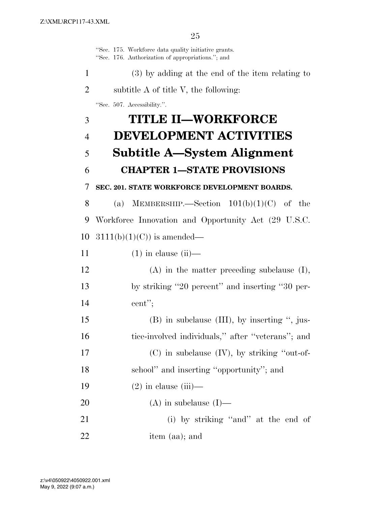''Sec. 175. Workforce data quality initiative grants. ''Sec. 176. Authorization of appropriations.''; and (3) by adding at the end of the item relating to subtitle A of title V, the following: ''Sec. 507. Accessibility.''. **TITLE II—WORKFORCE DEVELOPMENT ACTIVITIES Subtitle A—System Alignment CHAPTER 1—STATE PROVISIONS SEC. 201. STATE WORKFORCE DEVELOPMENT BOARDS.**  8 (a) MEMBERSHIP.—Section  $101(b)(1)(C)$  of the Workforce Innovation and Opportunity Act (29 U.S.C.  $3111(b)(1)(C)$  is amended—  $(1)$  in clause (ii)— (A) in the matter preceding subclause (I), by striking ''20 percent'' and inserting ''30 per- cent''; (B) in subclause (III), by inserting '', jus- tice-involved individuals,'' after ''veterans''; and (C) in subclause (IV), by striking ''out-of- school'' and inserting ''opportunity''; and  $(2)$  in clause (iii)— (A) in subclause (I)— (i) by striking ''and'' at the end of item (aa); and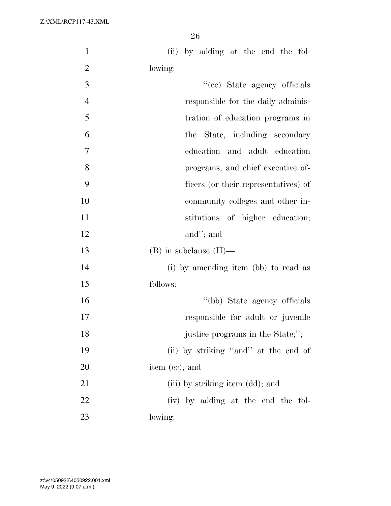| $\mathbf{1}$   | (ii) by adding at the end the fol-   |
|----------------|--------------------------------------|
| $\overline{2}$ | lowing:                              |
| 3              | "(cc) State agency officials         |
| $\overline{4}$ | responsible for the daily adminis-   |
| 5              | tration of education programs in     |
| 6              | the State, including secondary       |
| $\tau$         | education and adult education        |
| 8              | programs, and chief executive of-    |
| 9              | ficers (or their representatives) of |
| 10             | community colleges and other in-     |
| 11             | stitutions of higher education;      |
| 12             | and"; and                            |
| 13             | $(B)$ in subclause $(II)$ —          |
| 14             | (i) by amending item (bb) to read as |
| 15             | follows:                             |
| 16             | "(bb) State agency officials         |
| 17             | responsible for adult or juvenile    |
| 18             | justice programs in the State;";     |
| 19             | (ii) by striking "and" at the end of |
| 20             | item (cc); and                       |
| 21             | (iii) by striking item (dd); and     |
| 22             | (iv) by adding at the end the fol-   |
| 23             | lowing:                              |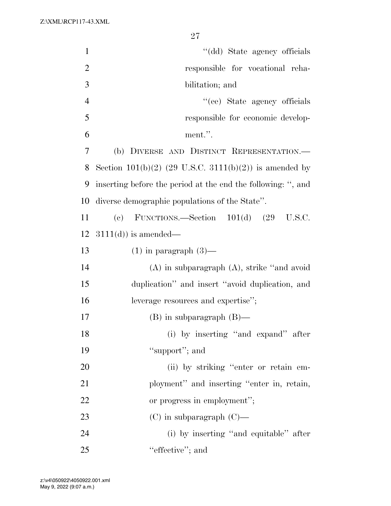| $\mathbf{1}$   | "(dd) State agency officials                                 |
|----------------|--------------------------------------------------------------|
| $\overline{2}$ | responsible for vocational reha-                             |
| $\mathfrak{Z}$ | bilitation; and                                              |
| $\overline{4}$ | "(ee) State agency officials                                 |
| 5              | responsible for economic develop-                            |
| 6              | ment.".                                                      |
| 7              | (b) DIVERSE AND DISTINCT REPRESENTATION.                     |
| 8              | Section 101(b)(2) (29 U.S.C. 3111(b)(2)) is amended by       |
| 9              | inserting before the period at the end the following: ", and |
| 10             | diverse demographic populations of the State".               |
| 11             | FUNCTIONS.—Section $101(d)$ $(29 \text{ U.S.C.})$<br>(e)     |
| 12             | $3111(d)$ is amended—                                        |
| 13             | $(1)$ in paragraph $(3)$ —                                   |
| 14             | $(A)$ in subparagraph $(A)$ , strike "and avoid"             |
| 15             | duplication" and insert "avoid duplication, and              |
| 16             | leverage resources and expertise";                           |
| 17             | $(B)$ in subparagraph $(B)$ —                                |
| 18             | (i) by inserting "and expand" after                          |
| 19             | "support"; and                                               |
| 20             | (ii) by striking "enter or retain em-                        |
| 21             | ployment" and inserting "enter in, retain,                   |
| 22             | or progress in employment";                                  |
| 23             | $(C)$ in subparagraph $(C)$ —                                |
| 24             | (i) by inserting "and equitable" after                       |
| 25             | "effective"; and                                             |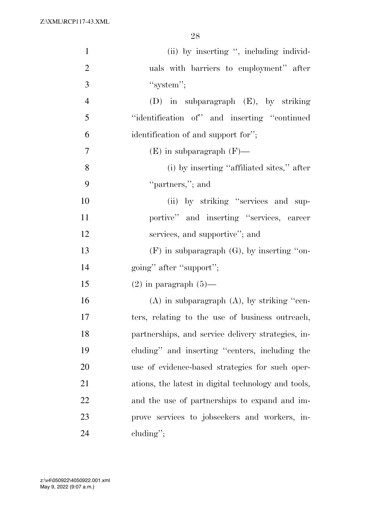| $\mathbf{1}$   | (ii) by inserting ", including individ-             |
|----------------|-----------------------------------------------------|
| $\overline{2}$ | uals with barriers to employment" after             |
| 3              | "system";                                           |
| $\overline{4}$ | $(D)$ in subparagraph $(E)$ , by striking           |
| 5              | "identification of" and inserting "continued"       |
| 6              | identification of and support for";                 |
| $\overline{7}$ | $(E)$ in subparagraph $(F)$ —                       |
| 8              | (i) by inserting "affiliated sites," after          |
| 9              | "partners,"; and                                    |
| 10             | (ii) by striking "services and sup-                 |
| 11             | portive" and inserting "services, career            |
| 12             | services, and supportive"; and                      |
| 13             | $(F)$ in subparagraph $(G)$ , by inserting "on-     |
| 14             | going" after "support";                             |
| 15             | $(2)$ in paragraph $(5)$ —                          |
| 16             | $(A)$ in subparagraph $(A)$ , by striking "cen-     |
| 17             | ters, relating to the use of business outreach,     |
| 18             | partnerships, and service delivery strategies, in-  |
| 19             | cluding" and inserting "centers, including the      |
| 20             | use of evidence-based strategies for such oper-     |
| 21             | ations, the latest in digital technology and tools, |
| 22             | and the use of partnerships to expand and im-       |
| 23             | prove services to jobseekers and workers, in-       |
| 24             | $cluding''$ ;                                       |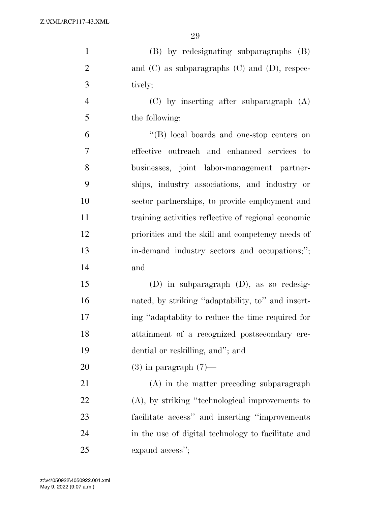| $\mathbf{1}$   | (B) by redesignating subparagraphs (B)               |
|----------------|------------------------------------------------------|
| $\overline{2}$ | and $(C)$ as subparagraphs $(C)$ and $(D)$ , respec- |
| 3              | tively;                                              |
| $\overline{4}$ | $(C)$ by inserting after subparagraph $(A)$          |
| 5              | the following:                                       |
| 6              | "(B) local boards and one-stop centers on            |
| $\overline{7}$ | effective outreach and enhanced services to          |
| 8              | businesses, joint labor-management partner-          |
| 9              | ships, industry associations, and industry or        |
| 10             | sector partnerships, to provide employment and       |
| 11             | training activities reflective of regional economic  |
| 12             | priorities and the skill and competency needs of     |
| 13             | in-demand industry sectors and occupations;";        |
| 14             | and                                                  |
| 15             | $(D)$ in subparagraph $(D)$ , as so redesig-         |
| 16             | nated, by striking "adaptability, to" and insert-    |
| 17             | ing "adaptablity to reduce the time required for     |
| 18             | attainment of a recognized postsecondary cre-        |
| 19             | dential or reskilling, and"; and                     |
| 20             | $(3)$ in paragraph $(7)$ —                           |
| 21             | $(A)$ in the matter preceding subparagraph           |
| 22             | $(A)$ , by striking "technological improvements to   |
| 23             | facilitate access" and inserting "improvements"      |
| 24             | in the use of digital technology to facilitate and   |
| 25             | expand access";                                      |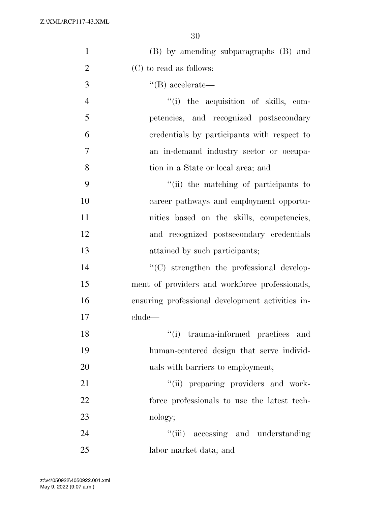| $\mathbf{1}$   | (B) by amending subparagraphs (B) and            |
|----------------|--------------------------------------------------|
| $\overline{2}$ | (C) to read as follows:                          |
| 3              | $\lq\lq (B)$ accelerate—                         |
| $\overline{4}$ | "(i) the acquisition of skills, com-             |
| 5              | petencies, and recognized postsecondary          |
| 6              | credentials by participants with respect to      |
| 7              | an in-demand industry sector or occupa-          |
| 8              | tion in a State or local area; and               |
| 9              | "(ii) the matching of participants to            |
| 10             | career pathways and employment opportu-          |
| 11             | nities based on the skills, competencies,        |
| 12             | and recognized postsecondary credentials         |
| 13             | attained by such participants;                   |
| 14             | $\lq\lq$ strengthen the professional develop-    |
| 15             | ment of providers and workforce professionals,   |
| 16             | ensuring professional development activities in- |
| 17             | clude—                                           |
| 18             | "(i) trauma-informed practices and               |
| 19             | human-centered design that serve individ-        |
| 20             | uals with barriers to employment;                |
| 21             | "(ii) preparing providers and work-              |
| 22             | force professionals to use the latest tech-      |
| 23             | nology;                                          |
| 24             | "(iii) accessing and understanding               |
| 25             | labor market data; and                           |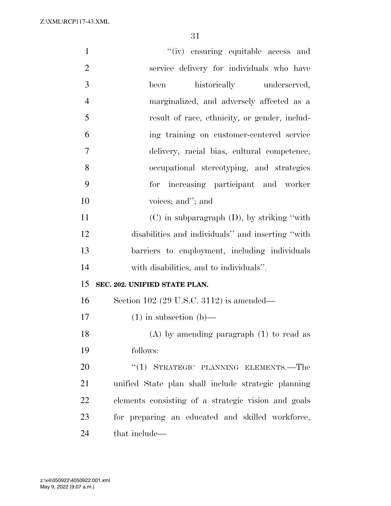| $\mathbf{1}$   | "(iv) ensuring equitable access and                 |
|----------------|-----------------------------------------------------|
| $\overline{2}$ | service delivery for individuals who have           |
| 3              | historically underserved,<br>been                   |
| $\overline{4}$ | marginalized, and adversely affected as a           |
| 5              | result of race, ethnicity, or gender, includ-       |
| 6              | ing training on customer-centered service           |
| 7              | delivery, racial bias, cultural competence,         |
| 8              | occupational stereotyping, and strategies           |
| 9              | for increasing participant and worker               |
| 10             | voices; and"; and                                   |
| 11             | $(C)$ in subparagraph $(D)$ , by striking "with"    |
| 12             | disabilities and individuals" and inserting "with"  |
| 13             | barriers to employment, including individuals       |
| 14             | with disabilities, and to individuals".             |
| 15             | SEC. 202. UNIFIED STATE PLAN.                       |
| 16             | Section 102 (29 U.S.C. 3112) is amended—            |
| 17             | $(1)$ in subsection $(b)$ —                         |
| 18             | $(A)$ by amending paragraph $(1)$ to read as        |
| 19             | follows:                                            |
| 20             | "(1) STRATEGIC PLANNING ELEMENTS.—The               |
| 21             | unified State plan shall include strategic planning |
| 22             | elements consisting of a strategic vision and goals |
| 23             | for preparing an educated and skilled workforce,    |
| 24             | that include—                                       |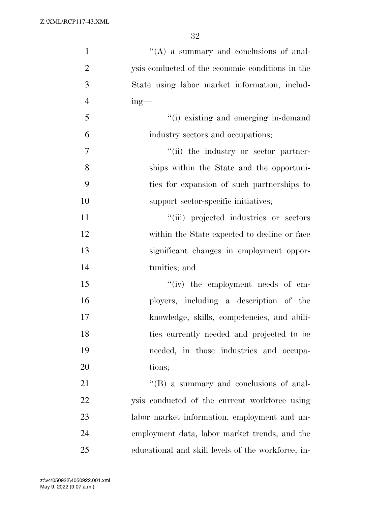| $\mathbf{1}$   | "(A) a summary and conclusions of anal-            |
|----------------|----------------------------------------------------|
| $\overline{2}$ | ysis conducted of the economic conditions in the   |
| 3              | State using labor market information, includ-      |
| $\overline{4}$ | $ing$ —                                            |
| 5              | "(i) existing and emerging in-demand               |
| 6              | industry sectors and occupations;                  |
| 7              | "(ii) the industry or sector partner-              |
| 8              | ships within the State and the opportuni-          |
| 9              | ties for expansion of such partnerships to         |
| 10             | support sector-specific initiatives;               |
| 11             | "(iii) projected industries or sectors             |
| 12             | within the State expected to decline or face       |
| 13             | significant changes in employment oppor-           |
| 14             | tunities; and                                      |
| 15             | $``(iv)$ the employment needs of em-               |
| 16             | ployers, including a description of the            |
| 17             | knowledge, skills, competencies, and abili-        |
| 18             | ties currently needed and projected to be          |
| 19             | needed, in those industries and occupa-            |
| 20             | tions;                                             |
| 21             | $\lq\lq (B)$ a summary and conclusions of anal-    |
| 22             | ysis conducted of the current workforce using      |
| 23             | labor market information, employment and un-       |
| 24             | employment data, labor market trends, and the      |
| 25             | educational and skill levels of the workforce, in- |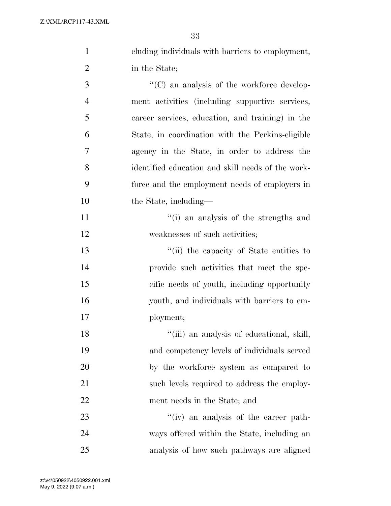cluding individuals with barriers to employment, in the State;

 $\cdot$  (C) an analysis of the workforce develop- ment activities (including supportive services, career services, education, and training) in the State, in coordination with the Perkins-eligible agency in the State, in order to address the identified education and skill needs of the work- force and the employment needs of employers in 10 the State, including—

11 ''(i) an analysis of the strengths and 12 weaknesses of such activities;

 ''(ii) the capacity of State entities to provide such activities that meet the spe- cific needs of youth, including opportunity youth, and individuals with barriers to em-ployment;

18 ''(iii) an analysis of educational, skill, and competency levels of individuals served by the workforce system as compared to 21 such levels required to address the employ-ment needs in the State; and

23  $\frac{1}{2}$   $\frac{1}{2}$   $\frac{1}{2}$  an analysis of the career path- ways offered within the State, including an analysis of how such pathways are aligned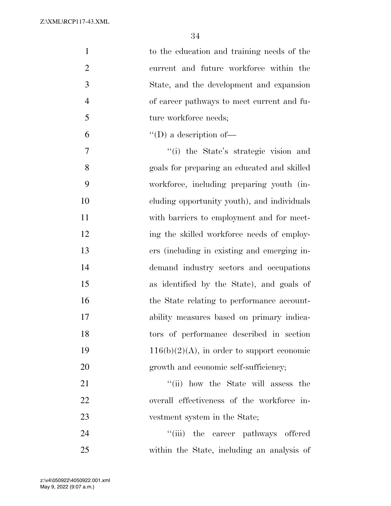| $\mathbf{1}$   | to the education and training needs of the    |
|----------------|-----------------------------------------------|
| $\overline{2}$ | current and future workforce within the       |
| 3              | State, and the development and expansion      |
| $\overline{4}$ | of career pathways to meet current and fu-    |
| 5              | ture workforce needs;                         |
| 6              | $\lq\lq$ (D) a description of —               |
| $\tau$         | "(i) the State's strategic vision and         |
| 8              | goals for preparing an educated and skilled   |
| 9              | workforce, including preparing youth (in-     |
| 10             | eluding opportunity youth), and individuals   |
| 11             | with barriers to employment and for meet-     |
| 12             | ing the skilled workforce needs of employ-    |
| 13             | ers (including in existing and emerging in-   |
| 14             | demand industry sectors and occupations       |
| 15             | as identified by the State), and goals of     |
| 16             | the State relating to performance account-    |
| 17             | ability measures based on primary indica-     |
| 18             | tors of performance described in section      |
| 19             | $116(b)(2)(A)$ , in order to support economic |
| 20             | growth and economic self-sufficiency;         |
| 21             | "(ii) how the State will assess the           |
| 22             | overall effectiveness of the workforce in-    |
| 23             | vestment system in the State;                 |
| 24             | "(iii) the career pathways offered            |
| 25             | within the State, including an analysis of    |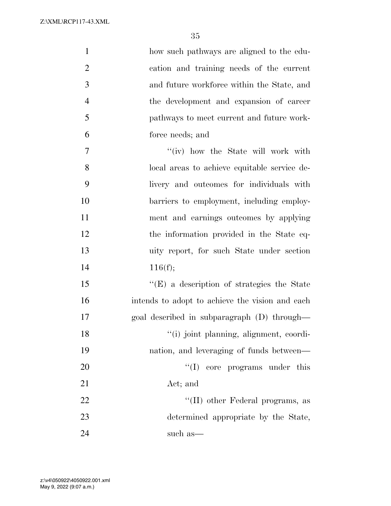| $\mathbf{1}$   | how such pathways are aligned to the edu-         |
|----------------|---------------------------------------------------|
| $\overline{2}$ | cation and training needs of the current          |
| 3              | and future workforce within the State, and        |
| $\overline{4}$ | the development and expansion of career           |
| 5              | pathways to meet current and future work-         |
| 6              | force needs; and                                  |
| $\tau$         | "(iv) how the State will work with                |
| 8              | local areas to achieve equitable service de-      |
| 9              | livery and outcomes for individuals with          |
| 10             | barriers to employment, including employ-         |
| 11             | ment and earnings outcomes by applying            |
| 12             | the information provided in the State eq-         |
| 13             | uity report, for such State under section         |
| 14             | 116(f);                                           |
| 15             | $\lq\lq(E)$ a description of strategies the State |
| 16             | intends to adopt to achieve the vision and each   |
| 17             | goal described in subparagraph (D) through-       |
| 18             | "(i) joint planning, alignment, coordi-           |
| 19             | nation, and leveraging of funds between—          |
| 20             | $\lq\lq$ (I) core programs under this             |
| 21             | Act; and                                          |
| 22             | "(II) other Federal programs, as                  |
| 23             | determined appropriate by the State,              |
| 24             | such as—                                          |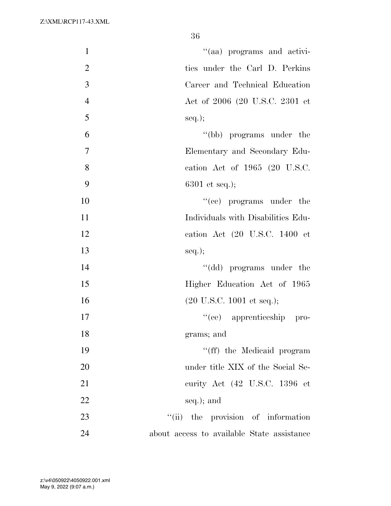| "(aa) programs and activi-<br>$\mathbf{1}$         |  |
|----------------------------------------------------|--|
| $\mathbf{2}$<br>ties under the Carl D. Perkins     |  |
| 3<br>Career and Technical Education                |  |
| $\overline{4}$<br>Act of 2006 (20 U.S.C. 2301 et   |  |
| 5<br>$seq.$ ;                                      |  |
| 6<br>"(bb) programs under the                      |  |
| 7<br>Elementary and Secondary Edu-                 |  |
| 8<br>cation Act of 1965 (20 U.S.C.                 |  |
| 9<br>$6301$ et seq.);                              |  |
| $f'(ce)$ programs under the<br>10                  |  |
| 11<br>Individuals with Disabilities Edu-           |  |
| 12<br>cation Act (20 U.S.C. 1400 et                |  |
| 13<br>$seq.$ ;                                     |  |
| "(dd) programs under the<br>14                     |  |
| 15<br>Higher Education Act of 1965                 |  |
| 16<br>$(20 \text{ U.S.C. } 1001 \text{ et seq.});$ |  |
| 17<br>"(ee) apprenticeship pro-                    |  |
| 18<br>grams; and                                   |  |
| 19<br>"(ff) the Medicaid program                   |  |
| 20<br>under title XIX of the Social Se-            |  |
| 21<br>curity Act (42 U.S.C. 1396 et                |  |
| 22<br>seq.); and                                   |  |
| 23<br>"(ii) the provision of information           |  |
| 24<br>about access to available State assistance   |  |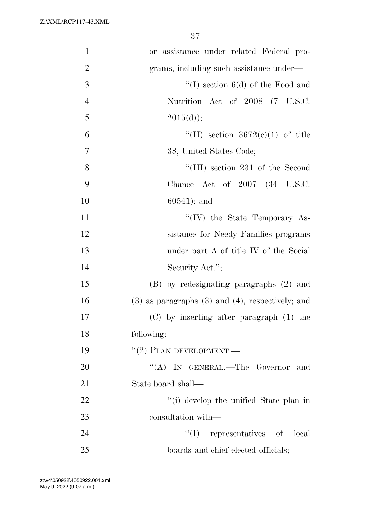| $\mathbf{1}$   | or assistance under related Federal pro-                |
|----------------|---------------------------------------------------------|
| $\overline{2}$ | grams, including such assistance under—                 |
| 3              | "(I) section $6(d)$ of the Food and                     |
| $\overline{4}$ | Nutrition Act of 2008 (7 U.S.C.                         |
| 5              | 2015(d));                                               |
| 6              | "(II) section $3672(e)(1)$ of title                     |
| 7              | 38, United States Code;                                 |
| $8\,$          | "(III) section 231 of the Second                        |
| 9              | Chance Act of $2007$ $(34 \text{ U.S.C.})$              |
| 10             | $60541$ ; and                                           |
| 11             | $\lq\lq (IV)$ the State Temporary As-                   |
| 12             | sistance for Needy Families programs                    |
| 13             | under part A of title IV of the Social                  |
| 14             | Security Act.";                                         |
| 15             | (B) by redesignating paragraphs (2) and                 |
| 16             | $(3)$ as paragraphs $(3)$ and $(4)$ , respectively; and |
| 17             | $(C)$ by inserting after paragraph $(1)$ the            |
| 18             | following:                                              |
| 19             | $``(2)$ PLAN DEVELOPMENT.—                              |
| 20             | "(A) IN GENERAL.—The Governor and                       |
| 21             | State board shall—                                      |
| 22             | "(i) develop the unified State plan in                  |
| 23             | consultation with—                                      |
| 24             | "(I) representatives of local                           |
| 25             | boards and chief elected officials;                     |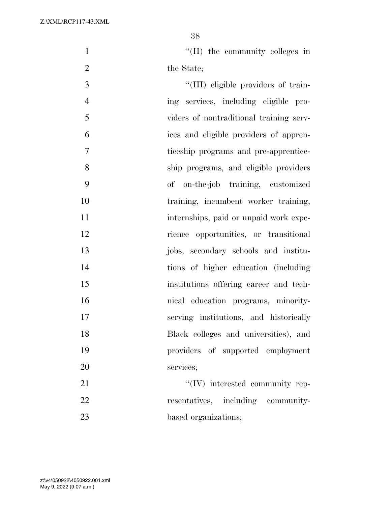1  $\text{``(II)}$  the community colleges in 2 the State;

 $\frac{1}{2}$  (III) eligible providers of train- ing services, including eligible pro- viders of nontraditional training serv- ices and eligible providers of appren- ticeship programs and pre-apprentice- ship programs, and eligible providers of on-the-job training, customized training, incumbent worker training, 11 internships, paid or unpaid work expe- rience opportunities, or transitional jobs, secondary schools and institu- tions of higher education (including institutions offering career and tech- nical education programs, minority- serving institutions, and historically Black colleges and universities), and providers of supported employment services;  $\text{``(IV)}$  interested community rep-

22 resentatives, including community-23 based organizations;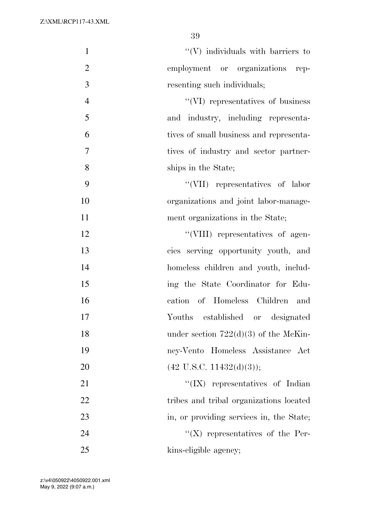| $\mathbf{1}$   | $\lq\lq$ individuals with barriers to    |
|----------------|------------------------------------------|
| $\overline{2}$ | employment or organizations rep-         |
| 3              | resenting such individuals;              |
| $\overline{4}$ | "(VI) representatives of business        |
| 5              | and industry, including representa-      |
| 6              | tives of small business and representa-  |
| $\tau$         | tives of industry and sector partner-    |
| 8              | ships in the State;                      |
| 9              | "(VII) representatives of labor          |
| 10             | organizations and joint labor-manage-    |
| 11             | ment organizations in the State;         |
| 12             | "(VIII) representatives of agen-         |
| 13             | cies serving opportunity youth, and      |
| 14             | homeless children and youth, includ-     |
| 15             | ing the State Coordinator for Edu-       |
| 16             | cation of Homeless Children and          |
| 17             | Youths established or designated         |
| 18             | under section $722(d)(3)$ of the McKin-  |
| 19             | ney-Vento Homeless Assistance Act        |
| 20             | $(42 \text{ U.S.C. } 11432(d)(3));$      |
| 21             | " $(IX)$ representatives of Indian       |
| 22             | tribes and tribal organizations located  |
| 23             | in, or providing services in, the State; |
| 24             | $\lq\lq (X)$ representatives of the Per- |
| 25             | kins-eligible agency;                    |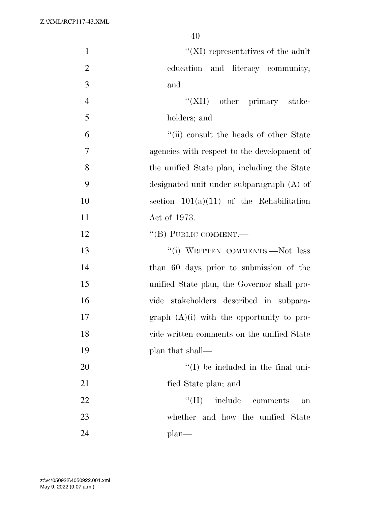| $\mathbf{1}$   | $\lq\lq$ (XI) representatives of the adult  |
|----------------|---------------------------------------------|
| $\overline{2}$ | education and literacy community;           |
| 3              | and                                         |
| $\overline{4}$ | "(XII) other primary stake-                 |
| 5              | holders; and                                |
| 6              | "(ii) consult the heads of other State      |
| 7              | agencies with respect to the development of |
| 8              | the unified State plan, including the State |
| 9              | designated unit under subparagraph (A) of   |
| 10             | section $101(a)(11)$ of the Rehabilitation  |
| 11             | Act of 1973.                                |
| 12             | "(B) PUBLIC COMMENT.—                       |
| 13             | "(i) WRITTEN COMMENTS.--Not less            |
| 14             | than 60 days prior to submission of the     |
| 15             | unified State plan, the Governor shall pro- |
| 16             | vide stakeholders described in subpara-     |
| 17             | graph $(A)(i)$ with the opportunity to pro- |
| 18             | vide written comments on the unified State  |
| 19             | plan that shall—                            |
| 20             | $\lq (I)$ be included in the final uni-     |
| 21             | fied State plan; and                        |
| 22             | $\lq\lq$ (II) include comments<br>on        |
| 23             | whether and how the unified State           |
| 24             | $plan$ —                                    |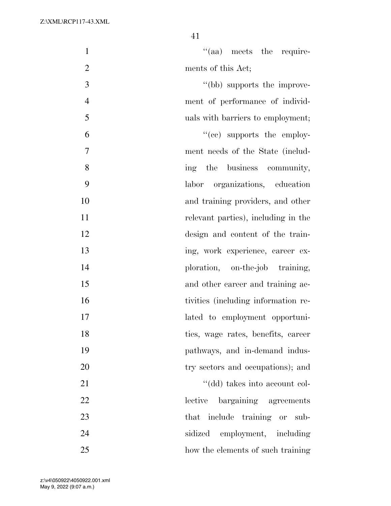| $\mathbf{1}$   | $\cdot$ (aa) meets the require-     |
|----------------|-------------------------------------|
| $\overline{2}$ | ments of this Act;                  |
| 3              | "(bb) supports the improve-         |
| $\overline{4}$ | ment of performance of individ-     |
| 5              | uals with barriers to employment;   |
| 6              | $\cdot$ (ce) supports the employ-   |
| $\overline{7}$ | ment needs of the State (includ-    |
| 8              | ing the business community,         |
| 9              | labor organizations, education      |
| 10             | and training providers, and other   |
| 11             | relevant parties), including in the |
| 12             | design and content of the train-    |
| 13             | ing, work experience, career ex-    |
| 14             | ploration, on-the-job training,     |
| 15             | and other career and training ac-   |
| 16             | tivities (including information re- |
| 17             | lated to employment opportuni-      |
| 18             | ties, wage rates, benefits, career  |
| 19             | pathways, and in-demand indus-      |
| 20             | try sectors and occupations); and   |
| 21             | "(dd) takes into account col-       |
| 22             | lective<br>bargaining agreements    |
| 23             | that include training or sub-       |
| 24             | sidized employment, including       |
| 25             | how the elements of such training   |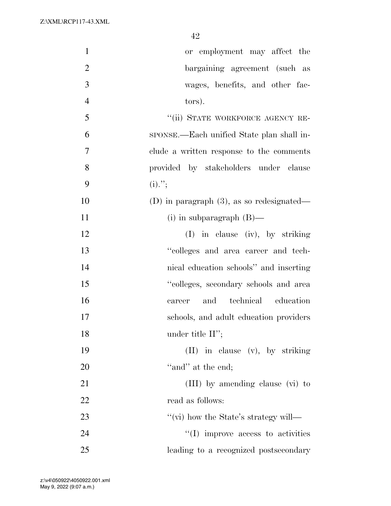| $\mathbf{1}$   | or employment may affect the                 |
|----------------|----------------------------------------------|
| $\overline{2}$ | bargaining agreement (such as                |
| 3              | wages, benefits, and other fac-              |
| $\overline{4}$ | tors).                                       |
| 5              | "(ii) STATE WORKFORCE AGENCY RE-             |
| 6              | sponse.—Each unified State plan shall in-    |
| 7              | clude a written response to the comments     |
| 8              | provided by stakeholders under clause        |
| 9              | $(i)$ .";                                    |
| 10             | (D) in paragraph $(3)$ , as so redesignated— |
| 11             | $(i)$ in subparagraph $(B)$ —                |
| 12             | $(I)$ in clause (iv), by striking            |
| 13             | "colleges and area career and tech-          |
| 14             | nical education schools" and inserting       |
| 15             | "colleges, secondary schools and area        |
| 16             | technical education<br>and<br>career         |
| 17             | schools, and adult education providers       |
| 18             | under title $II$ ";                          |
| 19             | (II) in clause (v), by striking              |
| 20             | "and" at the end;                            |
| 21             | (III) by amending clause (vi) to             |
| 22             | read as follows:                             |
| 23             | "(vi) how the State's strategy will—         |
| 24             | $\lq\lq$ (I) improve access to activities    |
| 25             | leading to a recognized postsecondary        |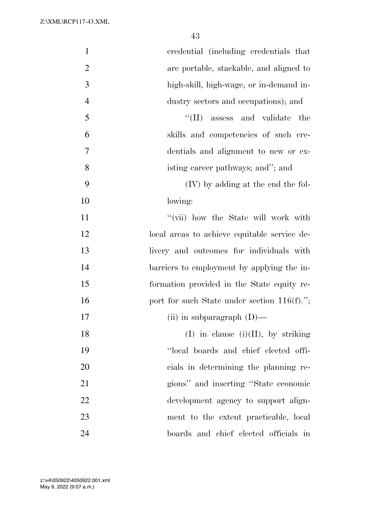| $\mathbf{1}$   | credential (including credentials that         |
|----------------|------------------------------------------------|
| $\overline{2}$ | are portable, stackable, and aligned to        |
| 3              | high-skill, high-wage, or in-demand in-        |
| $\overline{4}$ | dustry sectors and occupations); and           |
| 5              | ``(II)<br>assess and validate<br>the           |
| 6              | skills and competencies of such cre-           |
| $\tau$         | dentials and alignment to new or ex-           |
| 8              | isting career pathways; and"; and              |
| 9              | (IV) by adding at the end the fol-             |
| 10             | lowing:                                        |
| 11             | "(vii) how the State will work with            |
| 12             | local areas to achieve equitable service de-   |
| 13             | livery and outcomes for individuals with       |
| 14             | barriers to employment by applying the in-     |
| 15             | formation provided in the State equity re-     |
| 16             | port for such State under section $116(f)$ ."; |
| 17             | (ii) in subparagraph $(D)$ —                   |
| 18             | $(I)$ in clause $(i)(II)$ , by striking        |
| 19             | "local boards and chief elected offi-          |
| 20             | cials in determining the planning re-          |
| 21             | gions" and inserting "State economic           |
| 22             | development agency to support align-           |
| 23             | ment to the extent practicable, local          |
| 24             | boards and chief elected officials in          |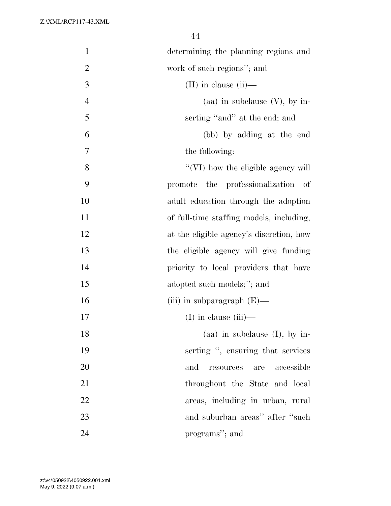| $\mathbf{1}$   | determining the planning regions and                   |
|----------------|--------------------------------------------------------|
| $\overline{2}$ | work of such regions"; and                             |
| 3              | $(II)$ in clause $(ii)$ —                              |
| $\overline{4}$ | (aa) in subclause $(V)$ , by in-                       |
| 5              | serting "and" at the end; and                          |
| 6              | (bb) by adding at the end                              |
| 7              | the following:                                         |
| 8              | "(VI) how the eligible agency will                     |
| 9              | promote the professionalization of                     |
| 10             | adult education through the adoption                   |
| 11             | of full-time staffing models, including,               |
| 12             | at the eligible agency's discretion, how               |
| 13             | the eligible agency will give funding                  |
| 14             | priority to local providers that have                  |
| 15             | adopted such models;"; and                             |
| 16             | (iii) in subparagraph $(E)$ —                          |
| 17             | $(I)$ in clause $(iii)$ —                              |
| 18             | $(aa)$ in subclause $(I)$ , by in-                     |
| 19             | serting ", ensuring that services                      |
| 20             | accessible<br>and<br>are<br>$\operatorname{resources}$ |
| 21             | throughout the State and local                         |
| 22             | areas, including in urban, rural                       |
| 23             | and suburban areas" after "such                        |
| 24             | programs"; and                                         |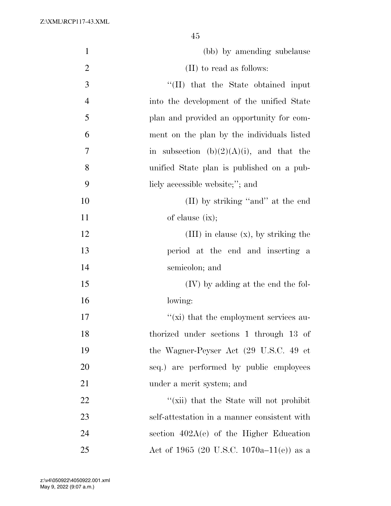| $\mathbf{1}$   | (bb) by amending subclause                   |
|----------------|----------------------------------------------|
| $\overline{2}$ | (II) to read as follows:                     |
| 3              | "(II) that the State obtained input          |
| $\overline{4}$ | into the development of the unified State    |
| 5              | plan and provided an opportunity for com-    |
| 6              | ment on the plan by the individuals listed   |
| 7              | in subsection $(b)(2)(A)(i)$ , and that the  |
| 8              | unified State plan is published on a pub-    |
| 9              | licly accessible website;"; and              |
| 10             | (II) by striking "and" at the end            |
| 11             | of clause $(ix);$                            |
| 12             | $(III)$ in clause $(x)$ , by striking the    |
| 13             | period at the end and inserting a            |
| 14             | semicolon; and                               |
| 15             | $(IV)$ by adding at the end the fol-         |
| 16             | lowing:                                      |
| 17             | "(xi) that the employment services au-       |
| 18             | thorized under sections 1 through 13 of      |
| 19             | the Wagner-Peyser Act (29 U.S.C. 49 et       |
| 20             | seq.) are performed by public employees      |
| 21             | under a merit system; and                    |
| 22             | "(xii) that the State will not prohibit      |
| 23             | self-attestation in a manner consistent with |
| 24             | section $402A(e)$ of the Higher Education    |
| 25             | Act of 1965 (20 U.S.C. 1070a–11(e)) as a     |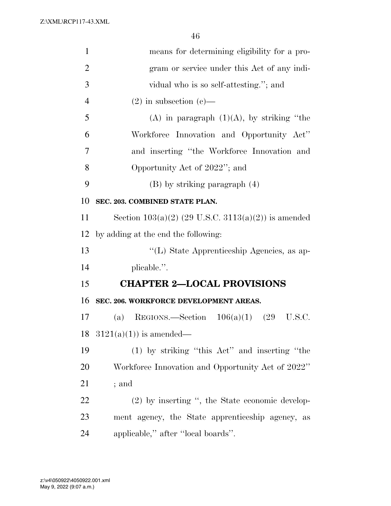| $\mathbf{1}$   | means for determining eligibility for a pro-          |
|----------------|-------------------------------------------------------|
| $\overline{2}$ | gram or service under this Act of any indi-           |
| 3              | vidual who is so self-attesting."; and                |
| $\overline{4}$ | $(2)$ in subsection $(e)$ —                           |
| 5              | (A) in paragraph $(1)(A)$ , by striking "the          |
| 6              | Workforce Innovation and Opportunity Act"             |
| 7              | and inserting "the Workforce Innovation and           |
| 8              | Opportunity Act of 2022"; and                         |
| 9              | $(B)$ by striking paragraph $(4)$                     |
| 10             | SEC. 203. COMBINED STATE PLAN.                        |
| 11             | Section $103(a)(2)$ (29 U.S.C. 3113(a)(2)) is amended |
| 12             | by adding at the end the following:                   |
| 13             | "(L) State Apprenticeship Agencies, as ap-            |
| 14             | plicable.".                                           |
| 15             | <b>CHAPTER 2-LOCAL PROVISIONS</b>                     |
| 16             | SEC. 206. WORKFORCE DEVELOPMENT AREAS.                |
| 17             | REGIONS.—Section $106(a)(1)$ (29<br>(a)<br>U.S.C.     |
| 18             | $3121(a)(1)$ is amended—                              |
| 19             | $(1)$ by striking "this Act" and inserting "the       |
| 20             | Workforce Innovation and Opportunity Act of 2022"     |
| 21             | ; and                                                 |
| 22             | (2) by inserting ", the State economic develop-       |
| 23             | ment agency, the State apprenticeship agency, as      |
| 24             | applicable," after "local boards".                    |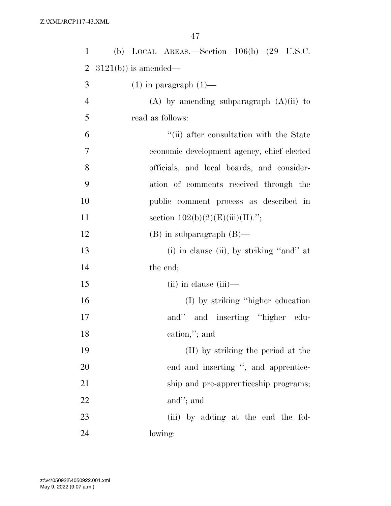| $\mathbf{1}$   | (b) LOCAL AREAS.—Section $106(b)$ (29 U.S.C.  |
|----------------|-----------------------------------------------|
| $\overline{2}$ | $3121(b)$ ) is amended—                       |
| 3              | $(1)$ in paragraph $(1)$ —                    |
| $\overline{4}$ | $(A)$ by amending subparagraph $(A)(ii)$ to   |
| 5              | read as follows:                              |
| 6              | "(ii) after consultation with the State       |
| 7              | economic development agency, chief elected    |
| 8              | officials, and local boards, and consider-    |
| 9              | ation of comments received through the        |
| 10             | public comment process as described in        |
| 11             | section $102(b)(2)(E)(iii)(II)$ .";           |
| 12             | $(B)$ in subparagraph $(B)$ —                 |
| 13             | $(i)$ in clause $(ii)$ , by striking "and" at |
| 14             | the end;                                      |
| 15             | $(ii)$ in clause $(iii)$ —                    |
| 16             | (I) by striking "higher education"            |
| 17             | and" and inserting "higher edu-               |
| 18             | cation,"; and                                 |
| 19             | (II) by striking the period at the            |
| 20             | end and inserting ", and apprentice-          |
| 21             | ship and pre-apprenticeship programs;         |
| 22             | and"; and                                     |
| 23             | (iii) by adding at the end the fol-           |
| 24             | lowing:                                       |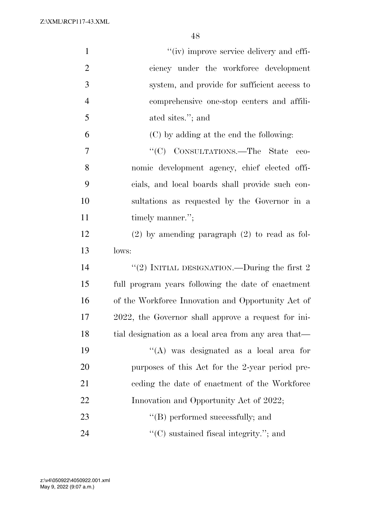| $\mathbf{1}$   | "(iv) improve service delivery and effi-             |
|----------------|------------------------------------------------------|
| $\overline{2}$ | ciency under the workforce development               |
| 3              | system, and provide for sufficient access to         |
| $\overline{4}$ | comprehensive one-stop centers and affili-           |
| 5              | ated sites."; and                                    |
| 6              | (C) by adding at the end the following:              |
| 7              | "(C) CONSULTATIONS.—The State<br>eco-                |
| 8              | nomic development agency, chief elected offi-        |
| 9              | cials, and local boards shall provide such con-      |
| 10             | sultations as requested by the Governor in a         |
| 11             | timely manner.";                                     |
| 12             | $(2)$ by amending paragraph $(2)$ to read as fol-    |
| 13             | lows:                                                |
| 14             | "(2) INITIAL DESIGNATION.—During the first $2$       |
| 15             | full program years following the date of enactment   |
| 16             | of the Workforce Innovation and Opportunity Act of   |
| 17             | 2022, the Governor shall approve a request for ini-  |
| 18             | tial designation as a local area from any area that— |
| 19             | "(A) was designated as a local area for              |
| 20             | purposes of this Act for the 2-year period pre-      |
| 21             | ceding the date of enactment of the Workforce        |
| 22             | Innovation and Opportunity Act of 2022;              |
| 23             | "(B) performed successfully; and                     |
| 24             | $\lq\lq$ sustained fiscal integrity."; and           |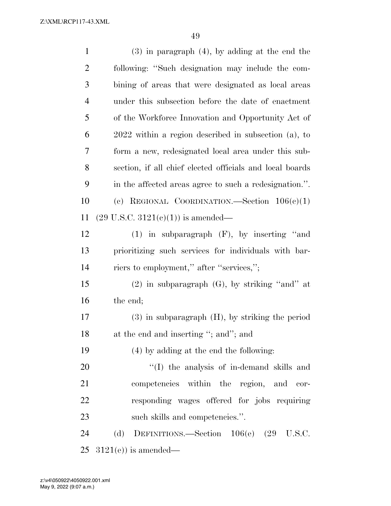| $\mathbf{1}$   | $(3)$ in paragraph $(4)$ , by adding at the end the      |
|----------------|----------------------------------------------------------|
| $\overline{2}$ | following: "Such designation may include the com-        |
| $\mathfrak{Z}$ | bining of areas that were designated as local areas      |
| $\overline{4}$ | under this subsection before the date of enactment       |
| 5              | of the Workforce Innovation and Opportunity Act of       |
| 6              | $2022$ within a region described in subsection (a), to   |
| 7              | form a new, redesignated local area under this sub-      |
| 8              | section, if all chief elected officials and local boards |
| 9              | in the affected areas agree to such a redesignation.".   |
| 10             | (c) REGIONAL COORDINATION. Section $106(c)(1)$           |
| 11             | $(29 \text{ U.S.C. } 3121(e)(1))$ is amended—            |
| 12             | $(1)$ in subparagraph $(F)$ , by inserting "and          |
| 13             | prioritizing such services for individuals with bar-     |
| 14             | riers to employment," after "services,";                 |
| 15             | $(2)$ in subparagraph $(G)$ , by striking "and" at       |
| 16             | the end;                                                 |
| $17\,$         | $(3)$ in subparagraph $(H)$ , by striking the period     |
| 18             | at the end and inserting "; and"; and                    |
| 19             | (4) by adding at the end the following:                  |
| 20             | "(I) the analysis of in-demand skills and                |
| 21             | competencies within the region, and<br>cor-              |
| 22             | responding wages offered for jobs requiring              |
| 23             | such skills and competencies.".                          |
| 24             | DEFINITIONS.—Section 106(e) (29 U.S.C.<br>(d)            |
| 25             | $3121(e)$ is amended—                                    |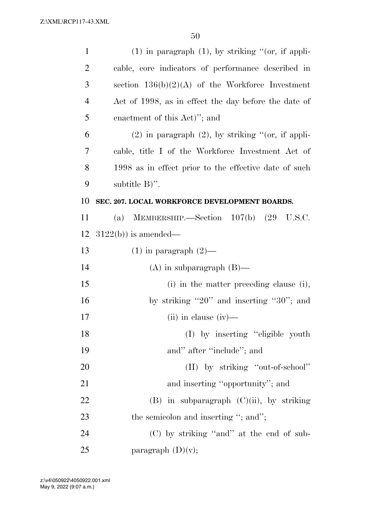| $\mathbf{1}$   | $(1)$ in paragraph $(1)$ , by striking " $($ or, if appli- |
|----------------|------------------------------------------------------------|
| $\overline{2}$ | cable, core indicators of performance described in         |
| 3              | section $136(b)(2)(A)$ of the Workforce Investment         |
| $\overline{4}$ | Act of 1998, as in effect the day before the date of       |
| 5              | enactment of this Act)"; and                               |
| 6              | $(2)$ in paragraph $(2)$ , by striking " $($ or, if appli- |
| 7              | cable, title I of the Workforce Investment Act of          |
| 8              | 1998 as in effect prior to the effective date of such      |
| 9              | subtitle $B$ ".                                            |
| 10             | SEC. 207. LOCAL WORKFORCE DEVELOPMENT BOARDS.              |
| 11             | MEMBERSHIP.—Section $107(b)$ $(29 \text{ U.S.C.})$<br>(a)  |
| 12             | $3122(b)$ ) is amended—                                    |
| 13             | $(1)$ in paragraph $(2)$ —                                 |
| 14             | $(A)$ in subparagraph $(B)$ —                              |
| 15             | (i) in the matter preceding clause (i),                    |
| 16             | by striking "20" and inserting "30"; and                   |
| 17             | $(ii)$ in clause $(iv)$ —                                  |
| 18             | (I) by inserting "eligible youth                           |
| 19             | and" after "include"; and                                  |
| 20             | (II) by striking "out-of-school"                           |
| 21             | and inserting "opportunity"; and                           |
| 22             | $(B)$ in subparagraph $(C)(ii)$ , by striking              |
| 23             | the semicolon and inserting "; and";                       |
| 24             | (C) by striking "and" at the end of sub-                   |
| 25             | paragraph $(D)(v)$ ;                                       |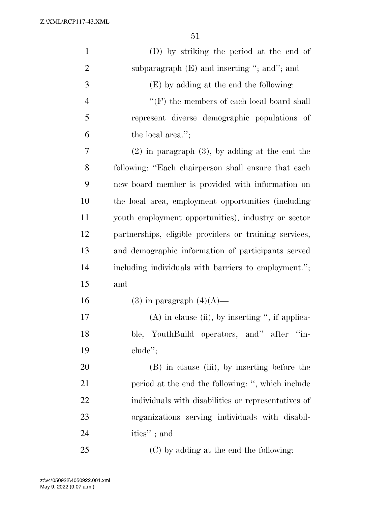| $\mathbf{1}$   | (D) by striking the period at the end of               |
|----------------|--------------------------------------------------------|
| $\overline{2}$ | subparagraph $(E)$ and inserting "; and"; and          |
| 3              | (E) by adding at the end the following:                |
| $\overline{4}$ | $\lq\lq(F)$ the members of each local board shall      |
| 5              | represent diverse demographic populations of           |
| 6              | the local area.";                                      |
| 7              | $(2)$ in paragraph $(3)$ , by adding at the end the    |
| 8              | following: "Each chairperson shall ensure that each    |
| 9              | new board member is provided with information on       |
| 10             | the local area, employment opportunities (including    |
| 11             | youth employment opportunities), industry or sector    |
| 12             | partnerships, eligible providers or training services, |
| 13             | and demographic information of participants served     |
| 14             | including individuals with barriers to employment.";   |
| 15             | and                                                    |
| 16             | $(3)$ in paragraph $(4)(A)$ —                          |
| 17             | $(A)$ in clause (ii), by inserting ", if applica-      |
| 18             | ble, YouthBuild operators, and" after "in-             |
| 19             | $chude$ <sup>"</sup> ;                                 |
| 20             | (B) in clause (iii), by inserting before the           |
| 21             | period at the end the following: ", which include      |
| 22             | individuals with disabilities or representatives of    |
| 23             | organizations serving individuals with disabil-        |
| 24             | ities"; and                                            |
| 25             | (C) by adding at the end the following:                |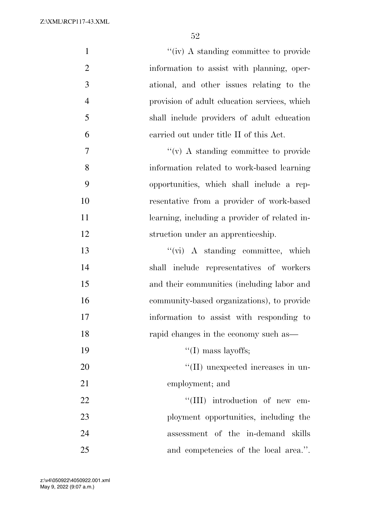| $\mathbf{1}$   | $``(iv)$ A standing committee to provide      |
|----------------|-----------------------------------------------|
| $\overline{2}$ | information to assist with planning, oper-    |
| 3              | ational, and other issues relating to the     |
| $\overline{4}$ | provision of adult education services, which  |
| 5              | shall include providers of adult education    |
| 6              | carried out under title II of this Act.       |
| 7              | $\lq\lq$ (v) A standing committee to provide  |
| 8              | information related to work-based learning    |
| 9              | opportunities, which shall include a rep-     |
| 10             | resentative from a provider of work-based     |
| 11             | learning, including a provider of related in- |
| 12             | struction under an apprenticeship.            |
| 13             | $``(\text{vi})$ A standing committee, which   |
| 14             | shall include representatives of workers      |
| 15             | and their communities (including labor and    |
| 16             | community-based organizations), to provide    |
| 17             | information to assist with responding to      |
| 18             | rapid changes in the economy such as—         |
| 19             | "(I) mass layoffs;                            |
| 20             | $\lq\lq$ (II) unexpected increases in un-     |
| 21             | employment; and                               |
| 22             | $\lq\lq$ (III) introduction of new em-        |
| 23             | ployment opportunities, including the         |
| 24             | assessment of the in-demand skills            |
| 25             | and competencies of the local area.".         |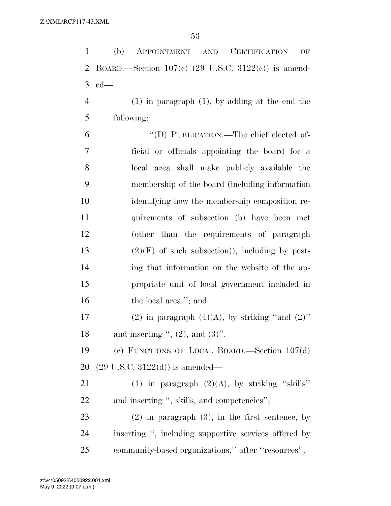| $\mathbf{1}$   | (b)<br>APPOINTMENT<br><b>CERTIFICATION</b><br>$\operatorname{AND}$<br>OF |
|----------------|--------------------------------------------------------------------------|
| 2              | BOARD.—Section $107(e)$ (29 U.S.C. 3122(c)) is amend-                    |
| 3              | $ed$ —                                                                   |
| $\overline{4}$ | $(1)$ in paragraph $(1)$ , by adding at the end the                      |
| 5              | following:                                                               |
| 6              | "(D) PUBLICATION.—The chief elected of-                                  |
| 7              | ficial or officials appointing the board for a                           |
| 8              | local area shall make publicly available the                             |
| 9              | membership of the board (including information                           |
| 10             | identifying how the membership composition re-                           |
| 11             | quirements of subsection (b) have been met                               |
| 12             | (other than the requirements of paragraph                                |
| 13             | $(2)(F)$ of such subsection)), including by post-                        |
| 14             | ing that information on the website of the ap-                           |
| 15             | propriate unit of local government included in                           |
| 16             | the local area."; and                                                    |
| 17             | (2) in paragraph $(4)(A)$ , by striking "and $(2)$ "                     |
| 18             | and inserting ", $(2)$ , and $(3)$ ".                                    |
| 19             | (c) FUNCTIONS OF LOCAL BOARD.—Section 107(d)                             |
| 20             | $(29 \text{ U.S.C. } 3122(d))$ is amended—                               |
| 21             | (1) in paragraph $(2)(A)$ , by striking "skills"                         |
| <u>22</u>      | and inserting ", skills, and competencies";                              |
| 23             | $(2)$ in paragraph $(3)$ , in the first sentence, by                     |
| 24             | inserting ", including supportive services offered by                    |
| 25             | community-based organizations," after "resources";                       |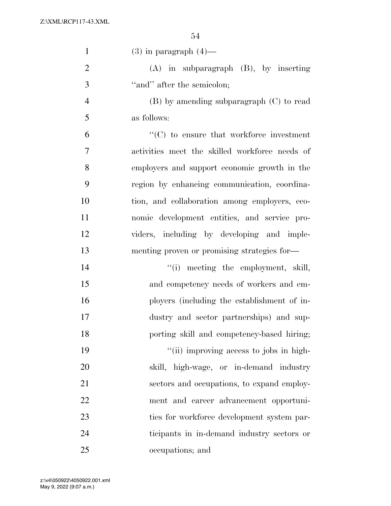| $\mathbf{1}$   | $(3)$ in paragraph $(4)$ —                     |
|----------------|------------------------------------------------|
| $\overline{2}$ | $(A)$ in subparagraph $(B)$ , by inserting     |
| 3              | "and" after the semicolon;                     |
| $\overline{4}$ | $(B)$ by amending subparagraph $(C)$ to read   |
| 5              | as follows:                                    |
| 6              | $\lq\lq$ to ensure that workforce investment   |
| $\overline{7}$ | activities meet the skilled workforce needs of |
| 8              | employers and support economic growth in the   |
| 9              | region by enhancing communication, coordina-   |
| 10             | tion, and collaboration among employers, eco-  |
| 11             | nomic development entities, and service pro-   |
| 12             | viders, including by developing and imple-     |
| 13             | menting proven or promising strategies for-    |
| 14             | "(i) meeting the employment, skill,            |
| 15             | and competency needs of workers and em-        |
| 16             | ployers (including the establishment of in-    |
| 17             | dustry and sector partnerships) and sup-       |
| 18             | porting skill and competency-based hiring;     |
| 19             | "(ii) improving access to jobs in high-        |
| 20             | skill, high-wage, or in-demand industry        |
| 21             | sectors and occupations, to expand employ-     |
| 22             | ment and career advancement opportuni-         |
| 23             | ties for workforce development system par-     |
| 24             | ticipants in in-demand industry sectors or     |
| 25             | occupations; and                               |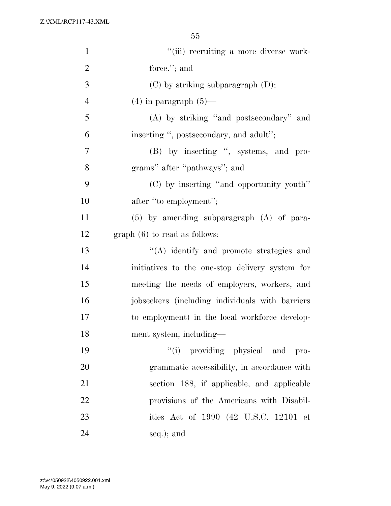| $\mathbf{1}$   | "(iii) recruiting a more diverse work-          |
|----------------|-------------------------------------------------|
| $\overline{2}$ | force."; and                                    |
| 3              | $(C)$ by striking subparagraph $(D)$ ;          |
| $\overline{4}$ | $(4)$ in paragraph $(5)$ —                      |
| 5              | (A) by striking "and postsecondary" and         |
| 6              | inserting ", postsecondary, and adult";         |
| 7              | (B) by inserting ", systems, and pro-           |
| 8              | grams" after "pathways"; and                    |
| 9              | (C) by inserting "and opportunity youth"        |
| 10             | after "to employment";                          |
| 11             | $(5)$ by amending subparagraph $(A)$ of para-   |
| 12             | $graph(6)$ to read as follows:                  |
| 13             | "(A) identify and promote strategies and        |
| 14             | initiatives to the one-stop delivery system for |
| 15             | meeting the needs of employers, workers, and    |
| 16             | jobseekers (including individuals with barriers |
| 17             | to employment) in the local workforce develop-  |
| 18             | ment system, including-                         |
| 19             | "(i) providing physical and pro-                |
| 20             | grammatic accessibility, in accordance with     |
| 21             | section 188, if applicable, and applicable      |
| 22             | provisions of the Americans with Disabil-       |
| 23             | ities Act of 1990 (42 U.S.C. 12101 et           |
| 24             | seq.); and                                      |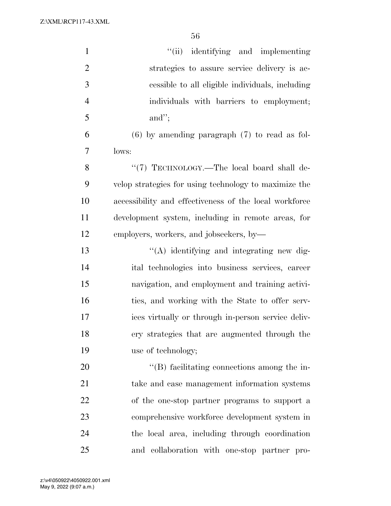| $\mathbf{1}$   | "(ii) identifying and implementing                     |
|----------------|--------------------------------------------------------|
| $\overline{2}$ | strategies to assure service delivery is ac-           |
| 3              | cessible to all eligible individuals, including        |
| $\overline{4}$ | individuals with barriers to employment;               |
| 5              | and";                                                  |
| 6              | $(6)$ by amending paragraph $(7)$ to read as fol-      |
| 7              | lows:                                                  |
| 8              | "(7) TECHNOLOGY.—The local board shall de-             |
| 9              | velop strategies for using technology to maximize the  |
| 10             | accessibility and effectiveness of the local workforce |
| 11             | development system, including in remote areas, for     |
| 12             | employers, workers, and jobseekers, by-                |
| 13             | "(A) identifying and integrating new dig-              |
| 14             | ital technologies into business services, career       |
| 15             | navigation, and employment and training activi-        |
| 16             | ties, and working with the State to offer serv-        |
| 17             | ices virtually or through in-person service deliv-     |
| 18             | ery strategies that are augmented through the          |
| 19             | use of technology;                                     |
| 20             | $\lq\lq$ facilitating connections among the in-        |
| 21             | take and case management information systems           |
| 22             | of the one-stop partner programs to support a          |
| 23             | comprehensive workforce development system in          |
| 24             | the local area, including through coordination         |
| 25             | and collaboration with one-stop partner pro-           |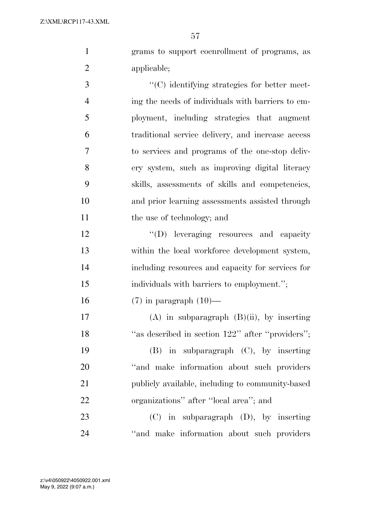grams to support coenrollment of programs, as applicable;

 ''(C) identifying strategies for better meet- ing the needs of individuals with barriers to em- ployment, including strategies that augment traditional service delivery, and increase access to services and programs of the one-stop deliv- ery system, such as improving digital literacy skills, assessments of skills and competencies, and prior learning assessments assisted through 11 the use of technology; and

12 "'(D) leveraging resources and capacity within the local workforce development system, including resources and capacity for services for individuals with barriers to employment.'';

(7) in paragraph (10)—

17 (A) in subparagraph  $(B)(ii)$ , by inserting 18 "as described in section 122" after "providers"; (B) in subparagraph (C), by inserting 20 "and make information about such providers" publicly available, including to community-based organizations'' after ''local area''; and

 (C) in subparagraph (D), by inserting 24 "and make information about such providers"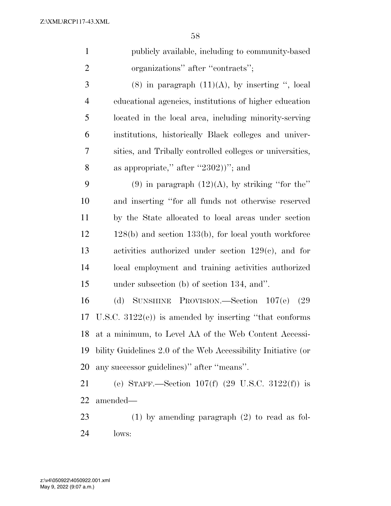| $\mathbf{1}$   | publicly available, including to community-based       |
|----------------|--------------------------------------------------------|
| 2              | organizations" after "contracts";                      |
| 3              | $(8)$ in paragraph $(11)(A)$ , by inserting ", local   |
| $\overline{4}$ | educational agencies, institutions of higher education |

 located in the local area, including minority-serving institutions, historically Black colleges and univer- sities, and Tribally controlled colleges or universities, 8 as appropriate," after "2302))"; and

9 (9) in paragraph  $(12)(A)$ , by striking "for the" and inserting ''for all funds not otherwise reserved by the State allocated to local areas under section 12 128(b) and section 133(b), for local youth workforce activities authorized under section 129(c), and for local employment and training activities authorized under subsection (b) of section 134, and''.

 (d) SUNSHINE PROVISION.—Section 107(e) (29 U.S.C. 3122(e)) is amended by inserting ''that conforms at a minimum, to Level AA of the Web Content Accessi- bility Guidelines 2.0 of the Web Accessibility Initiative (or any successor guidelines)'' after ''means''.

 (e) STAFF.—Section 107(f) (29 U.S.C. 3122(f)) is amended—

 (1) by amending paragraph (2) to read as fol-lows: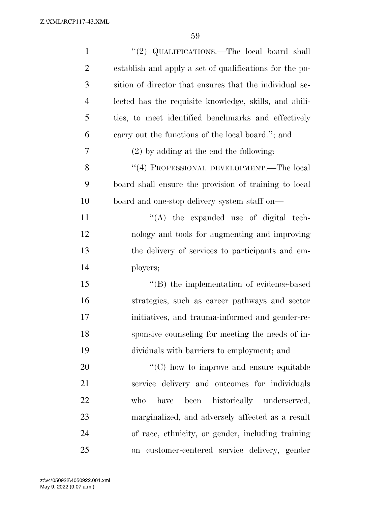| $\mathbf{1}$   | "(2) QUALIFICATIONS.—The local board shall              |
|----------------|---------------------------------------------------------|
| $\overline{2}$ | establish and apply a set of qualifications for the po- |
| 3              | sition of director that ensures that the individual se- |
| $\overline{4}$ | lected has the requisite knowledge, skills, and abili-  |
| 5              | ties, to meet identified benchmarks and effectively     |
| 6              | carry out the functions of the local board."; and       |
| 7              | $(2)$ by adding at the end the following:               |
| 8              | "(4) PROFESSIONAL DEVELOPMENT.—The local                |
| 9              | board shall ensure the provision of training to local   |
| 10             | board and one-stop delivery system staff on—            |
| 11             | "(A) the expanded use of digital tech-                  |
| 12             | nology and tools for augmenting and improving           |
| 13             | the delivery of services to participants and em-        |
| 14             | ployers;                                                |
| 15             | "(B) the implementation of evidence-based               |
| 16             | strategies, such as career pathways and sector          |
| 17             | initiatives, and trauma-informed and gender-re-         |
| 18             | sponsive counseling for meeting the needs of in-        |
| 19             | dividuals with barriers to employment; and              |
| 20             | "(C) how to improve and ensure equitable                |
| 21             | service delivery and outcomes for individuals           |
| 22             | been<br>historically underserved,<br>have<br>who        |
| 23             | marginalized, and adversely affected as a result        |
| 24             | of race, ethnicity, or gender, including training       |
| 25             | on customer-centered service delivery, gender           |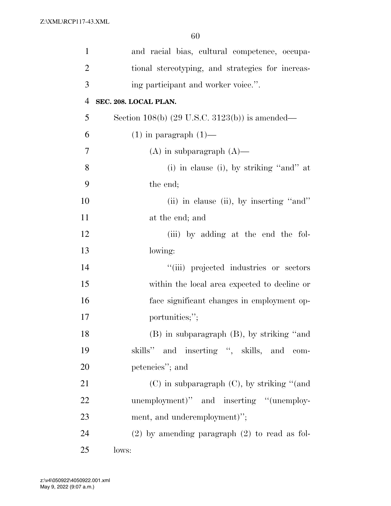| $\mathbf{1}$   | and racial bias, cultural competence, occupa-             |
|----------------|-----------------------------------------------------------|
| $\overline{2}$ | tional stereotyping, and strategies for increas-          |
| 3              | ing participant and worker voice.".                       |
| $\overline{4}$ | SEC. 208. LOCAL PLAN.                                     |
| 5              | Section 108(b) $(29 \text{ U.S.C. } 3123(b))$ is amended— |
| 6              | $(1)$ in paragraph $(1)$ —                                |
| 7              | $(A)$ in subparagraph $(A)$ —                             |
| 8              | $(i)$ in clause $(i)$ , by striking "and" at              |
| 9              | the end;                                                  |
| 10             | (ii) in clause (ii), by inserting "and"                   |
| 11             | at the end; and                                           |
| 12             | (iii) by adding at the end the fol-                       |
| 13             | lowing:                                                   |
| 14             | "(iii) projected industries or sectors                    |
| 15             | within the local area expected to decline or              |
| 16             | face significant changes in employment op-                |
| 17             | portunities;";                                            |
| 18             | (B) in subparagraph (B), by striking "and                 |
| 19             | skills" and inserting ", skills, and com-                 |
| 20             | petencies"; and                                           |
| 21             | $(C)$ in subparagraph $(C)$ , by striking "(and           |
| 22             | unemployment)" and inserting "(unemploy-                  |
| 23             | ment, and underemployment)";                              |
| 24             | $(2)$ by amending paragraph $(2)$ to read as fol-         |
| 25             | lows:                                                     |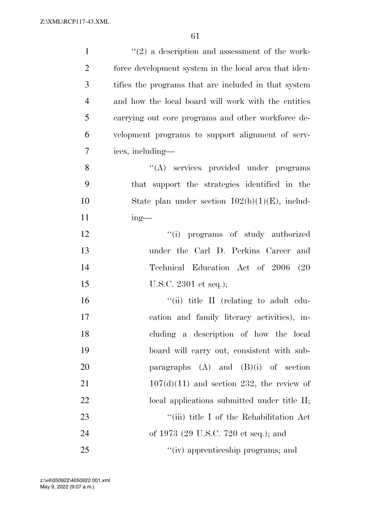| $\mathbf{1}$   | $\lq(2)$ a description and assessment of the work-    |
|----------------|-------------------------------------------------------|
| $\overline{2}$ | force development system in the local area that iden- |
| 3              | tifies the programs that are included in that system  |
| $\overline{4}$ | and how the local board will work with the entities   |
| 5              | carrying out core programs and other workforce de-    |
| 6              | velopment programs to support alignment of serv-      |
| 7              | ices, including—                                      |
| 8              | "(A) services provided under programs                 |
| 9              | that support the strategies identified in the         |
| 10             | State plan under section $102(b)(1)(E)$ , includ-     |
| 11             | $ing$ —                                               |
| 12             | "(i) programs of study authorized                     |
| 13             | under the Carl D. Perkins Career and                  |
| 14             | Technical Education Act of 2006<br>(20)               |
| 15             | U.S.C. $2301$ et seq.);                               |
| 16             | "(ii) title II (relating to adult edu-                |
| 17             | cation and family literacy activities), in-           |
| 18             | cluding a description of how the local                |
| 19             | board will carry out, consistent with sub-            |
| 20             | paragraphs $(A)$ and $(B)(i)$ of section              |
| 21             | $107(d)(11)$ and section 232, the review of           |
| 22             | local applications submitted under title II;          |
| 23             | "(iii) title I of the Rehabilitation Act              |
| 24             | of 1973 (29 U.S.C. 720 et seq.); and                  |
| 25             | "(iv) apprenticeship programs; and                    |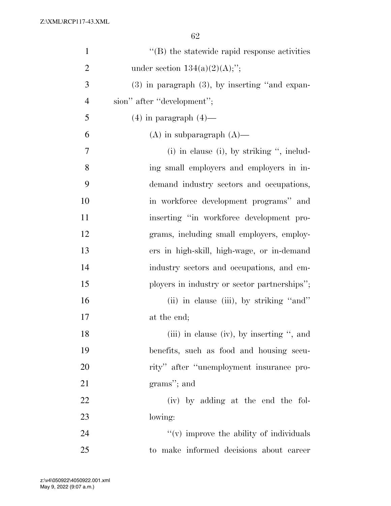| $\mathbf{1}$   | $\lq\lq (B)$ the statewide rapid response activities |
|----------------|------------------------------------------------------|
| $\overline{2}$ | under section $134(a)(2)(A);$ ";                     |
| 3              | $(3)$ in paragraph $(3)$ , by inserting "and expan-  |
| $\overline{4}$ | sion" after "development";                           |
| 5              | $(4)$ in paragraph $(4)$ —                           |
| 6              | $(A)$ in subparagraph $(A)$ —                        |
| 7              | $(i)$ in clause $(i)$ , by striking ", includ-       |
| 8              | ing small employers and employers in in-             |
| 9              | demand industry sectors and occupations,             |
| 10             | in workforce development programs" and               |
| 11             | inserting "in workforce development pro-             |
| 12             | grams, including small employers, employ-            |
| 13             | ers in high-skill, high-wage, or in-demand           |
| 14             | industry sectors and occupations, and em-            |
| 15             | ployers in industry or sector partnerships";         |
| 16             | (ii) in clause (iii), by striking "and"              |
| 17             | at the end;                                          |
| 18             | (iii) in clause (iv), by inserting ", and            |
| 19             | benefits, such as food and housing secu-             |
| 20             | rity" after "unemployment insurance pro-             |
| 21             | grams"; and                                          |
| 22             | (iv) by adding at the end the fol-                   |
| 23             | lowing:                                              |
| 24             | $f'(v)$ improve the ability of individuals           |
| 25             | to make informed decisions about career              |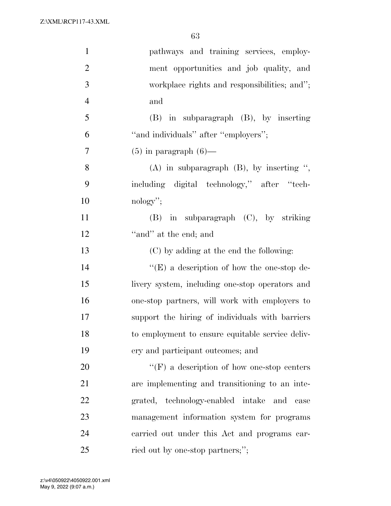| $\mathbf{1}$   | pathways and training services, employ-           |
|----------------|---------------------------------------------------|
| $\overline{2}$ | ment opportunities and job quality, and           |
| 3              | workplace rights and responsibilities; and";      |
| $\overline{4}$ | and                                               |
| 5              | $(B)$ in subparagraph $(B)$ , by inserting        |
| 6              | "and individuals" after "employers";              |
| $\overline{7}$ | $(5)$ in paragraph $(6)$ —                        |
| 8              | $(A)$ in subparagraph $(B)$ , by inserting ",     |
| 9              | including digital technology," after "tech-       |
| 10             | $\mathrm{nology}$ ";                              |
| 11             | $(B)$ in subparagraph $(C)$ , by striking         |
| 12             | "and" at the end; and                             |
| 13             | (C) by adding at the end the following:           |
| 14             | $\lq\lq(E)$ a description of how the one-stop de- |
| 15             | livery system, including one-stop operators and   |
| 16             | one-stop partners, will work with employers to    |
| 17             | support the hiring of individuals with barriers   |
| 18             | to employment to ensure equitable service deliv-  |
| 19             | ery and participant outcomes; and                 |
| 20             | $\lq\lq(F)$ a description of how one-stop centers |
| 21             | are implementing and transitioning to an inte-    |
| 22             | grated, technology-enabled intake and case        |
| 23             | management information system for programs        |
| 24             | carried out under this Act and programs car-      |
| 25             | ried out by one-stop partners;";                  |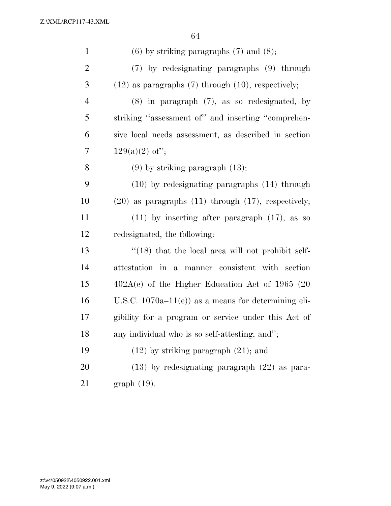| $\mathbf{1}$   | $(6)$ by striking paragraphs $(7)$ and $(8)$ ;             |
|----------------|------------------------------------------------------------|
| $\overline{2}$ | (7) by redesignating paragraphs (9) through                |
| 3              | $(12)$ as paragraphs $(7)$ through $(10)$ , respectively;  |
| $\overline{4}$ | $(8)$ in paragraph $(7)$ , as so redesignated, by          |
| 5              | striking "assessment of" and inserting "comprehen-         |
| 6              | sive local needs assessment, as described in section       |
| 7              | $129(a)(2)$ of";                                           |
| 8              | $(9)$ by striking paragraph $(13)$ ;                       |
| 9              | $(10)$ by redesignating paragraphs $(14)$ through          |
| 10             | $(20)$ as paragraphs $(11)$ through $(17)$ , respectively; |
| 11             | $(11)$ by inserting after paragraph $(17)$ , as so         |
| 12             | redesignated, the following:                               |
| 13             | $\cdot$ (18) that the local area will not prohibit self-   |
| 14             | attestation in a manner consistent with section            |
| 15             | $402A(e)$ of the Higher Education Act of 1965 (20          |
| 16             | U.S.C. $1070a-11(e)$ as a means for determining eli-       |
| 17             | gibility for a program or service under this Act of        |
| 18             | any individual who is so self-attesting; and";             |
| 19             | $(12)$ by striking paragraph $(21)$ ; and                  |
| 20             | $(13)$ by redesignating paragraph $(22)$ as para-          |
| 21             | $graph(19)$ .                                              |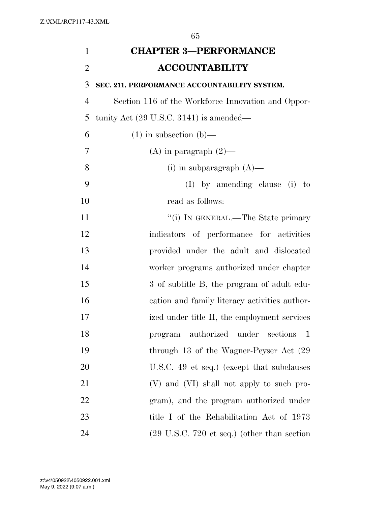| $\mathbf{1}$   | <b>CHAPTER 3-PERFORMANCE</b>                                   |
|----------------|----------------------------------------------------------------|
| $\overline{2}$ | <b>ACCOUNTABILITY</b>                                          |
| 3              | SEC. 211. PERFORMANCE ACCOUNTABILITY SYSTEM.                   |
| $\overline{4}$ | Section 116 of the Workforce Innovation and Oppor-             |
| 5              | tunity Act $(29 \text{ U.S.C. } 3141)$ is amended—             |
| 6              | $(1)$ in subsection $(b)$ —                                    |
| 7              | (A) in paragraph $(2)$ —                                       |
| 8              | (i) in subparagraph $(A)$ —                                    |
| 9              | $(I)$ by amending clause (i) to                                |
| 10             | read as follows:                                               |
| 11             | "(i) IN GENERAL.—The State primary                             |
| 12             | indicators of performance for activities                       |
| 13             | provided under the adult and dislocated                        |
| 14             | worker programs authorized under chapter                       |
| 15             | 3 of subtitle B, the program of adult edu-                     |
| 16             | cation and family literacy activities author-                  |
| 17             | ized under title II, the employment services                   |
| 18             | authorized under sections 1<br>program                         |
| 19             | through 13 of the Wagner-Peyser Act (29)                       |
| 20             | U.S.C. 49 et seq.) (except that subclauses                     |
| 21             | (V) and (VI) shall not apply to such pro-                      |
| 22             | gram), and the program authorized under                        |
| 23             | title I of the Rehabilitation Act of 1973                      |
| 24             | $(29 \text{ U.S.C. } 720 \text{ et seq.})$ (other than section |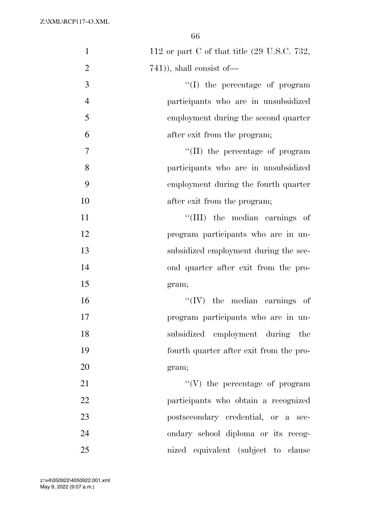| $\mathbf{1}$   | 112 or part C of that title $(29 \text{ U.S.C. } 732,$ |
|----------------|--------------------------------------------------------|
| $\overline{2}$ | $(741)$ , shall consist of $-$                         |
| 3              | $\lq\lq$ (I) the percentage of program                 |
| $\overline{4}$ | participants who are in unsubsidized                   |
| 5              | employment during the second quarter                   |
| 6              | after exit from the program;                           |
| 7              | "(II) the percentage of program                        |
| 8              | participants who are in unsubsidized                   |
| 9              | employment during the fourth quarter                   |
| 10             | after exit from the program;                           |
| 11             | "(III) the median earnings of                          |
| 12             | program participants who are in un-                    |
| 13             | subsidized employment during the sec-                  |
| 14             | ond quarter after exit from the pro-                   |
| 15             | gram;                                                  |
| 16             | $``(IV)$ the median earnings of                        |
| 17             | program participants who are in un-                    |
| 18             | subsidized employment during the                       |
| 19             | fourth quarter after exit from the pro-                |
| 20             | gram;                                                  |
| 21             | $``(V)$ the percentage of program                      |
| 22             | participants who obtain a recognized                   |
| 23             | postsecondary credential, or a sec-                    |
| 24             | ondary school diploma or its recog-                    |
| 25             | nized equivalent (subject to clause                    |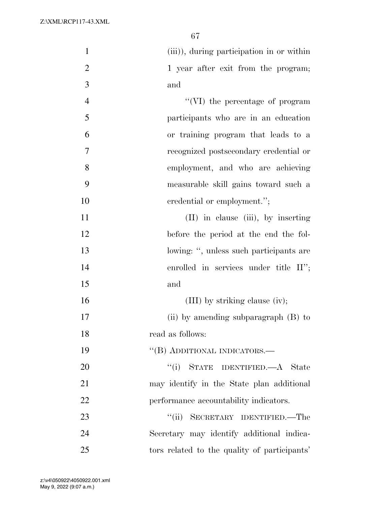| $\mathbf{1}$   | (iii)), during participation in or within    |
|----------------|----------------------------------------------|
| $\overline{2}$ | 1 year after exit from the program;          |
| 3              | and                                          |
| $\overline{4}$ | "(VI) the percentage of program              |
| 5              | participants who are in an education         |
| 6              | or training program that leads to a          |
| 7              | recognized postsecondary credential or       |
| 8              | employment, and who are achieving            |
| 9              | measurable skill gains toward such a         |
| 10             | credential or employment.";                  |
| 11             | $(II)$ in clause $(iii)$ , by inserting      |
| 12             | before the period at the end the fol-        |
| 13             | lowing: ", unless such participants are      |
| 14             | enrolled in services under title II";        |
| 15             | and                                          |
| 16             | $(III)$ by striking clause (iv);             |
| 17             | (ii) by amending subparagraph (B) to         |
| 18             | read as follows:                             |
| 19             | "(B) ADDITIONAL INDICATORS.—                 |
| 20             | "(i) STATE IDENTIFIED.—A State               |
| 21             | may identify in the State plan additional    |
| 22             | performance accountability indicators.       |
| 23             | SECRETARY IDENTIFIED.—The<br>``(ii)          |
| 24             | Secretary may identify additional indica-    |
| 25             | tors related to the quality of participants' |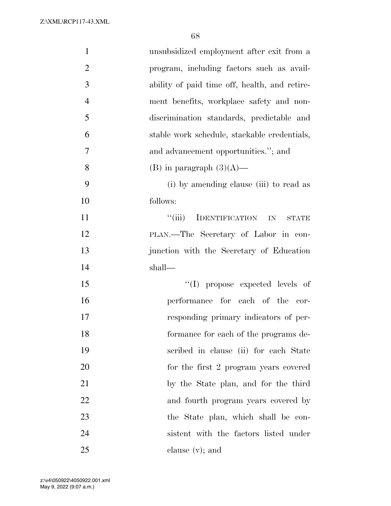| $\mathbf{1}$   | unsubsidized employment after exit from a                 |
|----------------|-----------------------------------------------------------|
| $\overline{2}$ | program, including factors such as avail-                 |
| 3              | ability of paid time off, health, and retire-             |
| $\overline{4}$ | ment benefits, workplace safety and non-                  |
| 5              | discrimination standards, predictable and                 |
| 6              | stable work schedule, stackable credentials,              |
| 7              | and advancement opportunities."; and                      |
| 8              | (B) in paragraph $(3)(A)$ —                               |
| 9              | (i) by amending clause (iii) to read as                   |
| 10             | follows:                                                  |
| 11             | $``$ (iii)<br><b>IDENTIFICATION</b><br>IN<br><b>STATE</b> |
| 12             | PLAN.—The Secretary of Labor in con-                      |
| 13             | junction with the Secretary of Education                  |
| 14             | shall—                                                    |
| 15             | "(I) propose expected levels of                           |
| 16             | performance for each of the cor-                          |
| 17             | responding primary indicators of per-                     |
| 18             | formance for each of the programs de-                     |
| 19             | scribed in clause (ii) for each State                     |
| 20             | for the first 2 program years covered                     |
| 21             | by the State plan, and for the third                      |
| 22             | and fourth program years covered by                       |
| 23             | the State plan, which shall be con-                       |
| 24             | sistent with the factors listed under                     |
| 25             | clause $(v)$ ; and                                        |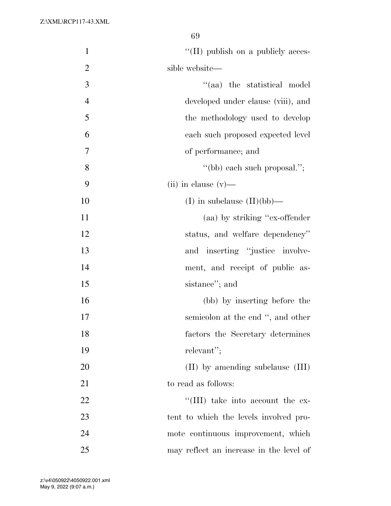| $\mathbf{1}$   | "(II) publish on a publicly acces-      |
|----------------|-----------------------------------------|
| $\overline{2}$ | sible website—                          |
| 3              | "(aa) the statistical model             |
| $\overline{4}$ | developed under clause (viii), and      |
| 5              | the methodology used to develop         |
| 6              | each such proposed expected level       |
| 7              | of performance; and                     |
| 8              | "(bb) each such proposal.";             |
| 9              | $(ii)$ in clause $(v)$ —                |
| 10             | (I) in subclause $(II)(bb)$ —           |
| 11             | (aa) by striking "ex-offender"          |
| 12             | status, and welfare dependency"         |
| 13             | and inserting "justice involve-         |
| 14             | ment, and receipt of public as-         |
| 15             | sistance"; and                          |
| 16             | (bb) by inserting before the            |
| 17             | semicolon at the end ", and other       |
| 18             | factors the Secretary determines        |
| 19             | relevant";                              |
| 20             | $(II)$ by amending subclause $(III)$    |
| 21             | to read as follows:                     |
| 22             | "(III) take into account the ex-        |
| 23             | tent to which the levels involved pro-  |
| 24             | mote continuous improvement, which      |
| 25             | may reflect an increase in the level of |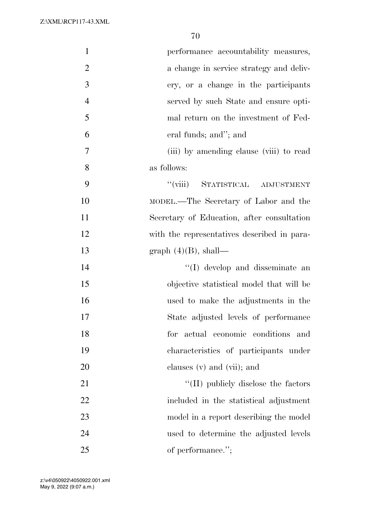| $\mathbf{1}$   | performance accountability measures,        |
|----------------|---------------------------------------------|
| $\overline{2}$ | a change in service strategy and deliv-     |
| 3              | ery, or a change in the participants        |
| $\overline{4}$ | served by such State and ensure opti-       |
| 5              | mal return on the investment of Fed-        |
| 6              | eral funds; and"; and                       |
| 7              | (iii) by amending clause (viii) to read     |
| 8              | as follows:                                 |
| 9              | "(viii) STATISTICAL ADJUSTMENT              |
| 10             | MODEL.—The Secretary of Labor and the       |
| 11             | Secretary of Education, after consultation  |
| 12             | with the representatives described in para- |
| 13             | graph $(4)(B)$ , shall—                     |
| 14             | $\lq\lq$ (I) develop and disseminate an     |
| 15             | objective statistical model that will be    |
| 16             | used to make the adjustments in the         |
| 17             | State adjusted levels of performance        |
| 18             | for actual economic conditions<br>and       |
| 19             | characteristics of participants under       |
| 20             | clauses $(v)$ and $(vii)$ ; and             |
| 21             | $\lq\lq$ (II) publicly disclose the factors |
| 22             | included in the statistical adjustment      |
| 23             | model in a report describing the model      |
| 24             | used to determine the adjusted levels       |
| 25             | of performance.";                           |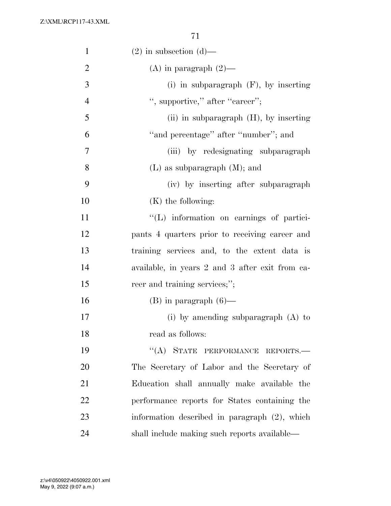| $\mathbf{1}$   | $(2)$ in subsection $(d)$ —                     |
|----------------|-------------------------------------------------|
| $\overline{2}$ | (A) in paragraph $(2)$ —                        |
| 3              | (i) in subparagraph $(F)$ , by inserting        |
| $\overline{4}$ | ", supportive," after "career";                 |
| 5              | (ii) in subparagraph $(H)$ , by inserting       |
| 6              | "and percentage" after "number"; and            |
| 7              | (iii) by redesignating subparagraph             |
| 8              | $(L)$ as subparagraph $(M)$ ; and               |
| 9              | (iv) by inserting after subparagraph            |
| 10             | $(K)$ the following:                            |
| 11             | "(L) information on earnings of partici-        |
| 12             | pants 4 quarters prior to receiving career and  |
| 13             | training services and, to the extent data is    |
| 14             | available, in years 2 and 3 after exit from ca- |
| 15             | reer and training services;";                   |
| 16             | $(B)$ in paragraph $(6)$ —                      |
| 17             | (i) by amending subparagraph $(A)$ to           |
| 18             | read as follows:                                |
| 19             | "(A) STATE PERFORMANCE REPORTS.-                |
| 20             | The Secretary of Labor and the Secretary of     |
| 21             | Education shall annually make available the     |
| 22             | performance reports for States containing the   |
| 23             | information described in paragraph (2), which   |
| 24             | shall include making such reports available—    |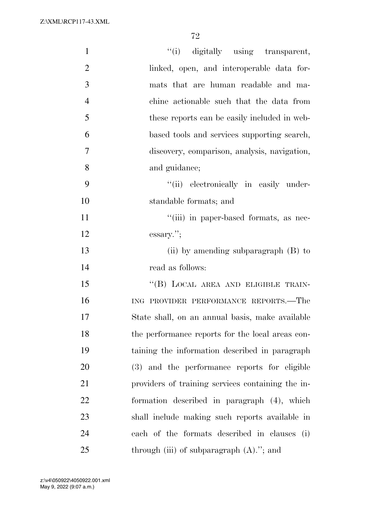| $\mathbf{1}$   | "(i) digitally using transparent,                 |
|----------------|---------------------------------------------------|
| $\overline{2}$ | linked, open, and interoperable data for-         |
| 3              | mats that are human readable and ma-              |
| $\overline{4}$ | chine actionable such that the data from          |
| 5              | these reports can be easily included in web-      |
| 6              | based tools and services supporting search,       |
| 7              | discovery, comparison, analysis, navigation,      |
| 8              | and guidance;                                     |
| 9              | "(ii) electronically in easily under-             |
| 10             | standable formats; and                            |
| 11             | "(iii) in paper-based formats, as nec-            |
| 12             | essary.";                                         |
| 13             | (ii) by amending subparagraph $(B)$ to            |
| 14             | read as follows:                                  |
| 15             | "(B) LOCAL AREA AND ELIGIBLE TRAIN-               |
| 16             | ING PROVIDER PERFORMANCE REPORTS.-The             |
| 17             | State shall, on an annual basis, make available   |
| 18             | the performance reports for the local areas con-  |
| 19             | taining the information described in paragraph    |
| 20             | (3) and the performance reports for eligible      |
| 21             | providers of training services containing the in- |
| 22             | formation described in paragraph (4), which       |
| 23             | shall include making such reports available in    |
| 24             | each of the formats described in clauses (i)      |
| 25             | through (iii) of subparagraph $(A)$ ."; and       |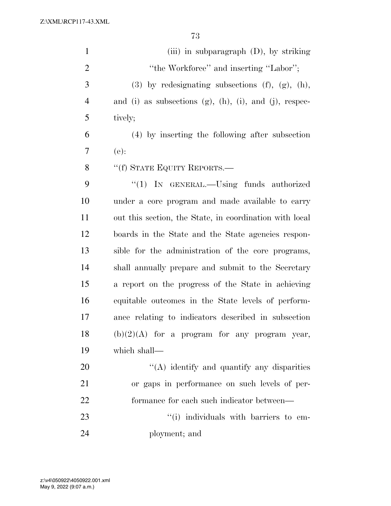| $\mathbf{1}$   | (iii) in subparagraph $(D)$ , by striking                          |
|----------------|--------------------------------------------------------------------|
| $\overline{2}$ | "the Workforce" and inserting "Labor";                             |
| 3              | $(3)$ by redesignating subsections $(f)$ , $(g)$ , $(h)$ ,         |
| $\overline{4}$ | and (i) as subsections $(g)$ , $(h)$ , $(i)$ , and $(j)$ , respec- |
| 5              | tively;                                                            |
| 6              | (4) by inserting the following after subsection                    |
| 7              | $(e)$ :                                                            |
| 8              | $``(f)$ STATE EQUITY REPORTS.—                                     |
| 9              | " $(1)$ IN GENERAL.—Using funds authorized                         |
| 10             | under a core program and made available to carry                   |
| 11             | out this section, the State, in coordination with local            |
| 12             | boards in the State and the State agencies respon-                 |
| 13             | sible for the administration of the core programs,                 |
| 14             | shall annually prepare and submit to the Secretary                 |
| 15             | a report on the progress of the State in achieving                 |
| 16             | equitable outcomes in the State levels of perform-                 |
| 17             | ance relating to indicators described in subsection                |
| 18             | $(b)(2)(A)$ for a program for any program year,                    |
| 19             | which shall-                                                       |
| 20             | "(A) identify and quantify any disparities                         |
| 21             | or gaps in performance on such levels of per-                      |
| 22             | formance for each such indicator between—                          |
| 23             | "(i) individuals with barriers to em-                              |
| 24             | ployment; and                                                      |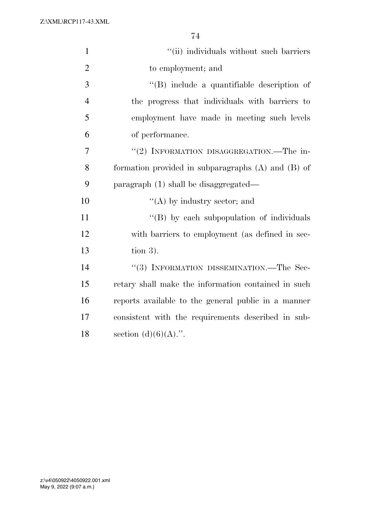| $\mathbf{1}$   | "(ii) individuals without such barriers                |
|----------------|--------------------------------------------------------|
| $\overline{2}$ | to employment; and                                     |
| 3              | $\lq\lq$ include a quantifiable description of         |
| $\overline{4}$ | the progress that individuals with barriers to         |
| 5              | employment have made in meeting such levels            |
| 6              | of performance.                                        |
| 7              | "(2) INFORMATION DISAGGREGATION.—The in-               |
| 8              | formation provided in subparagraphs $(A)$ and $(B)$ of |
| 9              | paragraph (1) shall be disaggregated—                  |
| 10             | $\lq\lq$ by industry sector; and                       |
| 11             | "(B) by each subpopulation of individuals              |
| 12             | with barriers to employment (as defined in sec-        |
| 13             | tion $3$ ).                                            |
| 14             | "(3) INFORMATION DISSEMINATION.—The Sec-               |
| 15             | retary shall make the information contained in such    |
| 16             | reports available to the general public in a manner    |
| 17             | consistent with the requirements described in sub-     |
| 18             | section $(d)(6)(A)$ .".                                |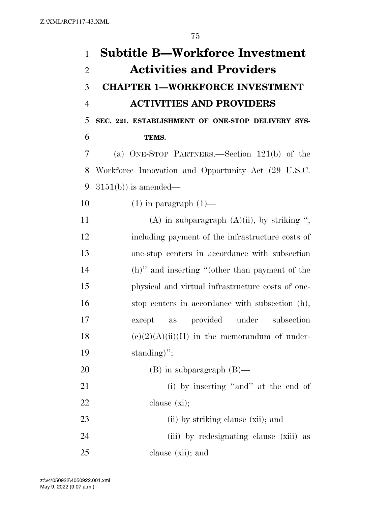| $\mathbf{1}$   | <b>Subtitle B—Workforce Investment</b>              |
|----------------|-----------------------------------------------------|
| $\overline{2}$ | <b>Activities and Providers</b>                     |
| 3              | <b>CHAPTER 1-WORKFORCE INVESTMENT</b>               |
| $\overline{4}$ | <b>ACTIVITIES AND PROVIDERS</b>                     |
| 5              | SEC. 221. ESTABLISHMENT OF ONE-STOP DELIVERY SYS-   |
| 6              | TEMS.                                               |
| 7              | (a) ONE-STOP PARTNERS.—Section 121(b) of the        |
| 8              | Workforce Innovation and Opportunity Act (29 U.S.C. |
| 9              | $3151(b)$ is amended—                               |
| 10             | $(1)$ in paragraph $(1)$ —                          |
| 11             | (A) in subparagraph $(A)(ii)$ , by striking ",      |
| 12             | including payment of the infrastructure costs of    |
| 13             | one-stop centers in accordance with subsection      |
| 14             | (h)" and inserting "(other than payment of the      |
| 15             | physical and virtual infrastructure costs of one-   |
| 16             | stop centers in accordance with subsection (h),     |
| 17             | provided under subsection<br>except<br>as           |
| 18             | $(e)(2)(A)(ii)(II)$ in the memorandum of under-     |
| 19             | standing)";                                         |
| 20             | $(B)$ in subparagraph $(B)$ —                       |
| 21             | (i) by inserting "and" at the end of                |
| <u>22</u>      | clause $(xi)$ ;                                     |
| 23             | (ii) by striking clause (xii); and                  |
| 24             | (iii) by redesignating clause (xiii) as             |
| 25             | clause (xii); and                                   |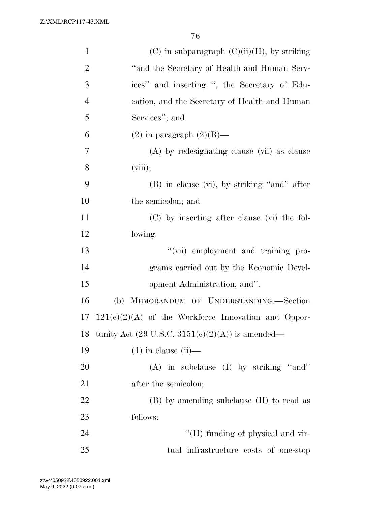| $\mathbf{1}$   | $(C)$ in subparagraph $(C)(ii)(II)$ , by striking                  |
|----------------|--------------------------------------------------------------------|
| $\overline{2}$ | "and the Secretary of Health and Human Serv-                       |
| 3              | ices" and inserting ", the Secretary of Edu-                       |
| $\overline{4}$ | cation, and the Secretary of Health and Human                      |
| 5              | Services"; and                                                     |
| 6              | $(2)$ in paragraph $(2)(B)$ —                                      |
| 7              | (A) by redesignating clause (vii) as clause                        |
| 8              | (viii);                                                            |
| 9              | $(B)$ in clause $(vi)$ , by striking "and" after                   |
| 10             | the semicolon; and                                                 |
| 11             | (C) by inserting after clause (vi) the fol-                        |
| 12             | lowing:                                                            |
| 13             | "(vii) employment and training pro-                                |
| 14             | grams carried out by the Economic Devel-                           |
| 15             | opment Administration; and".                                       |
| 16             | (b) MEMORANDUM OF UNDERSTANDING.-Section                           |
| 17             | $121(e)(2)(A)$ of the Workforce Innovation and Oppor-              |
| 18             | tunity Act $(29 \text{ U.S.C. } 3151(c)(2)(\text{A}))$ is amended— |
| 19             | $(1)$ in clause $(ii)$ —                                           |
| 20             | $(A)$ in subclause $(I)$ by striking "and"                         |
| 21             | after the semicolon;                                               |
| 22             | $(B)$ by amending subclause $(II)$ to read as                      |
| 23             | follows:                                                           |
| 24             | "(II) funding of physical and vir-                                 |
| 25             | tual infrastructure costs of one-stop                              |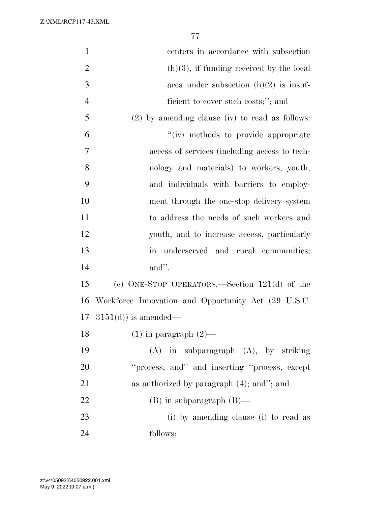| $\mathbf{1}$   | centers in accordance with subsection                     |
|----------------|-----------------------------------------------------------|
| $\overline{2}$ | $(h)(3)$ , if funding received by the local               |
| 3              | area under subsection $(h)(2)$ is insuf-                  |
| $\overline{4}$ | ficient to cover such costs;"; and                        |
| 5              | $(2)$ by amending clause (iv) to read as follows:         |
| 6              | "(iv) methods to provide appropriate                      |
| 7              | access of services (including access to tech-             |
| 8              | nology and materials) to workers, youth,                  |
| 9              | and individuals with barriers to employ-                  |
| 10             | ment through the one-stop delivery system                 |
| 11             | to address the needs of such workers and                  |
| 12             | youth, and to increase access, particularly               |
| 13             | underserved and rural communities;<br>$\operatorname{in}$ |
| 14             | and".                                                     |
| 15             | (c) ONE-STOP OPERATORS.—Section $121(d)$ of the           |
| 16             | Workforce Innovation and Opportunity Act (29 U.S.C.       |
| 17             | $3151(d)$ is amended—                                     |
| 18             | $(1)$ in paragraph $(2)$ —                                |
| 19             | $(A)$ in subparagraph $(A)$ , by striking                 |
| 20             | "process; and" and inserting "process, except             |
| 21             | as authorized by paragraph $(4)$ ; and"; and              |
| 22             | $(B)$ in subparagraph $(B)$ —                             |
| 23             | (i) by amending clause (i) to read as                     |
| 24             | follows:                                                  |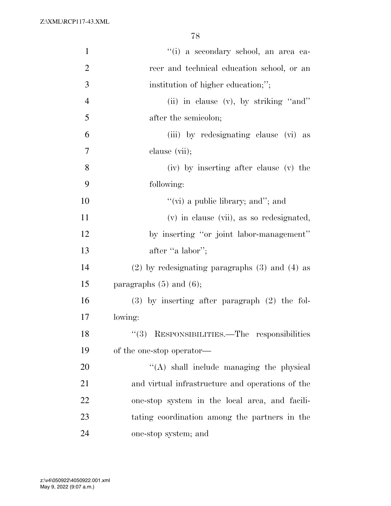| $\mathbf{1}$   | "(i) a secondary school, an area ca-                 |
|----------------|------------------------------------------------------|
| $\overline{2}$ | reer and technical education school, or an           |
| 3              | institution of higher education;";                   |
| $\overline{4}$ | (ii) in clause $(v)$ , by striking "and"             |
| 5              | after the semicolon;                                 |
| 6              | (iii) by redesignating clause (vi) as                |
| 7              | clause (vii);                                        |
| 8              | (iv) by inserting after clause (v) the               |
| 9              | following:                                           |
| 10             | "(vi) a public library; and"; and                    |
| 11             | (v) in clause (vii), as so redesignated,             |
| 12             | by inserting "or joint labor-management"             |
| 13             | after "a labor";                                     |
| 14             | $(2)$ by redesignating paragraphs $(3)$ and $(4)$ as |
| 15             | paragraphs $(5)$ and $(6)$ ;                         |
| 16             | $(3)$ by inserting after paragraph $(2)$ the fol-    |
| 17             | lowing:                                              |
| 18             | "(3) RESPONSIBILITIES.—The responsibilities          |
| 19             | of the one-stop operator—                            |
| 20             | $\lq\lq$ shall include managing the physical         |
| 21             | and virtual infrastructure and operations of the     |
| 22             | one-stop system in the local area, and facili-       |
| 23             | tating coordination among the partners in the        |
| 24             | one-stop system; and                                 |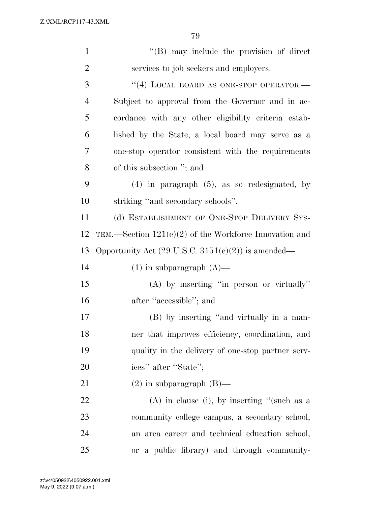| $\mathbf{1}$   | $\lq\lq (B)$ may include the provision of direct              |
|----------------|---------------------------------------------------------------|
| $\overline{2}$ | services to job seekers and employers.                        |
| 3              | "(4) LOCAL BOARD AS ONE-STOP OPERATOR.-                       |
| $\overline{4}$ | Subject to approval from the Governor and in ac-              |
| 5              | cordance with any other eligibility criteria estab-           |
| 6              | lished by the State, a local board may serve as a             |
| 7              | one-stop operator consistent with the requirements            |
| 8              | of this subsection."; and                                     |
| 9              | $(4)$ in paragraph $(5)$ , as so redesignated, by             |
| 10             | striking "and secondary schools".                             |
| 11             | (d) ESTABLISHMENT OF ONE-STOP DELIVERY SYS-                   |
| 12             | TEM.—Section $121(e)(2)$ of the Workforce Innovation and      |
| 13             | Opportunity Act $(29 \text{ U.S.C. } 3151(e)(2))$ is amended— |
| 14             | $(1)$ in subparagraph $(A)$ —                                 |
| 15             | $(A)$ by inserting "in person or virtually"                   |
| 16             | after "accessible"; and                                       |
| 17             | (B) by inserting "and virtually in a man-                     |
| 18             | ner that improves efficiency, coordination, and               |
| 19             | quality in the delivery of one-stop partner serv-             |
| 20             | ices" after "State";                                          |
| 21             | $(2)$ in subparagraph $(B)$ —                                 |
| 22             | $(A)$ in clause (i), by inserting "(such as a                 |
| 23             | community college campus, a secondary school,                 |
| 24             | an area career and technical education school,                |
| 25             | or a public library) and through community-                   |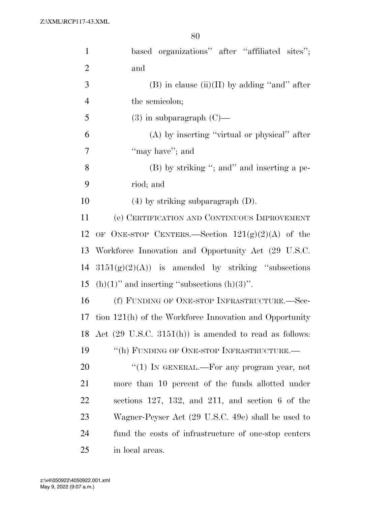| $\mathbf{1}$   | based organizations" after "affiliated sites";                    |
|----------------|-------------------------------------------------------------------|
| $\overline{2}$ | and                                                               |
| 3              | $(B)$ in clause (ii)(II) by adding "and" after                    |
| $\overline{4}$ | the semicolon;                                                    |
| 5              | $(3)$ in subparagraph $(C)$ —                                     |
| 6              | $(A)$ by inserting "virtual or physical" after                    |
| 7              | "may have"; and                                                   |
| 8              | (B) by striking "; and inserting a pe-                            |
| 9              | riod; and                                                         |
| 10             | $(4)$ by striking subparagraph $(D)$ .                            |
| 11             | (e) CERTIFICATION AND CONTINUOUS IMPROVEMENT                      |
| 12             | OF ONE-STOP CENTERS.—Section $121(g)(2)(A)$ of the                |
| 13             | Workforce Innovation and Opportunity Act (29 U.S.C.               |
| 14             | $3151(g)(2)(A)$ is amended by striking "subsections"              |
| 15             | $(h)(1)$ " and inserting "subsections $(h)(3)$ ".                 |
| 16             | (f) FUNDING OF ONE-STOP INFRASTRUCTURE.-Sec-                      |
| 17             | tion 121(h) of the Workforce Innovation and Opportunity           |
| 18             | Act $(29 \text{ U.S.C. } 3151(h))$ is amended to read as follows: |
| 19             | "(h) FUNDING OF ONE-STOP INFRASTRUCTURE.-                         |
| 20             | "(1) IN GENERAL.—For any program year, not                        |
| 21             | more than 10 percent of the funds allotted under                  |
| 22             | sections $127, 132,$ and $211,$ and section 6 of the              |
| 23             | Wagner-Peyser Act (29 U.S.C. 49e) shall be used to                |
| 24             | fund the costs of infrastructure of one-stop centers              |
| 25             | in local areas.                                                   |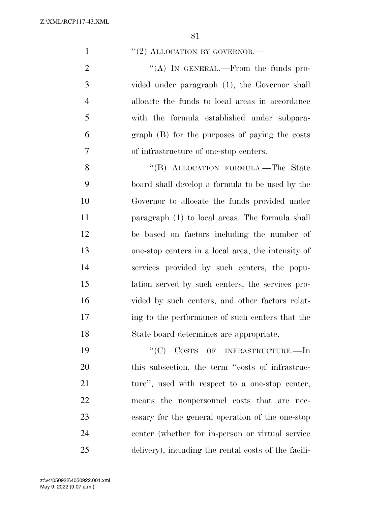1  $\frac{1}{2}$  ALLOCATION BY GOVERNOR.

 $\langle (A) \rangle$  In GENERAL.—From the funds pro- vided under paragraph (1), the Governor shall allocate the funds to local areas in accordance with the formula established under subpara- graph (B) for the purposes of paying the costs of infrastructure of one-stop centers.

8 "(B) ALLOCATION FORMULA.—The State board shall develop a formula to be used by the Governor to allocate the funds provided under paragraph (1) to local areas. The formula shall be based on factors including the number of one-stop centers in a local area, the intensity of services provided by such centers, the popu- lation served by such centers, the services pro-16 vided by such centers, and other factors relat- ing to the performance of such centers that the State board determines are appropriate.

19 "'(C) COSTS OF INFRASTRUCTURE.—In 20 this subsection, the term "costs of infrastruc-21 ture", used with respect to a one-stop center, means the nonpersonnel costs that are nec- essary for the general operation of the one-stop center (whether for in-person or virtual service delivery), including the rental costs of the facili-

May 9, 2022 (9:07 a.m.) z:\v4\050922\4050922.001.xml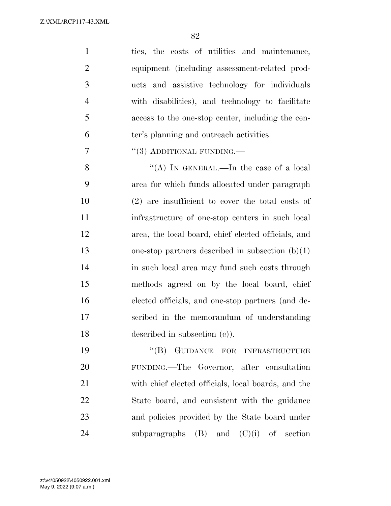ties, the costs of utilities and maintenance, equipment (including assessment-related prod- ucts and assistive technology for individuals with disabilities), and technology to facilitate access to the one-stop center, including the cen-ter's planning and outreach activities.

7  $(3)$  ADDITIONAL FUNDING.—

8 "(A) IN GENERAL.—In the case of a local area for which funds allocated under paragraph (2) are insufficient to cover the total costs of infrastructure of one-stop centers in such local area, the local board, chief elected officials, and one-stop partners described in subsection (b)(1) in such local area may fund such costs through methods agreed on by the local board, chief elected officials, and one-stop partners (and de- scribed in the memorandum of understanding described in subsection (c)).

19 "(B) GUIDANCE FOR INFRASTRUCTURE FUNDING.—The Governor, after consultation with chief elected officials, local boards, and the State board, and consistent with the guidance and policies provided by the State board under 24 subparagraphs  $(B)$  and  $(C)(i)$  of section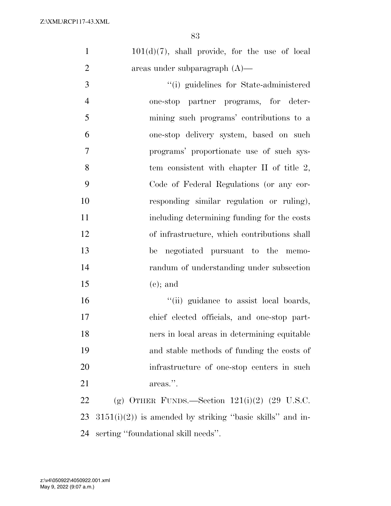$101(d)(7)$ , shall provide, for the use of local areas under subparagraph (A)—

 ''(i) guidelines for State-administered one-stop partner programs, for deter- mining such programs' contributions to a one-stop delivery system, based on such programs' proportionate use of such sys-8 tem consistent with chapter II of title 2, Code of Federal Regulations (or any cor- responding similar regulation or ruling), including determining funding for the costs of infrastructure, which contributions shall be negotiated pursuant to the memo- randum of understanding under subsection 15 (e); and

 $"$ (ii) guidance to assist local boards, chief elected officials, and one-stop part- ners in local areas in determining equitable and stable methods of funding the costs of infrastructure of one-stop centers in such 21 areas.".

22 (g) OTHER FUNDS.—Section  $121(i)(2)$  (29 U.S.C. 23  $3151(i)(2)$  is amended by striking "basic skills" and in-serting ''foundational skill needs''.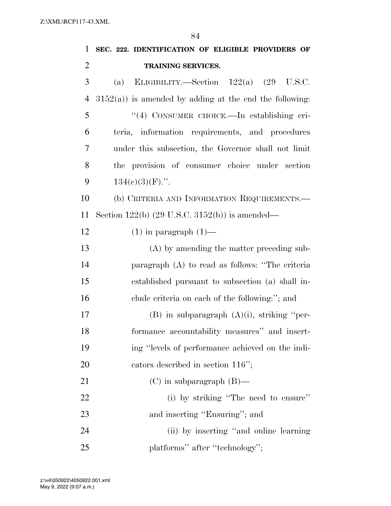| $\mathbf{1}$   | SEC. 222. IDENTIFICATION OF ELIGIBLE PROVIDERS OF          |
|----------------|------------------------------------------------------------|
| $\overline{2}$ | TRAINING SERVICES.                                         |
| 3              | ELIGIBILITY.—Section $122(a)$ $(29 \text{ U.S.C.})$<br>(a) |
| $\overline{4}$ | $3152(a)$ ) is amended by adding at the end the following: |
| 5              | "(4) CONSUMER CHOICE.—In establishing cri-                 |
| 6              | teria, information requirements, and procedures            |
| 7              | under this subsection, the Governor shall not limit        |
| 8              | the provision of consumer choice under section             |
| 9              | $134(c)(3)(F)$ .".                                         |
| 10             | (b) CRITERIA AND INFORMATION REQUIREMENTS.                 |
| 11             | Section $122(b)$ (29 U.S.C. 3152(b)) is amended—           |
| 12             | $(1)$ in paragraph $(1)$ —                                 |
| 13             | (A) by amending the matter preceding sub-                  |
| 14             | paragraph (A) to read as follows: "The criteria            |
| 15             | established pursuant to subsection (a) shall in-           |
| 16             | clude criteria on each of the following:"; and             |
| 17             | $(B)$ in subparagraph $(A)(i)$ , striking "per-            |
| 18             | formance accountability measures" and insert-              |
| 19             | ing "levels of performance achieved on the indi-           |
| 20             | cators described in section $116$ ";                       |
| 21             | $(C)$ in subparagraph $(B)$ —                              |
| 22             | (i) by striking "The need to ensure"                       |
| 23             | and inserting "Ensuring"; and                              |
| 24             | (ii) by inserting "and online learning"                    |
| 25             | platforms" after "technology";                             |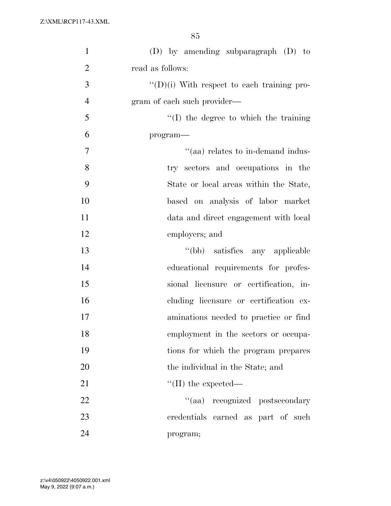| $\mathbf{1}$   | $(D)$ by amending subparagraph $(D)$ to            |
|----------------|----------------------------------------------------|
| $\overline{2}$ | read as follows:                                   |
| 3              | $\lq\lq$ (D)(i) With respect to each training pro- |
| $\overline{4}$ | gram of each such provider—                        |
| 5              | $\lq\lq$ the degree to which the training          |
| 6              | program—                                           |
| $\overline{7}$ | "(aa) relates to in-demand indus-                  |
| 8              | try sectors and occupations in the                 |
| 9              | State or local areas within the State,             |
| 10             | based on analysis of labor market                  |
| 11             | data and direct engagement with local              |
| 12             | employers; and                                     |
| 13             | "(bb) satisfies any applicable                     |
| 14             | educational requirements for profes-               |
| 15             | sional licensure or certification, in-             |
| 16             | cluding licensure or certification ex-             |
| 17             | aminations needed to practice or find              |
| 18             | employment in the sectors or occupa-               |
| 19             | tions for which the program prepares               |
| 20             | the individual in the State; and                   |
| 21             | $\lq\lq$ (II) the expected—                        |
| 22             | "(aa) recognized postsecondary                     |
| 23             | credentials earned as part of such                 |
| 24             | program;                                           |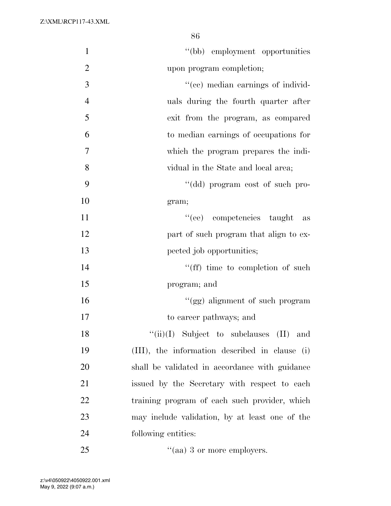| $\mathbf{1}$     | "(bb) employment opportunities                 |
|------------------|------------------------------------------------|
| $\overline{2}$   | upon program completion;                       |
| 3                | "(cc) median earnings of individ-              |
| $\overline{4}$   | uals during the fourth quarter after           |
| 5                | exit from the program, as compared             |
| 6                | to median earnings of occupations for          |
| $\boldsymbol{7}$ | which the program prepares the indi-           |
| 8                | vidual in the State and local area;            |
| 9                | "(dd) program cost of such pro-                |
| 10               | gram;                                          |
| 11               | "(ee) competencies taught<br>as                |
| 12               | part of such program that align to ex-         |
| 13               | pected job opportunities;                      |
| 14               | "(ff) time to completion of such               |
| 15               | program; and                                   |
| 16               | "(gg) alignment of such program                |
| 17               | to career pathways; and                        |
| 18               | $``(ii)(I)$ Subject to subclauses $(II)$ and   |
| 19               | (III), the information described in clause (i) |
| 20               | shall be validated in accordance with guidance |
| 21               | issued by the Secretary with respect to each   |
| 22               | training program of each such provider, which  |
| 23               | may include validation, by at least one of the |
| 24               | following entities:                            |
| 25               | $\cdot$ (aa) 3 or more employers.              |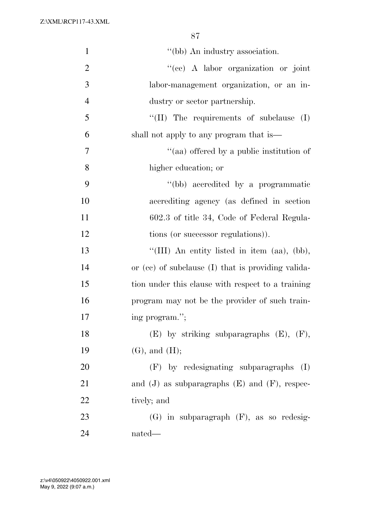| $\mathbf{1}$   | $"$ (bb) An industry association.                      |
|----------------|--------------------------------------------------------|
| $\overline{2}$ | "(ee) A labor organization or joint                    |
| 3              | labor-management organization, or an in-               |
| $\overline{4}$ | dustry or sector partnership.                          |
| 5              | "(II) The requirements of subclause<br>(I)             |
| 6              | shall not apply to any program that is—                |
| $\tau$         | "(aa) offered by a public institution of               |
| 8              | higher education; or                                   |
| 9              | "(bb) accredited by a programmatic                     |
| 10             | accrediting agency (as defined in section              |
| 11             | 602.3 of title 34, Code of Federal Regula-             |
| 12             | tions (or successor regulations)).                     |
| 13             | "(III) An entity listed in item (aa), (bb),            |
| 14             | or $(ce)$ of subclause $(I)$ that is providing valida- |
| 15             | tion under this clause with respect to a training      |
| 16             | program may not be the provider of such train-         |
| 17             | ing program.";                                         |
| 18             | $(E)$ by striking subparagraphs $(E)$ , $(F)$ ,        |
| 19             | $(G)$ , and $(H)$ ;                                    |
| 20             | (F) by redesignating subparagraphs<br>(I)              |
| 21             | and $(J)$ as subparagraphs $(E)$ and $(F)$ , respec-   |
| 22             | tively; and                                            |
| 23             | $(G)$ in subparagraph $(F)$ , as so redesig-           |
| 24             | nated—                                                 |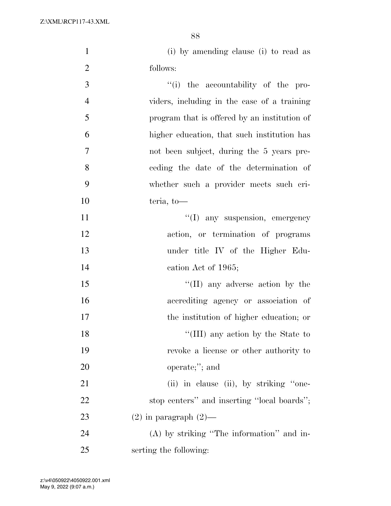(i) by amending clause (i) to read as follows:

 $\frac{1}{1}$  the accountability of the pro- viders, including in the case of a training program that is offered by an institution of higher education, that such institution has not been subject, during the 5 years pre- ceding the date of the determination of whether such a provider meets such cri- teria, to—  $\langle (I)$  any suspension, emergency action, or termination of programs under title IV of the Higher Edu-

 cation Act of 1965; 15 ''(II) any adverse action by the accrediting agency or association of

the institution of higher education; or

18 ''(III) any action by the State to revoke a license or other authority to operate;''; and

21 (ii) in clause (ii), by striking "one-22 stop centers'' and inserting "local boards"; 23 (2) in paragraph  $(2)$ —

 (A) by striking ''The information'' and in-serting the following: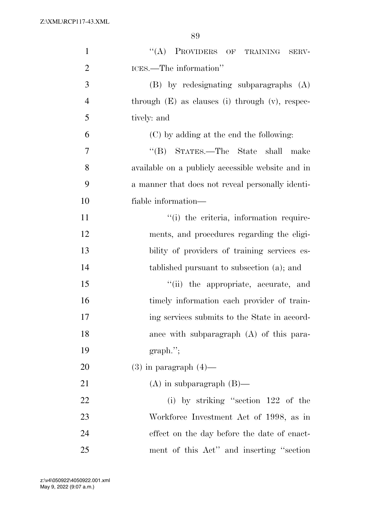| $\mathbf{1}$   | "(A) PROVIDERS OF TRAINING SERV-                     |
|----------------|------------------------------------------------------|
| $\overline{2}$ | ICES.—The information"                               |
| 3              | (B) by redesignating subparagraphs (A)               |
| $\overline{4}$ | through $(E)$ as clauses (i) through $(v)$ , respec- |
| 5              | tively: and                                          |
| 6              | (C) by adding at the end the following:              |
| 7              | STATES.—The State shall<br>$\lq\lq (B)$<br>make      |
| 8              | available on a publicly accessible website and in    |
| 9              | a manner that does not reveal personally identi-     |
| 10             | fiable information—                                  |
| 11             | "(i) the criteria, information require-              |
| 12             | ments, and procedures regarding the eligi-           |
| 13             | bility of providers of training services es-         |
| 14             | tablished pursuant to subsection (a); and            |
| 15             | "(ii) the appropriate, accurate, and                 |
| 16             | timely information each provider of train-           |
| 17             | ing services submits to the State in accord-         |
| 18             | ance with subparagraph $(A)$ of this para-           |
| 19             | $graph.$ ";                                          |
| 20             | $(3)$ in paragraph $(4)$ —                           |
| 21             | $(A)$ in subparagraph $(B)$ —                        |
| 22             | (i) by striking "section 122 of the                  |
| 23             | Workforce Investment Act of 1998, as in              |
| 24             | effect on the day before the date of enact-          |
| 25             | ment of this Act" and inserting "section"            |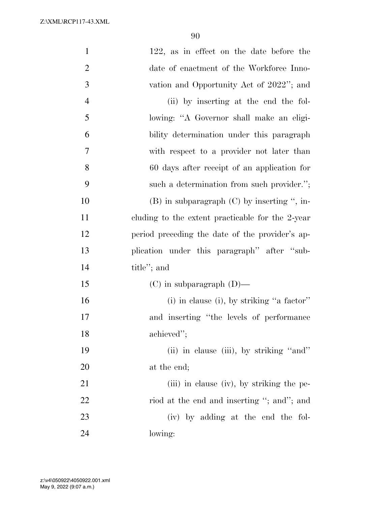| $\mathbf{1}$   | 122, as in effect on the date before the         |
|----------------|--------------------------------------------------|
| $\overline{2}$ | date of enactment of the Workforce Inno-         |
| 3              | vation and Opportunity Act of 2022"; and         |
| $\overline{4}$ | (ii) by inserting at the end the fol-            |
| 5              | lowing: "A Governor shall make an eligi-         |
| 6              | bility determination under this paragraph        |
| 7              | with respect to a provider not later than        |
| 8              | 60 days after receipt of an application for      |
| 9              | such a determination from such provider.";       |
| 10             | $(B)$ in subparagraph $(C)$ by inserting ", in-  |
| 11             | cluding to the extent practicable for the 2-year |
| 12             | period preceding the date of the provider's ap-  |
| 13             | plication under this paragraph" after "sub-      |
| 14             | title"; and                                      |
| 15             | $(C)$ in subparagraph $(D)$ —                    |
| 16             | (i) in clause (i), by striking "a factor"        |
| 17             | and inserting "the levels of performance         |
| 18             | achieved";                                       |
| 19             | (ii) in clause (iii), by striking "and"          |
| 20             | at the end;                                      |
| 21             | (iii) in clause (iv), by striking the pe-        |
| 22             | riod at the end and inserting "; and"; and       |
| 23             | (iv) by adding at the end the fol-               |
| 24             | lowing:                                          |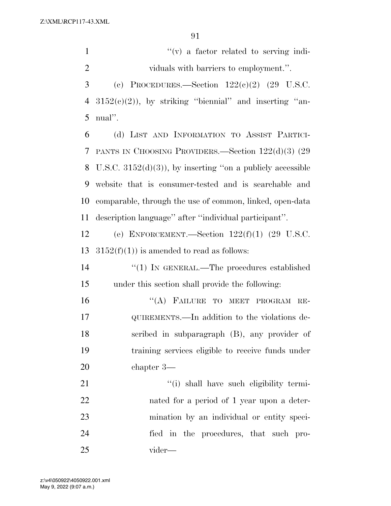$''(v)$  a factor related to serving indi- viduals with barriers to employment.''. 3 (c) PROCEDURES.—Section  $122(e)(2)$  (29 U.S.C.  $3152(c)(2)$ , by striking "biennial" and inserting "an- nual''. (d) LIST AND INFORMATION TO ASSIST PARTICI- PANTS IN CHOOSING PROVIDERS.—Section 122(d)(3) (29 8 U.S.C.  $3152(d)(3)$ , by inserting "on a publicly accessible website that is consumer-tested and is searchable and comparable, through the use of common, linked, open-data description language'' after ''individual participant''. (e) ENFORCEMENT.—Section 122(f)(1) (29 U.S.C.  $3152(f)(1)$  is amended to read as follows:

14  $\frac{1}{2}$  (1) In GENERAL.—The procedures established under this section shall provide the following:

16 "(A) FAILURE TO MEET PROGRAM RE- QUIREMENTS.—In addition to the violations de- scribed in subparagraph (B), any provider of training services eligible to receive funds under chapter 3—

 $\frac{1}{1}$  shall have such eligibility termi- nated for a period of 1 year upon a deter- mination by an individual or entity speci- fied in the procedures, that such pro-vider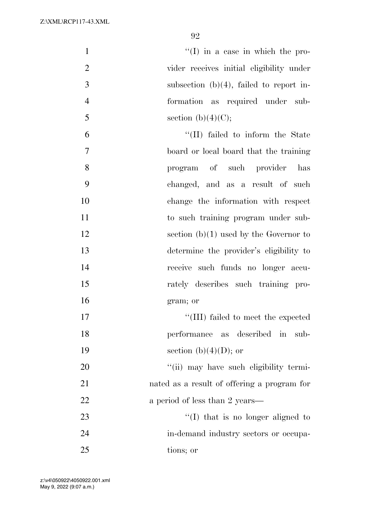$'$ (I) in a case in which the pro-2 vider receives initial eligibility under 3 subsection (b)(4), failed to report in-4 formation as required under sub-5 section (b)(4)(C);

 ''(II) failed to inform the State board or local board that the training program of such provider has changed, and as a result of such change the information with respect 11 to such training program under sub-12 section (b)(1) used by the Governor to determine the provider's eligibility to receive such funds no longer accu- rately describes such training pro- gram; or  $\frac{17}{111}$  failed to meet the expected performance as described in sub-

19 section (b)(4)(D); or

20  $\frac{1}{20}$   $\frac{1}{20}$  may have such eligibility termi-21 nated as a result of offering a program for 22 a period of less than 2 years—

23 ''(I) that is no longer aligned to 24 in-demand industry sectors or occupa-25 tions; or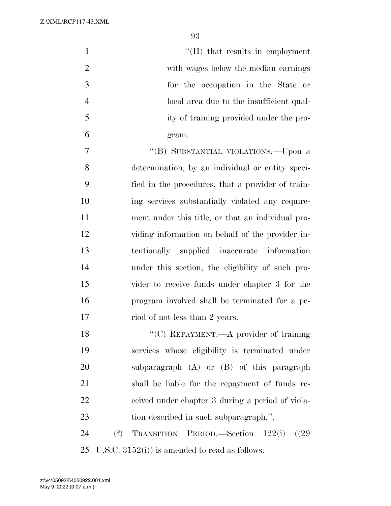| $\mathbf{1}$   | $\lq\lq$ (II) that results in employment          |
|----------------|---------------------------------------------------|
| $\overline{2}$ | with wages below the median earnings              |
| 3              | for the occupation in the State or                |
| $\overline{4}$ | local area due to the insufficient qual-          |
| 5              | ity of training provided under the pro-           |
| 6              | gram.                                             |
| 7              | "(B) SUBSTANTIAL VIOLATIONS.—Upon a               |
| 8              | determination, by an individual or entity speci-  |
| 9              | fied in the procedures, that a provider of train- |
| 10             | ing services substantially violated any require-  |
| 11             | ment under this title, or that an individual pro- |
| 12             | viding information on behalf of the provider in-  |
| 13             | tentionally supplied inaccurate information       |
| 14             | under this section, the eligibility of such pro-  |
| 15             | vider to receive funds under chapter 3 for the    |
| 16             | program involved shall be terminated for a pe-    |
| 17             | riod of not less than 2 years.                    |
| 18             | "(C) REPAYMENT.—A provider of training            |
| 19             | services whose eligibility is terminated under    |
| 20             | subparagraph (A) or (B) of this paragraph         |
| 21             | shall be liable for the repayment of funds re-    |
| 22             | ceived under chapter 3 during a period of viola-  |
| 23             | tion described in such subparagraph.".            |
| 24             | TRANSITION PERIOD.—Section 122(i)<br>(f)<br>(29)  |
| 25             | U.S.C. $3152(i)$ is amended to read as follows:   |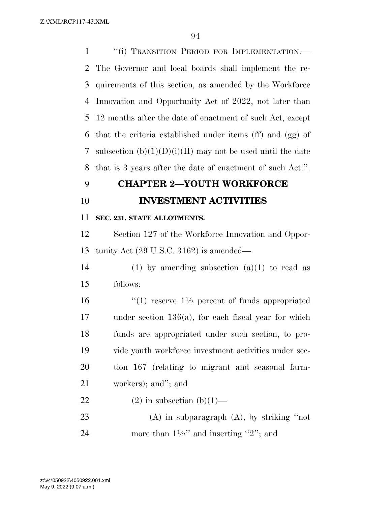1 <sup>"</sup>(i) TRANSITION PERIOD FOR IMPLEMENTATION.— The Governor and local boards shall implement the re- quirements of this section, as amended by the Workforce Innovation and Opportunity Act of 2022, not later than 12 months after the date of enactment of such Act, except that the criteria established under items (ff) and (gg) of 7 subsection  $(b)(1)(D)(i)(II)$  may not be used until the date that is 3 years after the date of enactment of such Act.''.

## **CHAPTER 2—YOUTH WORKFORCE**

**INVESTMENT ACTIVITIES** 

## **SEC. 231. STATE ALLOTMENTS.**

 Section 127 of the Workforce Innovation and Oppor-tunity Act (29 U.S.C. 3162) is amended—

14 (1) by amending subsection  $(a)(1)$  to read as follows:

 $\frac{16}{2}$  (1) reserve  $1\frac{1}{2}$  percent of funds appropriated under section 136(a), for each fiscal year for which funds are appropriated under such section, to pro- vide youth workforce investment activities under sec- tion 167 (relating to migrant and seasonal farm-workers); and''; and

## 22 (2) in subsection  $(b)(1)$ —

 (A) in subparagraph (A), by striking ''not 24 more than  $1\frac{1}{2}$  and inserting "2"; and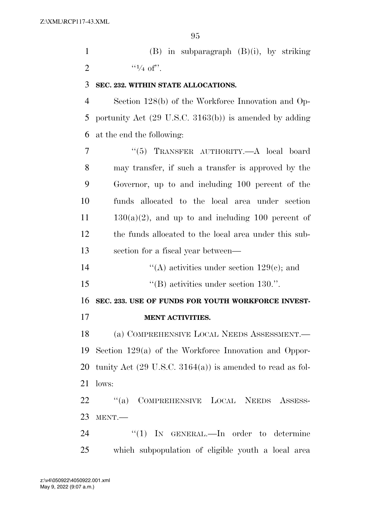(B) in subparagraph (B)(i), by striking 2  $\frac{1}{4}$  of".

## **SEC. 232. WITHIN STATE ALLOCATIONS.**

 Section 128(b) of the Workforce Innovation and Op- portunity Act (29 U.S.C. 3163(b)) is amended by adding at the end the following:

 ''(5) TRANSFER AUTHORITY.—A local board may transfer, if such a transfer is approved by the Governor, up to and including 100 percent of the funds allocated to the local area under section  $11 \t 130(a)(2)$ , and up to and including 100 percent of the funds allocated to the local area under this sub-section for a fiscal year between—

''(A) activities under section 129(c); and

15  $\text{``(B) activities under section 130."}$ 

**SEC. 233. USE OF FUNDS FOR YOUTH WORKFORCE INVEST-**

**MENT ACTIVITIES.** 

 (a) COMPREHENSIVE LOCAL NEEDS ASSESSMENT.— Section 129(a) of the Workforce Innovation and Oppor- tunity Act (29 U.S.C. 3164(a)) is amended to read as fol-lows:

 ''(a) COMPREHENSIVE LOCAL NEEDS ASSESS-MENT.—

24 "(1) IN GENERAL.—In order to determine which subpopulation of eligible youth a local area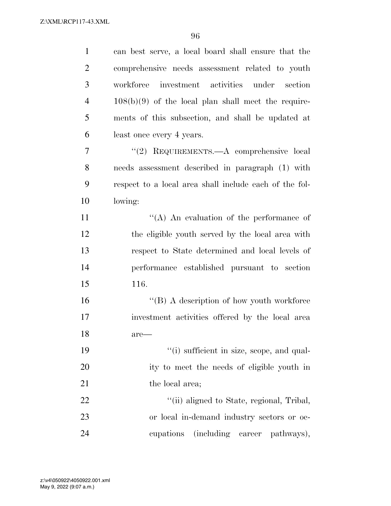| $\mathbf{1}$   | can best serve, a local board shall ensure that the    |
|----------------|--------------------------------------------------------|
| $\overline{2}$ | comprehensive needs assessment related to youth        |
| 3              | investment activities under section<br>workforce       |
| $\overline{4}$ | $108(b)(9)$ of the local plan shall meet the require-  |
| 5              | ments of this subsection, and shall be updated at      |
| 6              | least once every 4 years.                              |
| 7              | "(2) REQUIREMENTS.—A comprehensive local               |
| 8              | needs assessment described in paragraph (1) with       |
| 9              | respect to a local area shall include each of the fol- |
| 10             | lowing:                                                |
| 11             | "(A) An evaluation of the performance of               |
| 12             | the eligible youth served by the local area with       |
| 13             | respect to State determined and local levels of        |
| 14             | performance established pursuant to section            |
| 15             | 116.                                                   |
| 16             | $\lq\lq (B)$ A description of how youth workforce      |
| 17             | investment activities offered by the local area        |
| 18             | are—                                                   |
| 19             | "(i) sufficient in size, scope, and qual-              |
| 20             | ity to meet the needs of eligible youth in             |
| 21             | the local area;                                        |
| 22             | "(ii) aligned to State, regional, Tribal,              |
| 23             | or local in-demand industry sectors or oc-             |
| 24             | (including career pathways),<br>cupations              |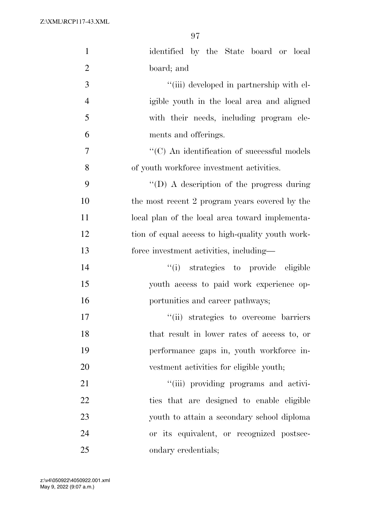| $\mathbf{1}$   | identified by the State board or local              |
|----------------|-----------------------------------------------------|
| $\overline{2}$ | board; and                                          |
| 3              | "(iii) developed in partnership with el-            |
| $\overline{4}$ | igible youth in the local area and aligned          |
| 5              | with their needs, including program ele-            |
| 6              | ments and offerings.                                |
| 7              | $\lq\lq$ (C) An identification of successful models |
| 8              | of youth workforce investment activities.           |
| 9              | $\lq\lq$ (D) A description of the progress during   |
| 10             | the most recent 2 program years covered by the      |
| 11             | local plan of the local area toward implementa-     |
| 12             | tion of equal access to high-quality youth work-    |
| 13             | force investment activities, including—             |
| 14             | "(i) strategies to provide eligible                 |
| 15             | youth access to paid work experience op-            |
| 16             | portunities and career pathways;                    |
| 17             | "(ii) strategies to overcome barriers               |
| 18             | that result in lower rates of access to, or         |
| 19             | performance gaps in, youth workforce in-            |
| 20             | vestment activities for eligible youth;             |
| 21             | "(iii) providing programs and activi-               |
| 22             | ties that are designed to enable eligible           |
| 23             | youth to attain a secondary school diploma          |
| 24             | or its equivalent, or recognized postsec-           |
| 25             | ondary credentials;                                 |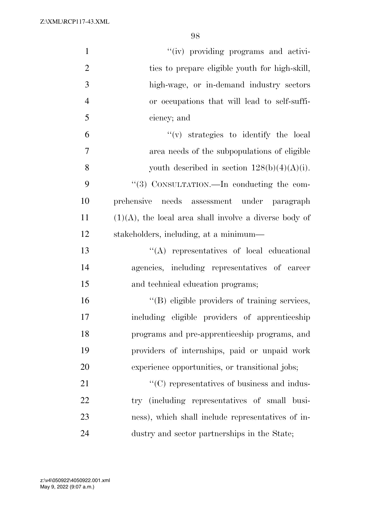| $\mathbf{1}$   | "(iv) providing programs and activi-                      |
|----------------|-----------------------------------------------------------|
| $\overline{2}$ | ties to prepare eligible youth for high-skill,            |
| 3              | high-wage, or in-demand industry sectors                  |
| $\overline{4}$ | or occupations that will lead to self-suffi-              |
| 5              | ciency; and                                               |
| 6              | $f'(v)$ strategies to identify the local                  |
| 7              | area needs of the subpopulations of eligible              |
| 8              | youth described in section $128(b)(4)(A)(i)$ .            |
| 9              | "(3) CONSULTATION.—In conducting the com-                 |
| 10             | needs assessment under paragraph<br>prehensive            |
| 11             | $(1)(A)$ , the local area shall involve a diverse body of |
| 12             | stakeholders, including, at a minimum—                    |
| 13             | $\lq\lq$ representatives of local educational             |
| 14             | agencies, including representatives of career             |
| 15             | and technical education programs;                         |
| 16             | "(B) eligible providers of training services,             |
| 17             | including eligible providers of apprenticeship            |
| 18             | programs and pre-apprenticeship programs, and             |
| 19             | providers of internships, paid or unpaid work             |
| 20             | experience opportunities, or transitional jobs;           |
| 21             | $\lq\lq$ (C) representatives of business and indus-       |
| 22             | try (including representatives of small busi-             |
| 23             | ness), which shall include representatives of in-         |
| 24             | dustry and sector partnerships in the State;              |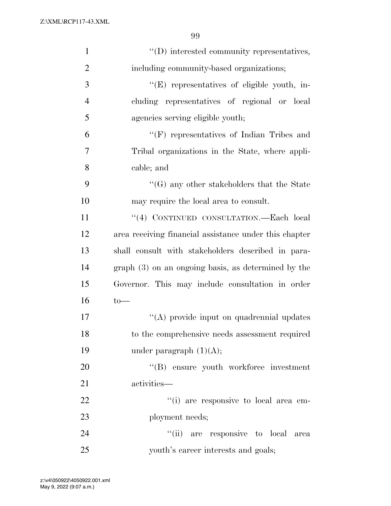| $\mathbf{1}$   | "(D) interested community representatives,             |
|----------------|--------------------------------------------------------|
| $\overline{2}$ | including community-based organizations;               |
| 3              | "(E) representatives of eligible youth, in-            |
| $\overline{4}$ | cluding representatives of regional or local           |
| 5              | agencies serving eligible youth;                       |
| 6              | $\lq\lq(F)$ representatives of Indian Tribes and       |
| $\overline{7}$ | Tribal organizations in the State, where appli-        |
| 8              | cable; and                                             |
| 9              | $\lq\lq(G)$ any other stakeholders that the State      |
| 10             | may require the local area to consult.                 |
| 11             | "(4) CONTINUED CONSULTATION.—Each local                |
| 12             | area receiving financial assistance under this chapter |
| 13             | shall consult with stakeholders described in para-     |
| 14             | $graph(3)$ on an ongoing basis, as determined by the   |
| 15             | Governor. This may include consultation in order       |
| 16             | $to-$                                                  |
| 17             | "(A) provide input on quadrennial updates              |
| 18             | to the comprehensive needs assessment required         |
| 19             | under paragraph $(1)(A);$                              |
| 20             | "(B) ensure youth workforce investment                 |
| 21             | activities—                                            |
| 22             | "(i) are responsive to local area em-                  |
| 23             | ployment needs;                                        |
| 24             | "(ii) are responsive to local<br>area                  |
| 25             | youth's career interests and goals;                    |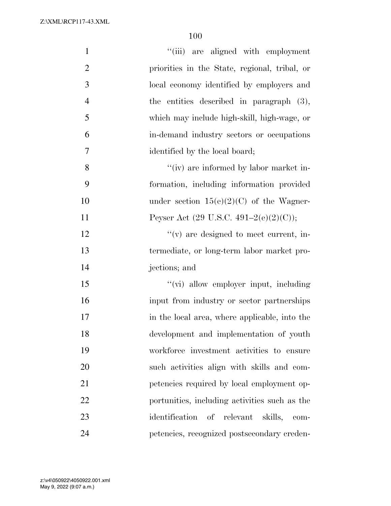| $\mathbf{1}$     | "(iii) are aligned with employment                |
|------------------|---------------------------------------------------|
| $\overline{2}$   | priorities in the State, regional, tribal, or     |
| 3                | local economy identified by employers and         |
| $\overline{4}$   | the entities described in paragraph (3),          |
| 5                | which may include high-skill, high-wage, or       |
| 6                | in-demand industry sectors or occupations         |
| $\boldsymbol{7}$ | identified by the local board;                    |
| 8                | "(iv) are informed by labor market in-            |
| 9                | formation, including information provided         |
| 10               | under section $15(e)(2)(C)$ of the Wagner-        |
| 11               | Peyser Act $(29 \text{ U.S.C. } 491-2(e)(2)(C));$ |
| 12               | $f'(v)$ are designed to meet current, in-         |
| 13               | termediate, or long-term labor market pro-        |
| 14               | jections; and                                     |
| 15               | "(vi) allow employer input, including             |
| 16               | input from industry or sector partnerships        |
| 17               | in the local area, where applicable, into the     |
| 18               | development and implementation of youth           |
| 19               | workforce investment activities to ensure         |
| 20               | such activities align with skills and com-        |
| 21               | petencies required by local employment op-        |
| 22               | portunities, including activities such as the     |
| 23               | identification of relevant<br>skills,<br>com-     |
| 24               | petencies, recognized postsecondary creden-       |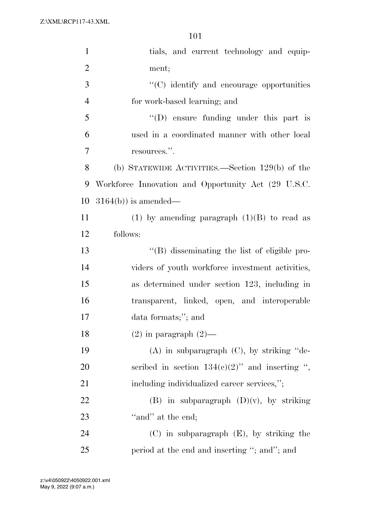| $\mathbf{1}$   | tials, and current technology and equip-            |
|----------------|-----------------------------------------------------|
| $\overline{2}$ | ment;                                               |
| 3              | $\cdot$ (C) identify and encourage opportunities    |
| $\overline{4}$ | for work-based learning; and                        |
| 5              | $\lq\lq$ (D) ensure funding under this part is      |
| 6              | used in a coordinated manner with other local       |
| 7              | resources.".                                        |
| 8              | (b) STATEWIDE ACTIVITIES.—Section $129(b)$ of the   |
| 9              | Workforce Innovation and Opportunity Act (29 U.S.C. |
| 10             | $3164(b)$ is amended—                               |
| 11             | (1) by amending paragraph $(1)(B)$ to read as       |
| 12             | follows:                                            |
| 13             | "(B) disseminating the list of eligible pro-        |
| 14             | viders of youth workforce investment activities,    |
| 15             | as determined under section 123, including in       |
| 16             | transparent, linked, open, and interoperable        |
| 17             | data formats;"; and                                 |
| 18             | $(2)$ in paragraph $(2)$ —                          |
| 19             | $(A)$ in subparagraph $(C)$ , by striking "de-      |
| 20             | scribed in section $134(c)(2)$ " and inserting ",   |
| 21             | including individualized career services,";         |
| 22             | (B) in subparagraph $(D)(v)$ , by striking          |
| 23             | "and" at the end;                                   |
| 24             | $(C)$ in subparagraph $(E)$ , by striking the       |
| 25             | period at the end and inserting "; and"; and        |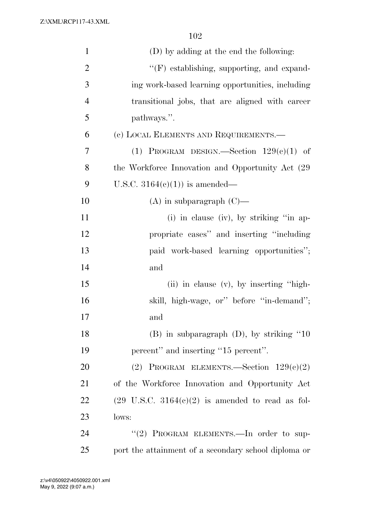| $\mathbf{1}$   | (D) by adding at the end the following:                     |
|----------------|-------------------------------------------------------------|
| $\overline{2}$ | "(F) establishing, supporting, and expand-                  |
| 3              | ing work-based learning opportunities, including            |
| $\overline{4}$ | transitional jobs, that are aligned with career             |
| 5              | pathways.".                                                 |
| 6              | (c) LOCAL ELEMENTS AND REQUIREMENTS.—                       |
| $\overline{7}$ | (1) PROGRAM DESIGN.—Section $129(e)(1)$ of                  |
| 8              | the Workforce Innovation and Opportunity Act (29)           |
| 9              | U.S.C. $3164(e)(1)$ is amended—                             |
| 10             | $(A)$ in subparagraph $(C)$ —                               |
| 11             | (i) in clause (iv), by striking "in ap-                     |
| 12             | propriate cases" and inserting "including                   |
| 13             | paid work-based learning opportunities";                    |
| 14             | and                                                         |
| 15             | (ii) in clause (v), by inserting "high-                     |
| 16             | skill, high-wage, or" before "in-demand";                   |
| 17             | and                                                         |
| 18             | $(B)$ in subparagraph $(D)$ , by striking "10"              |
| 19             | percent" and inserting "15 percent".                        |
| 20             | (2) PROGRAM ELEMENTS.—Section $129(e)(2)$                   |
| 21             | of the Workforce Innovation and Opportunity Act             |
| 22             | $(29 \text{ U.S.C. } 3164(e)(2)$ is amended to read as fol- |
| 23             | lows:                                                       |
| 24             | "(2) PROGRAM ELEMENTS. - In order to sup-                   |
| 25             | port the attainment of a secondary school diploma or        |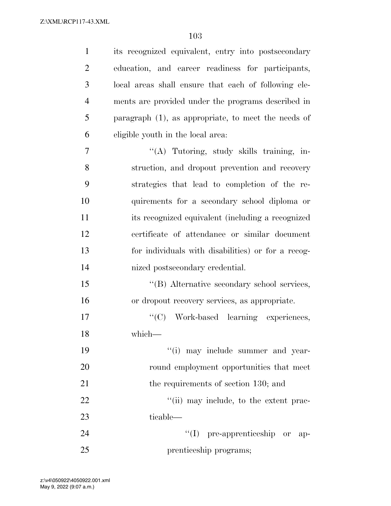| $\mathbf{1}$   | its recognized equivalent, entry into postsecondary    |
|----------------|--------------------------------------------------------|
| $\overline{2}$ | education, and career readiness for participants,      |
| 3              | local areas shall ensure that each of following ele-   |
| $\overline{4}$ | ments are provided under the programs described in     |
| 5              | paragraph $(1)$ , as appropriate, to meet the needs of |
| 6              | eligible youth in the local area.                      |
| 7              | "(A) Tutoring, study skills training, in-              |
| 8              | struction, and dropout prevention and recovery         |
| 9              | strategies that lead to completion of the re-          |
| 10             | quirements for a secondary school diploma or           |
| 11             | its recognized equivalent (including a recognized      |
| 12             | certificate of attendance or similar document          |
| 13             | for individuals with disabilities) or for a recog-     |
| 14             | nized postsecondary credential.                        |
| 15             | "(B) Alternative secondary school services,            |
| 16             | or dropout recovery services, as appropriate.          |
| 17             | "(C) Work-based learning experiences,                  |
| 18             | which—                                                 |
| 19             | "(i) may include summer and year-                      |
| 20             | round employment opportunities that meet               |
| 21             | the requirements of section 130; and                   |
| 22             | "(ii) may include, to the extent prac-                 |
| 23             | ticable—                                               |
| 24             | $\lq\lq$ pre-apprenticeship or<br>-ap-                 |
| 25             | prenticeship programs;                                 |

May 9, 2022 (9:07 a.m.) z:\v4\050922\4050922.001.xml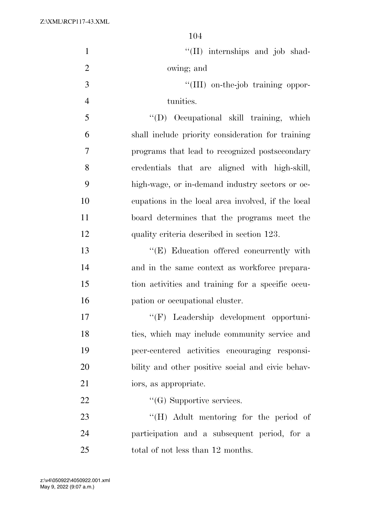| $\mathbf{1}$   | "(II) internships and job shad-                    |
|----------------|----------------------------------------------------|
| $\mathbf{2}$   | owing; and                                         |
| $\overline{3}$ | "(III) on-the-job training oppor-                  |
| $\overline{4}$ | tunities.                                          |
| 5              | "(D) Occupational skill training, which            |
| 6              | shall include priority consideration for training  |
| $\tau$         | programs that lead to recognized postsecondary     |
| 8              | credentials that are aligned with high-skill,      |
| 9              | high-wage, or in-demand industry sectors or oc-    |
| 10             | cupations in the local area involved, if the local |
| 11             | board determines that the programs meet the        |
| 12             | quality criteria described in section 123.         |
| 13             | "(E) Education offered concurrently with           |
| 14             | and in the same context as workforce prepara-      |
| 15             | tion activities and training for a specific occu-  |
| 16             | pation or occupational cluster.                    |
| 17             | $``$ (F)<br>Leadership development opportuni-      |
| 18             | ties, which may include community service and      |
| 19             | peer-centered activities encouraging responsi-     |
| 20             | bility and other positive social and civic behav-  |
| 21             | iors, as appropriate.                              |
| 22             | $\lq\lq(G)$ Supportive services.                   |
| 23             | "(H) Adult mentoring for the period of             |
| 24             | participation and a subsequent period, for a       |
| 25             | total of not less than 12 months.                  |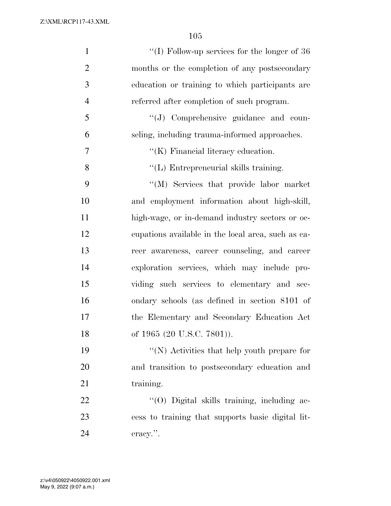| $\mathbf{1}$   | "(I) Follow-up services for the longer of $36$     |
|----------------|----------------------------------------------------|
| $\overline{2}$ | months or the completion of any postsecondary      |
| 3              | education or training to which participants are    |
| $\overline{4}$ | referred after completion of such program.         |
| 5              | "(J) Comprehensive guidance and coun-              |
| 6              | seling, including trauma-informed approaches.      |
| 7              | $\lq\lq$ (K) Financial literacy education.         |
| 8              | $\lq\lq$ (L) Entrepreneurial skills training.      |
| 9              | "(M) Services that provide labor market            |
| 10             | and employment information about high-skill,       |
| 11             | high-wage, or in-demand industry sectors or oc-    |
| 12             | equations available in the local area, such as ea- |
| 13             | reer awareness, career counseling, and career      |
| 14             | exploration services, which may include pro-       |
| 15             | viding such services to elementary and sec-        |
| 16             | ondary schools (as defined in section 8101 of      |
| 17             | the Elementary and Secondary Education Act         |
| 18             | of 1965 (20 U.S.C. 7801)).                         |
| 19             | $\lq\lq(N)$ Activities that help youth prepare for |
| 20             | and transition to postsecondary education and      |
| 21             | training.                                          |
| 22             | "(O) Digital skills training, including ac-        |
| 23             | cess to training that supports basic digital lit-  |
| 24             | $\alpha$                                           |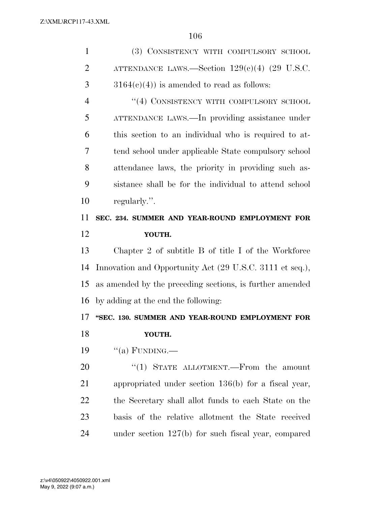| $\mathbf{1}$   | (3) CONSISTENCY WITH COMPULSORY SCHOOL                   |
|----------------|----------------------------------------------------------|
| $\overline{2}$ | ATTENDANCE LAWS.—Section $129(e)(4)$ (29 U.S.C.          |
| 3              | $3164(c)(4)$ is amended to read as follows:              |
| $\overline{4}$ | "(4) CONSISTENCY WITH COMPULSORY SCHOOL                  |
| 5              | ATTENDANCE LAWS.—In providing assistance under           |
| 6              | this section to an individual who is required to at-     |
| 7              | tend school under applicable State compulsory school     |
| 8              | attendance laws, the priority in providing such as-      |
| 9              | sistance shall be for the individual to attend school    |
| 10             | regularly.".                                             |
| 11             | SEC. 234. SUMMER AND YEAR-ROUND EMPLOYMENT FOR           |
| 12             | YOUTH.                                                   |
| 13             | Chapter 2 of subtitle B of title I of the Workforce      |
| 14             | Innovation and Opportunity Act (29 U.S.C. 3111 et seq.), |
| 15             | as amended by the preceding sections, is further amended |
| 16             | by adding at the end the following:                      |
| 17             | "SEC. 130. SUMMER AND YEAR-ROUND EMPLOYMENT FOR          |
| 18             | YOUTH.                                                   |
| 19             | "(a) FUNDING.—                                           |
| 20             | "(1) STATE ALLOTMENT.—From the amount                    |
| 21             | appropriated under section 136(b) for a fiscal year,     |
| 22             | the Secretary shall allot funds to each State on the     |
| 23             | basis of the relative allotment the State received       |
| 24             | under section $127(b)$ for such fiscal year, compared    |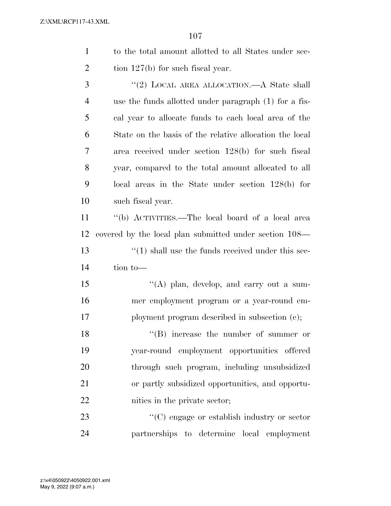|                | 107                                                          |
|----------------|--------------------------------------------------------------|
| $\mathbf{1}$   | to the total amount allotted to all States under sec-        |
| $\overline{2}$ | tion $127(b)$ for such fiscal year.                          |
| 3              | "(2) LOCAL AREA ALLOCATION.—A State shall                    |
| $\overline{4}$ | use the funds allotted under paragraph (1) for a fis-        |
| 5              | cal year to allocate funds to each local area of the         |
| 6              | State on the basis of the relative allocation the local      |
| 7              | area received under section 128(b) for such fiscal           |
| 8              | year, compared to the total amount allocated to all          |
| 9              | local areas in the State under section $128(b)$ for          |
| 10             | such fiscal year.                                            |
| 11             | "(b) ACTIVITIES.—The local board of a local area             |
| 12             | covered by the local plan submitted under section 108—       |
| 13             | $\cdot\cdot(1)$ shall use the funds received under this sec- |
| 14             | tion to-                                                     |
| 15             | "(A) plan, develop, and carry out a sum-                     |
| 16             | mer employment program or a year-round em-                   |
| 17             | ployment program described in subsection (c);                |
| 18             | $\rm ^{4}(R)$ increase the number of summer or               |

 ''(B) increase the number of summer or year-round employment opportunities offered through such program, including unsubsidized or partly subsidized opportunities, and opportu-nities in the private sector;

23  $\cdot$  (C) engage or establish industry or sector partnerships to determine local employment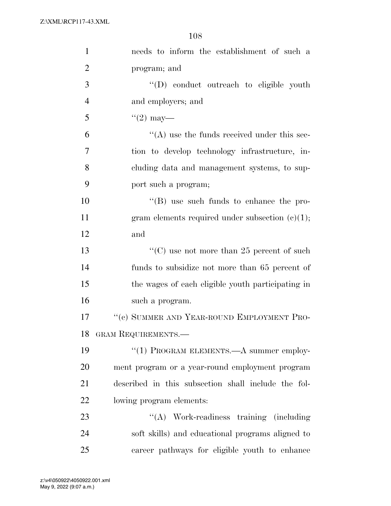| $\mathbf{1}$   | needs to inform the establishment of such a         |
|----------------|-----------------------------------------------------|
| $\overline{2}$ | program; and                                        |
| 3              | "(D) conduct outreach to eligible youth             |
| $\overline{4}$ | and employers; and                                  |
| 5              | $(2)$ may—                                          |
| 6              | $\lq\lq$ use the funds received under this sec-     |
| $\overline{7}$ | tion to develop technology infrastructure, in-      |
| 8              | cluding data and management systems, to sup-        |
| 9              | port such a program;                                |
| 10             | $\lq\lq$ (B) use such funds to enhance the pro-     |
| 11             | gram elements required under subsection $(e)(1)$ ;  |
| 12             | and                                                 |
| 13             | "(C) use not more than 25 percent of such           |
| 14             | funds to subsidize not more than 65 percent of      |
| 15             | the wages of each eligible youth participating in   |
| 16             | such a program.                                     |
| 17             | "(c) SUMMER AND YEAR-ROUND EMPLOYMENT PRO-          |
| 18             | GRAM REQUIREMENTS.—                                 |
| 19             | "(1) PROGRAM ELEMENTS.—A summer employ-             |
| 20             | ment program or a year-round employment program     |
| 21             | described in this subsection shall include the fol- |
| 22             | lowing program elements:                            |
| 23             | "(A) Work-readiness training (including)            |
| 24             | soft skills) and educational programs aligned to    |
| 25             | career pathways for eligible youth to enhance       |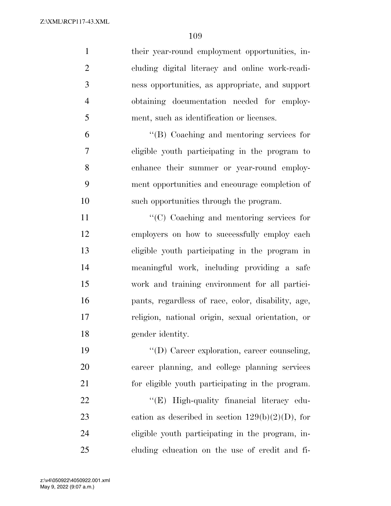| $\mathbf{1}$   | their year-round employment opportunities, in-      |
|----------------|-----------------------------------------------------|
| $\overline{2}$ | cluding digital literacy and online work-readi-     |
| 3              | ness opportunities, as appropriate, and support     |
| $\overline{4}$ | obtaining documentation needed for employ-          |
| 5              | ment, such as identification or licenses.           |
| 6              | $\lq\lq$ (B) Coaching and mentoring services for    |
| 7              | eligible youth participating in the program to      |
| 8              | enhance their summer or year-round employ-          |
| 9              | ment opportunities and encourage completion of      |
| 10             | such opportunities through the program.             |
| 11             | "(C) Coaching and mentoring services for            |
| 12             | employers on how to successfully employ each        |
| 13             | eligible youth participating in the program in      |
| 14             | meaningful work, including providing a safe         |
| 15             | work and training environment for all partici-      |
| 16             | pants, regardless of race, color, disability, age,  |
| 17             | religion, national origin, sexual orientation, or   |
| 18             | gender identity.                                    |
| 19             | "(D) Career exploration, career counseling,         |
| 20             | career planning, and college planning services      |
| 21             | for eligible youth participating in the program.    |
| 22             | "(E) High-quality financial literacy edu-           |
| 23             | cation as described in section $129(b)(2)(D)$ , for |
| 24             | eligible youth participating in the program, in-    |
| 25             | cluding education on the use of credit and fi-      |

May 9, 2022 (9:07 a.m.) z:\v4\050922\4050922.001.xml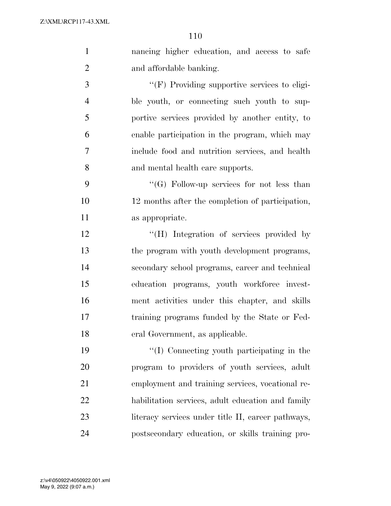| $\mathbf{1}$   | nancing higher education, and access to safe       |
|----------------|----------------------------------------------------|
| $\overline{2}$ | and affordable banking.                            |
| 3              | "(F) Providing supportive services to eligi-       |
| $\overline{4}$ | ble youth, or connecting such youth to sup-        |
| 5              | portive services provided by another entity, to    |
| 6              | enable participation in the program, which may     |
| 7              | include food and nutrition services, and health    |
| 8              | and mental health care supports.                   |
| 9              | "(G) Follow-up services for not less than          |
| 10             | 12 months after the completion of participation,   |
| 11             | as appropriate.                                    |
| 12             | "(H) Integration of services provided by           |
| 13             | the program with youth development programs,       |
| 14             | secondary school programs, career and technical    |
| 15             | education programs, youth workforce invest-        |
| 16             | ment activities under this chapter, and skills     |
| 17             | training programs funded by the State or Fed-      |
| 18             | eral Government, as applicable.                    |
| 19             | "(I) Connecting youth participating in the         |
| 20             | program to providers of youth services, adult      |
| 21             | employment and training services, vocational re-   |
| 22             | habilitation services, adult education and family  |
| 23             | literacy services under title II, career pathways, |
| 24             | postsecondary education, or skills training pro-   |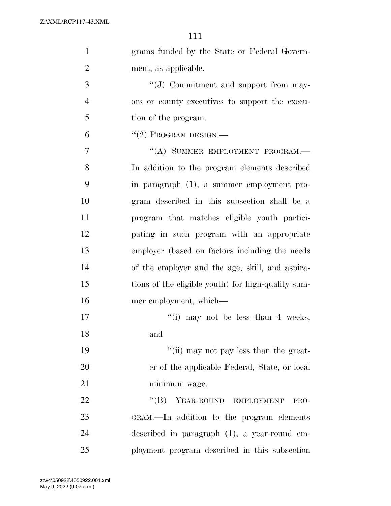| $\mathbf{1}$   | grams funded by the State or Federal Govern-       |
|----------------|----------------------------------------------------|
| $\overline{2}$ | ment, as applicable.                               |
| 3              | "(J) Commitment and support from may-              |
| $\overline{4}$ | ors or county executives to support the execu-     |
| 5              | tion of the program.                               |
| 6              | $``(2)$ PROGRAM DESIGN.—                           |
| 7              | "(A) SUMMER EMPLOYMENT PROGRAM.-                   |
| 8              | In addition to the program elements described      |
| 9              | in paragraph (1), a summer employment pro-         |
| 10             | gram described in this subsection shall be a       |
| 11             | program that matches eligible youth partici-       |
| 12             | pating in such program with an appropriate         |
| 13             | employer (based on factors including the needs     |
| 14             | of the employer and the age, skill, and aspira-    |
| 15             | tions of the eligible youth) for high-quality sum- |
| 16             | mer employment, which—                             |
| 17             | "(i) may not be less than 4 weeks;                 |
| 18             | and                                                |
| 19             | "(ii) may not pay less than the great-             |
| 20             | er of the applicable Federal, State, or local      |
| 21             | minimum wage.                                      |
| 22             | YEAR-ROUND EMPLOYMENT<br>$\lq\lq (B)$<br>PRO-      |
| 23             | GRAM.—In addition to the program elements          |
| 24             | described in paragraph $(1)$ , a year-round em-    |
| 25             | ployment program described in this subsection      |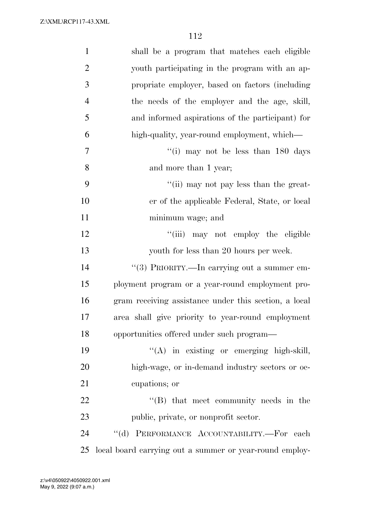| $\mathbf{1}$   | shall be a program that matches each eligible           |
|----------------|---------------------------------------------------------|
| $\overline{2}$ | youth participating in the program with an ap-          |
| 3              | propriate employer, based on factors (including         |
| $\overline{4}$ | the needs of the employer and the age, skill,           |
| 5              | and informed aspirations of the participant) for        |
| 6              | high-quality, year-round employment, which—             |
| 7              | "(i) may not be less than 180 days                      |
| 8              | and more than 1 year;                                   |
| 9              | "(ii) may not pay less than the great-                  |
| 10             | er of the applicable Federal, State, or local           |
| 11             | minimum wage; and                                       |
| 12             | "(iii) may not employ the eligible                      |
| 13             | youth for less than 20 hours per week.                  |
| 14             | "(3) PRIORITY.—In carrying out a summer em-             |
| 15             | ployment program or a year-round employment pro-        |
| 16             | gram receiving assistance under this section, a local   |
| 17             | area shall give priority to year-round employment       |
| 18             | opportunities offered under such program—               |
| 19             | "(A) in existing or emerging high-skill,                |
| 20             | high-wage, or in-demand industry sectors or oc-         |
| 21             | cupations; or                                           |
| 22             | $\lq\lq$ that meet community needs in the               |
| 23             | public, private, or nonprofit sector.                   |
| 24             | "(d) PERFORMANCE ACCOUNTABILITY.-For each               |
| 25             | local board carrying out a summer or year-round employ- |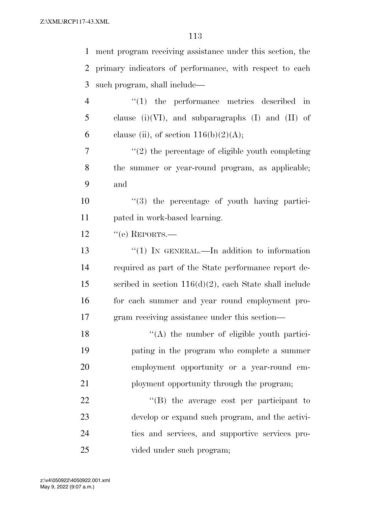|                | 113                                                            |
|----------------|----------------------------------------------------------------|
| 1              | ment program receiving assistance under this section, the      |
| 2              | primary indicators of performance, with respect to each        |
| 3              | such program, shall include—                                   |
| $\overline{4}$ | $(1)$ the performance metrics described<br>$\operatorname{in}$ |
| 5              | clause (i)(VI), and subparagraphs (I) and (II) of              |
| 6              | clause (ii), of section $116(b)(2)(A);$                        |
| 7              | $"(2)$ the percentage of eligible youth completing             |
| 8              | the summer or year-round program, as applicable;               |
| 9              | and                                                            |
| 10             | $\lq(3)$ the percentage of youth having partici-               |
| 11             | pated in work-based learning.                                  |
| 12             | $``$ (e) REPORTS.—                                             |
| 13             | "(1) IN GENERAL.—In addition to information                    |
| 14             | required as part of the State performance report de-           |
| 15             | scribed in section $116(d)(2)$ , each State shall include      |
| 16             | for each summer and year round employment pro-                 |
| 17             | gram receiving assistance under this section-                  |
| 18             | $\lq\lq$ the number of eligible youth partici-                 |
| 19             | pating in the program who complete a summer                    |
| 20             | employment opportunity or a year-round em-                     |
| 21             | ployment opportunity through the program;                      |
| 22             | "(B) the average cost per participant to                       |
| 23             | develop or expand such program, and the activi-                |
| 24             | ties and services, and supportive services pro-                |
| 25             | vided under such program;                                      |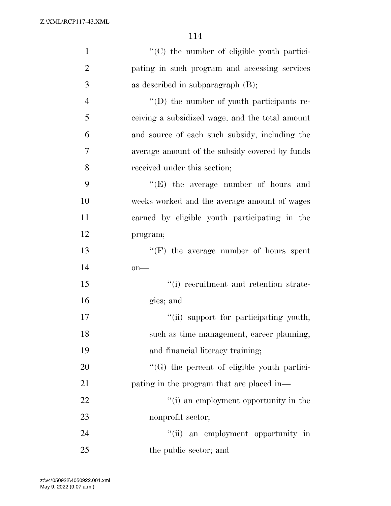| $\mathbf{1}$   | "(C) the number of eligible youth partici-         |
|----------------|----------------------------------------------------|
| $\overline{2}$ | pating in such program and accessing services      |
| 3              | as described in subparagraph $(B)$ ;               |
| $\overline{4}$ | "(D) the number of youth participants re-          |
| 5              | ceiving a subsidized wage, and the total amount    |
| 6              | and source of each such subsidy, including the     |
| 7              | average amount of the subsidy covered by funds     |
| 8              | received under this section;                       |
| 9              | "(E) the average number of hours and               |
| 10             | weeks worked and the average amount of wages       |
| 11             | earned by eligible youth participating in the      |
| 12             | program;                                           |
| 13             | $\lq\lq(F)$ the average number of hours spent      |
| 14             | $on$ —                                             |
| 15             | "(i) recruitment and retention strate-             |
| 16             | gies; and                                          |
| 17             | "(ii) support for participating youth,             |
| 18             | such as time management, career planning,          |
| 19             | and financial literacy training;                   |
| 20             | "(G) the percent of eligible youth partici-        |
| 21             | pating in the program that are placed in—          |
| 22             | "(i) an employment opportunity in the              |
| 23             | nonprofit sector;                                  |
| 24             | $\lq(\mathbf{ii})$<br>an employment opportunity in |
| 25             | the public sector; and                             |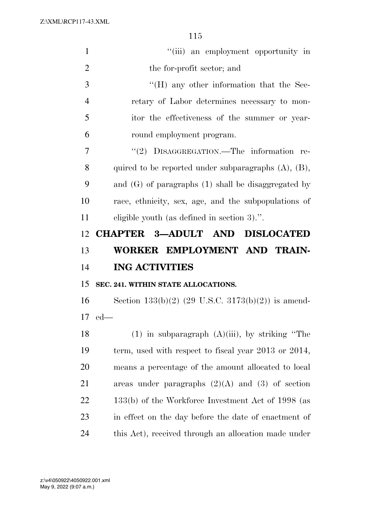| $\mathbf{1}$   | "(iii) an employment opportunity in                           |
|----------------|---------------------------------------------------------------|
| $\overline{2}$ | the for-profit sector; and                                    |
| 3              | $\rm ^{\prime \prime}(H)$ any other information that the Sec- |
| $\overline{4}$ | retary of Labor determines necessary to mon-                  |
| 5              | itor the effectiveness of the summer or year-                 |
| 6              | round employment program.                                     |
| 7              | "(2) DISAGGREGATION.—The information re-                      |
| 8              | quired to be reported under subparagraphs $(A)$ , $(B)$ ,     |
| 9              | and $(G)$ of paragraphs $(1)$ shall be disaggregated by       |
| 10             | race, ethnicity, sex, age, and the subpopulations of          |
| 11             | eligible youth (as defined in section 3).".                   |
| 12             | <b>CHAPTER 3-ADULT AND DISLOCATED</b>                         |
|                |                                                               |
| 13             | WORKER EMPLOYMENT AND TRAIN-                                  |
| 14             | <b>ING ACTIVITIES</b>                                         |
| 15             | SEC. 241. WITHIN STATE ALLOCATIONS.                           |
| 16             | Section $133(b)(2)$ (29 U.S.C. $3173(b)(2)$ ) is amend-       |
| 17             | $ed$ —                                                        |
| 18             | $(1)$ in subparagraph $(A)(iii)$ , by striking "The           |
| 19             | term, used with respect to fiscal year $2013$ or $2014$ ,     |
| 20             | means a percentage of the amount allocated to local           |
| 21             | areas under paragraphs $(2)(A)$ and $(3)$ of section          |
| 22             | 133(b) of the Workforce Investment Act of 1998 (as            |
| 23             | in effect on the day before the date of enactment of          |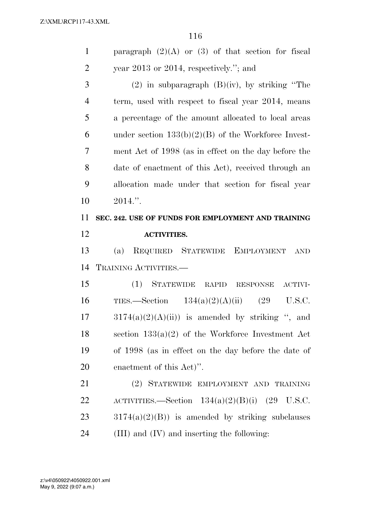| $\mathbf{1}$   | paragraph $(2)(A)$ or $(3)$ of that section for fiscal |
|----------------|--------------------------------------------------------|
| $\overline{2}$ | year 2013 or 2014, respectively."; and                 |
| 3              | $(2)$ in subparagraph $(B)(iv)$ , by striking "The     |
| $\overline{4}$ | term, used with respect to fiscal year 2014, means     |
| 5              | a percentage of the amount allocated to local areas    |
| 6              | under section $133(b)(2)(B)$ of the Workforce Invest-  |
| 7              | ment Act of 1998 (as in effect on the day before the   |
| 8              | date of enactment of this Act), received through an    |
| 9              | allocation made under that section for fiscal year     |
| 10             | $2014."$ .                                             |
| 11             | SEC. 242. USE OF FUNDS FOR EMPLOYMENT AND TRAINING     |
| 12             | <b>ACTIVITIES.</b>                                     |
|                |                                                        |
| 13             | REQUIRED STATEWIDE EMPLOYMENT<br>(a)<br><b>AND</b>     |
| 14             | TRAINING ACTIVITIES.-                                  |
| 15             | (1)<br>STATEWIDE<br>RAPID RESPONSE<br>ACTIVI-          |
| 16             | $134(a)(2)(A)(ii)$ (29<br>TIES.—Section<br>U.S.C.      |
| 17             | $3174(a)(2)(A(ii))$ is amended by striking ", and      |
| 18             | section $133(a)(2)$ of the Workforce Investment Act    |
| 19             | of 1998 (as in effect on the day before the date of    |
| 20             | enactment of this Act)".                               |
| 21             | (2) STATEWIDE EMPLOYMENT AND TRAINING                  |
| 22             | ACTIVITIES.—Section $134(a)(2)(B)(i)$ (29 U.S.C.       |
| 23             | $3174(a)(2)(B)$ is amended by striking subclauses      |
| 24             | (III) and (IV) and inserting the following:            |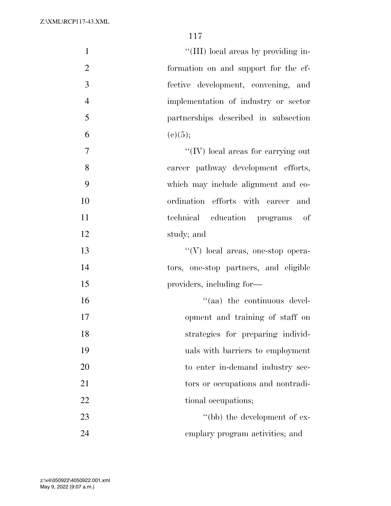| $\mathbf{1}$   | "(III) local areas by providing in-   |
|----------------|---------------------------------------|
| $\overline{2}$ | formation on and support for the ef-  |
| 3              | fective development, convening, and   |
| $\overline{4}$ | implementation of industry or sector  |
| 5              | partnerships described in subsection  |
| 6              | (c)(5);                               |
| $\overline{7}$ | "(IV) local areas for carrying out    |
| 8              | career pathway development efforts,   |
| 9              | which may include alignment and co-   |
| 10             | ordination efforts with career<br>and |
| 11             | technical education programs of       |
| 12             | study; and                            |
| 13             | "(V) local areas, one-stop opera-     |
| 14             | tors, one-stop partners, and eligible |
| 15             | providers, including for—             |
| 16             | $\lq\lq$ (aa) the continuous devel-   |
| 17             | opment and training of staff on       |
| 18             | strategies for preparing individ-     |
| 19             | uals with barriers to employment      |
| 20             | to enter in-demand industry sec-      |
| 21             | tors or occupations and nontradi-     |
| 22             | tional occupations;                   |
| 23             | "(bb) the development of ex-          |
| 24             | emplary program activities; and       |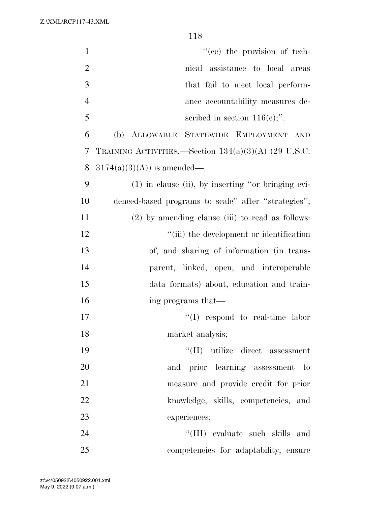| $\mathbf{1}$   | "(cc) the provision of tech-                           |
|----------------|--------------------------------------------------------|
| $\overline{2}$ | nical assistance to local areas                        |
| 3              | that fail to meet local perform-                       |
| $\overline{4}$ | ance accountability measures de-                       |
| 5              | scribed in section $116(e)$ ;".                        |
| 6              | ALLOWABLE STATEWIDE EMPLOYMENT<br>(b)<br><b>AND</b>    |
| 7              | TRAINING ACTIVITIES.—Section $134(a)(3)(A)$ (29 U.S.C. |
| 8              | $3174(a)(3)(A)$ is amended—                            |
| 9              | $(1)$ in clause (ii), by inserting "or bringing evi-   |
| 10             | denced-based programs to scale" after "strategies";    |
| 11             | $(2)$ by amending clause (iii) to read as follows:     |
| 12             | "(iii) the development or identification               |
| 13             | of, and sharing of information (in trans-              |
| 14             | parent, linked, open, and interoperable                |
| 15             | data formats) about, education and train-              |
| 16             | ing programs that—                                     |
| 17             | ``(I)<br>respond to real-time labor                    |
| 18             | market analysis;                                       |
| 19             | $\lq\lq$ (II) utilize direct assessment                |
| 20             | and prior learning assessment to                       |
| 21             | measure and provide credit for prior                   |
| 22             | knowledge, skills, competencies, and                   |
| 23             | experiences;                                           |
| 24             | "(III) evaluate such skills and                        |
| 25             | competencies for adaptability, ensure                  |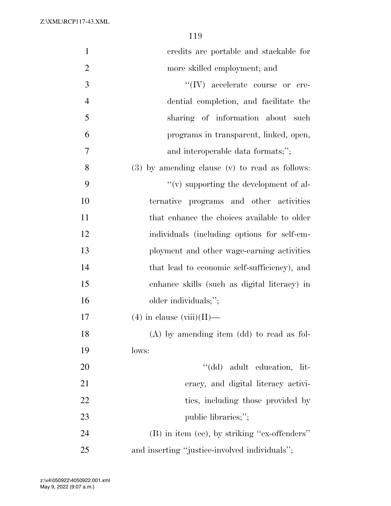| $\mathbf{1}$   | credits are portable and stackable for         |
|----------------|------------------------------------------------|
| $\overline{2}$ | more skilled employment; and                   |
| 3              | $``(IV)$ accelerate course or cre-             |
| $\overline{4}$ | dential completion, and facilitate the         |
| 5              | sharing of information about such              |
| 6              | programs in transparent, linked, open,         |
| $\overline{7}$ | and interoperable data formats;";              |
| 8              | (3) by amending clause (v) to read as follows: |
| 9              | $\lq\lq$ supporting the development of al-     |
| 10             | ternative programs and other activities        |
| 11             | that enhance the choices available to older    |
| 12             | individuals (including options for self-em-    |
| 13             | ployment and other wage-earning activities     |
| 14             | that lead to economic self-sufficiency), and   |
| 15             | enhance skills (such as digital literacy) in   |
| 16             | older individuals;";                           |
| 17             | $(4)$ in clause (viii)(II)—                    |
| 18             | $(A)$ by amending item $(dd)$ to read as fol-  |
| 19             | lows:                                          |
| 20             | "(dd) adult education, lit-                    |
| 21             | eracy, and digital literacy activi-            |
| 22             | ties, including those provided by              |
| 23             | public libraries;";                            |
| 24             | (B) in item (ee), by striking "ex-offenders"   |
| 25             | and inserting "justice-involved individuals";  |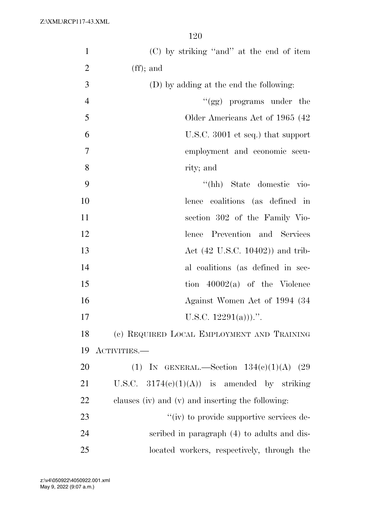| $\mathbf{1}$   | (C) by striking "and" at the end of item          |
|----------------|---------------------------------------------------|
| $\overline{2}$ | $(f\!f);$ and                                     |
| 3              | (D) by adding at the end the following:           |
| $\overline{4}$ | " $(gg)$ programs under the                       |
| 5              | Older Americans Act of 1965 (42)                  |
| 6              | U.S.C. 3001 et seq.) that support                 |
| $\overline{7}$ | employment and economic secu-                     |
| 8              | rity; and                                         |
| 9              | "(hh) State domestic vio-                         |
| 10             | lence coalitions (as defined in                   |
| 11             | section 302 of the Family Vio-                    |
| 12             | lence Prevention and Services                     |
| 13             | Act $(42 \text{ U.S.C. } 10402)$ and trib-        |
| 14             | al coalitions (as defined in sec-                 |
| 15             | tion $40002(a)$ of the Violence                   |
| 16             | Against Women Act of 1994 (34)                    |
| 17             | U.S.C. $12291(a))$ .".                            |
| 18             | (c) REQUIRED LOCAL EMPLOYMENT AND TRAINING        |
| 19             | ACTIVITIES.—                                      |
| 20             | (1) IN GENERAL.—Section $134(c)(1)(A)$ (29        |
| 21             | U.S.C. $3174(e)(1)(A)$ is amended by striking     |
| 22             | clauses (iv) and (v) and inserting the following: |
| 23             | "(iv) to provide supportive services de-          |
| 24             | scribed in paragraph (4) to adults and dis-       |
| 25             | located workers, respectively, through the        |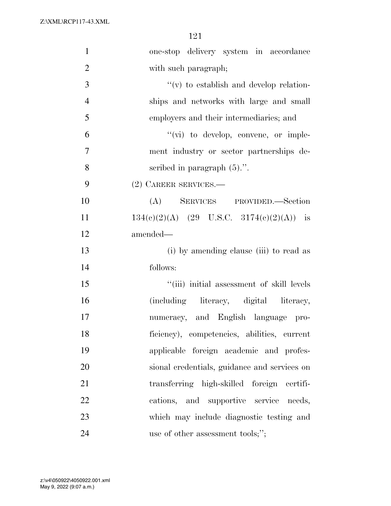| $\mathbf{1}$   | one-stop delivery system in accordance       |
|----------------|----------------------------------------------|
| $\overline{2}$ | with such paragraph;                         |
| 3              | $f'(v)$ to establish and develop relation-   |
| $\overline{4}$ | ships and networks with large and small      |
| 5              | employers and their intermediaries; and      |
| 6              | $\lq\lq$ (vi) to develop, convene, or imple- |
| $\tau$         | ment industry or sector partnerships de-     |
| 8              | scribed in paragraph $(5)$ .".               |
| 9              | (2) CAREER SERVICES.—                        |
| 10             | (A) SERVICES PROVIDED.—Section               |
| 11             | $134(e)(2)(A)$ (29 U.S.C. 3174(e)(2)(A)) is  |
| 12             | amended—                                     |
| 13             | (i) by amending clause (iii) to read as      |
| 14             | follows:                                     |
| 15             | "(iii) initial assessment of skill levels    |
| 16             | (including literacy, digital literacy,       |
| 17             | numeracy, and English language pro-          |
| 18             | ficiency), competencies, abilities, current  |
| 19             | applicable foreign academic and profes-      |
| 20             | sional credentials, guidance and services on |
| 21             | transferring high-skilled foreign certifi-   |
| 22             | cations, and supportive service needs,       |
| 23             | which may include diagnostic testing and     |
| 24             | use of other assessment tools;";             |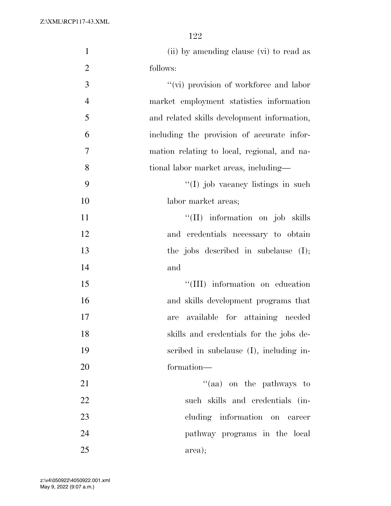| $\mathbf{1}$   | (ii) by amending clause (vi) to read as     |
|----------------|---------------------------------------------|
| $\overline{2}$ | follows:                                    |
| 3              | "(vi) provision of workforce and labor      |
| $\overline{4}$ | market employment statistics information    |
| 5              | and related skills development information, |
| 6              | including the provision of accurate infor-  |
| 7              | mation relating to local, regional, and na- |
| 8              | tional labor market areas, including—       |
| 9              | "(I) job vacancy listings in such           |
| 10             | labor market areas;                         |
| 11             | "(II) information on job skills             |
| 12             | and credentials necessary to obtain         |
| 13             | the jobs described in subclause $(I);$      |
| 14             | and                                         |
| 15             | "(III) information on education             |
| 16             | and skills development programs that        |
| 17             | available for attaining needed<br>are       |
| 18             | skills and credentials for the jobs de-     |
| 19             | scribed in subclause (I), including in-     |
| 20             | formation—                                  |
| 21             | "(aa) on the pathways to                    |
| 22             | such skills and credentials (in-            |
| 23             | cluding information on career               |
| 24             | pathway programs in the local               |
| 25             | area);                                      |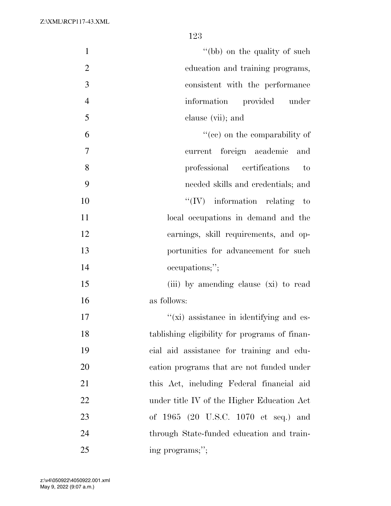| $\mathbf{1}$   | "(bb) on the quality of such                    |
|----------------|-------------------------------------------------|
| $\overline{2}$ | education and training programs,                |
| 3              | consistent with the performance                 |
| $\overline{4}$ | information<br>provided<br>under                |
| 5              | clause (vii); and                               |
| 6              | "(ce) on the comparability of                   |
| 7              | current foreign academic<br>and                 |
| 8              | professional certifications<br>to               |
| 9              | needed skills and credentials; and              |
| 10             | $``(IV)$ information relating to                |
| 11             | local occupations in demand and the             |
| 12             | earnings, skill requirements, and op-           |
| 13             | portunities for advancement for such            |
| 14             | occupations;";                                  |
| 15             | (iii) by amending clause (xi) to read           |
| 16             | as follows:                                     |
| 17             | $\lq\lq$ (xi) assistance in identifying and es- |
| 18             | tablishing eligibility for programs of finan-   |
| 19             | cial aid assistance for training and edu-       |
| 20             | cation programs that are not funded under       |
| 21             | this Act, including Federal financial aid       |
| 22             | under title IV of the Higher Education Act      |
| 23             | of 1965 (20 U.S.C. 1070 et seq.) and            |
| 24             | through State-funded education and train-       |
| 25             | ing programs;";                                 |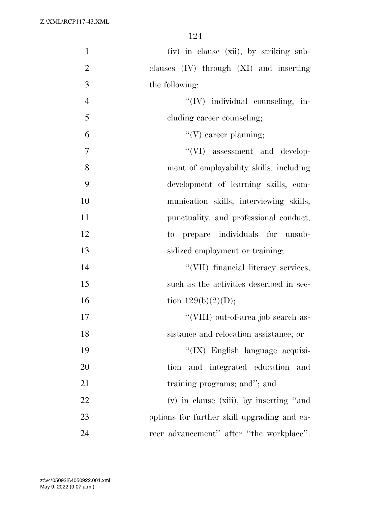| $\mathbf{1}$   | (iv) in clause (xii), by striking sub-      |
|----------------|---------------------------------------------|
| $\mathfrak{2}$ | clauses (IV) through (XI) and inserting     |
| 3              | the following:                              |
| $\overline{4}$ | "(IV) individual counseling, in-            |
| 5              | cluding career counseling;                  |
| 6              | $\lq\lq (V)$ career planning;               |
| 7              | "(VI) assessment and develop-               |
| 8              | ment of employability skills, including     |
| 9              | development of learning skills, com-        |
| 10             | munication skills, interviewing skills,     |
| 11             | punctuality, and professional conduct,      |
| 12             | to prepare individuals for unsub-           |
| 13             | sidized employment or training;             |
| 14             | "(VII) financial literacy services,         |
| 15             | such as the activities described in sec-    |
| 16             | tion $129(b)(2)(D);$                        |
| 17             | "(VIII) out-of-area job search as-          |
| 18             | sistance and relocation assistance; or      |
| 19             | "(IX) English language acquisi-             |
| 20             | tion and integrated education and           |
| 21             | training programs; and"; and                |
| 22             | $(v)$ in clause (xiii), by inserting "and   |
| 23             | options for further skill upgrading and ca- |
| 24             | reer advancement" after "the workplace".    |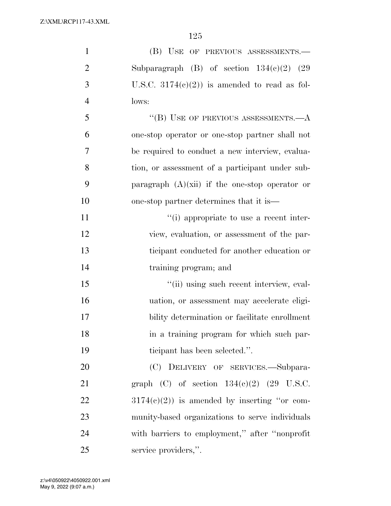| $\mathbf{1}$   | (B) USE OF PREVIOUS ASSESSMENTS.-                |
|----------------|--------------------------------------------------|
| $\overline{2}$ | Subparagraph (B) of section $134(c)(2)$ (29      |
| 3              | U.S.C. $3174(c)(2)$ is amended to read as fol-   |
| $\overline{4}$ | lows:                                            |
| 5              | "(B) USE OF PREVIOUS ASSESSMENTS. $-A$           |
| 6              | one-stop operator or one-stop partner shall not  |
| 7              | be required to conduct a new interview, evalua-  |
| 8              | tion, or assessment of a participant under sub-  |
| 9              | paragraph $(A)(xii)$ if the one-stop operator or |
| 10             | one-stop partner determines that it is—          |
| 11             | "(i) appropriate to use a recent inter-          |
| 12             | view, evaluation, or assessment of the par-      |
| 13             | ticipant conducted for another education or      |
| 14             | training program; and                            |
| 15             | "(ii) using such recent interview, eval-         |
| 16             | uation, or assessment may accelerate eligi-      |
| 17             | bility determination or facilitate enrollment    |
| 18             | in a training program for which such par-        |
| 19             | ticipant has been selected.".                    |
| 20             | (C) DELIVERY OF SERVICES.—Subpara-               |
| 21             | graph (C) of section $134(e)(2)$ (29 U.S.C.      |
| 22             | $3174(e)(2)$ is amended by inserting "or com-    |
| 23             | munity-based organizations to serve individuals  |
| 24             | with barriers to employment," after "nonprofit"  |
| 25             | service providers,".                             |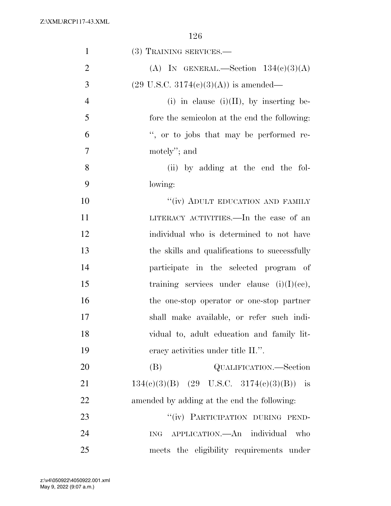| $\mathbf{1}$   | (3) TRAINING SERVICES.—                          |
|----------------|--------------------------------------------------|
| $\overline{2}$ | (A) IN GENERAL.—Section $134(c)(3)(A)$           |
| 3              | $(29 \text{ U.S.C. } 3174(e)(3)(A))$ is amended— |
| $\overline{4}$ | (i) in clause (i)(II), by inserting be-          |
| 5              | fore the semicolon at the end the following:     |
| 6              | ", or to jobs that may be performed re-          |
| 7              | motely"; and                                     |
| 8              | (ii) by adding at the end the fol-               |
| 9              | lowing:                                          |
| 10             | "(iv) ADULT EDUCATION AND FAMILY                 |
| 11             | LITERACY ACTIVITIES.—In the case of an           |
| 12             | individual who is determined to not have         |
| 13             | the skills and qualifications to successfully    |
| 14             | participate in the selected program of           |
| 15             | training services under clause $(i)(I)(ce)$ ,    |
| 16             | the one-stop operator or one-stop partner        |
| 17             | shall make available, or refer such indi-        |
| 18             | vidual to, adult education and family lit-       |
| 19             | eracy activities under title II.".               |
| 20             | QUALIFICATION.—Section<br>(B)                    |
| 21             | $134(c)(3)(B)$ (29 U.S.C. 3174(c)(3)(B)) is      |
| 22             | amended by adding at the end the following:      |
| 23             | "(iv) PARTICIPATION DURING PEND-                 |
| 24             | APPLICATION.—An individual<br>who<br><b>ING</b>  |
| 25             | meets the eligibility requirements under         |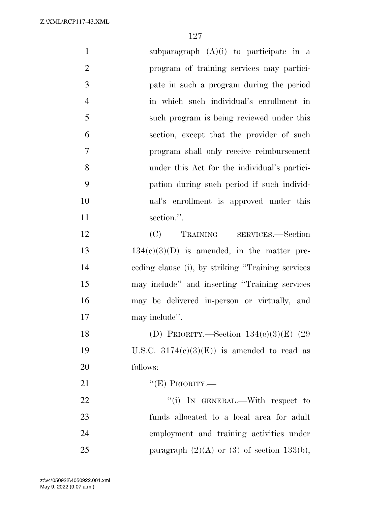| $\mathbf{1}$   | subparagraph $(A)(i)$ to participate in a          |
|----------------|----------------------------------------------------|
| $\overline{2}$ | program of training services may partici-          |
| 3              | pate in such a program during the period           |
| $\overline{4}$ | in which such individual's enrollment in           |
| 5              | such program is being reviewed under this          |
| 6              | section, except that the provider of such          |
| $\overline{7}$ | program shall only receive reimbursement           |
| 8              | under this Act for the individual's partici-       |
| 9              | pation during such period if such individ-         |
| 10             | ual's enrollment is approved under this            |
| 11             | section.".                                         |
| 12             | (C) TRAINING SERVICES.—Section                     |
| 13             | $134(c)(3)(D)$ is amended, in the matter pre-      |
| 14             | ceding clause (i), by striking "Training services" |
| 15             | may include" and inserting "Training services      |
| 16             | may be delivered in-person or virtually, and       |
| 17             | may include".                                      |
| 18             | (D) PRIORITY.—Section $134(c)(3)(E)$ (29           |
| 19             | U.S.C. $3174(c)(3)(E)$ is amended to read as       |
| 20             | follows:                                           |
| 21             | " $(E)$ PRIORITY.—                                 |
| 22             | "(i) IN GENERAL.—With respect to                   |
| 23             | funds allocated to a local area for adult          |
| 24             | employment and training activities under           |
| 25             | paragraph $(2)(A)$ or $(3)$ of section 133(b),     |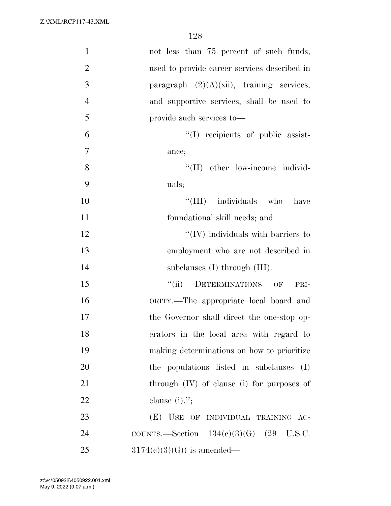| $\mathbf{1}$   | not less than 75 percent of such funds,      |
|----------------|----------------------------------------------|
| $\overline{2}$ | used to provide career services described in |
| 3              | paragraph $(2)(A)(xii)$ , training services, |
| $\overline{4}$ | and supportive services, shall be used to    |
| 5              | provide such services to—                    |
| 6              | "(I) recipients of public assist-            |
| 7              | ance;                                        |
| 8              | "(II) other low-income individ-              |
| 9              | uals;                                        |
| 10             | "(III) individuals who<br>have               |
| 11             | foundational skill needs; and                |
| 12             | $\lq\lq$ (IV) individuals with barriers to   |
| 13             | employment who are not described in          |
| 14             | subclauses $(I)$ through $(III)$ .           |
| 15             | DETERMINATIONS OF<br>``(ii)<br>PRI-          |
| 16             | ORITY.—The appropriate local board and       |
| 17             | the Governor shall direct the one-stop op-   |
| 18             | erators in the local area with regard to     |
| 19             | making determinations on how to prioritize   |
| 20             | the populations listed in subclauses (I)     |
| 21             | through (IV) of clause (i) for purposes of   |
| 22             | clause $(i)$ .";                             |
| 23             | (E) USE OF INDIVIDUAL TRAINING AC-           |
| 24             | COUNTS.—Section $134(c)(3)(G)$ (29 U.S.C.    |
| 25             | $3174(c)(3)(G)$ is amended—                  |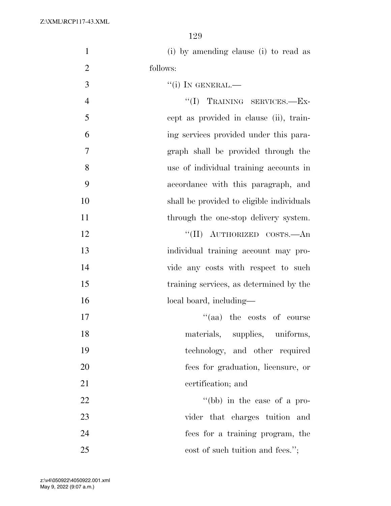| $\mathbf{1}$   | (i) by amending clause (i) to read as     |
|----------------|-------------------------------------------|
| $\overline{2}$ | follows:                                  |
| 3              | $``(i)$ IN GENERAL.—                      |
| $\overline{4}$ | "(I) TRAINING SERVICES.-Ex-               |
| 5              | cept as provided in clause (ii), train-   |
| 6              | ing services provided under this para-    |
| 7              | graph shall be provided through the       |
| 8              | use of individual training accounts in    |
| 9              | accordance with this paragraph, and       |
| 10             | shall be provided to eligible individuals |
| 11             | through the one-stop delivery system.     |
| 12             | "(II) AUTHORIZED COSTS.—An                |
| 13             | individual training account may pro-      |
| 14             | vide any costs with respect to such       |
| 15             | training services, as determined by the   |
| 16             | local board, including-                   |
| 17             | "(aa) the costs of course                 |
| 18             | materials, supplies, uniforms,            |
| 19             | technology, and other required            |
| 20             | fees for graduation, licensure, or        |
| 21             | certification; and                        |
| 22             | "(bb) in the case of a pro-               |
| 23             | vider that charges tuition and            |
| 24             | fees for a training program, the          |
| 25             | cost of such tuition and fees.";          |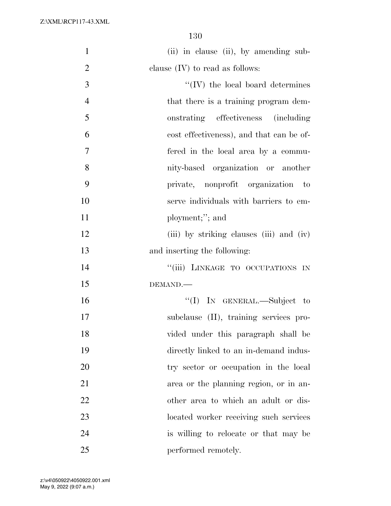| $\mathbf{1}$   | (ii) in clause (ii), by amending sub-    |
|----------------|------------------------------------------|
| $\overline{2}$ | clause $(IV)$ to read as follows:        |
| 3              | $\lq\lq$ (IV) the local board determines |
| $\overline{4}$ | that there is a training program dem-    |
| 5              | onstrating effectiveness (including      |
| 6              | cost effectiveness), and that can be of- |
| 7              | fered in the local area by a commu-      |
| 8              | nity-based organization or another       |
| 9              | private, nonprofit organization to       |
| 10             | serve individuals with barriers to em-   |
| 11             | ployment;"; and                          |
| 12             | (iii) by striking clauses (iii) and (iv) |
| 13             | and inserting the following:             |
| 14             | "(iii) LINKAGE TO OCCUPATIONS IN         |
| 15             | DEMAND.                                  |
| 16             | "(I) IN GENERAL.—Subject to              |
| 17             | subclause (II), training services pro-   |
| 18             | vided under this paragraph shall be      |
| 19             | directly linked to an in-demand indus-   |
| 20             | try sector or occupation in the local    |
| 21             | area or the planning region, or in an-   |
| 22             | other area to which an adult or dis-     |
| 23             | located worker receiving such services   |
| 24             | is willing to relocate or that may be    |
| 25             | performed remotely.                      |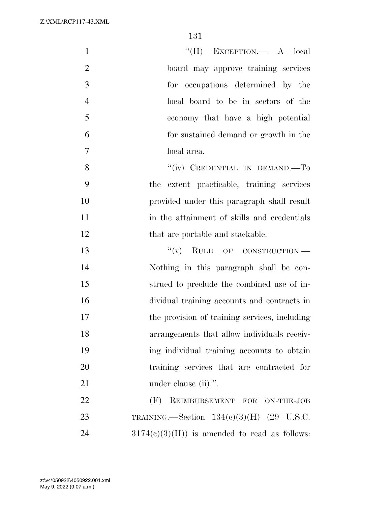| $\mathbf{1}$   | "(II) EXCEPTION.— A local                      |
|----------------|------------------------------------------------|
| $\overline{2}$ | board may approve training services            |
| 3              | for occupations determined by the              |
| $\overline{4}$ | local board to be in sectors of the            |
| 5              | economy that have a high potential             |
| 6              | for sustained demand or growth in the          |
| $\overline{7}$ | local area.                                    |
| 8              | "(iv) CREDENTIAL IN DEMAND.—To                 |
| 9              | the extent practicable, training services      |
| 10             | provided under this paragraph shall result     |
| 11             | in the attainment of skills and credentials    |
| 12             | that are portable and stackable.               |
| 13             | $``(v)$ RULE OF CONSTRUCTION.—                 |
| 14             | Nothing in this paragraph shall be con-        |
| 15             | strued to preclude the combined use of in-     |
| 16             | dividual training accounts and contracts in    |
| 17             | the provision of training services, including  |
| 18             | arrangements that allow individuals receiv-    |
| 19             | ing individual training accounts to obtain     |
| 20             | training services that are contracted for      |
| 21             | under clause (ii).".                           |
| 22             | REIMBURSEMENT FOR ON-THE-JOB<br>(F)            |
| 23             | TRAINING. Section $134(c)(3)(H)$ (29 U.S.C.    |
| 24             | $3174(c)(3)(H)$ is amended to read as follows: |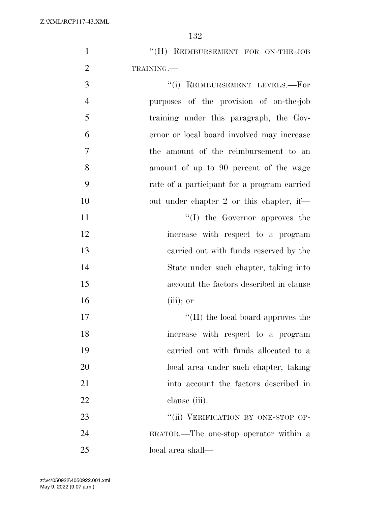| "(H) REIMBURSEMENT FOR ON-THE-JOB |  |  |
|-----------------------------------|--|--|
| TRAINING.—                        |  |  |

| 3              | "(i) REIMBURSEMENT LEVELS.-For              |
|----------------|---------------------------------------------|
| $\overline{4}$ | purposes of the provision of on-the-job     |
| 5              | training under this paragraph, the Gov-     |
| 6              | ernor or local board involved may increase  |
| 7              | the amount of the reimbursement to an       |
| 8              | amount of up to 90 percent of the wage      |
| 9              | rate of a participant for a program carried |
| 10             | out under chapter 2 or this chapter, if—    |
| 11             | $\lq\lq$ (I) the Governor approves the      |
| 12             | increase with respect to a program          |
| 13             | carried out with funds reserved by the      |
| 14             | State under such chapter, taking into       |
| 15             | account the factors described in clause     |
| 16             | $(iii)$ ; or                                |

17 ''(II) the local board approves the increase with respect to a program carried out with funds allocated to a local area under such chapter, taking into account the factors described in clause (iii).

23 "(ii) VERIFICATION BY ONE-STOP OP- ERATOR.—The one-stop operator within a local area shall—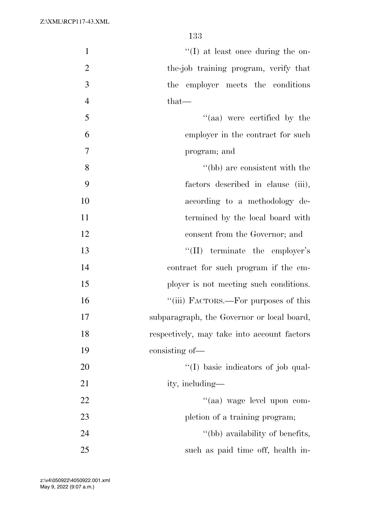| $\mathbf{1}$   | $\lq\lq$ (I) at least once during the on-   |
|----------------|---------------------------------------------|
| $\overline{2}$ | the-job training program, verify that       |
| 3              | the employer meets the conditions           |
| $\overline{4}$ | that—                                       |
| 5              | "(aa) were certified by the                 |
| 6              | employer in the contract for such           |
| $\overline{7}$ | program; and                                |
| 8              | "(bb) are consistent with the               |
| 9              | factors described in clause (iii),          |
| 10             | according to a methodology de-              |
| 11             | termined by the local board with            |
| 12             | consent from the Governor; and              |
| 13             | $\lq\lq$ (II) terminate the employer's      |
| 14             | contract for such program if the em-        |
| 15             | ployer is not meeting such conditions.      |
| 16             | "(iii) FACTORS.—For purposes of this        |
| 17             | subparagraph, the Governor or local board,  |
| 18             | respectively, may take into account factors |
| 19             | consisting of—                              |
| 20             | "(I) basic indicators of job qual-          |
| 21             | ity, including—                             |
| 22             | "(aa) wage level upon com-                  |
| 23             | pletion of a training program;              |
| 24             | "(bb) availability of benefits,             |
| 25             | such as paid time off, health in-           |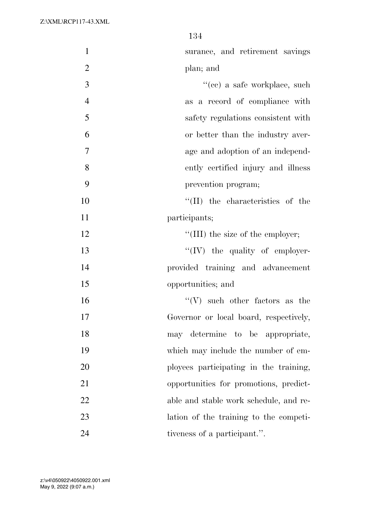| $\mathbf{1}$   | surance, and retirement savings          |
|----------------|------------------------------------------|
| $\overline{2}$ | plan; and                                |
| 3              | "(cc) a safe workplace, such             |
| $\overline{4}$ | as a record of compliance with           |
| 5              | safety regulations consistent with       |
| 6              | or better than the industry aver-        |
| 7              | age and adoption of an independ-         |
| 8              | ently certified injury and illness       |
| 9              | prevention program;                      |
| 10             | $\lq\lq$ (II) the characteristics of the |
| 11             | participants;                            |
| 12             | $\lq\lq$ (III) the size of the employer; |
| 13             | "(IV) the quality of employer-           |
| 14             | provided training and advancement        |
| 15             | opportunities; and                       |
| 16             | $``(V)$ such other factors as the        |
| 17             | Governor or local board, respectively,   |
| 18             | may determine to be appropriate,         |
| 19             | which may include the number of em-      |
| 20             | ployees participating in the training,   |
| 21             | opportunities for promotions, predict-   |
| 22             | able and stable work schedule, and re-   |
| 23             | lation of the training to the competi-   |
| 24             | tiveness of a participant.".             |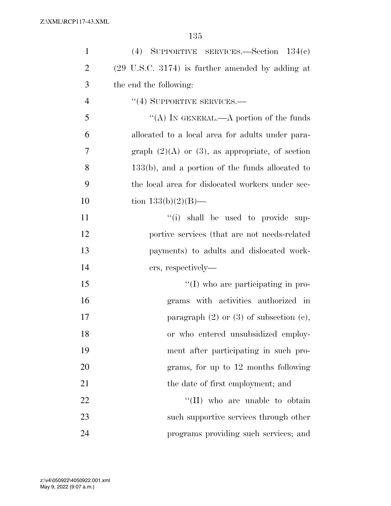| $\mathbf{1}$   | (4) SUPPORTIVE SERVICES. Section $134(e)$                   |
|----------------|-------------------------------------------------------------|
| $\overline{2}$ | $(29 \text{ U.S.C. } 3174)$ is further amended by adding at |
| 3              | the end the following:                                      |
| $\overline{4}$ | $``(4)$ SUPPORTIVE SERVICES.—                               |
| 5              | "(A) IN GENERAL.—A portion of the funds                     |
| 6              | allocated to a local area for adults under para-            |
| 7              | graph $(2)(A)$ or $(3)$ , as appropriate, of section        |
| 8              | $133(b)$ , and a portion of the funds allocated to          |
| 9              | the local area for dislocated workers under sec-            |
| 10             | tion $133(b)(2)(B)$ —                                       |
| 11             | "(i) shall be used to provide sup-                          |
| 12             | portive services (that are not needs-related                |
| 13             | payments) to adults and dislocated work-                    |
| 14             | ers, respectively—                                          |
| 15             | "(I) who are participating in pro-                          |
| 16             | grams with activities authorized in                         |
| 17             | paragraph $(2)$ or $(3)$ of subsection $(e)$ ,              |
| 18             | or who entered unsubsidized employ-                         |
| 19             | ment after participating in such pro-                       |
| 20             | grams, for up to 12 months following                        |
| 21             | the date of first employment; and                           |
| 22             | "(II) who are unable to obtain                              |
| 23             | such supportive services through other                      |
| 24             | programs providing such services; and                       |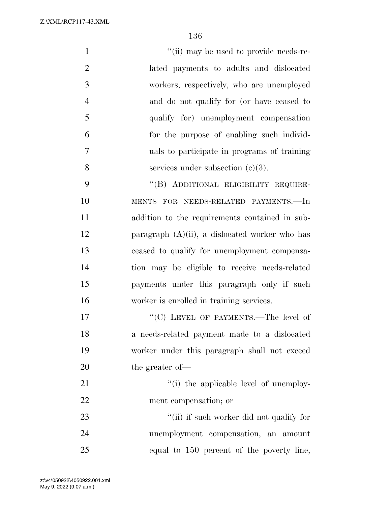| $\mathbf{1}$   | "(ii) may be used to provide needs-re-            |
|----------------|---------------------------------------------------|
| $\overline{2}$ | lated payments to adults and dislocated           |
| 3              | workers, respectively, who are unemployed         |
| $\overline{4}$ | and do not qualify for (or have ceased to         |
| 5              | qualify for) unemployment compensation            |
| 6              | for the purpose of enabling such individ-         |
| 7              | uals to participate in programs of training       |
| 8              | services under subsection $(c)(3)$ .              |
| 9              | "(B) ADDITIONAL ELIGIBILITY REQUIRE-              |
| 10             | MENTS FOR NEEDS-RELATED PAYMENTS.-In              |
| 11             | addition to the requirements contained in sub-    |
| 12             | paragraph $(A)(ii)$ , a dislocated worker who has |
| 13             | ceased to qualify for unemployment compensa-      |
| 14             | tion may be eligible to receive needs-related     |
| 15             | payments under this paragraph only if such        |
| 16             | worker is enrolled in training services.          |
| 17             | "(C) LEVEL OF PAYMENTS.—The level of              |
| 18             | a needs-related payment made to a dislocated      |
| 19             | worker under this paragraph shall not exceed      |
| 20             | the greater of-                                   |
| 21             | "(i) the applicable level of unemploy-            |
| 22             | ment compensation; or                             |
| 23             | "(ii) if such worker did not qualify for          |
| 24             | unemployment compensation, an<br>amount           |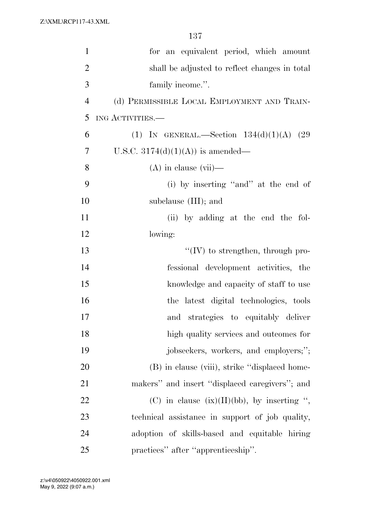| $\mathbf{1}$   | for an equivalent period, which amount          |
|----------------|-------------------------------------------------|
| $\overline{2}$ | shall be adjusted to reflect changes in total   |
| 3              | family income.".                                |
| $\overline{4}$ | (d) PERMISSIBLE LOCAL EMPLOYMENT AND TRAIN-     |
| 5              | ING ACTIVITIES.                                 |
| 6              | (1) IN GENERAL.—Section $134(d)(1)(A)$ (29      |
| 7              | U.S.C. $3174(d)(1)(A)$ is amended—              |
| 8              | $(A)$ in clause $(vii)$ —                       |
| 9              | (i) by inserting "and" at the end of            |
| 10             | subclause (III); and                            |
| 11             | (ii) by adding at the end the fol-              |
| 12             | lowing:                                         |
| 13             | $\lq\lq$ (IV) to strengthen, through pro-       |
| 14             | fessional development activities, the           |
| 15             | knowledge and capacity of staff to use          |
| 16             | the latest digital technologies, tools          |
| 17             | and strategies to equitably deliver             |
| 18             | high quality services and outcomes for          |
| 19             | jobseekers, workers, and employers;";           |
| 20             | (B) in clause (viii), strike "displaced home-   |
| 21             | makers" and insert "displaced caregivers"; and  |
| 22             | (C) in clause $(ix)(II)(bb)$ , by inserting ",  |
| 23             | technical assistance in support of job quality, |
| 24             | adoption of skills-based and equitable hiring   |
| 25             | practices" after "apprenticeship".              |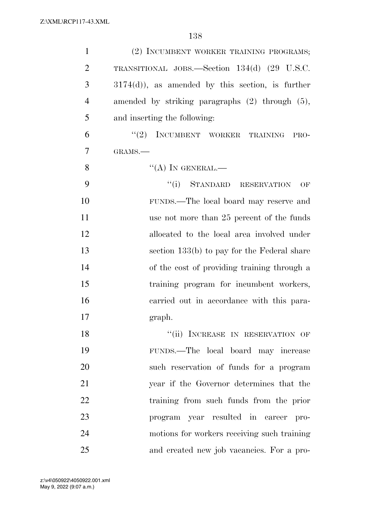| $\mathbf{1}$   | (2) INCUMBENT WORKER TRAINING PROGRAMS;              |
|----------------|------------------------------------------------------|
| $\overline{2}$ | TRANSITIONAL JOBS.—Section 134(d) (29 U.S.C.         |
| 3              | $3174(d)$ , as amended by this section, is further   |
| $\overline{4}$ | amended by striking paragraphs $(2)$ through $(5)$ , |
| 5              | and inserting the following:                         |
| 6              | "(2) INCUMBENT WORKER TRAINING<br>PRO-               |
| 7              | GRAMS.                                               |
| 8              | $\lq\lq (A)$ In GENERAL.—                            |
| 9              | "(i) STANDARD RESERVATION<br>OF                      |
| 10             | FUNDS.—The local board may reserve and               |
| 11             | use not more than 25 percent of the funds            |
| 12             | allocated to the local area involved under           |
| 13             | section 133(b) to pay for the Federal share          |
| 14             | of the cost of providing training through a          |
| 15             | training program for incumbent workers,              |
| 16             | carried out in accordance with this para-            |
| 17             | graph.                                               |
| 18             | "(ii) INCREASE IN RESERVATION OF                     |
| 19             | FUNDS.—The local board may increase                  |
| 20             | such reservation of funds for a program              |
| 21             | year if the Governor determines that the             |
| 22             | training from such funds from the prior              |
| 23             | program year resulted in career pro-                 |
| 24             | motions for workers receiving such training          |
| 25             | and created new job vacancies. For a pro-            |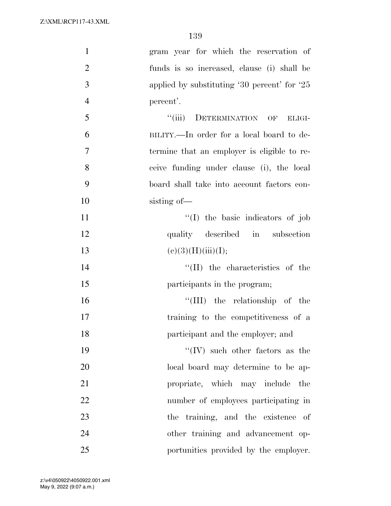| $\mathbf{1}$   | gram year for which the reservation of        |
|----------------|-----------------------------------------------|
| $\overline{2}$ | funds is so increased, clause (i) shall be    |
| $\mathfrak{Z}$ | applied by substituting $30$ percent for $25$ |
| $\overline{4}$ | percent'.                                     |
| 5              | "(iii) DETERMINATION OF<br>ELIGI-             |
| 6              | BILITY.—In order for a local board to de-     |
| 7              | termine that an employer is eligible to re-   |
| 8              | ceive funding under clause (i), the local     |
| 9              | board shall take into account factors con-    |
| 10             | sisting of-                                   |
| 11             | "(I) the basic indicators of job              |
| 12             | quality described in subsection               |
| 13             | (e)(3)(H)(iii)(I);                            |
| 14             | $\lq\lq$ (II) the characteristics of the      |
| 15             | participants in the program;                  |
| 16             | "(III) the relationship of the                |
| 17             | training to the competitiveness of a          |
| 18             | participant and the employer; and             |
| 19             | $\lq\lq$ (IV) such other factors as the       |
| 20             | local board may determine to be ap-           |
| 21             | propriate, which may include<br>the           |
| 22             | number of employees participating in          |
| 23             | the training, and the existence of            |
| 24             | other training and advancement op-            |
| 25             | portunities provided by the employer.         |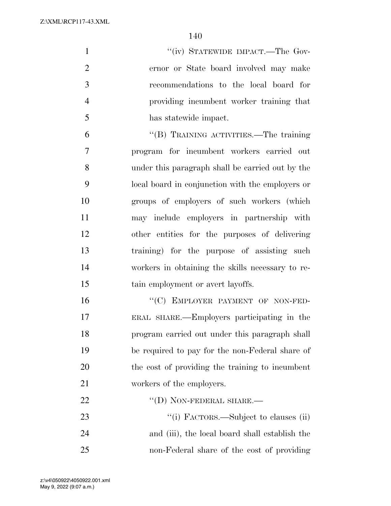1 ''(iv) STATEWIDE IMPACT.—The Gov- ernor or State board involved may make recommendations to the local board for providing incumbent worker training that has statewide impact.

 ''(B) TRAINING ACTIVITIES.—The training program for incumbent workers carried out under this paragraph shall be carried out by the local board in conjunction with the employers or groups of employers of such workers (which may include employers in partnership with other entities for the purposes of delivering training) for the purpose of assisting such workers in obtaining the skills necessary to re-15 tain employment or avert layoffs.

16 "(C) EMPLOYER PAYMENT OF NON-FED- ERAL SHARE.—Employers participating in the program carried out under this paragraph shall be required to pay for the non-Federal share of the cost of providing the training to incumbent workers of the employers.

22 "(D) NON-FEDERAL SHARE.—  $\frac{1}{1}$  FACTORS.—Subject to clauses (ii) and (iii), the local board shall establish the non-Federal share of the cost of providing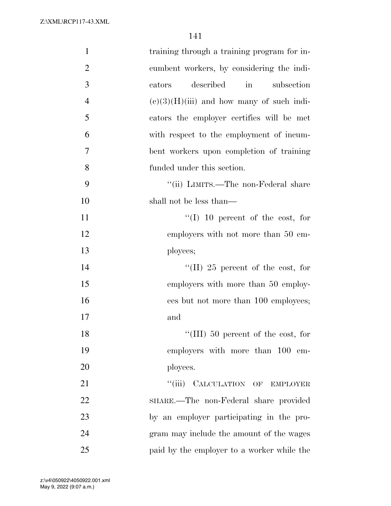| $\mathbf{1}$   | training through a training program for in- |
|----------------|---------------------------------------------|
| $\overline{2}$ | cumbent workers, by considering the indi-   |
| 3              | in<br>described<br>subsection<br>cators     |
| $\overline{4}$ | $(e)(3)(H)(iii)$ and how many of such indi- |
| 5              | cators the employer certifies will be met   |
| 6              | with respect to the employment of incum-    |
| 7              | bent workers upon completion of training    |
| 8              | funded under this section.                  |
| 9              | "(ii) LIMITS.—The non-Federal share         |
| 10             | shall not be less than—                     |
| 11             | "(I) 10 percent of the cost, for            |
| 12             | employers with not more than 50 em-         |
| 13             | ployees;                                    |
| 14             | "(II) 25 percent of the cost, for           |
| 15             | employers with more than 50 employ-         |
| 16             | ees but not more than 100 employees;        |
| 17             | and                                         |
| 18             | "(III) 50 percent of the cost, for          |
| 19             | employers with more than 100 em-            |
| 20             | ployees.                                    |
| 21             | "(iii) CALCULATION OF EMPLOYER              |
| 22             | SHARE.—The non-Federal share provided       |
| 23             | by an employer participating in the pro-    |
| 24             | gram may include the amount of the wages    |
| 25             | paid by the employer to a worker while the  |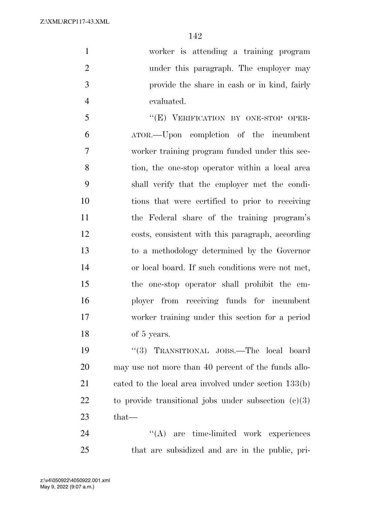worker is attending a training program under this paragraph. The employer may provide the share in cash or in kind, fairly evaluated.

 ''(E) VERIFICATION BY ONE-STOP OPER- ATOR.—Upon completion of the incumbent worker training program funded under this sec- tion, the one-stop operator within a local area shall verify that the employer met the condi- tions that were certified to prior to receiving the Federal share of the training program's costs, consistent with this paragraph, according to a methodology determined by the Governor or local board. If such conditions were not met, the one-stop operator shall prohibit the em- ployer from receiving funds for incumbent worker training under this section for a period of 5 years.

 ''(3) TRANSITIONAL JOBS.—The local board may use not more than 40 percent of the funds allo- cated to the local area involved under section 133(b) 22 to provide transitional jobs under subsection  $(c)(3)$ that—

24 ''(A) are time-limited work experiences that are subsidized and are in the public, pri-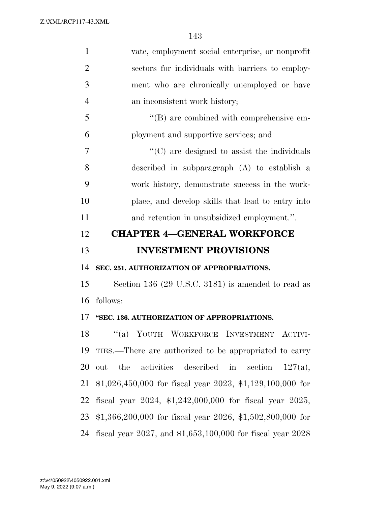| $\mathbf{1}$   | vate, employment social enterprise, or nonprofit               |
|----------------|----------------------------------------------------------------|
| $\overline{2}$ | sectors for individuals with barriers to employ-               |
| 3              | ment who are chronically unemployed or have                    |
| $\overline{4}$ | an inconsistent work history;                                  |
| 5              | "(B) are combined with comprehensive em-                       |
| 6              | ployment and supportive services; and                          |
| 7              | $\cdot$ (C) are designed to assist the individuals             |
| 8              | described in subparagraph (A) to establish a                   |
| 9              | work history, demonstrate success in the work-                 |
| 10             | place, and develop skills that lead to entry into              |
| 11             | and retention in unsubsidized employment.".                    |
| 12             | <b>CHAPTER 4–GENERAL WORKFORCE</b>                             |
|                |                                                                |
|                | <b>INVESTMENT PROVISIONS</b>                                   |
|                | SEC. 251. AUTHORIZATION OF APPROPRIATIONS.                     |
| 13<br>14<br>15 | Section 136 (29 U.S.C. 3181) is amended to read as             |
|                | follows:                                                       |
|                | "SEC. 136. AUTHORIZATION OF APPROPRIATIONS.                    |
| 16<br>17<br>18 | "(a) YOUTH WORKFORCE INVESTMENT ACTIVI-                        |
|                | TIES.—There are authorized to be appropriated to carry         |
| 19<br>20       | the<br>activities described in<br>out<br>section<br>$127(a)$ , |
| 21             | $$1,026,450,000$ for fiscal year 2023, \$1,129,100,000 for     |
| 22             | fiscal year $2024$ , \$1,242,000,000 for fiscal year $2025$ ,  |
| 23             | $$1,366,200,000$ for fiscal year 2026, \$1,502,800,000 for     |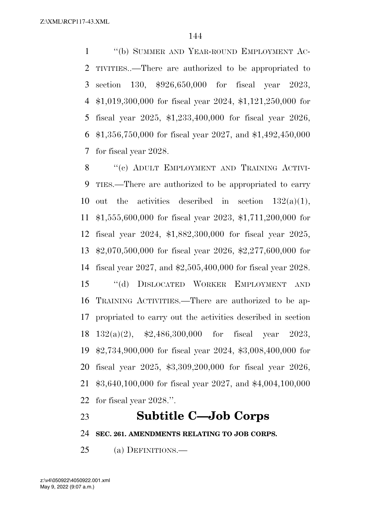''(b) SUMMER AND YEAR-ROUND EMPLOYMENT AC- TIVITIES..—There are authorized to be appropriated to section 130, \$926,650,000 for fiscal year 2023, \$1,019,300,000 for fiscal year 2024, \$1,121,250,000 for fiscal year 2025, \$1,233,400,000 for fiscal year 2026, \$1,356,750,000 for fiscal year 2027, and \$1,492,450,000 for fiscal year 2028.

8 "(c) ADULT EMPLOYMENT AND TRAINING ACTIVI- TIES.—There are authorized to be appropriated to carry 10 out the activities described in section  $132(a)(1)$ , \$1,555,600,000 for fiscal year 2023, \$1,711,200,000 for fiscal year 2024, \$1,882,300,000 for fiscal year 2025, \$2,070,500,000 for fiscal year 2026, \$2,277,600,000 for fiscal year 2027, and \$2,505,400,000 for fiscal year 2028. ''(d) DISLOCATED WORKER EMPLOYMENT AND TRAINING ACTIVITIES.—There are authorized to be ap- propriated to carry out the activities described in section 132(a)(2), \$2,486,300,000 for fiscal year 2023, \$2,734,900,000 for fiscal year 2024, \$3,008,400,000 for fiscal year 2025, \$3,309,200,000 for fiscal year 2026, \$3,640,100,000 for fiscal year 2027, and \$4,004,100,000 for fiscal year 2028.''.

## **Subtitle C—Job Corps**

**SEC. 261. AMENDMENTS RELATING TO JOB CORPS.** 

(a) DEFINITIONS.—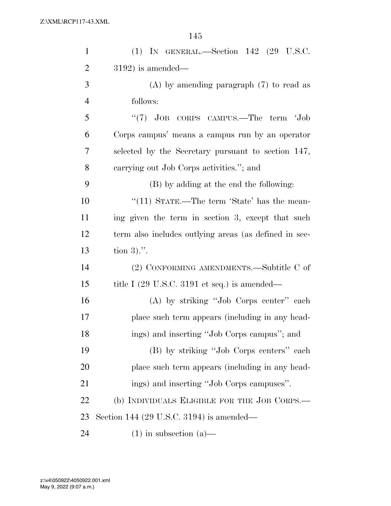| $\mathbf{1}$   | $(1)$ IN GENERAL.—Section 142 $(29 \text{ U.S.C.})$             |
|----------------|-----------------------------------------------------------------|
| $\overline{2}$ | $3192$ ) is amended—                                            |
| 3              | $(A)$ by amending paragraph $(7)$ to read as                    |
| $\overline{4}$ | follows:                                                        |
| 5              | "(7) JOB CORPS CAMPUS.—The term 'Job                            |
| 6              | Corps campus' means a campus run by an operator                 |
| 7              | selected by the Secretary pursuant to section 147,              |
| 8              | carrying out Job Corps activities."; and                        |
| 9              | (B) by adding at the end the following:                         |
| 10             | "(11) STATE.—The term 'State' has the mean-                     |
| 11             | ing given the term in section 3, except that such               |
| 12             | term also includes outlying areas (as defined in sec-           |
| 13             | tion $3)$ .".                                                   |
| 14             | (2) CONFORMING AMENDMENTS.—Subtitle C of                        |
| 15             | title I $(29 \text{ U.S.C. } 3191 \text{ et seq.})$ is amended— |
| 16             | (A) by striking "Job Corps center" each                         |
| 17             | place such term appears (including in any head-                 |
| 18             | ings) and inserting "Job Corps campus"; and                     |
| 19             | (B) by striking "Job Corps centers" each                        |
| 20             | place such term appears (including in any head-                 |
| 21             | ings) and inserting "Job Corps campuses".                       |
| 22             | (b) INDIVIDUALS ELIGIBLE FOR THE JOB CORPS.—                    |
| 23             | Section 144 (29 U.S.C. 3194) is amended—                        |
| 24             | $(1)$ in subsection $(a)$ —                                     |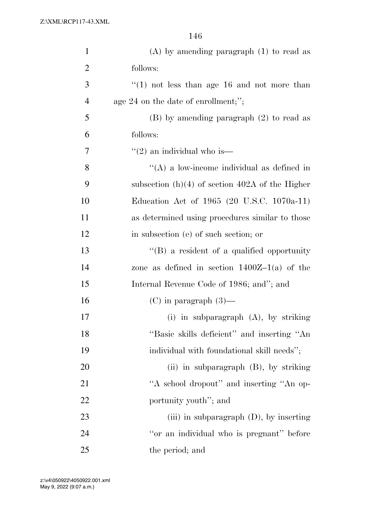| $\mathbf{1}$   | $(A)$ by amending paragraph $(1)$ to read as      |
|----------------|---------------------------------------------------|
| $\overline{2}$ | follows:                                          |
| 3              | $\lq(1)$ not less than age 16 and not more than   |
| $\overline{4}$ | age 24 on the date of enrollment;";               |
| 5              | $(B)$ by amending paragraph $(2)$ to read as      |
| 6              | follows:                                          |
| 7              | $\lq(2)$ an individual who is—                    |
| 8              | $\lq\lq$ a low-income individual as defined in    |
| 9              | subsection $(h)(4)$ of section 402A of the Higher |
| 10             | Education Act of 1965 (20 U.S.C. 1070a-11)        |
| 11             | as determined using procedures similar to those   |
| 12             | in subsection (e) of such section; or             |
| 13             | "(B) a resident of a qualified opportunity        |
| 14             | zone as defined in section $1400Z-1(a)$ of the    |
| 15             | Internal Revenue Code of 1986; and"; and          |
| 16             | $(C)$ in paragraph $(3)$ —                        |
| 17             | (i) in subparagraph $(A)$ , by striking           |
| 18             | "Basic skills deficient" and inserting "An        |
| 19             | individual with foundational skill needs";        |
| 20             | (ii) in subparagraph $(B)$ , by striking          |
| 21             | "A school dropout" and inserting "An op-          |
| 22             | portunity youth"; and                             |
| 23             | (iii) in subparagraph $(D)$ , by inserting        |
| 24             | "or an individual who is pregnant" before         |
| 25             | the period; and                                   |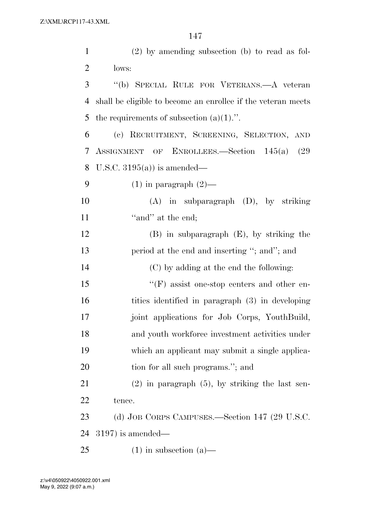| $\mathbf{1}$   | $(2)$ by amending subsection (b) to read as fol-             |
|----------------|--------------------------------------------------------------|
| $\overline{2}$ | lows:                                                        |
| 3              | "(b) SPECIAL RULE FOR VETERANS.—A veteran                    |
| 4              | shall be eligible to become an enrollee if the veteran meets |
| 5              | the requirements of subsection $(a)(1)$ .".                  |
| 6              | (c) RECRUITMENT, SCREENING, SELECTION, AND                   |
| 7              | ASSIGNMENT OF ENROLLEES.—Section 145(a)<br>(29               |
| 8              | U.S.C. $3195(a)$ is amended—                                 |
| 9              | $(1)$ in paragraph $(2)$ —                                   |
| 10             | $(A)$ in subparagraph $(D)$ , by striking                    |
| 11             | "and" at the end;                                            |
| 12             | $(B)$ in subparagraph $(E)$ , by striking the                |
| 13             | period at the end and inserting "; and"; and                 |
| 14             | (C) by adding at the end the following:                      |
| 15             | $\lq\lq(F)$ assist one-stop centers and other en-            |
| 16             | tities identified in paragraph (3) in developing             |
| 17             | joint applications for Job Corps, YouthBuild,                |
| 18             | and youth workforce investment activities under              |
| 19             | which an applicant may submit a single applica-              |
| 20             | tion for all such programs."; and                            |
| 21             | $(2)$ in paragraph $(5)$ , by striking the last sen-         |
| 22             | tence.                                                       |
| 23             | (d) JOB CORPS CAMPUSES.—Section 147 (29 U.S.C.               |
| 24             | $3197$ ) is amended—                                         |
| 25             | $(1)$ in subsection $(a)$ —                                  |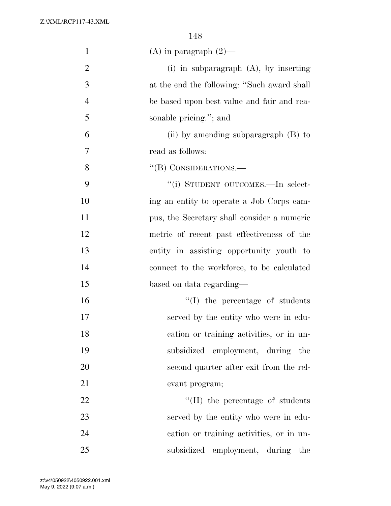| $\mathbf{1}$   | (A) in paragraph $(2)$ —                    |
|----------------|---------------------------------------------|
| $\overline{2}$ | (i) in subparagraph $(A)$ , by inserting    |
| 3              | at the end the following: "Such award shall |
| $\overline{4}$ | be based upon best value and fair and rea-  |
| 5              | sonable pricing."; and                      |
| 6              | (ii) by amending subparagraph $(B)$ to      |
| 7              | read as follows:                            |
| 8              | $``$ (B) CONSIDERATIONS.—                   |
| 9              | "(i) STUDENT OUTCOMES.—In select-           |
| 10             | ing an entity to operate a Job Corps cam-   |
| 11             | pus, the Secretary shall consider a numeric |
| 12             | metric of recent past effectiveness of the  |
| 13             | entity in assisting opportunity youth to    |
| 14             | connect to the workforce, to be calculated  |
| 15             | based on data regarding—                    |
| 16             | $\lq\lq$ (I) the percentage of students     |
| 17             | served by the entity who were in edu-       |
| 18             | cation or training activities, or in un-    |
| 19             | subsidized employment, during the           |
| 20             | second quarter after exit from the rel-     |
| 21             | evant program;                              |
| 22             | $\lq\lq$ (II) the percentage of students    |
| 23             | served by the entity who were in edu-       |
| 24             | cation or training activities, or in un-    |
| 25             | subsidized employment, during<br>the        |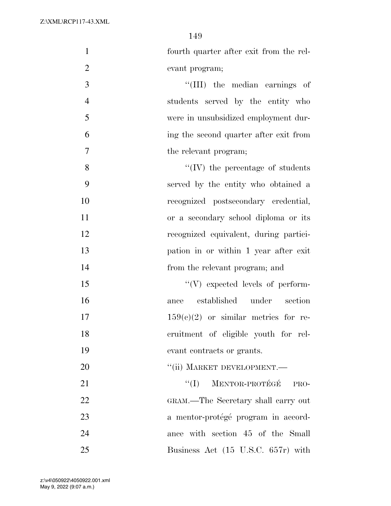| $\mathbf{1}$   | fourth quarter after exit from the rel-  |
|----------------|------------------------------------------|
| $\mathfrak{2}$ | evant program;                           |
| 3              | $\lq\lq$ (III) the median earnings of    |
| $\overline{4}$ | students served by the entity who        |
| 5              | were in unsubsidized employment dur-     |
| 6              | ing the second quarter after exit from   |
| 7              | the relevant program;                    |
| 8              | $\lq\lq$ (IV) the percentage of students |
| 9              | served by the entity who obtained a      |
| 10             | recognized postsecondary credential,     |
| 11             | or a secondary school diploma or its     |
| 12             | recognized equivalent, during partici-   |
| 13             | pation in or within 1 year after exit    |
| 14             | from the relevant program; and           |
| 15             | $\lq\lq(V)$ expected levels of perform-  |
| 16             | ance established<br>under section        |
| 17             | $159(c)(2)$ or similar metrics for re-   |
| 18             | cruitment of eligible youth for rel-     |
| 19             | evant contracts or grants.               |
| 20             | "(ii) MARKET DEVELOPMENT.-               |
| 21             | MENTOR-PROTÉGÉ<br>``(I)<br>PRO-          |
| 22             | GRAM.—The Secretary shall carry out      |
| 23             | a mentor-protégé program in accord-      |
| 24             | ance with section 45 of the Small        |
| 25             | Business Act (15 U.S.C. 657r) with       |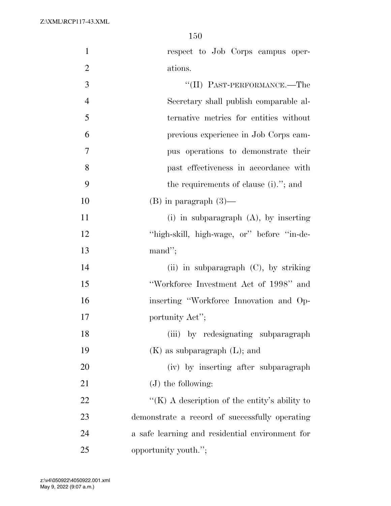| $\mathbf{1}$   | respect to Job Corps campus oper-               |
|----------------|-------------------------------------------------|
| $\overline{2}$ | ations.                                         |
| 3              | "(II) PAST-PERFORMANCE.—The                     |
| $\overline{4}$ | Secretary shall publish comparable al-          |
| 5              | ternative metrics for entities without          |
| 6              | previous experience in Job Corps cam-           |
| 7              | pus operations to demonstrate their             |
| 8              | past effectiveness in accordance with           |
| 9              | the requirements of clause (i)."; and           |
| 10             | $(B)$ in paragraph $(3)$ —                      |
| 11             | $(i)$ in subparagraph $(A)$ , by inserting      |
| 12             | "high-skill, high-wage, or" before "in-de-      |
| 13             | $mand$ ";                                       |
| 14             | (ii) in subparagraph $(C)$ , by striking        |
| 15             | "Workforce Investment Act of 1998" and          |
| 16             | inserting "Workforce Innovation and Op-         |
| 17             | portunity Act";                                 |
| 18             | (iii) by redesignating subparagraph             |
| 19             | $(K)$ as subparagraph $(L)$ ; and               |
| 20             | (iv) by inserting after subparagraph            |
| 21             | $(J)$ the following:                            |
| 22             | "(K) A description of the entity's ability to   |
| 23             | demonstrate a record of successfully operating  |
| 24             | a safe learning and residential environment for |
| 25             | opportunity youth.";                            |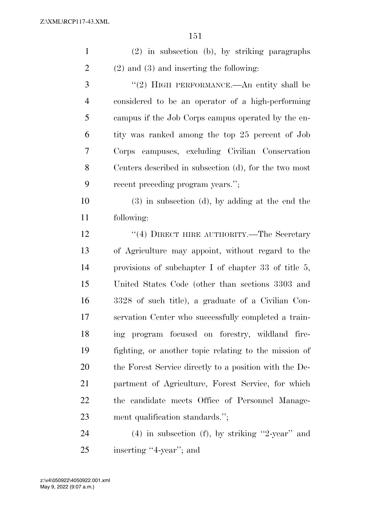| $\mathbf{1}$   | (2) in subsection (b), by striking paragraphs           |
|----------------|---------------------------------------------------------|
| $\overline{2}$ | $(2)$ and $(3)$ and inserting the following:            |
| 3              | "(2) HIGH PERFORMANCE.—An entity shall be               |
| $\overline{4}$ | considered to be an operator of a high-performing       |
| 5              | campus if the Job Corps campus operated by the en-      |
| 6              | tity was ranked among the top 25 percent of Job         |
| 7              | Corps campuses, excluding Civilian Conservation         |
| 8              | Centers described in subsection (d), for the two most   |
| 9              | recent preceding program years.";                       |
| 10             | $(3)$ in subsection $(d)$ , by adding at the end the    |
| 11             | following:                                              |
| 12             | "(4) DIRECT HIRE AUTHORITY.—The Secretary               |
| 13             | of Agriculture may appoint, without regard to the       |
| 14             | provisions of subchapter I of chapter 33 of title $5$ , |
| 15             | United States Code (other than sections 3303 and        |
| 16             | 3328 of such title), a graduate of a Civilian Con-      |
| 17             | servation Center who successfully completed a train-    |
| 18             | ing program focused on forestry, wildland fire-         |
| 19             | fighting, or another topic relating to the mission of   |
| 20             | the Forest Service directly to a position with the De-  |
| 21             | partment of Agriculture, Forest Service, for which      |
| 22             | the candidate meets Office of Personnel Manage-         |
| 23             | ment qualification standards.";                         |
|                |                                                         |

 (4) in subsection (f), by striking ''2-year'' and 25 inserting "4-year"; and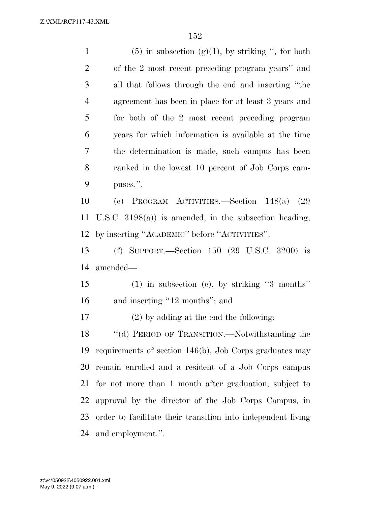1 (5) in subsection  $(g)(1)$ , by striking ", for both of the 2 most recent preceding program years'' and all that follows through the end and inserting ''the agreement has been in place for at least 3 years and for both of the 2 most recent preceding program years for which information is available at the time the determination is made, such campus has been ranked in the lowest 10 percent of Job Corps cam- puses.''. (e) PROGRAM ACTIVITIES.—Section 148(a) (29 U.S.C. 3198(a)) is amended, in the subsection heading, by inserting ''ACADEMIC'' before ''ACTIVITIES''. (f) SUPPORT.—Section 150 (29 U.S.C. 3200) is amended— (1) in subsection (c), by striking ''3 months'' 16 and inserting "12 months"; and (2) by adding at the end the following: 18 "(d) PERIOD OF TRANSITION.—Notwithstanding the requirements of section 146(b), Job Corps graduates may remain enrolled and a resident of a Job Corps campus for not more than 1 month after graduation, subject to approval by the director of the Job Corps Campus, in order to facilitate their transition into independent living

and employment.''.

May 9, 2022 (9:07 a.m.) z:\v4\050922\4050922.001.xml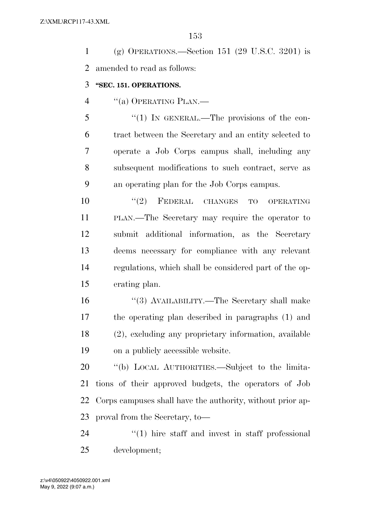| (g) OPERATIONS.—Section 151 (29 U.S.C. 3201) is |
|-------------------------------------------------|
| 2 amended to read as follows:                   |

#### **''SEC. 151. OPERATIONS.**

4 "(a) OPERATING PLAN.—

5 "(1) IN GENERAL.—The provisions of the con- tract between the Secretary and an entity selected to operate a Job Corps campus shall, including any subsequent modifications to such contract, serve as an operating plan for the Job Corps campus.

 $(2)$  FEDERAL CHANGES TO OPERATING PLAN.—The Secretary may require the operator to submit additional information, as the Secretary deems necessary for compliance with any relevant regulations, which shall be considered part of the op-erating plan.

 ''(3) AVAILABILITY.—The Secretary shall make the operating plan described in paragraphs (1) and (2), excluding any proprietary information, available on a publicly accessible website.

 ''(b) LOCAL AUTHORITIES.—Subject to the limita- tions of their approved budgets, the operators of Job Corps campuses shall have the authority, without prior ap-proval from the Secretary, to—

24  $\frac{1}{2}$  (1) hire staff and invest in staff professional development;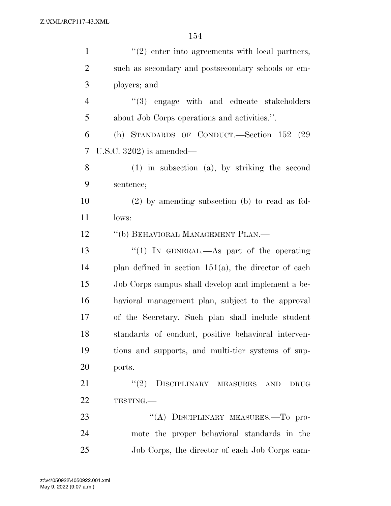| $\mathbf{1}$   | $\lq(2)$ enter into agreements with local partners,     |
|----------------|---------------------------------------------------------|
| $\overline{2}$ | such as secondary and postsecondary schools or em-      |
| 3              | ployers; and                                            |
| $\overline{4}$ | "(3) engage with and educate stakeholders               |
| 5              | about Job Corps operations and activities.".            |
| 6              | (h) STANDARDS OF CONDUCT.—Section 152 (29               |
| 7              | U.S.C. $3202$ ) is amended—                             |
| 8              | $(1)$ in subsection $(a)$ , by striking the second      |
| 9              | sentence;                                               |
| 10             | $(2)$ by amending subsection (b) to read as fol-        |
| 11             | lows:                                                   |
| 12             | "(b) BEHAVIORAL MANAGEMENT PLAN.—                       |
| 13             | "(1) IN GENERAL.—As part of the operating               |
| 14             | plan defined in section $151(a)$ , the director of each |
| 15             | Job Corps campus shall develop and implement a be-      |
| 16             | havioral management plan, subject to the approval       |
| 17             | of the Secretary. Such plan shall include student       |
| 18             | standards of conduct, positive behavioral interven-     |
| 19             | tions and supports, and multi-tier systems of sup-      |
| 20             | ports.                                                  |
| 21             | "(2) DISCIPLINARY MEASURES AND<br><b>DRUG</b>           |
| 22             | TESTING.                                                |
| 23             | "(A) DISCIPLINARY MEASURES.-To pro-                     |
| 24             | mote the proper behavioral standards in the             |
| 25             | Job Corps, the director of each Job Corps cam-          |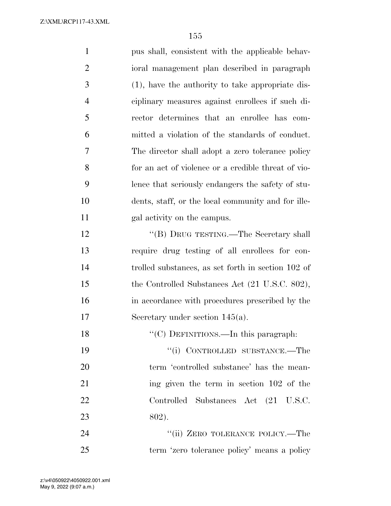| $\mathbf{1}$   | pus shall, consistent with the applicable behav-    |
|----------------|-----------------------------------------------------|
| $\overline{2}$ | ioral management plan described in paragraph        |
| 3              | $(1)$ , have the authority to take appropriate dis- |
| $\overline{4}$ | ciplinary measures against enrollees if such di-    |
| 5              | rector determines that an enrollee has com-         |
| 6              | mitted a violation of the standards of conduct.     |
| 7              | The director shall adopt a zero tolerance policy    |
| 8              | for an act of violence or a credible threat of vio- |
| 9              | lence that seriously endangers the safety of stu-   |
| 10             | dents, staff, or the local community and for ille-  |
| 11             | gal activity on the campus.                         |
| 12             | "(B) DRUG TESTING.—The Secretary shall              |
| 13             | require drug testing of all enrollees for con-      |
| 14             | trolled substances, as set forth in section 102 of  |
| 15             | the Controlled Substances Act (21 U.S.C. 802),      |
| 16             | in accordance with procedures prescribed by the     |
| 17             | Secretary under section $145(a)$ .                  |
| 18             | "(C) DEFINITIONS.—In this paragraph:                |
| 19             | "(i) CONTROLLED SUBSTANCE.—The                      |
| 20             | term 'controlled substance' has the mean-           |
| 21             | ing given the term in section 102 of the            |
| 22             | Controlled Substances Act (21 U.S.C.                |
| 23             | 802).                                               |
| 24             | "(ii) ZERO TOLERANCE POLICY.—The                    |
| 25             | term 'zero tolerance policy' means a policy         |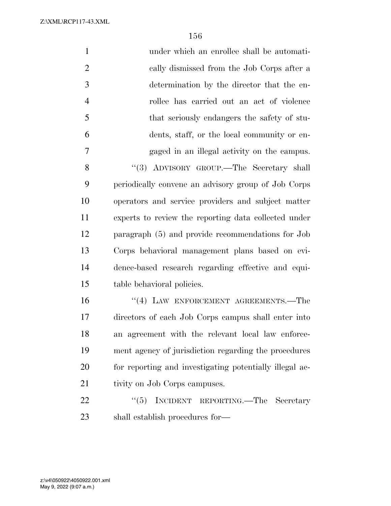| $\mathbf{1}$   | under which an enrollee shall be automati-              |
|----------------|---------------------------------------------------------|
| $\overline{2}$ | cally dismissed from the Job Corps after a              |
| 3              | determination by the director that the en-              |
| $\overline{4}$ | rollee has carried out an act of violence               |
| 5              | that seriously endangers the safety of stu-             |
| 6              | dents, staff, or the local community or en-             |
| $\overline{7}$ | gaged in an illegal activity on the campus.             |
| 8              | "(3) ADVISORY GROUP.—The Secretary shall                |
| 9              | periodically convene an advisory group of Job Corps     |
| 10             | operators and service providers and subject matter      |
| 11             | experts to review the reporting data collected under    |
| 12             | paragraph (5) and provide recommendations for Job       |
| 13             | Corps behavioral management plans based on evi-         |
| 14             | dence-based research regarding effective and equi-      |
| 15             | table behavioral policies.                              |
| 16             | "(4) LAW ENFORCEMENT AGREEMENTS.—The                    |
| 17             | directors of each Job Corps campus shall enter into     |
| 18             | an agreement with the relevant local law enforce-       |
| 19             | ment agency of jurisdiction regarding the procedures    |
| 20             | for reporting and investigating potentially illegal ac- |
| 21             | tivity on Job Corps campuses.                           |
| 22             | (5)<br>INCIDENT REPORTING.—The Secretary                |
| 23             | shall establish procedures for—                         |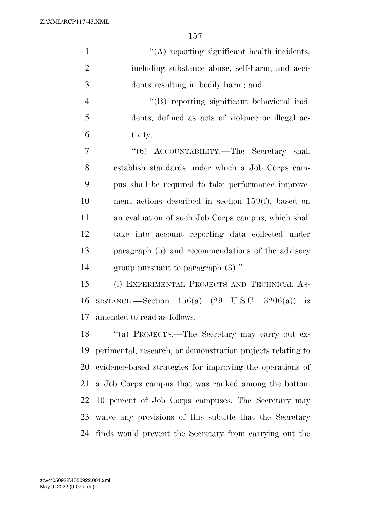| $\mathbf{1}$   | "(A) reporting significant health incidents,                 |
|----------------|--------------------------------------------------------------|
| $\overline{2}$ | including substance abuse, self-harm, and acci-              |
| 3              | dents resulting in bodily harm; and                          |
| $\overline{4}$ | "(B) reporting significant behavioral inci-                  |
| 5              | dents, defined as acts of violence or illegal ac-            |
| 6              | tivity.                                                      |
| $\overline{7}$ | "(6) ACCOUNTABILITY.—The Secretary shall                     |
| 8              | establish standards under which a Job Corps cam-             |
| 9              | pus shall be required to take performance improve-           |
| 10             | ment actions described in section $159(f)$ , based on        |
| 11             | an evaluation of such Job Corps campus, which shall          |
| 12             | take into account reporting data collected under             |
| 13             | paragraph (5) and recommendations of the advisory            |
| 14             | group pursuant to paragraph $(3)$ .".                        |
| 15             | (i) EXPERIMENTAL PROJECTS AND TECHNICAL AS-                  |
| 16             | SISTANCE.—Section $156(a)$ $(29 \text{ U.S.C. } 3206(a))$ is |
| 17             | amended to read as follows:                                  |
| 18             | "(a) PROJECTS.—The Secretary may carry out ex-               |
| 19             | perimental, research, or demonstration projects relating to  |
| 20             | evidence-based strategies for improving the operations of    |
| 21             | a Job Corps campus that was ranked among the bottom          |
| 22             | 10 percent of Job Corps campuses. The Secretary may          |
| 23             | waive any provisions of this subtitle that the Secretary     |
| 24             | finds would prevent the Secretary from carrying out the      |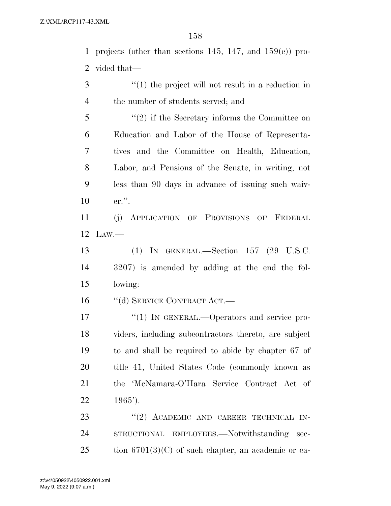1 projects (other than sections 145, 147, and  $159(e)$ ) pro-vided that—

 ''(1) the project will not result in a reduction in the number of students served; and

 ''(2) if the Secretary informs the Committee on Education and Labor of the House of Representa- tives and the Committee on Health, Education, Labor, and Pensions of the Senate, in writing, not less than 90 days in advance of issuing such waiv-er.''.

 (j) APPLICATION OF PROVISIONS OF FEDERAL LAW.—

 (1) IN GENERAL.—Section 157 (29 U.S.C. 3207) is amended by adding at the end the fol-lowing:

16 "(d) SERVICE CONTRACT ACT.—

 $\frac{17}{2}$   $\frac{17}{2}$  IN GENERAL. - Operators and service pro- viders, including subcontractors thereto, are subject to and shall be required to abide by chapter 67 of title 41, United States Code (commonly known as the 'McNamara-O'Hara Service Contract Act of 1965').

23 "(2) ACADEMIC AND CAREER TECHNICAL IN- STRUCTIONAL EMPLOYEES.—Notwithstanding sec-tion 6701(3)(C) of such chapter, an academic or ca-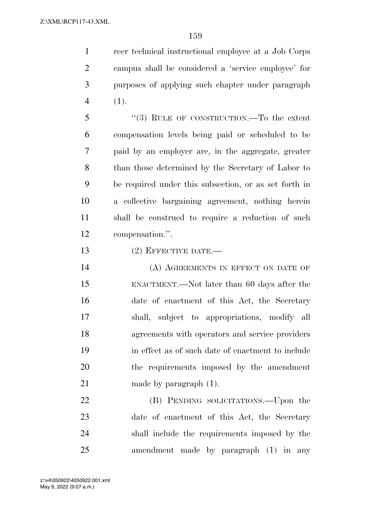reer technical instructional employee at a Job Corps campus shall be considered a 'service employee' for purposes of applying such chapter under paragraph (1).

 ''(3) RULE OF CONSTRUCTION.—To the extent compensation levels being paid or scheduled to be paid by an employer are, in the aggregate, greater than those determined by the Secretary of Labor to be required under this subsection, or as set forth in a collective bargaining agreement, nothing herein shall be construed to require a reduction of such compensation.''.

13 (2) EFFECTIVE DATE.

14 (A) AGREEMENTS IN EFFECT ON DATE OF ENACTMENT.—Not later than 60 days after the date of enactment of this Act, the Secretary shall, subject to appropriations, modify all agreements with operators and service providers in effect as of such date of enactment to include the requirements imposed by the amendment 21 made by paragraph  $(1)$ .

22 (B) PENDING SOLICITATIONS.—Upon the date of enactment of this Act, the Secretary shall include the requirements imposed by the amendment made by paragraph (1) in any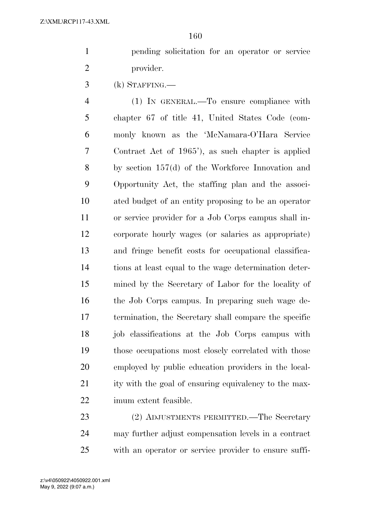pending solicitation for an operator or service provider.

(k) STAFFING.—

 (1) IN GENERAL.—To ensure compliance with chapter 67 of title 41, United States Code (com- monly known as the 'McNamara-O'Hara Service Contract Act of 1965'), as such chapter is applied by section 157(d) of the Workforce Innovation and Opportunity Act, the staffing plan and the associ- ated budget of an entity proposing to be an operator or service provider for a Job Corps campus shall in- corporate hourly wages (or salaries as appropriate) and fringe benefit costs for occupational classifica- tions at least equal to the wage determination deter- mined by the Secretary of Labor for the locality of the Job Corps campus. In preparing such wage de- termination, the Secretary shall compare the specific job classifications at the Job Corps campus with those occupations most closely correlated with those employed by public education providers in the local-21 ity with the goal of ensuring equivalency to the max-imum extent feasible.

 (2) ADJUSTMENTS PERMITTED.—The Secretary may further adjust compensation levels in a contract with an operator or service provider to ensure suffi-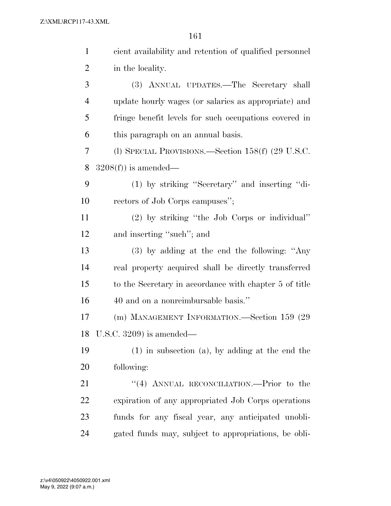| $\mathbf{1}$   | cient availability and retention of qualified personnel |
|----------------|---------------------------------------------------------|
| $\overline{2}$ | in the locality.                                        |
| 3              | (3) ANNUAL UPDATES.—The Secretary shall                 |
| $\overline{4}$ | update hourly wages (or salaries as appropriate) and    |
| 5              | fringe benefit levels for such occupations covered in   |
| 6              | this paragraph on an annual basis.                      |
| 7              | (l) SPECIAL PROVISIONS.—Section $158(f)$ (29 U.S.C.     |
| 8              | $3208(f)$ is amended—                                   |
| 9              | (1) by striking "Secretary" and inserting "di-          |
| 10             | rectors of Job Corps campuses";                         |
| 11             | (2) by striking "the Job Corps or individual"           |
| 12             | and inserting "such"; and                               |
| 13             | (3) by adding at the end the following: "Any            |
| 14             | real property acquired shall be directly transferred    |
| 15             | to the Secretary in accordance with chapter 5 of title  |
| 16             | 40 and on a nonreimbursable basis."                     |
| 17             | (m) MANAGEMENT INFORMATION.—Section 159 (29             |
| 18             | U.S.C. $3209$ ) is amended—                             |
| 19             | $(1)$ in subsection $(a)$ , by adding at the end the    |
| 20             | following:                                              |
| 21             | "(4) ANNUAL RECONCILIATION.—Prior to the                |
| 22             | expiration of any appropriated Job Corps operations     |
| 23             | funds for any fiscal year, any anticipated unobli-      |
| 24             | gated funds may, subject to appropriations, be obli-    |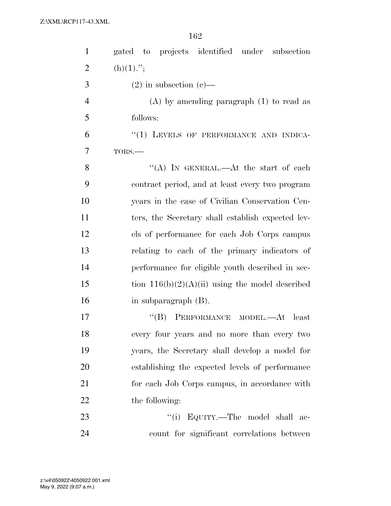| $\mathbf{1}$   | gated to projects identified under subsection     |
|----------------|---------------------------------------------------|
| $\overline{c}$ | $(h)(1)$ .";                                      |
| 3              | $(2)$ in subsection $(e)$ —                       |
| $\overline{4}$ | $(A)$ by amending paragraph $(1)$ to read as      |
| 5              | follows:                                          |
| 6              | "(1) LEVELS OF PERFORMANCE AND INDICA-            |
| 7              | TORS.-                                            |
| 8              | "(A) IN GENERAL.—At the start of each             |
| 9              | contract period, and at least every two program   |
| 10             | years in the case of Civilian Conservation Cen-   |
| 11             | ters, the Secretary shall establish expected lev- |
| 12             | els of performance for each Job Corps campus      |
| 13             | relating to each of the primary indicators of     |
| 14             | performance for eligible youth described in sec-  |
| 15             | tion $116(b)(2)(A)(ii)$ using the model described |
| 16             | in subparagraph (B).                              |
| 17             | "(B) PERFORMANCE MODEL.—At least                  |
| 18             | every four years and no more than every two       |
| 19             | years, the Secretary shall develop a model for    |
| 20             | establishing the expected levels of performance   |
| 21             | for each Job Corps campus, in accordance with     |
| 22             | the following:                                    |
| 23             | "(i) EQUITY.—The model shall ac-                  |
| 24             | count for significant correlations between        |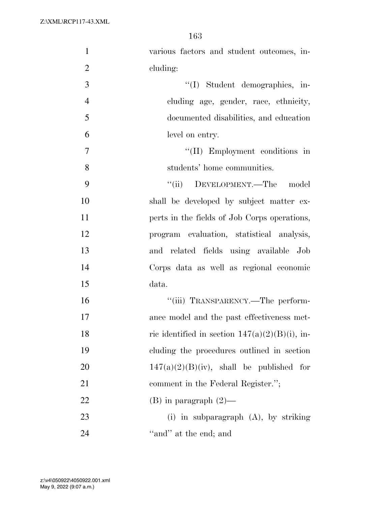| $\mathbf{1}$   | various factors and student outcomes, in-         |
|----------------|---------------------------------------------------|
| $\overline{2}$ | cluding:                                          |
| 3              | "(I) Student demographics, in-                    |
| $\overline{4}$ | cluding age, gender, race, ethnicity,             |
| 5              | documented disabilities, and education            |
| 6              | level on entry.                                   |
| $\overline{7}$ | "(II) Employment conditions in                    |
| 8              | students' home communities.                       |
| 9              | "(ii) DEVELOPMENT.—The model                      |
| 10             | shall be developed by subject matter ex-          |
| 11             | perts in the fields of Job Corps operations,      |
| 12             | program evaluation, statistical analysis,         |
| 13             | and related fields using available Job            |
| 14             | Corps data as well as regional economic           |
| 15             | data.                                             |
| 16             | "(iii) TRANSPARENCY.—The perform-                 |
| 17             | ance model and the past effectiveness met-        |
| 18             | ric identified in section $147(a)(2)(B)(i)$ , in- |
| 19             | cluding the procedures outlined in section        |
| 20             | $147(a)(2)(B)(iv)$ , shall be published for       |
| 21             | comment in the Federal Register.";                |
| 22             | $(B)$ in paragraph $(2)$ —                        |
| 23             | (i) in subparagraph $(A)$ , by striking           |
| 24             | "and" at the end; and                             |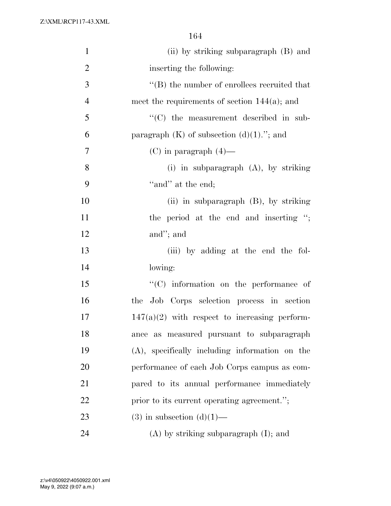| $\mathbf{1}$   | (ii) by striking subparagraph (B) and             |
|----------------|---------------------------------------------------|
| $\overline{2}$ | inserting the following:                          |
| 3              | $\lq\lq$ the number of enrollees recruited that   |
| $\overline{4}$ | meet the requirements of section $144(a)$ ; and   |
| 5              | "(C) the measurement described in sub-            |
| 6              | paragraph $(K)$ of subsection $(d)(1)$ ."; and    |
| 7              | $(C)$ in paragraph $(4)$ —                        |
| 8              | (i) in subparagraph $(A)$ , by striking           |
| 9              | "and" at the end;                                 |
| 10             | (ii) in subparagraph $(B)$ , by striking          |
| 11             | the period at the end and inserting ";            |
| 12             | and"; and                                         |
| 13             | (iii) by adding at the end the fol-               |
| 14             | lowing:                                           |
| 15             | $\cdot$ (C) information on the performance of     |
| 16             | the Job Corps selection process in section        |
| 17             | $147(a)(2)$ with respect to increasing perform-   |
| 18             | ance as measured pursuant to subparagraph         |
| 19             | $(A)$ , specifically including information on the |
| 20             | performance of each Job Corps campus as com-      |
| 21             | pared to its annual performance immediately       |
| 22             | prior to its current operating agreement.";       |
| 23             | $(3)$ in subsection $(d)(1)$ —                    |
| 24             | $(A)$ by striking subparagraph $(I)$ ; and        |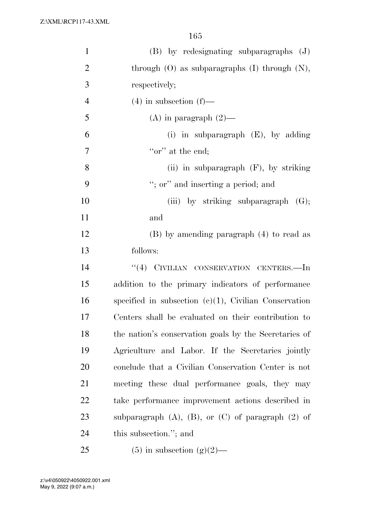| $\mathbf{1}$   | (B) by redesignating subparagraphs (J)                      |
|----------------|-------------------------------------------------------------|
| $\overline{2}$ | through $(O)$ as subparagraphs $(I)$ through $(N)$ ,        |
| 3              | respectively;                                               |
| $\overline{4}$ | $(4)$ in subsection $(f)$ —                                 |
| 5              | (A) in paragraph $(2)$ —                                    |
| 6              | (i) in subparagraph $(E)$ , by adding                       |
| $\tau$         | "or" at the end;                                            |
| 8              | (ii) in subparagraph $(F)$ , by striking                    |
| 9              | "; or" and inserting a period; and                          |
| 10             | (iii) by striking subparagraph $(G)$ ;                      |
| 11             | and                                                         |
| 12             | (B) by amending paragraph (4) to read as                    |
| 13             | follows:                                                    |
| 14             | "(4) CIVILIAN CONSERVATION CENTERS.—In                      |
| 15             | addition to the primary indicators of performance           |
| 16             | specified in subsection $(e)(1)$ , Civilian Conservation    |
| 17             | Centers shall be evaluated on their contribution to         |
| 18             | the nation's conservation goals by the Secretaries of       |
| 19             | Agriculture and Labor. If the Secretaries jointly           |
| 20             | conclude that a Civilian Conservation Center is not         |
| 21             | meeting these dual performance goals, they may              |
| 22             | take performance improvement actions described in           |
| 23             | subparagraph $(A)$ , $(B)$ , or $(C)$ of paragraph $(2)$ of |
| 24             | this subsection."; and                                      |
| 25             | $(5)$ in subsection $(g)(2)$ —                              |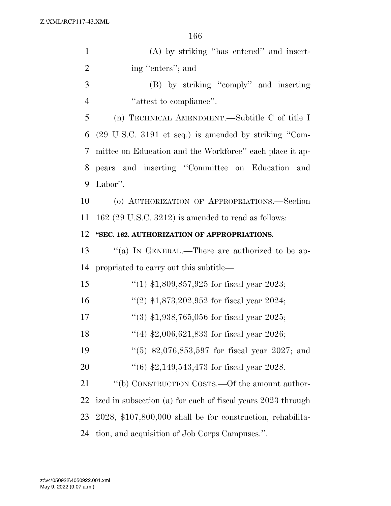| $\mathbf{1}$   | $(A)$ by striking "has entered" and insert-                              |
|----------------|--------------------------------------------------------------------------|
| $\overline{2}$ | ing "enters"; and                                                        |
| 3              | (B) by striking "comply" and inserting                                   |
| 4              | "attest to compliance".                                                  |
| 5              | (n) TECHNICAL AMENDMENT.—Subtitle C of title I                           |
| 6              | $(29 \text{ U.S.C. } 3191 \text{ et seq.})$ is amended by striking "Com- |
| 7              | mittee on Education and the Workforce" each place it ap-                 |
| 8              | pears and inserting "Committee on Education and                          |
| 9              | Labor".                                                                  |
| 10             | (o) AUTHORIZATION OF APPROPRIATIONS.-Section                             |
| 11             | $162$ (29 U.S.C. 3212) is amended to read as follows:                    |
| 12             | "SEC. 162. AUTHORIZATION OF APPROPRIATIONS.                              |
| 13             | "(a) IN GENERAL.—There are authorized to be ap-                          |
| 14             | propriated to carry out this subtitle—                                   |
| 15             | "(1) $$1,809,857,925$ for fiscal year 2023;                              |
| 16             | "(2) $$1,873,202,952$ for fiscal year 2024;                              |
| 17             | $(3)$ \$1,938,765,056 for fiscal year 2025;                              |
| 18             | "(4) $$2,006,621,833$ for fiscal year 2026;                              |
| 19             | "(5) $\text{$}2,076,853,597$ for fiscal year 2027; and                   |
| 20             | $(6)$ \$2,149,543,473 for fiscal year 2028.                              |
| 21             | "(b) CONSTRUCTION COSTS.—Of the amount author-                           |
| 22             | ized in subsection (a) for each of fiscal years 2023 through             |
| 23             | 2028, \$107,800,000 shall be for construction, rehabilita-               |
| 24             | tion, and acquisition of Job Corps Campuses.".                           |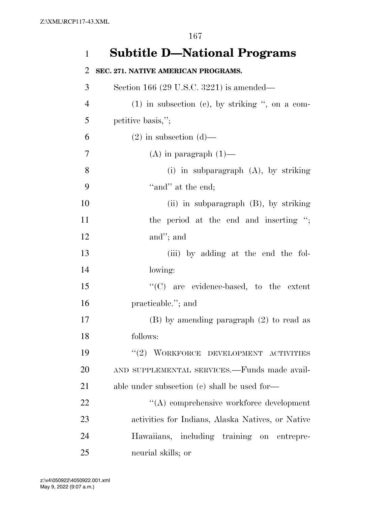# **Subtitle D—National Programs**

### **SEC. 271. NATIVE AMERICAN PROGRAMS.**

| 3              | Section 166 (29 U.S.C. 3221) is amended—          |
|----------------|---------------------------------------------------|
| $\overline{4}$ | $(1)$ in subsection (c), by striking ", on a com- |
| 5              | petitive basis,";                                 |
| 6              | $(2)$ in subsection $(d)$ —                       |
| 7              | $(A)$ in paragraph $(1)$ —                        |
| 8              | (i) in subparagraph $(A)$ , by striking           |
| 9              | "and" at the end;                                 |
| 10             | (ii) in subparagraph $(B)$ , by striking          |
| 11             | the period at the end and inserting ";            |
| 12             | and"; and                                         |
| 13             | (iii) by adding at the end the fol-               |
| 14             | lowing:                                           |
| 15             | "(C) are evidence-based, to the extent            |
| 16             | practicable."; and                                |
| 17             | $(B)$ by amending paragraph $(2)$ to read as      |
| 18             | follows:                                          |
| 19             | "(2) WORKFORCE DEVELOPMENT ACTIVITIES             |
| 20             | AND SUPPLEMENTAL SERVICES.-Funds made avail-      |
| 21             | able under subsection (c) shall be used for-      |
| 22             | "(A) comprehensive workforce development          |
| 23             | activities for Indians, Alaska Natives, or Native |
| 24             | Hawaiians, including training on entrepre-        |
| 25             | neurial skills; or                                |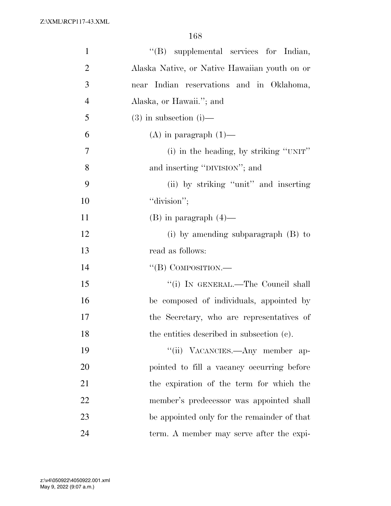| $\mathbf{1}$   | "(B) supplemental services for Indian,        |
|----------------|-----------------------------------------------|
| $\overline{2}$ | Alaska Native, or Native Hawaiian youth on or |
| 3              | near Indian reservations and in Oklahoma,     |
| $\overline{4}$ | Alaska, or Hawaii."; and                      |
| 5              | $(3)$ in subsection $(i)$ —                   |
| 6              | $(A)$ in paragraph $(1)$ —                    |
| 7              | (i) in the heading, by striking "UNIT"        |
| 8              | and inserting "DIVISION"; and                 |
| 9              | (ii) by striking "unit" and inserting         |
| 10             | "division";                                   |
| 11             | $(B)$ in paragraph $(4)$ —                    |
| 12             | (i) by amending subparagraph $(B)$ to         |
| 13             | read as follows:                              |
| 14             | "(B) COMPOSITION.—                            |
| 15             | "(i) IN GENERAL.—The Council shall            |
| 16             | be composed of individuals, appointed by      |
| 17             | the Secretary, who are representatives of     |
| 18             | the entities described in subsection (c).     |
| 19             | "(ii) VACANCIES.—Any member ap-               |
| 20             | pointed to fill a vacancy occurring before    |
| 21             | the expiration of the term for which the      |
| 22             | member's predecessor was appointed shall      |
| 23             | be appointed only for the remainder of that   |
| 24             | term. A member may serve after the expi-      |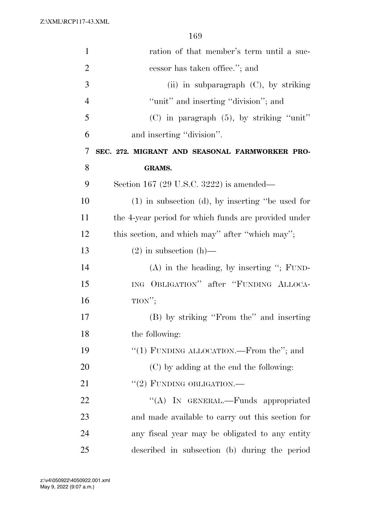| $\mathbf{1}$   | ration of that member's term until a suc-             |
|----------------|-------------------------------------------------------|
| $\overline{2}$ | cessor has taken office."; and                        |
| 3              | (ii) in subparagraph (C), by striking                 |
| $\overline{4}$ | "unit" and inserting "division"; and                  |
| 5              | $(C)$ in paragraph $(5)$ , by striking "unit"         |
| 6              | and inserting "division".                             |
| 7              | SEC. 272. MIGRANT AND SEASONAL FARMWORKER PRO-        |
| 8              | <b>GRAMS.</b>                                         |
| 9              | Section 167 (29 U.S.C. 3222) is amended—              |
| 10             | $(1)$ in subsection $(d)$ , by inserting "be used for |
| 11             | the 4-year period for which funds are provided under  |
| 12             | this section, and which may" after "which may";       |
| 13             | $(2)$ in subsection $(h)$ —                           |
| 14             | $(A)$ in the heading, by inserting "; FUND-           |
| 15             | ING OBLIGATION" after "FUNDING ALLOCA-                |
| 16             | TION''                                                |
| 17             | (B) by striking "From the" and inserting              |
| 18             | the following:                                        |
| 19             | "(1) FUNDING ALLOCATION.—From the"; and               |
| 20             | (C) by adding at the end the following:               |
| 21             | "(2) FUNDING OBLIGATION.—                             |
| 22             | "(A) IN GENERAL.—Funds appropriated                   |
| 23             | and made available to carry out this section for      |
| 24             | any fiscal year may be obligated to any entity        |
| 25             | described in subsection (b) during the period         |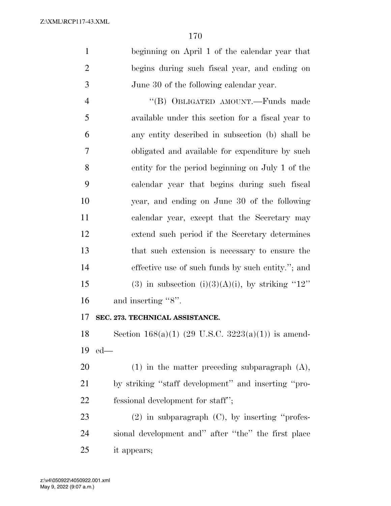beginning on April 1 of the calendar year that begins during such fiscal year, and ending on June 30 of the following calendar year.

 ''(B) OBLIGATED AMOUNT.—Funds made available under this section for a fiscal year to any entity described in subsection (b) shall be obligated and available for expenditure by such entity for the period beginning on July 1 of the calendar year that begins during such fiscal year, and ending on June 30 of the following calendar year, except that the Secretary may extend such period if the Secretary determines that such extension is necessary to ensure the effective use of such funds by such entity.''; and 15 (3) in subsection (i)(3)(A)(i), by striking "12" 16 and inserting "8".

# **SEC. 273. TECHNICAL ASSISTANCE.**

18 Section  $168(a)(1)$  (29 U.S.C.  $3223(a)(1)$ ) is amend-ed—

 (1) in the matter preceding subparagraph (A), by striking ''staff development'' and inserting ''pro-fessional development for staff'';

 (2) in subparagraph (C), by inserting ''profes- sional development and'' after ''the'' the first place it appears;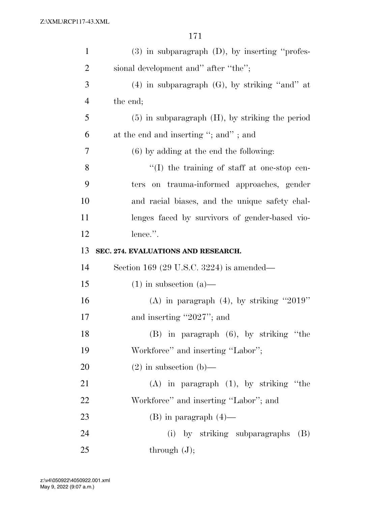| $\mathbf{1}$   | $(3)$ in subparagraph $(D)$ , by inserting "profes-  |
|----------------|------------------------------------------------------|
| $\overline{2}$ | sional development and" after "the";                 |
| 3              | $(4)$ in subparagraph $(G)$ , by striking "and" at   |
| $\overline{4}$ | the end;                                             |
| 5              | $(5)$ in subparagraph $(H)$ , by striking the period |
| 6              | at the end and inserting "; and"; and                |
| 7              | $(6)$ by adding at the end the following:            |
| 8              | $\lq\lq$ the training of staff at one-stop cen-      |
| 9              | on trauma-informed approaches, gender<br>ters        |
| 10             | and racial biases, and the unique safety chal-       |
| 11             | lenges faced by survivors of gender-based vio-       |
| 12             | lence.".                                             |
| 13             | SEC. 274. EVALUATIONS AND RESEARCH.                  |
| 14             | Section 169 (29 U.S.C. 3224) is amended—             |
| 15             | $(1)$ in subsection $(a)$ —                          |
| 16             | (A) in paragraph $(4)$ , by striking "2019"          |
| 17             | and inserting "2027"; and                            |
| 18             | $(B)$ in paragraph $(6)$ , by striking "the          |
| 19             | Workforce" and inserting "Labor";                    |
| 20             | $(2)$ in subsection $(b)$ —                          |
| 21             | $(A)$ in paragraph $(1)$ , by striking "the          |
| 22             | Workforce" and inserting "Labor"; and                |
| 23             | $(B)$ in paragraph $(4)$ —                           |
| 24             |                                                      |
|                | (i) by striking subparagraphs (B)                    |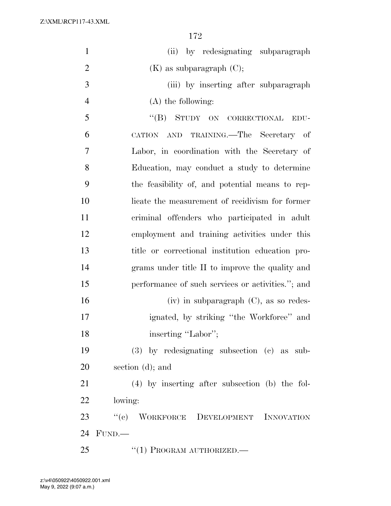| $\mathbf{1}$   | (ii) by redesignating subparagraph                |
|----------------|---------------------------------------------------|
| $\overline{2}$ | $(K)$ as subparagraph $(C)$ ;                     |
| 3              | (iii) by inserting after subparagraph             |
| $\overline{4}$ | $(A)$ the following:                              |
| 5              | "(B) STUDY ON CORRECTIONAL<br>EDU-                |
| 6              | CATION AND TRAINING.—The Secretary of             |
| 7              | Labor, in coordination with the Secretary of      |
| 8              | Education, may conduct a study to determine       |
| 9              | the feasibility of, and potential means to rep-   |
| 10             | licate the measurement of recidivism for former   |
| 11             | criminal offenders who participated in adult      |
| 12             | employment and training activities under this     |
| 13             | title or correctional institution education pro-  |
| 14             | grams under title II to improve the quality and   |
| 15             | performance of such services or activities."; and |
| 16             | $(iv)$ in subparagraph $(C)$ , as so redes-       |
| 17             | ignated, by striking "the Workforce" and          |
| 18             | inserting "Labor";                                |
| 19             | $(3)$ by redesignating subsection $(e)$ as sub-   |
| 20             | section $(d)$ ; and                               |
| 21             | $(4)$ by inserting after subsection (b) the fol-  |
| 22             | lowing:                                           |
| 23             | "(c) WORKFORCE DEVELOPMENT INNOVATION             |
| 24             | FUND.                                             |
| 25             | $``(1)$ PROGRAM AUTHORIZED.—                      |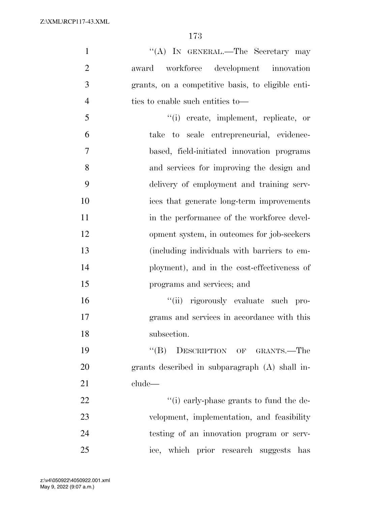1 ''(A) IN GENERAL.—The Secretary may award workforce development innovation grants, on a competitive basis, to eligible enti- ties to enable such entities to— ''(i) create, implement, replicate, or take to scale entrepreneurial, evidence- based, field-initiated innovation programs and services for improving the design and delivery of employment and training serv- ices that generate long-term improvements 11 in the performance of the workforce devel- opment system, in outcomes for job-seekers (including individuals with barriers to em- ployment), and in the cost-effectiveness of programs and services; and ''(ii) rigorously evaluate such pro- grams and services in accordance with this subsection. ''(B) DESCRIPTION OF GRANTS.—The grants described in subparagraph (A) shall in- clude—  $\frac{1}{2}$   $\frac{1}{2}$   $\frac{1}{2}$   $\frac{1}{2}$   $\frac{1}{2}$   $\frac{1}{2}$   $\frac{1}{2}$   $\frac{1}{2}$   $\frac{1}{2}$   $\frac{1}{2}$   $\frac{1}{2}$   $\frac{1}{2}$   $\frac{1}{2}$   $\frac{1}{2}$   $\frac{1}{2}$   $\frac{1}{2}$   $\frac{1}{2}$   $\frac{1}{2}$   $\frac{1}{2}$   $\frac{1}{2}$   $\frac{1}{2}$   $\frac{1}{2}$  velopment, implementation, and feasibility testing of an innovation program or serv-ice, which prior research suggests has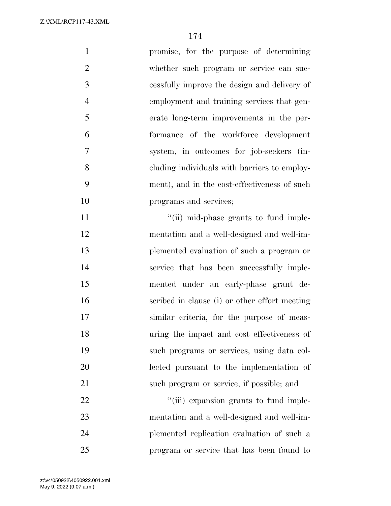promise, for the purpose of determining 2 whether such program or service can suc- cessfully improve the design and delivery of employment and training services that gen- erate long-term improvements in the per- formance of the workforce development system, in outcomes for job-seekers (in- cluding individuals with barriers to employ- ment), and in the cost-effectiveness of such programs and services;  $"$ (ii) mid-phase grants to fund imple- mentation and a well-designed and well-im- plemented evaluation of such a program or service that has been successfully imple- mented under an early-phase grant de- scribed in clause (i) or other effort meeting similar criteria, for the purpose of meas- uring the impact and cost effectiveness of such programs or services, using data col- lected pursuant to the implementation of such program or service, if possible; and  $\frac{1}{\text{(iii)}}$  expansion grants to fund imple- mentation and a well-designed and well-im-plemented replication evaluation of such a

program or service that has been found to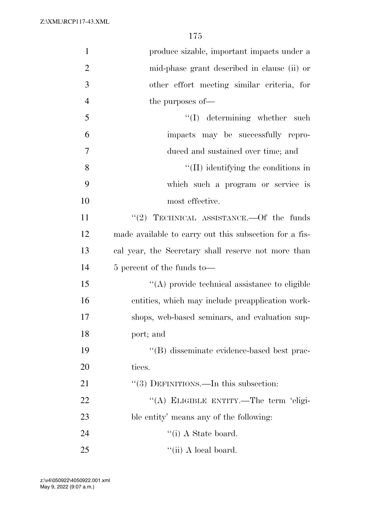| $\mathbf{1}$   | produce sizable, important impacts under a             |
|----------------|--------------------------------------------------------|
| $\overline{2}$ | mid-phase grant described in clause (ii) or            |
| 3              | other effort meeting similar criteria, for             |
| $\overline{4}$ | the purposes of—                                       |
| 5              | $\lq\lq$ determining whether such                      |
| 6              | impacts may be successfully repro-                     |
| 7              | duced and sustained over time; and                     |
| 8              | $\lq\lq$ (II) identifying the conditions in            |
| 9              | which such a program or service is                     |
| 10             | most effective.                                        |
| 11             | "(2) TECHNICAL ASSISTANCE.—Of the funds                |
| 12             | made available to carry out this subsection for a fis- |
| 13             | cal year, the Secretary shall reserve not more than    |
| 14             | 5 percent of the funds to-                             |
| 15             | $\lq\lq$ provide technical assistance to eligible      |
| 16             | entities, which may include preapplication work-       |
| 17             | shops, web-based seminars, and evaluation sup-         |
| 18             | port; and                                              |
| 19             | "(B) disseminate evidence-based best prac-             |
| 20             | tices.                                                 |
| 21             | "(3) DEFINITIONS.—In this subsection:                  |
| 22             | "(A) ELIGIBLE ENTITY.-The term 'eligi-                 |
| 23             | ble entity' means any of the following:                |
| 24             | $\lq\lq$ (i) A State board.                            |
| 25             | $\lq\lq$ (ii) A local board.                           |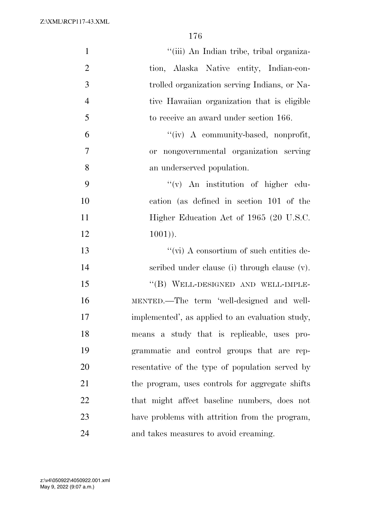| $\mathbf{1}$   | "(iii) An Indian tribe, tribal organiza-         |
|----------------|--------------------------------------------------|
| $\overline{2}$ | tion, Alaska Native entity, Indian-con-          |
| 3              | trolled organization serving Indians, or Na-     |
| $\overline{4}$ | tive Hawaiian organization that is eligible      |
| 5              | to receive an award under section 166.           |
| 6              | "(iv) A community-based, nonprofit,              |
| $\tau$         | or nongovernmental organization serving          |
| 8              | an underserved population.                       |
| 9              | $f'(v)$ An institution of higher edu-            |
| 10             | cation (as defined in section 101 of the         |
| 11             | Higher Education Act of 1965 (20 U.S.C.          |
| 12             | $1001$ ).                                        |
| 13             | $``$ (vi) A consortium of such entities de-      |
| 14             | scribed under clause (i) through clause (v).     |
| 15             | "(B) WELL-DESIGNED AND WELL-IMPLE-               |
| 16             | MENTED.—The term 'well-designed and well-        |
| 17             | implemented', as applied to an evaluation study, |
| 18             | means a study that is replicable, uses pro-      |
| 19             | grammatic and control groups that are rep-       |
| 20             | resentative of the type of population served by  |
| 21             | the program, uses controls for aggregate shifts  |
| 22             | that might affect baseline numbers, does not     |
| 23             | have problems with attrition from the program,   |
| 24             | and takes measures to avoid creaming.            |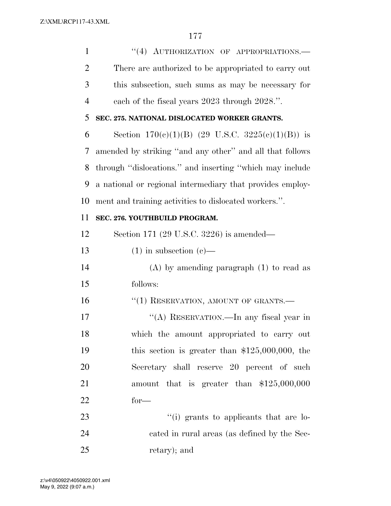1 "(4) AUTHORIZATION OF APPROPRIATIONS.— There are authorized to be appropriated to carry out this subsection, such sums as may be necessary for each of the fiscal years 2023 through 2028.''.

# **SEC. 275. NATIONAL DISLOCATED WORKER GRANTS.**

6 Section  $170(e)(1)(B)$  (29 U.S.C.  $3225(e)(1)(B)$ ) is amended by striking ''and any other'' and all that follows through ''dislocations.'' and inserting ''which may include a national or regional intermediary that provides employ-ment and training activities to dislocated workers.''.

# **SEC. 276. YOUTHBUILD PROGRAM.**

 Section 171 (29 U.S.C. 3226) is amended— 13 (1) in subsection  $(c)$ — (A) by amending paragraph (1) to read as follows: 16 "(1) RESERVATION, AMOUNT OF GRANTS.— 17 ""(A) RESERVATION.—In any fiscal year in which the amount appropriated to carry out this section is greater than \$125,000,000, the Secretary shall reserve 20 percent of such amount that is greater than \$125,000,000 for—  $\frac{1}{2}$  (i) grants to applicants that are lo-

 cated in rural areas (as defined by the Sec-retary); and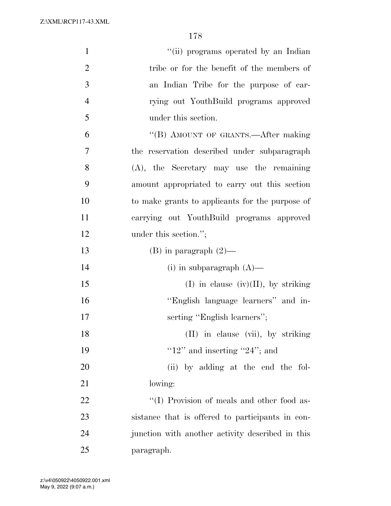| $\mathbf{1}$   | "(ii) programs operated by an Indian             |
|----------------|--------------------------------------------------|
| $\overline{2}$ | tribe or for the benefit of the members of       |
| 3              | an Indian Tribe for the purpose of car-          |
| $\overline{4}$ | rying out YouthBuild programs approved           |
| 5              | under this section.                              |
| 6              | "(B) AMOUNT OF GRANTS.—After making              |
| 7              | the reservation described under subparagraph     |
| 8              | $(A)$ , the Secretary may use the remaining      |
| 9              | amount appropriated to carry out this section    |
| 10             | to make grants to applicants for the purpose of  |
| 11             | carrying out YouthBuild programs approved        |
| 12             | under this section.";                            |
| 13             | $(B)$ in paragraph $(2)$ —                       |
| 14             | (i) in subparagraph $(A)$ —                      |
| 15             | (I) in clause (iv)(II), by striking              |
| 16             | "English language learners" and in-              |
| 17             | serting "English learners";                      |
| 18             | (II) in clause (vii), by striking                |
| 19             | " $12"$ and inserting " $24"$ ; and              |
| 20             | (ii) by adding at the end the fol-               |
| 21             | lowing:                                          |
| 22             | "(I) Provision of meals and other food as-       |
| 23             | sistance that is offered to participants in con- |
| 24             | junction with another activity described in this |
| 25             | paragraph.                                       |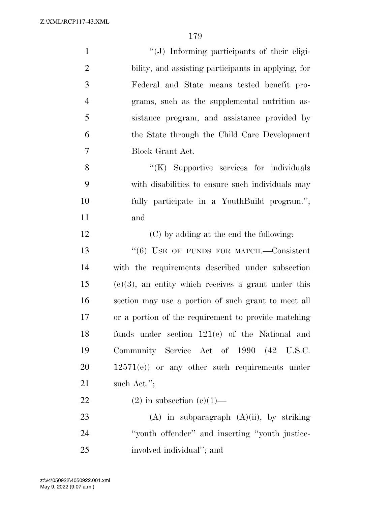| $\mathbf{1}$   | "(J) Informing participants of their eligi-            |
|----------------|--------------------------------------------------------|
| $\overline{2}$ | bility, and assisting participants in applying, for    |
| 3              | Federal and State means tested benefit pro-            |
| $\overline{4}$ | grams, such as the supplemental nutrition as-          |
| 5              | sistance program, and assistance provided by           |
| 6              | the State through the Child Care Development           |
| $\overline{7}$ | Block Grant Act.                                       |
| 8              | "(K) Supportive services for individuals               |
| 9              | with disabilities to ensure such individuals may       |
| 10             | fully participate in a YouthBuild program.";           |
| 11             | and                                                    |
| 12             | (C) by adding at the end the following:                |
| 13             | $(6)$ USE OF FUNDS FOR MATCH.—Consistent               |
| 14             | with the requirements described under subsection       |
| 15             | $(e)(3)$ , an entity which receives a grant under this |
| 16             | section may use a portion of such grant to meet all    |
| 17             | or a portion of the requirement to provide matching    |
| 18             | funds under section $121(e)$ of the National and       |
| 19             | Community Service Act of 1990 (42 U.S.C.               |
| 20             | $12571(e)$ or any other such requirements under        |
| 21             | such Act.";                                            |
| 22             | $(2)$ in subsection $(e)(1)$ —                         |
| 23             | $(A)$ in subparagraph $(A)(ii)$ , by striking          |
| 24             | "youth offender" and inserting "youth justice-         |
| 25             | involved individual"; and                              |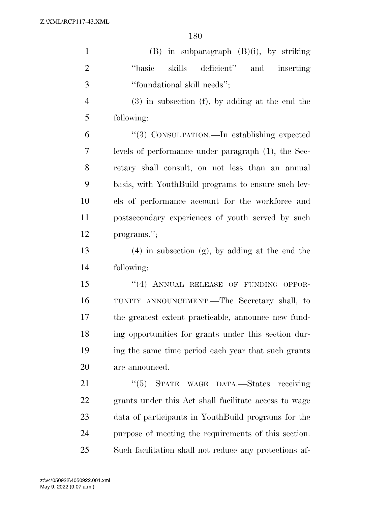| $\mathbf{1}$   | $(B)$ in subparagraph $(B)(i)$ , by striking           |
|----------------|--------------------------------------------------------|
| $\overline{2}$ | skills deficient" and inserting<br>"basic              |
| 3              | "foundational skill needs";                            |
| $\overline{4}$ | $(3)$ in subsection $(f)$ , by adding at the end the   |
| 5              | following:                                             |
| 6              | "(3) CONSULTATION.—In establishing expected            |
| 7              | levels of performance under paragraph (1), the Sec-    |
| 8              | retary shall consult, on not less than an annual       |
| 9              | basis, with YouthBuild programs to ensure such lev-    |
| 10             | els of performance account for the workforce and       |
| 11             | postsecondary experiences of youth served by such      |
| 12             | programs.";                                            |
| 13             | $(4)$ in subsection $(g)$ , by adding at the end the   |
| 14             | following:                                             |
| 15             | "(4) ANNUAL RELEASE OF FUNDING OPPOR-                  |
| 16             | TUNITY ANNOUNCEMENT.—The Secretary shall, to           |
| 17             | the greatest extent practicable, announce new fund-    |
| 18             | ing opportunities for grants under this section dur-   |
| 19             | ing the same time period each year that such grants    |
| 20             | are announced.                                         |
| 21             | "(5) STATE WAGE DATA.—States receiving                 |
| 22             | grants under this Act shall facilitate access to wage  |
| 23             | data of participants in YouthBuild programs for the    |
| 24             | purpose of meeting the requirements of this section.   |
| 25             | Such facilitation shall not reduce any protections af- |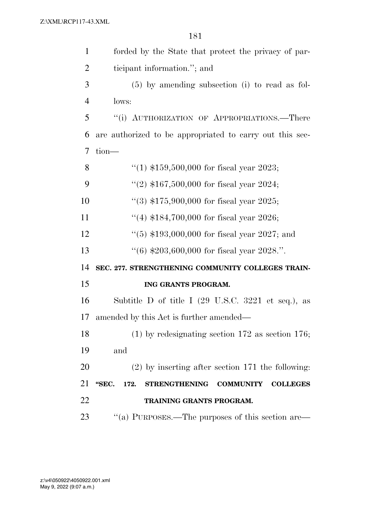| $\mathbf{1}$   | forded by the State that protect the privacy of par-                         |
|----------------|------------------------------------------------------------------------------|
| $\overline{2}$ | ticipant information."; and                                                  |
| 3              | $(5)$ by amending subsection (i) to read as fol-                             |
| $\overline{4}$ | lows:                                                                        |
| 5              | "(i) AUTHORIZATION OF APPROPRIATIONS.—There                                  |
| 6              | are authorized to be appropriated to carry out this sec-                     |
| 7              | tion-                                                                        |
| 8              | "(1) $$159,500,000$ for fiscal year 2023;                                    |
| 9              | "(2) $$167,500,000$ for fiscal year 2024;                                    |
| 10             | $(3)$ \$175,900,000 for fiscal year 2025;                                    |
| 11             | "(4) $$184,700,000$ for fiscal year 2026;                                    |
| 12             | $(5)$ \$193,000,000 for fiscal year 2027; and                                |
| 13             | $(16)$ \$203,600,000 for fiscal year 2028.".                                 |
| 14             | SEC. 277. STRENGTHENING COMMUNITY COLLEGES TRAIN-                            |
| 15             | ING GRANTS PROGRAM.                                                          |
| 16             | Subtitle D of title I $(29 \text{ U.S.C. } 3221 \text{ et seq.}),$ as        |
| 17             | amended by this Act is further amended—                                      |
| 18             | $(1)$ by redesignating section 172 as section 176;                           |
| 19             | and                                                                          |
| 20             | $(2)$ by inserting after section 171 the following:                          |
| 21             | "SEC.<br>172.<br><b>STRENGTHENING</b><br><b>COMMUNITY</b><br><b>COLLEGES</b> |
| 22             | TRAINING GRANTS PROGRAM.                                                     |
| 23             | "(a) PURPOSES.—The purposes of this section are—                             |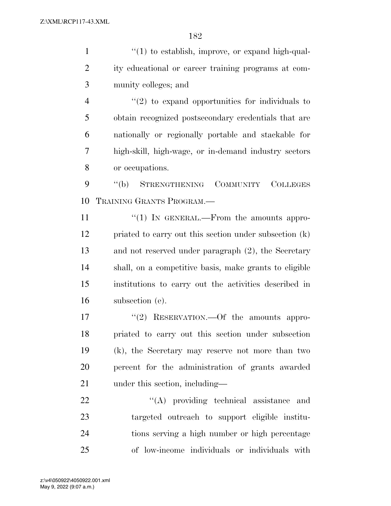1 ''(1) to establish, improve, or expand high-qual- ity educational or career training programs at com- munity colleges; and  $\frac{4}{2}$  ''(2) to expand opportunities for individuals to obtain recognized postsecondary credentials that are

 nationally or regionally portable and stackable for high-skill, high-wage, or in-demand industry sectors or occupations.

 ''(b) STRENGTHENING COMMUNITY COLLEGES TRAINING GRANTS PROGRAM.—

11 "(1) IN GENERAL.—From the amounts appro- priated to carry out this section under subsection (k) and not reserved under paragraph (2), the Secretary shall, on a competitive basis, make grants to eligible institutions to carry out the activities described in subsection (e).

17 ''(2) RESERVATION.—Of the amounts appro- priated to carry out this section under subsection (k), the Secretary may reserve not more than two percent for the administration of grants awarded under this section, including—

22 "'(A) providing technical assistance and targeted outreach to support eligible institu- tions serving a high number or high percentage of low-income individuals or individuals with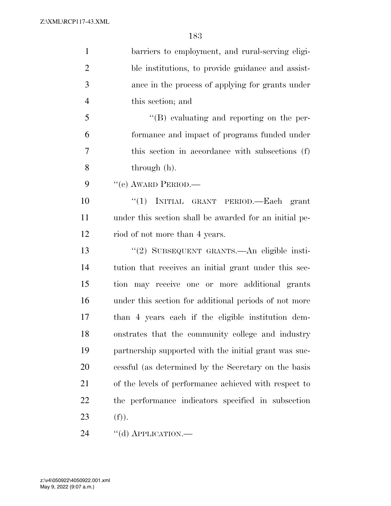| $\mathbf{1}$   | barriers to employment, and rural-serving eligi-       |
|----------------|--------------------------------------------------------|
| $\overline{2}$ | ble institutions, to provide guidance and assist-      |
| 3              | ance in the process of applying for grants under       |
| $\overline{4}$ | this section; and                                      |
| 5              | $\lq\lq (B)$ evaluating and reporting on the per-      |
| 6              | formance and impact of programs funded under           |
| $\overline{7}$ | this section in accordance with subsections (f)        |
| 8              | through (h).                                           |
| 9              | $``(e)$ AWARD PERIOD.—                                 |
| 10             | "(1) INITIAL GRANT PERIOD.—Each grant                  |
| 11             | under this section shall be awarded for an initial pe- |
| 12             | riod of not more than 4 years.                         |
| 13             | "(2) SUBSEQUENT GRANTS.—An eligible insti-             |
| 14             | tution that receives an initial grant under this sec-  |
| 15             | tion may receive one or more additional grants         |
| 16             | under this section for additional periods of not more  |
| 17             | than 4 years each if the eligible institution dem-     |
| 18             | onstrates that the community college and industry      |
| 19             | partnership supported with the initial grant was suc-  |
| 20             | cessful (as determined by the Secretary on the basis   |
| 21             | of the levels of performance achieved with respect to  |
| 22             | the performance indicators specified in subsection     |
| 23             | (f)).                                                  |
| 24             | "(d) APPLICATION.—                                     |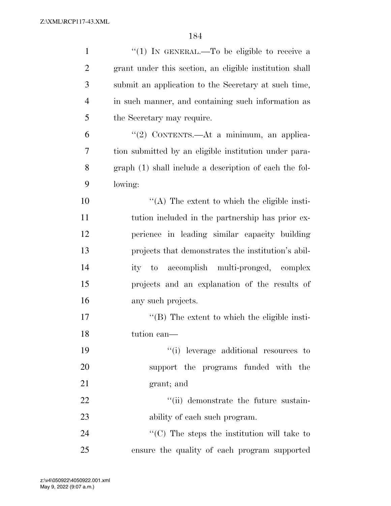| $\mathbf{1}$   | "(1) IN GENERAL.—To be eligible to receive a                     |
|----------------|------------------------------------------------------------------|
| $\overline{2}$ | grant under this section, an eligible institution shall          |
| 3              | submit an application to the Secretary at such time,             |
| $\overline{4}$ | in such manner, and containing such information as               |
| 5              | the Secretary may require.                                       |
| 6              | "(2) CONTENTS.—At a minimum, an applica-                         |
| 7              | tion submitted by an eligible institution under para-            |
| 8              | graph (1) shall include a description of each the fol-           |
| 9              | lowing:                                                          |
| 10             | $\lq\lq$ . The extent to which the eligible insti-               |
| 11             | tution included in the partnership has prior ex-                 |
| 12             | perience in leading similar capacity building                    |
| 13             | projects that demonstrates the institution's abil-               |
| 14             | ity to accomplish multi-pronged, complex                         |
| 15             | projects and an explanation of the results of                    |
| 16             | any such projects.                                               |
| 17             | $\lq\lq$ (B) The extent to which the eligible insti-             |
| 18             | tution can—                                                      |
| 19             | "(i) leverage additional resources to                            |
| 20             | support the programs funded with the                             |
| 21             | grant; and                                                       |
| 22             | "(ii) demonstrate the future sustain-                            |
| 23             | ability of each such program.                                    |
| 24             | $\lq\lq$ <sup>c</sup> (C) The steps the institution will take to |
| 25             | ensure the quality of each program supported                     |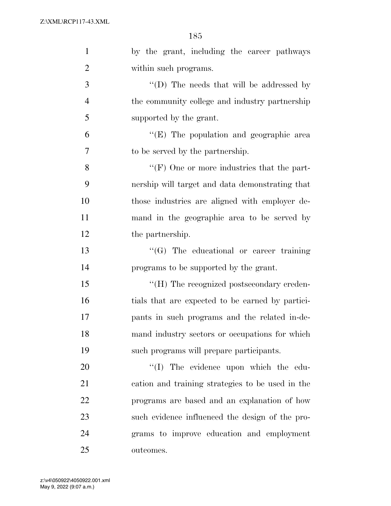| $\mathbf{1}$   | by the grant, including the career pathways      |
|----------------|--------------------------------------------------|
| $\overline{2}$ | within such programs.                            |
| 3              | "(D) The needs that will be addressed by         |
| $\overline{4}$ | the community college and industry partnership   |
| 5              | supported by the grant.                          |
| 6              | "(E) The population and geographic area          |
| 7              | to be served by the partnership.                 |
| 8              | " $(F)$ One or more industries that the part-    |
| 9              | nership will target and data demonstrating that  |
| 10             | those industries are aligned with employer de-   |
| 11             | mand in the geographic area to be served by      |
| 12             | the partnership.                                 |
| 13             | $\lq\lq(G)$ The educational or career training   |
| 14             | programs to be supported by the grant.           |
| 15             | "(H) The recognized postsecondary creden-        |
| 16             | tials that are expected to be earned by partici- |
| 17             | pants in such programs and the related in-de-    |
| 18             | mand industry sectors or occupations for which   |
| 19             | such programs will prepare participants.         |
| 20             | "(I) The evidence upon which the edu-            |
| 21             | cation and training strategies to be used in the |
| 22             | programs are based and an explanation of how     |
| 23             | such evidence influenced the design of the pro-  |
| 24             | grams to improve education and employment        |
| 25             | outcomes.                                        |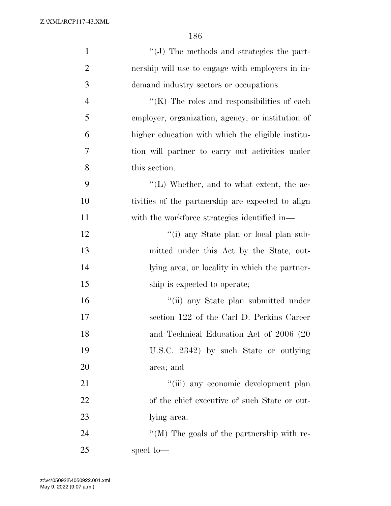| $\mathbf{1}$   | "(J) The methods and strategies the part-           |
|----------------|-----------------------------------------------------|
| $\overline{2}$ | nership will use to engage with employers in in-    |
| 3              | demand industry sectors or occupations.             |
| $\overline{4}$ | $\lq\lq$ (K) The roles and responsibilities of each |
| 5              | employer, organization, agency, or institution of   |
| 6              | higher education with which the eligible institu-   |
| 7              | tion will partner to carry out activities under     |
| 8              | this section.                                       |
| 9              | $\lq\lq$ . Whether, and to what extent, the ac-     |
| 10             | tivities of the partnership are expected to align   |
| 11             | with the workforce strategies identified in—        |
| 12             | "(i) any State plan or local plan sub-              |
| 13             | mitted under this Act by the State, out-            |
| 14             | lying area, or locality in which the partner-       |
| 15             | ship is expected to operate;                        |
| 16             | "(ii) any State plan submitted under                |
| 17             | section 122 of the Carl D. Perkins Career           |
| 18             | and Technical Education Act of 2006 (20             |
| 19             | U.S.C. 2342) by such State or outlying              |
| 20             | area; and                                           |
| 21             | "(iii) any economic development plan                |
| 22             | of the chief executive of such State or out-        |
| 23             | lying area.                                         |
| 24             | "(M) The goals of the partnership with re-          |
| 25             | spect to-                                           |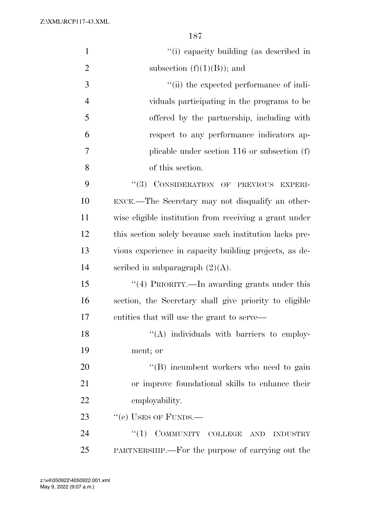| $\mathbf{1}$   | "(i) capacity building (as described in                 |
|----------------|---------------------------------------------------------|
| $\overline{2}$ | subsection $(f)(1)(B)$ ; and                            |
| $\mathfrak{Z}$ | "(ii) the expected performance of indi-                 |
| $\overline{4}$ | viduals participating in the programs to be             |
| 5              | offered by the partnership, including with              |
| 6              | respect to any performance indicators ap-               |
| $\tau$         | plicable under section $116$ or subsection $(f)$        |
| 8              | of this section.                                        |
| 9              | "(3) CONSIDERATION OF PREVIOUS EXPERI-                  |
| 10             | ENCE.—The Secretary may not disqualify an other-        |
| 11             | wise eligible institution from receiving a grant under  |
| 12             | this section solely because such institution lacks pre- |
| 13             | vious experience in capacity building projects, as de-  |
| 14             | scribed in subparagraph $(2)(A)$ .                      |
| 15             | "(4) PRIORITY.—In awarding grants under this            |
| 16             | section, the Secretary shall give priority to eligible  |
| 17             | entities that will use the grant to serve—              |
| 18             | "(A) individuals with barriers to employ-               |
| 19             | ment; or                                                |
| 20             | $\lq\lq$ incumbent workers who need to gain             |
| 21             | or improve foundational skills to enhance their         |
| 22             | employability.                                          |
| 23             | "(e) USES OF FUNDS.—                                    |
| 24             | $``(1)$ COMMUNITY COLLEGE AND INDUSTRY                  |
| 25             | PARTNERSHIP.—For the purpose of carrying out the        |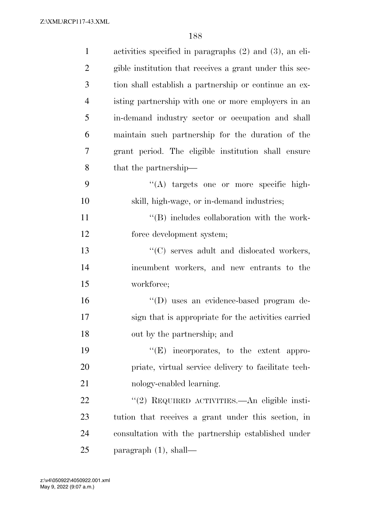| $\mathbf{1}$   | activities specified in paragraphs (2) and (3), an eli- |
|----------------|---------------------------------------------------------|
| $\overline{2}$ | gible institution that receives a grant under this sec- |
| 3              | tion shall establish a partnership or continue an ex-   |
| $\overline{4}$ | isting partnership with one or more employers in an     |
| 5              | in-demand industry sector or occupation and shall       |
| 6              | maintain such partnership for the duration of the       |
| 7              | grant period. The eligible institution shall ensure     |
| 8              | that the partnership—                                   |
| 9              | "(A) targets one or more specific high-                 |
| 10             | skill, high-wage, or in-demand industries;              |
| 11             | $\lq\lq$ (B) includes collaboration with the work-      |
| 12             | force development system;                               |
| 13             | "(C) serves adult and dislocated workers,               |
| 14             | incumbent workers, and new entrants to the              |
| 15             | workforce;                                              |
| 16             | "(D) uses an evidence-based program de-                 |
| 17             | sign that is appropriate for the activities carried     |
| 18             | out by the partnership; and                             |
| 19             | $\lq\lq(E)$ incorporates, to the extent appro-          |
| 20             | priate, virtual service delivery to facilitate tech-    |
| 21             | nology-enabled learning.                                |
| 22             | "(2) REQUIRED ACTIVITIES.—An eligible insti-            |
| 23             | tution that receives a grant under this section, in     |
| 24             | consultation with the partnership established under     |
| 25             | paragraph $(1)$ , shall—                                |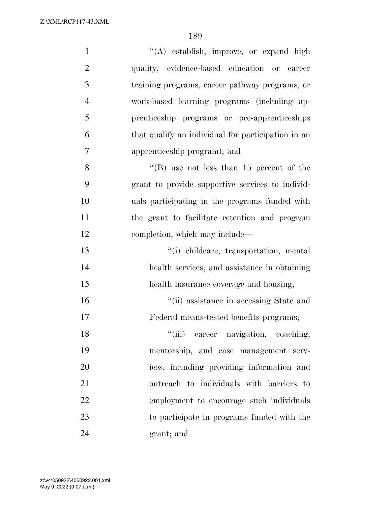| $\mathbf{1}$   | $\lq\lq$ establish, improve, or expand high        |
|----------------|----------------------------------------------------|
| $\overline{2}$ | quality, evidence-based education or career        |
| 3              | training programs, career pathway programs, or     |
| $\overline{4}$ | work-based learning programs (including ap-        |
| 5              | prenticeship programs or pre-apprenticeships       |
| 6              | that qualify an individual for participation in an |
| 7              | apprenticeship program); and                       |
| 8              | "(B) use not less than $15$ percent of the         |
| 9              | grant to provide supportive services to individ-   |
| 10             | uals participating in the programs funded with     |
| 11             | the grant to facilitate retention and program      |
| 12             | completion, which may include—                     |
| 13             | "(i) childcare, transportation, mental             |
| 14             | health services, and assistance in obtaining       |
| 15             | health insurance coverage and housing;             |
| 16             | "(ii) assistance in accessing State and            |
| 17             | Federal means-tested benefits programs;            |
| 18             | "(iii) career navigation, coaching,                |
| 19             | mentorship, and case management serv-              |
| 20             | ices, including providing information and          |
| 21             | outreach to individuals with barriers to           |
| 22             | employment to encourage such individuals           |
| 23             | to participate in programs funded with the         |
| 24             | grant; and                                         |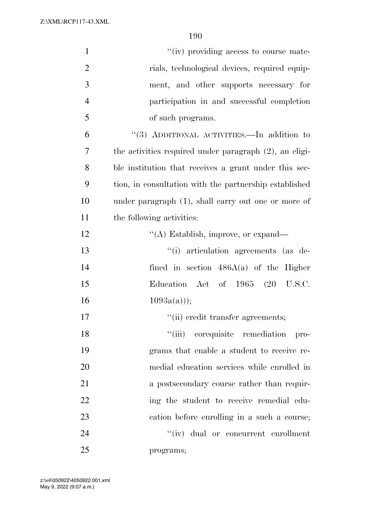| $\mathbf{1}$   | "(iv) providing access to course mate-                    |
|----------------|-----------------------------------------------------------|
| $\mathfrak{2}$ | rials, technological devices, required equip-             |
| 3              | ment, and other supports necessary for                    |
| $\overline{4}$ | participation in and successful completion                |
| 5              | of such programs.                                         |
| 6              | "(3) ADDITIONAL ACTIVITIES.—In addition to                |
| 7              | the activities required under paragraph $(2)$ , an eligi- |
| 8              | ble institution that receives a grant under this sec-     |
| 9              | tion, in consultation with the partnership established    |
| 10             | under paragraph $(1)$ , shall carry out one or more of    |
| 11             | the following activities:                                 |
| 12             | "(A) Establish, improve, or expand—                       |
| 13             | "(i) articulation agreements (as de-                      |
| 14             | fined in section $486A(a)$ of the Higher                  |
| 15             | Education Act of 1965 (20 U.S.C.                          |
| 16             | $1093a(a))$ ;                                             |
| 17             | "(ii) credit transfer agreements;                         |
| 18             | "(iii) corequisite remediation pro-                       |
| 19             | grams that enable a student to receive re-                |
| 20             | medial education services while enrolled in               |
| 21             | a postsecondary course rather than requir-                |
| 22             | ing the student to receive remedial edu-                  |
| 23             | cation before enrolling in a such a course;               |
| 24             | "(iv) dual or concurrent enrollment                       |
| 25             | programs;                                                 |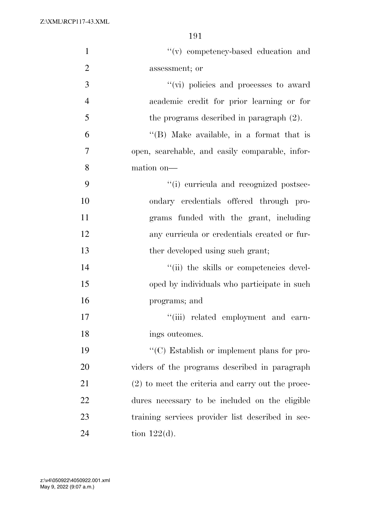| $\mathbf{1}$   | "(v) competency-based education and                 |
|----------------|-----------------------------------------------------|
| $\overline{2}$ | assessment; or                                      |
| 3              | "(vi) policies and processes to award               |
| $\overline{4}$ | academic credit for prior learning or for           |
| 5              | the programs described in paragraph $(2)$ .         |
| 6              | $\lq\lq$ (B) Make available, in a format that is    |
| 7              | open, searchable, and easily comparable, infor-     |
| 8              | mation on-                                          |
| 9              | "(i) curricula and recognized postsec-              |
| 10             | ondary credentials offered through pro-             |
| 11             | grams funded with the grant, including              |
| 12             | any curricula or credentials created or fur-        |
| 13             | ther developed using such grant;                    |
| 14             | "(ii) the skills or competencies devel-             |
| 15             | oped by individuals who participate in such         |
| 16             | programs; and                                       |
| 17             | "(iii) related employment and earn-                 |
| 18             | ings outcomes.                                      |
| 19             | "(C) Establish or implement plans for pro-          |
| 20             | viders of the programs described in paragraph       |
| 21             | $(2)$ to meet the criteria and carry out the proce- |
| 22             | dures necessary to be included on the eligible      |
| 23             | training services provider list described in sec-   |
| 24             | tion $122(d)$ .                                     |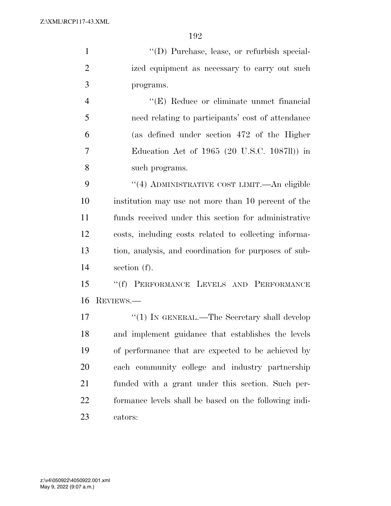''(D) Purchase, lease, or refurbish special- ized equipment as necessary to carry out such programs.

 ''(E) Reduce or eliminate unmet financial need relating to participants' cost of attendance (as defined under section 472 of the Higher Education Act of 1965 (20 U.S.C. 1087ll)) in such programs.

9 "(4) ADMINISTRATIVE COST LIMIT.—An eligible institution may use not more than 10 percent of the funds received under this section for administrative costs, including costs related to collecting informa- tion, analysis, and coordination for purposes of sub-section (f).

 ''(f) PERFORMANCE LEVELS AND PERFORMANCE REVIEWS.—

17 ''(1) IN GENERAL.—The Secretary shall develop and implement guidance that establishes the levels of performance that are expected to be achieved by each community college and industry partnership funded with a grant under this section. Such per- formance levels shall be based on the following indi-cators: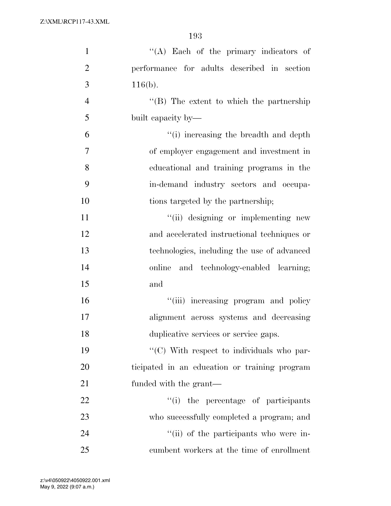| $\mathbf{1}$   | "(A) Each of the primary indicators of           |
|----------------|--------------------------------------------------|
| $\overline{2}$ | performance for adults described in section      |
| 3              | $116(b)$ .                                       |
| $\overline{4}$ | $\lq\lq$ (B) The extent to which the partnership |
| 5              | built capacity by—                               |
| 6              | "(i) increasing the breadth and depth            |
| $\overline{7}$ | of employer engagement and investment in         |
| 8              | educational and training programs in the         |
| 9              | in-demand industry sectors and occupa-           |
| 10             | tions targeted by the partnership;               |
| 11             | "(ii) designing or implementing new              |
| 12             | and accelerated instructional techniques or      |
| 13             | technologies, including the use of advanced      |
| 14             | online and technology-enabled learning;          |
| 15             | and                                              |
| 16             | "(iii) increasing program and policy             |
| 17             | alignment across systems and decreasing          |
| 18             | duplicative services or service gaps.            |
| 19             | "(C) With respect to individuals who par-        |
| 20             | ticipated in an education or training program    |
| 21             | funded with the grant—                           |
| 22             | ``(i)<br>the percentage of participants          |
| 23             | who successfully completed a program; and        |
| 24             | "(ii) of the participants who were in-           |
| 25             | cumbent workers at the time of enrollment        |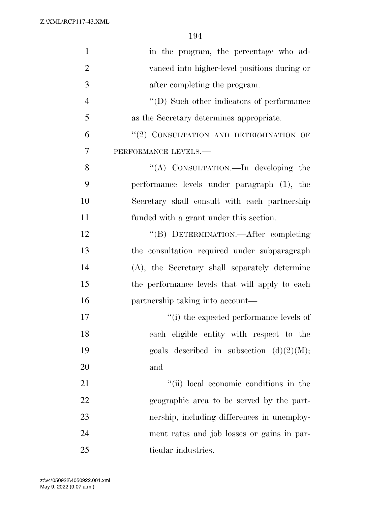| $\mathbf{1}$   | in the program, the percentage who ad-            |
|----------------|---------------------------------------------------|
| $\overline{2}$ | vanced into higher-level positions during or      |
| 3              | after completing the program.                     |
| $\overline{4}$ | $\lq\lq$ (D) Such other indicators of performance |
| 5              | as the Secretary determines appropriate.          |
| 6              | "(2) CONSULTATION AND DETERMINATION OF            |
| $\overline{7}$ | PERFORMANCE LEVELS.-                              |
| 8              | "(A) CONSULTATION.—In developing the              |
| 9              | performance levels under paragraph (1), the       |
| 10             | Secretary shall consult with each partnership     |
| 11             | funded with a grant under this section.           |
| 12             | "(B) DETERMINATION.- After completing             |
| 13             | the consultation required under subparagraph      |
| 14             | (A), the Secretary shall separately determine     |
| 15             | the performance levels that will apply to each    |
| 16             | partnership taking into account—                  |
| 17             | "(i) the expected performance levels of           |
| 18             | each eligible entity with respect to the          |
| 19             | goals described in subsection $(d)(2)(M);$        |
| 20             | and                                               |
| 21             | "(ii) local economic conditions in the            |
| 22             | geographic area to be served by the part-         |
| 23             | nership, including differences in unemploy-       |
| 24             | ment rates and job losses or gains in par-        |
| 25             | ticular industries.                               |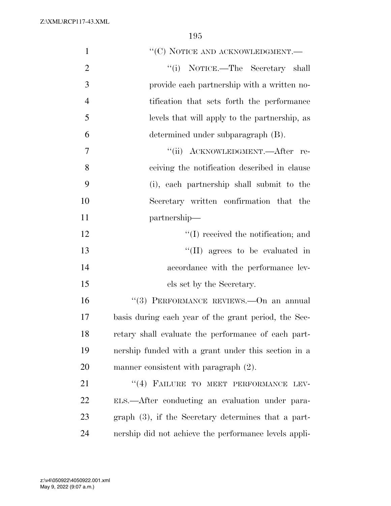| $\mathbf{1}$   | "(C) NOTICE AND ACKNOWLEDGMENT.—                       |
|----------------|--------------------------------------------------------|
| $\overline{2}$ | "(i) NOTICE.—The Secretary shall                       |
| 3              | provide each partnership with a written no-            |
| $\overline{4}$ | tification that sets forth the performance             |
| 5              | levels that will apply to the partnership, as          |
| 6              | determined under subparagraph (B).                     |
| 7              | "(ii) ACKNOWLEDGMENT.—After re-                        |
| 8              | ceiving the notification described in clause           |
| 9              | (i), each partnership shall submit to the              |
| 10             | Secretary written confirmation that the                |
| 11             | partnership—                                           |
| 12             | $\lq\lq$ received the notification; and                |
| 13             | $\lq\lq$ (II) agrees to be evaluated in                |
| 14             | accordance with the performance lev-                   |
| 15             | els set by the Secretary.                              |
| 16             | "(3) PERFORMANCE REVIEWS. - On an annual               |
| 17             | basis during each year of the grant period, the Sec-   |
| 18             | retary shall evaluate the performance of each part-    |
| 19             | nership funded with a grant under this section in a    |
| 20             | manner consistent with paragraph $(2)$ .               |
| 21             | "(4) FAILURE TO MEET PERFORMANCE<br>LEV-               |
| 22             | ELS.—After conducting an evaluation under para-        |
| 23             | graph $(3)$ , if the Secretary determines that a part- |
| 24             | nership did not achieve the performance levels appli-  |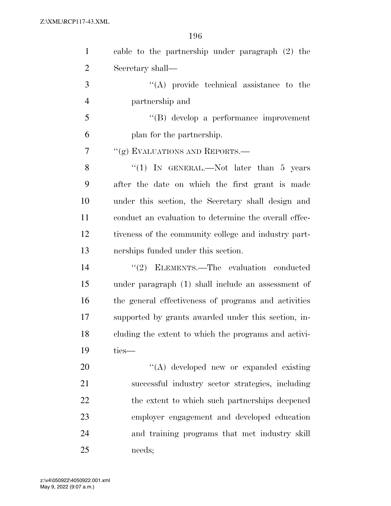| $\mathbf{1}$   | cable to the partnership under paragraph (2) the      |
|----------------|-------------------------------------------------------|
| $\overline{2}$ | Secretary shall—                                      |
| 3              | $\lq\lq$ provide technical assistance to the          |
| $\overline{4}$ | partnership and                                       |
| 5              | "(B) develop a performance improvement                |
| 6              | plan for the partnership.                             |
| $\overline{7}$ | "(g) EVALUATIONS AND REPORTS.-                        |
| 8              | "(1) IN GENERAL.—Not later than 5 years               |
| 9              | after the date on which the first grant is made       |
| 10             | under this section, the Secretary shall design and    |
| 11             | conduct an evaluation to determine the overall effec- |
| 12             | tiveness of the community college and industry part-  |
| 13             | nerships funded under this section.                   |
| 14             | "(2) ELEMENTS.—The evaluation conducted               |
| 15             | under paragraph (1) shall include an assessment of    |
| 16             | the general effectiveness of programs and activities  |
| 17             | supported by grants awarded under this section, in-   |
| 18             | cluding the extent to which the programs and activi-  |
| 19             | ties-                                                 |
| 20             | "(A) developed new or expanded existing               |
| 21             | successful industry sector strategies, including      |
| 22             | the extent to which such partnerships deepened        |
| 23             | employer engagement and developed education           |
| 24             | and training programs that met industry skill         |
| 25             | needs;                                                |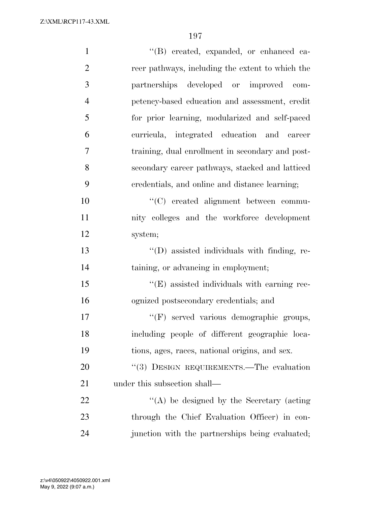| $\mathbf{1}$   | "(B) created, expanded, or enhanced ca-          |
|----------------|--------------------------------------------------|
| $\overline{2}$ | reer pathways, including the extent to which the |
| 3              | partnerships developed or improved com-          |
| $\overline{4}$ | petency-based education and assessment, credit   |
| 5              | for prior learning, modularized and self-paced   |
| 6              | curricula, integrated education and career       |
| 7              | training, dual enrollment in secondary and post- |
| 8              | secondary career pathways, stacked and latticed  |
| 9              | credentials, and online and distance learning;   |
| 10             | "(C) created alignment between commu-            |
| 11             | nity colleges and the workforce development      |
| 12             | system;                                          |
| 13             | "(D) assisted individuals with finding, re-      |
| 14             | taining, or advancing in employment;             |
| 15             | "(E) assisted individuals with earning rec-      |
| 16             | ognized postsecondary credentials; and           |
| 17             | "(F) served various demographic groups,          |
| 18             | including people of different geographic loca-   |
| 19             | tions, ages, races, national origins, and sex.   |
| 20             | "(3) DESIGN REQUIREMENTS.—The evaluation         |
| 21             | under this subsection shall—                     |
| 22             | $\lq\lq$ be designed by the Secretary (acting    |
| 23             | through the Chief Evaluation Officer) in con-    |
| 24             | junction with the partnerships being evaluated;  |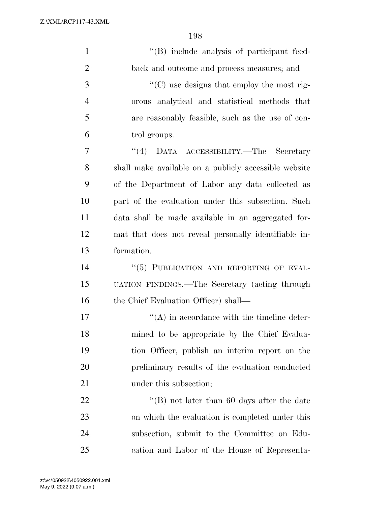| $\mathbf{1}$   | "(B) include analysis of participant feed-            |
|----------------|-------------------------------------------------------|
| $\overline{2}$ | back and outcome and process measures; and            |
| 3              | "(C) use designs that employ the most rig-            |
| $\overline{4}$ | orous analytical and statistical methods that         |
| 5              | are reasonably feasible, such as the use of con-      |
| 6              | trol groups.                                          |
| 7              | DATA ACCESSIBILITY.—The Secretary<br>(4)              |
| 8              | shall make available on a publicly accessible website |
| 9              | of the Department of Labor any data collected as      |
| 10             | part of the evaluation under this subsection. Such    |
| 11             | data shall be made available in an aggregated for-    |
| 12             | mat that does not reveal personally identifiable in-  |
| 13             | formation.                                            |
| 14             | "(5) PUBLICATION AND REPORTING OF EVAL-               |
| 15             | UATION FINDINGS.—The Secretary (acting through        |
| 16             | the Chief Evaluation Officer) shall—                  |
| 17             | $\lq\lq$ in accordance with the timeline deter-       |
| 18             | mined to be appropriate by the Chief Evalua-          |
| 19             | tion Officer, publish an interim report on the        |
| 20             | preliminary results of the evaluation conducted       |
| 21             | under this subsection;                                |
| 22             | "(B) not later than 60 days after the date            |
| 23             | on which the evaluation is completed under this       |
| 24             | subsection, submit to the Committee on Edu-           |
| 25             | cation and Labor of the House of Representa-          |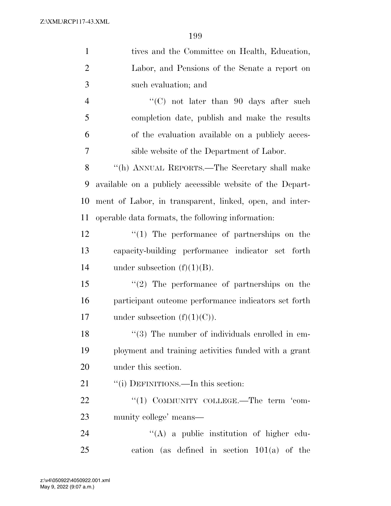| $\mathbf{1}$   | tives and the Committee on Health, Education,             |
|----------------|-----------------------------------------------------------|
| $\overline{2}$ | Labor, and Pensions of the Senate a report on             |
| 3              | such evaluation; and                                      |
| $\overline{4}$ | "(C) not later than 90 days after such                    |
| 5              | completion date, publish and make the results             |
| 6              | of the evaluation available on a publicly acces-          |
| 7              | sible website of the Department of Labor.                 |
| 8              | "(h) ANNUAL REPORTS.—The Secretary shall make             |
| 9              | available on a publicly accessible website of the Depart- |
| 10             | ment of Labor, in transparent, linked, open, and inter-   |
| 11             | operable data formats, the following information:         |
| 12             | $\lq(1)$ The performance of partnerships on the           |
| 13             | capacity-building performance indicator set forth         |
| 14             | under subsection $(f)(1)(B)$ .                            |
| 15             | $\lq(2)$ The performance of partnerships on the           |
| 16             | participant outcome performance indicators set forth      |
| 17             | under subsection $(f)(1)(C)$ .                            |
| 18             | "(3) The number of individuals enrolled in em-            |
| 19             | ployment and training activities funded with a grant      |
| 20             | under this section.                                       |
| 21             | "(i) DEFINITIONS.—In this section:                        |
| 22             | "(1) COMMUNITY COLLEGE.—The term 'com-                    |
| 23             | munity college' means—                                    |
| 24             | $\lq\lq$ a public institution of higher edu-              |
| 25             | cation (as defined in section $101(a)$ of the             |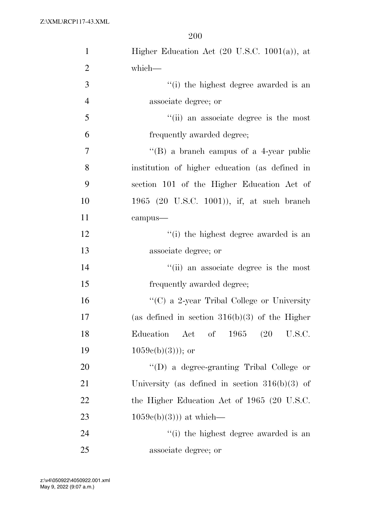| $\mathbf{1}$   | Higher Education Act $(20 \text{ U.S.C. } 1001(a))$ , at |
|----------------|----------------------------------------------------------|
| $\overline{2}$ | which-                                                   |
| 3              | "(i) the highest degree awarded is an                    |
| $\overline{4}$ | associate degree; or                                     |
| 5              | "(ii) an associate degree is the most                    |
| 6              | frequently awarded degree;                               |
| $\overline{7}$ | $\lq\lq (B)$ a branch campus of a 4-year public          |
| 8              | institution of higher education (as defined in           |
| 9              | section 101 of the Higher Education Act of               |
| 10             | 1965 (20 U.S.C. 1001)), if, at such branch               |
| 11             | campus-                                                  |
| 12             | "(i) the highest degree awarded is an                    |
| 13             | associate degree; or                                     |
| 14             | "(ii) an associate degree is the most                    |
| 15             | frequently awarded degree;                               |
| 16             | "(C) a 2-year Tribal College or University               |
| 17             | (as defined in section $316(b)(3)$ of the Higher         |
| 18             | Education<br>Act of 1965 (20 U.S.C.                      |
| 19             | $1059c(b)(3))$ ; or                                      |
| 20             | "(D) a degree-granting Tribal College or                 |
| 21             | University (as defined in section $316(b)(3)$ of         |
| 22             | the Higher Education Act of 1965 (20 U.S.C.              |
| 23             | $1059e(b)(3))$ at which—                                 |
| 24             | "(i) the highest degree awarded is an                    |
| 25             | associate degree; or                                     |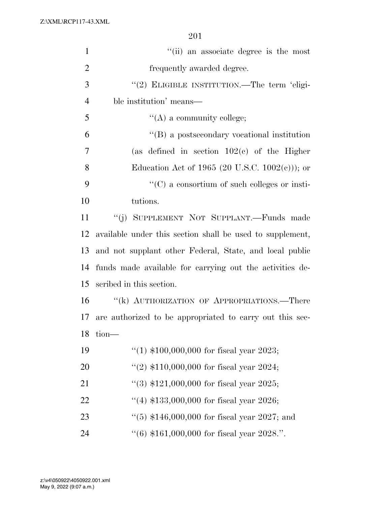| $\mathbf{1}$   | "(ii) an associate degree is the most                     |
|----------------|-----------------------------------------------------------|
| $\overline{2}$ | frequently awarded degree.                                |
| 3              | "(2) ELIGIBLE INSTITUTION.—The term 'eligi-               |
| $\overline{4}$ | ble institution' means—                                   |
| 5              | $\lq\lq$ (A) a community college;                         |
| 6              | $\lq\lq (B)$ a postsecondary vocational institution       |
| 7              | (as defined in section $102(c)$ of the Higher             |
| 8              | Education Act of 1965 (20 U.S.C. $1002(c)$ ); or          |
| 9              | $\lq\lq$ (C) a consortium of such colleges or insti-      |
| 10             | tutions.                                                  |
| 11             | "(j) SUPPLEMENT NOT SUPPLANT.—Funds made                  |
| 12             | available under this section shall be used to supplement, |
| 13             | and not supplant other Federal, State, and local public   |
| 14             | funds made available for carrying out the activities de-  |
| 15             | scribed in this section.                                  |
| 16             | "(k) AUTHORIZATION OF APPROPRIATIONS.—There               |
| 17             | are authorized to be appropriated to carry out this sec-  |
| 18             | $tion$ —                                                  |
| 19             | "(1) $$100,000,000$ for fiscal year 2023;                 |
| 20             | "(2) $$110,000,000$ for fiscal year 2024;                 |
| 21             | $(3)$ \$121,000,000 for fiscal year 2025;                 |
| 22             | "(4) $$133,000,000$ for fiscal year 2026;                 |
| 23             | "(5) $$146,000,000$ for fiscal year 2027; and             |
| 24             | $((6)$ \$161,000,000 for fiscal year 2028.".              |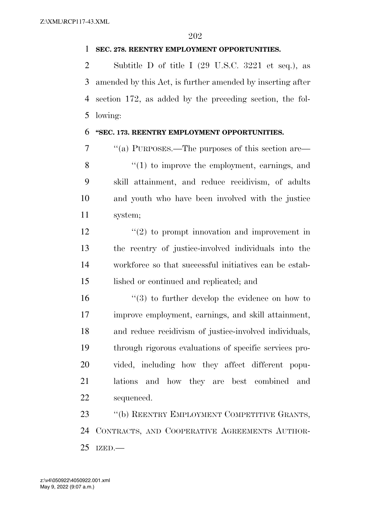## **SEC. 278. REENTRY EMPLOYMENT OPPORTUNITIES.**

 Subtitle D of title I (29 U.S.C. 3221 et seq.), as amended by this Act, is further amended by inserting after section 172, as added by the preceding section, the fol-lowing:

## **''SEC. 173. REENTRY EMPLOYMENT OPPORTUNITIES.**

 ''(a) PURPOSES.—The purposes of this section are— 8 "(1) to improve the employment, earnings, and skill attainment, and reduce recidivism, of adults and youth who have been involved with the justice system;

 $\frac{12}{2}$  ''(2) to prompt innovation and improvement in the reentry of justice-involved individuals into the workforce so that successful initiatives can be estab-lished or continued and replicated; and

16 ''(3) to further develop the evidence on how to improve employment, earnings, and skill attainment, and reduce recidivism of justice-involved individuals, through rigorous evaluations of specific services pro- vided, including how they affect different popu- lations and how they are best combined and sequenced.

 ''(b) REENTRY EMPLOYMENT COMPETITIVE GRANTS, CONTRACTS, AND COOPERATIVE AGREEMENTS AUTHOR-IZED.—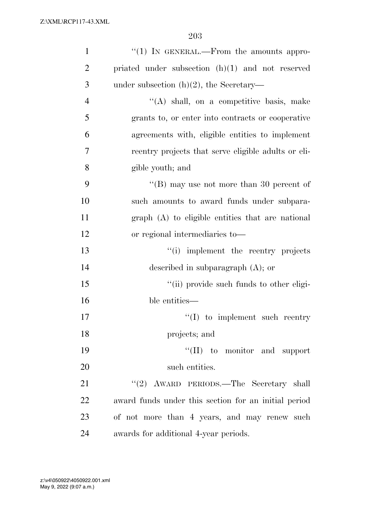| $\mathbf{1}$   | $\lq(1)$ In GENERAL.—From the amounts appro-         |
|----------------|------------------------------------------------------|
| $\overline{2}$ | priated under subsection $(h)(1)$ and not reserved   |
| 3              | under subsection $(h)(2)$ , the Secretary—           |
| $\overline{4}$ | $\lq\lq$ shall, on a competitive basis, make         |
| 5              | grants to, or enter into contracts or cooperative    |
| 6              | agreements with, eligible entities to implement      |
| 7              | reentry projects that serve eligible adults or eli-  |
| 8              | gible youth; and                                     |
| 9              | "(B) may use not more than 30 percent of             |
| 10             | such amounts to award funds under subpara-           |
| 11             | graph (A) to eligible entities that are national     |
| 12             | or regional intermediaries to-                       |
| 13             | "(i) implement the reentry projects                  |
| 14             | described in subparagraph $(A)$ ; or                 |
| 15             | "(ii) provide such funds to other eligi-             |
| 16             | ble entities—                                        |
| 17             | $\lq\lq$ to implement such reentry                   |
| 18             | projects; and                                        |
| 19             | "(II) to monitor and support                         |
| 20             | such entities.                                       |
| 21             | "(2) AWARD PERIODS.—The Secretary shall              |
| 22             | award funds under this section for an initial period |
| 23             | of not more than 4 years, and may renew such         |
| 24             | awards for additional 4-year periods.                |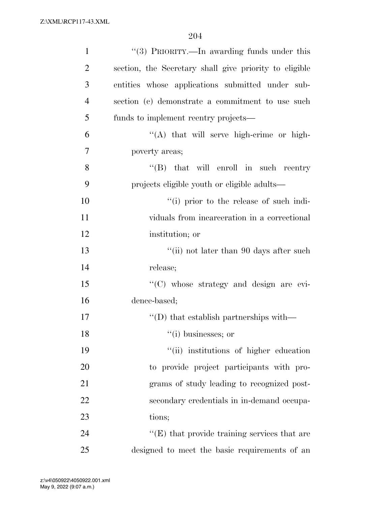| $\mathbf{1}$   | "(3) PRIORITY.—In awarding funds under this            |
|----------------|--------------------------------------------------------|
| $\overline{2}$ | section, the Secretary shall give priority to eligible |
| 3              | entities whose applications submitted under sub-       |
| $\overline{4}$ | section (c) demonstrate a commitment to use such       |
| 5              | funds to implement reentry projects—                   |
| 6              | "(A) that will serve high-crime or high-               |
| 7              | poverty areas;                                         |
| 8              | $\lq\lq$ (B) that will enroll in such reentry          |
| 9              | projects eligible youth or eligible adults—            |
| 10             | "(i) prior to the release of such indi-                |
| 11             | viduals from incarceration in a correctional           |
| 12             | institution; or                                        |
| 13             | "(ii) not later than 90 days after such                |
| 14             | release;                                               |
| 15             | "(C) whose strategy and design are evi-                |
| 16             | dence-based;                                           |
| 17             | $\lq\lq$ that establish partnerships with —            |
| 18             | $``(i)$ businesses; or                                 |
| 19             | "(ii) institutions of higher education                 |
| 20             | to provide project participants with pro-              |
| 21             | grams of study leading to recognized post-             |
| 22             | secondary credentials in in-demand occupa-             |
| 23             | tions;                                                 |
| 24             | "(E) that provide training services that are           |
| 25             | designed to meet the basic requirements of an          |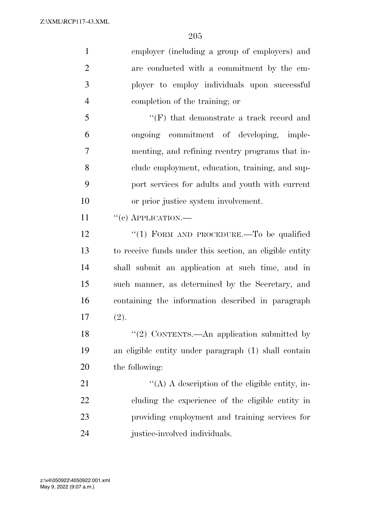employer (including a group of employers) and are conducted with a commitment by the em- ployer to employ individuals upon successful completion of the training; or ''(F) that demonstrate a track record and ongoing commitment of developing, imple- menting, and refining reentry programs that in- clude employment, education, training, and sup- port services for adults and youth with current or prior justice system involvement. 11 "(c) APPLICATION.— 12 "(1) FORM AND PROCEDURE.—To be qualified to receive funds under this section, an eligible entity shall submit an application at such time, and in such manner, as determined by the Secretary, and containing the information described in paragraph (2). 18 "(2) CONTENTS.—An application submitted by an eligible entity under paragraph (1) shall contain the following:  $\langle (A) \rangle$  A description of the eligible entity, in- cluding the experience of the eligible entity in providing employment and training services for

justice-involved individuals.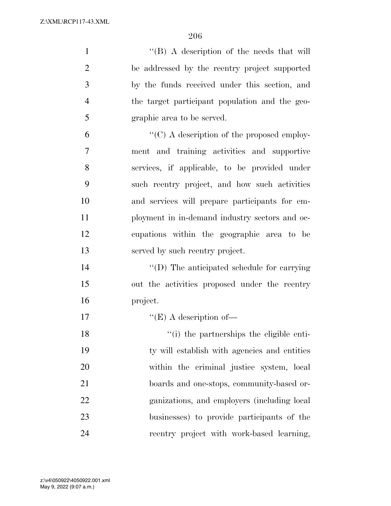| $\mathbf{1}$   | $\lq\lq (B)$ A description of the needs that will  |
|----------------|----------------------------------------------------|
| $\overline{2}$ | be addressed by the reentry project supported      |
| 3              | by the funds received under this section, and      |
| $\overline{4}$ | the target participant population and the geo-     |
| 5              | graphic area to be served.                         |
| 6              | $\lq\lq$ (C) A description of the proposed employ- |
| $\overline{7}$ | ment and training activities and supportive        |
| 8              | services, if applicable, to be provided under      |
| 9              | such reentry project, and how such activities      |
| 10             | and services will prepare participants for em-     |
| 11             | ployment in in-demand industry sectors and oc-     |
| 12             | cupations within the geographic area to be         |
| 13             | served by such reentry project.                    |
| 14             | "(D) The anticipated schedule for carrying         |
| 15             | out the activities proposed under the reentry      |
| 16             | project.                                           |
| 17             | $\lq\lq$ (E) A description of —                    |
| 18             | "(i) the partnerships the eligible enti-           |
| 19             | ty will establish with agencies and entities       |
| 20             | within the criminal justice system, local          |
| 21             | boards and one-stops, community-based or-          |
| 22             | ganizations, and employers (including local        |
| 23             | businesses) to provide participants of the         |
| 24             | reentry project with work-based learning,          |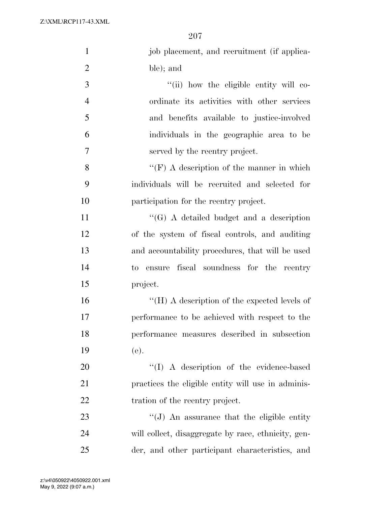| $\mathbf{1}$   | job placement, and recruitment (if applica-         |
|----------------|-----------------------------------------------------|
| $\overline{2}$ | ble); and                                           |
| 3              | "(ii) how the eligible entity will co-              |
| $\overline{4}$ | ordinate its activities with other services         |
| 5              | and benefits available to justice-involved          |
| 6              | individuals in the geographic area to be            |
| $\overline{7}$ | served by the reentry project.                      |
| 8              | "(F) A description of the manner in which           |
| 9              | individuals will be recruited and selected for      |
| 10             | participation for the reentry project.              |
| 11             | $\lq\lq(G)$ A detailed budget and a description     |
| 12             | of the system of fiscal controls, and auditing      |
| 13             | and accountability procedures, that will be used    |
| 14             | to ensure fiscal soundness for the reentry          |
| 15             | project.                                            |
| 16             | "(H) A description of the expected levels of        |
| 17             | performance to be achieved with respect to the      |
| 18             | performance measures described in subsection        |
| 19             | (e).                                                |
| 20             | "(I) A description of the evidence-based            |
| 21             | practices the eligible entity will use in adminis-  |
| <u>22</u>      | tration of the reentry project.                     |
| 23             | $\lq\lq(J)$ An assurance that the eligible entity   |
| 24             | will collect, disaggregate by race, ethnicity, gen- |
| 25             | der, and other participant characteristics, and     |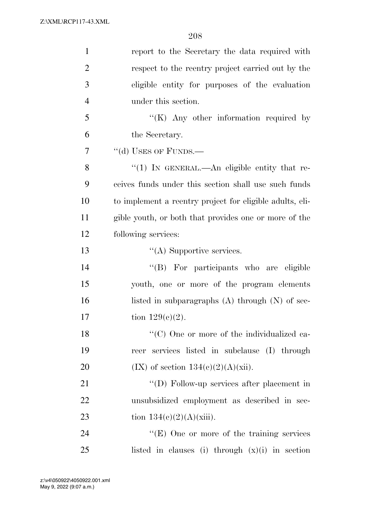| $\mathbf{1}$   | report to the Secretary the data required with           |
|----------------|----------------------------------------------------------|
| $\overline{2}$ | respect to the reentry project carried out by the        |
| 3              | eligible entity for purposes of the evaluation           |
| $\overline{4}$ | under this section.                                      |
| 5              | " $(K)$ Any other information required by                |
| 6              | the Secretary.                                           |
| 7              | "(d) USES OF FUNDS.-                                     |
| 8              | "(1) IN GENERAL.—An eligible entity that re-             |
| 9              | ceives funds under this section shall use such funds     |
| 10             | to implement a reentry project for eligible adults, eli- |
| 11             | gible youth, or both that provides one or more of the    |
| 12             | following services:                                      |
| 13             | $\lq\lq$ Supportive services.                            |
| 14             | "(B) For participants who are eligible                   |
| 15             | youth, one or more of the program elements               |
| 16             | listed in subparagraphs $(A)$ through $(N)$ of sec-      |
| 17             | tion $129(c)(2)$ .                                       |
| 18             | "(C) One or more of the individualized ca-               |
| 19             | reer services listed in subclause (I) through            |
| 20             | $(IX)$ of section $134(c)(2)(A)(xii)$ .                  |
| 21             | "(D) Follow-up services after placement in               |
| 22             | unsubsidized employment as described in sec-             |
| 23             | tion $134(c)(2)(A)(xiii)$ .                              |
| 24             | $\lq\lq(E)$ One or more of the training services         |
| 25             | listed in clauses (i) through $(x)(i)$ in section        |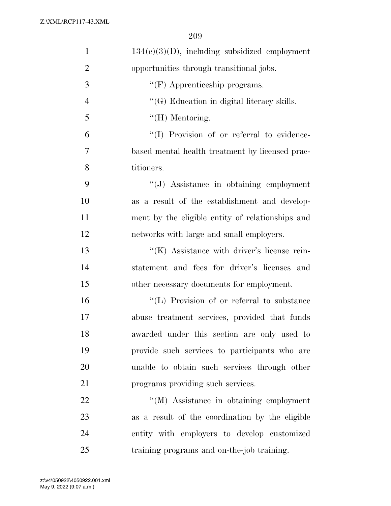| $\mathbf{1}$   | $134(c)(3)(D)$ , including subsidized employment   |
|----------------|----------------------------------------------------|
| $\overline{2}$ | opportunities through transitional jobs.           |
| 3              | $\lq\lq(F)$ Apprenticeship programs.               |
| $\overline{4}$ | $\lq\lq(G)$ Education in digital literacy skills.  |
| 5              | $\lq\lq(H)$ Mentoring.                             |
| 6              | "(I) Provision of or referral to evidence-         |
| 7              | based mental health treatment by licensed prac-    |
| 8              | titioners.                                         |
| 9              | "(J) Assistance in obtaining employment            |
| 10             | as a result of the establishment and develop-      |
| 11             | ment by the eligible entity of relationships and   |
| 12             | networks with large and small employers.           |
| 13             | $\lq\lq(K)$ Assistance with driver's license rein- |
| 14             | statement and fees for driver's licenses and       |
| 15             | other necessary documents for employment.          |
| 16             | "(L) Provision of or referral to substance         |
| 17             | abuse treatment services, provided that funds      |
| 18             | awarded under this section are only used to        |
| 19             | provide such services to participants who are      |
| 20             | unable to obtain such services through other       |
| 21             | programs providing such services.                  |
| 22             | "(M) Assistance in obtaining employment            |
| 23             | as a result of the coordination by the eligible    |
| 24             | entity with employers to develop customized        |
| 25             | training programs and on-the-job training.         |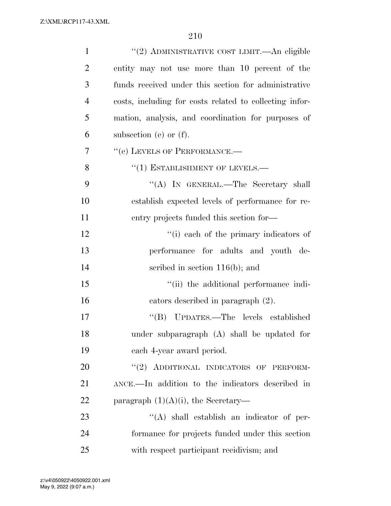| $\mathbf{1}$   | "(2) ADMINISTRATIVE COST LIMIT.—An eligible             |
|----------------|---------------------------------------------------------|
| $\overline{2}$ | entity may not use more than 10 percent of the          |
| 3              | funds received under this section for administrative    |
| $\overline{4}$ | costs, including for costs related to collecting infor- |
| 5              | mation, analysis, and coordination for purposes of      |
| 6              | subsection (e) or $(f)$ .                               |
| 7              | "(e) LEVELS OF PERFORMANCE.-                            |
| 8              | $(1)$ ESTABLISHMENT OF LEVELS.—                         |
| 9              | "(A) IN GENERAL.—The Secretary shall                    |
| 10             | establish expected levels of performance for re-        |
| 11             | entry projects funded this section for—                 |
| 12             | "(i) each of the primary indicators of                  |
| 13             | performance for adults and youth de-                    |
| 14             | scribed in section $116(b)$ ; and                       |
| 15             | "(ii) the additional performance indi-                  |
| 16             | cators described in paragraph (2).                      |
| 17             | "(B) UPDATES.—The levels established                    |
| 18             | under subparagraph (A) shall be updated for             |
| 19             | each 4-year award period.                               |
| 20             | "(2) ADDITIONAL INDICATORS OF PERFORM-                  |
| 21             | ANCE.—In addition to the indicators described in        |
| 22             | paragraph $(1)(A)(i)$ , the Secretary—                  |
| 23             | $\lq\lq$ shall establish an indicator of per-           |
| 24             | formance for projects funded under this section         |
| 25             | with respect participant recidivism; and                |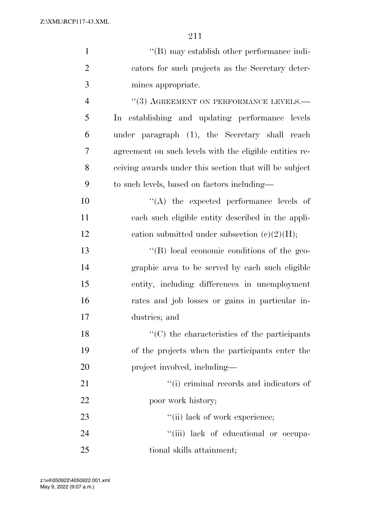| $\mathbf{1}$   | $\lq\lq (B)$ may establish other performance indi-      |
|----------------|---------------------------------------------------------|
| $\overline{2}$ | cators for such projects as the Secretary deter-        |
| 3              | mines appropriate.                                      |
| $\overline{4}$ | "(3) AGREEMENT ON PERFORMANCE LEVELS.-                  |
| 5              | In establishing and updating performance levels         |
| 6              | under paragraph (1), the Secretary shall reach          |
| 7              | agreement on such levels with the eligible entities re- |
| 8              | ceiving awards under this section that will be subject  |
| 9              | to such levels, based on factors including—             |
| 10             | $\lq\lq$ the expected performance levels of             |
| 11             | each such eligible entity described in the appli-       |
| 12             | cation submitted under subsection $(c)(2)(H);$          |
| 13             | $\lq\lq (B)$ local economic conditions of the geo-      |
| 14             | graphic area to be served by each such eligible         |
| 15             | entity, including differences in unemployment           |
| 16             | rates and job losses or gains in particular in-         |
| 17             | dustries; and                                           |
| 18             | "(C) the characteristics of the participants            |
| 19             | of the projects when the participants enter the         |
| 20             | project involved, including—                            |
| 21             | "(i) criminal records and indicators of                 |
| 22             | poor work history;                                      |
| 23             | "(ii) lack of work experience;                          |
| 24             | "(iii) lack of educational or occupa-                   |
| 25             | tional skills attainment;                               |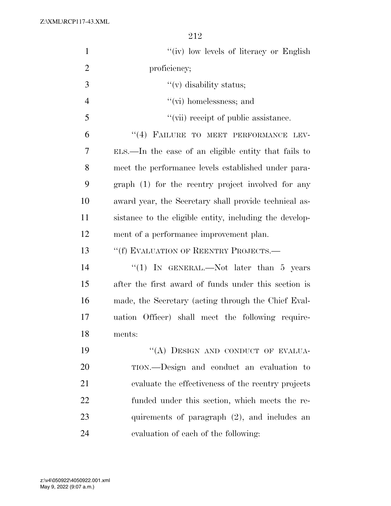| $\mathbf{1}$   | "(iv) low levels of literacy or English                 |
|----------------|---------------------------------------------------------|
| $\overline{2}$ | proficiency;                                            |
| 3              | $f'(v)$ disability status;                              |
| $\overline{4}$ | $\lq\lq$ (vi) homelessness; and                         |
| 5              | "(vii) receipt of public assistance.                    |
| 6              | "(4) FAILURE TO MEET PERFORMANCE LEV-                   |
| 7              | ELS.—In the case of an eligible entity that fails to    |
| 8              | meet the performance levels established under para-     |
| 9              | graph (1) for the reentry project involved for any      |
| 10             | award year, the Secretary shall provide technical as-   |
| 11             | sistance to the eligible entity, including the develop- |
| 12             | ment of a performance improvement plan.                 |
| 13             | "(f) EVALUATION OF REENTRY PROJECTS.—                   |
| 14             | "(1) IN GENERAL.—Not later than 5 years                 |
| 15             | after the first award of funds under this section is    |
| 16             | made, the Secretary (acting through the Chief Eval-     |
| 17             | uation Officer) shall meet the following require-       |
| 18             | ments:                                                  |
| 19             | "(A) DESIGN AND CONDUCT OF EVALUA-                      |
| 20             | TION.—Design and conduct an evaluation to               |
| 21             | evaluate the effectiveness of the reentry projects      |
| 22             | funded under this section, which meets the re-          |
| 23             | quirements of paragraph $(2)$ , and includes an         |
| 24             | evaluation of each of the following:                    |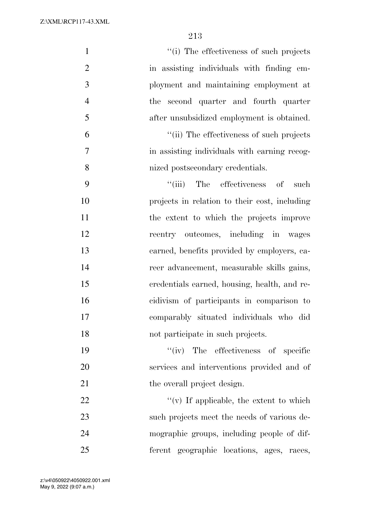| $\mathbf{1}$   | "(i) The effectiveness of such projects       |
|----------------|-----------------------------------------------|
| $\mathbf{2}$   | in assisting individuals with finding em-     |
| $\mathfrak{Z}$ | ployment and maintaining employment at        |
| $\overline{4}$ | second quarter and fourth quarter<br>the      |
| 5              | after unsubsidized employment is obtained.    |
| 6              | "(ii) The effectiveness of such projects      |
| $\tau$         | in assisting individuals with earning recog-  |
| $8\,$          | nized postsecondary credentials.              |
| 9              | ``(iii)<br>The effectiveness of<br>such       |
| 10             | projects in relation to their cost, including |
| 11             | the extent to which the projects improve      |
| 12             | reentry outcomes, including in wages          |
| 13             | earned, benefits provided by employers, ca-   |
| 14             | reer advancement, measurable skills gains,    |
| 15             | credentials earned, housing, health, and re-  |
| 16             | cidivism of participants in comparison to     |
| 17             | comparably situated individuals who did       |
| 18             | not participate in such projects.             |
| 19             | "(iv) The effectiveness of specific           |
| 20             | services and interventions provided and of    |
| 21             | the overall project design.                   |
| 22             | "(v) If applicable, the extent to which       |
| 23             | such projects meet the needs of various de-   |
| 24             | mographic groups, including people of dif-    |
| 25             | ferent geographic locations, ages, races,     |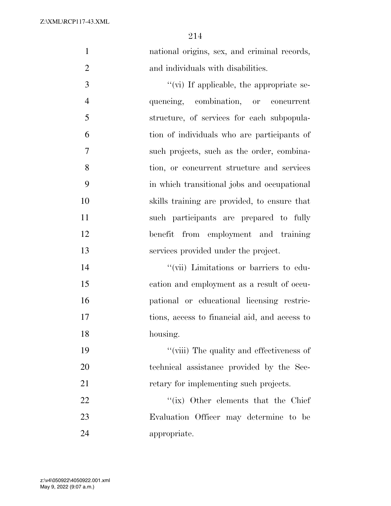national origins, sex, and criminal records, 2 and individuals with disabilities.

 ''(vi) If applicable, the appropriate se- quencing, combination, or concurrent structure, of services for each subpopula- tion of individuals who are participants of such projects, such as the order, combina- tion, or concurrent structure and services in which transitional jobs and occupational skills training are provided, to ensure that such participants are prepared to fully benefit from employment and training services provided under the project.

 ''(vii) Limitations or barriers to edu- cation and employment as a result of occu- pational or educational licensing restric- tions, access to financial aid, and access to housing.

 ''(viii) The quality and effectiveness of technical assistance provided by the Sec-21 retary for implementing such projects.

22 ''(ix) Other elements that the Chief Evaluation Officer may determine to be appropriate.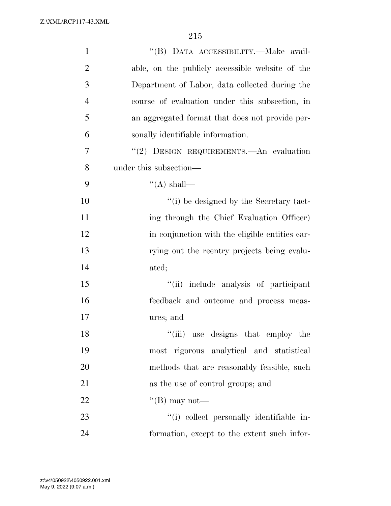| $\mathbf{1}$   | "(B) DATA ACCESSIBILITY.-Make avail-            |
|----------------|-------------------------------------------------|
| $\overline{2}$ | able, on the publicly accessible website of the |
| 3              | Department of Labor, data collected during the  |
| $\overline{4}$ | course of evaluation under this subsection, in  |
| 5              | an aggregated format that does not provide per- |
| 6              | sonally identifiable information.               |
| 7              | "(2) DESIGN REQUIREMENTS. An evaluation         |
| 8              | under this subsection—                          |
| 9              | $\lq\lq$ shall—                                 |
| 10             | "(i) be designed by the Secretary (act-         |
| 11             | ing through the Chief Evaluation Officer)       |
| 12             | in conjunction with the eligible entities car-  |
| 13             | rying out the reentry projects being evalu-     |
| 14             | ated;                                           |
| 15             | "(ii) include analysis of participant           |
| 16             | feedback and outcome and process meas-          |
| 17             | ures; and                                       |
| 18             | "(iii) use designs that employ the              |
| 19             | most rigorous analytical and statistical        |
| 20             | methods that are reasonably feasible, such      |
| 21             | as the use of control groups; and               |
| 22             | "(B) may not—                                   |
| 23             | "(i) collect personally identifiable in-        |
| 24             | formation, except to the extent such infor-     |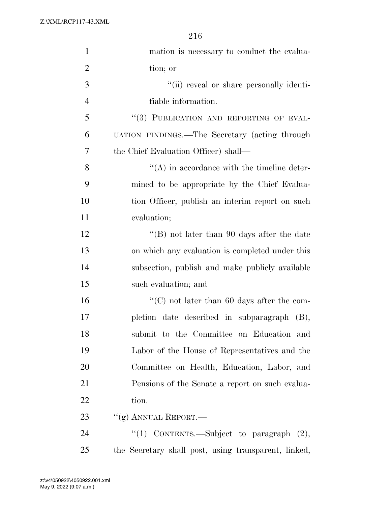| $\mathbf{1}$   | mation is necessary to conduct the evalua-           |
|----------------|------------------------------------------------------|
| $\overline{2}$ | tion; or                                             |
| 3              | "(ii) reveal or share personally identi-             |
| $\overline{4}$ | fiable information.                                  |
| 5              | "(3) PUBLICATION AND REPORTING OF EVAL-              |
| 6              | UATION FINDINGS.—The Secretary (acting through       |
| 7              | the Chief Evaluation Officer) shall—                 |
| 8              | $\lq\lq$ in accordance with the timeline deter-      |
| 9              | mined to be appropriate by the Chief Evalua-         |
| 10             | tion Officer, publish an interim report on such      |
| 11             | evaluation;                                          |
| 12             | "(B) not later than 90 days after the date           |
| 13             | on which any evaluation is completed under this      |
| 14             | subsection, publish and make publicly available      |
| 15             | such evaluation; and                                 |
| 16             | "(C) not later than 60 days after the com-           |
| 17             | pletion date described in subparagraph (B),          |
| 18             | submit to the Committee on Education and             |
| 19             | Labor of the House of Representatives and the        |
| 20             | Committee on Health, Education, Labor, and           |
| 21             | Pensions of the Senate a report on such evalua-      |
| 22             | tion.                                                |
| 23             | "(g) ANNUAL REPORT.—                                 |
| 24             | "(1) CONTENTS.—Subject to paragraph $(2)$ ,          |
| 25             | the Secretary shall post, using transparent, linked, |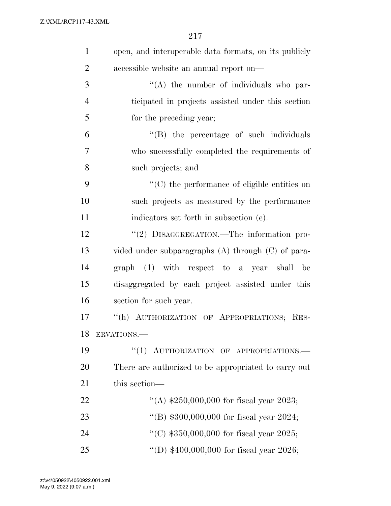| $\mathbf{1}$   | open, and interoperable data formats, on its publicly  |
|----------------|--------------------------------------------------------|
| $\overline{2}$ | accessible website an annual report on—                |
| 3              | "(A) the number of individuals who par-                |
| $\overline{4}$ | ticipated in projects assisted under this section      |
| 5              | for the preceding year;                                |
| 6              | "(B) the percentage of such individuals                |
| 7              | who successfully completed the requirements of         |
| 8              | such projects; and                                     |
| 9              | $\lq\lq$ (C) the performance of eligible entities on   |
| 10             | such projects as measured by the performance           |
| 11             | indicators set forth in subsection (e).                |
| 12             | "(2) DISAGGREGATION.—The information pro-              |
| 13             | vided under subparagraphs $(A)$ through $(C)$ of para- |
| 14             | graph (1) with respect to a year shall<br>be           |
| 15             | disaggregated by each project assisted under this      |
| 16             | section for such year.                                 |
| 17             | "(h) AUTHORIZATION OF APPROPRIATIONS; RES-             |
| 18             | ERVATIONS.                                             |
| 19             | ``(1)<br>AUTHORIZATION OF APPROPRIATIONS.              |
| 20             | There are authorized to be appropriated to carry out   |
| 21             | this section—                                          |
| 22             | "(A) $$250,000,000$ for fiscal year 2023;              |
| 23             | "(B) $$300,000,000$ for fiscal year 2024;              |
| 24             | "(C) $$350,000,000$ for fiscal year 2025;              |
| 25             | "(D) $$400,000,000$ for fiscal year 2026;              |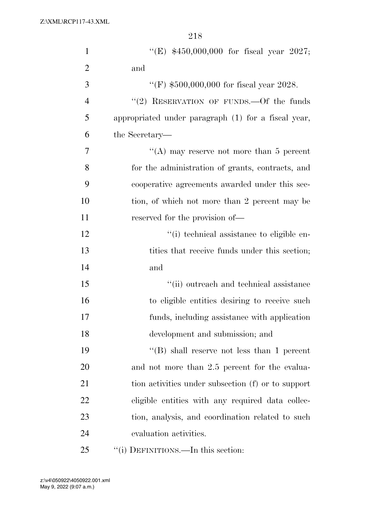| $\mathbf{1}$   | "(E) $$450,000,000$ for fiscal year 2027;           |
|----------------|-----------------------------------------------------|
| $\overline{2}$ | and                                                 |
| 3              | "(F) $$500,000,000$ for fiscal year 2028.           |
| $\overline{4}$ | "(2) RESERVATION OF FUNDS. - Of the funds           |
| 5              | appropriated under paragraph (1) for a fiscal year, |
| 6              | the Secretary—                                      |
| 7              | "(A) may reserve not more than 5 percent            |
| 8              | for the administration of grants, contracts, and    |
| 9              | cooperative agreements awarded under this sec-      |
| 10             | tion, of which not more than 2 percent may be       |
| 11             | reserved for the provision of—                      |
| 12             | "(i) technical assistance to eligible en-           |
| 13             | tities that receive funds under this section;       |
| 14             | and                                                 |
| 15             | "(ii) outreach and technical assistance             |
| 16             | to eligible entities desiring to receive such       |
| 17             | funds, including assistance with application        |
| 18             | development and submission; and                     |
| 19             | "(B) shall reserve not less than 1 percent          |
| 20             | and not more than 2.5 percent for the evalua-       |
| 21             | tion activities under subsection (f) or to support  |
| 22             | eligible entities with any required data collec-    |
| 23             | tion, analysis, and coordination related to such    |
| 24             | evaluation activities.                              |
| 25             | "(i) DEFINITIONS.—In this section:                  |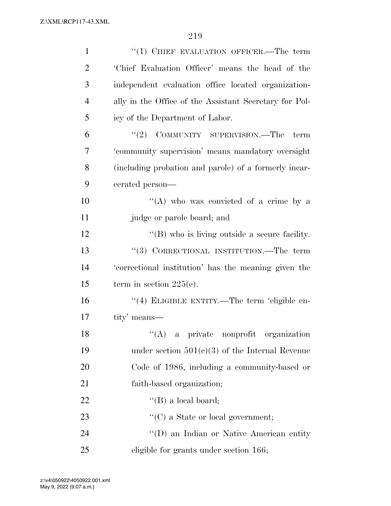| $\mathbf{1}$   | $``(1)$ CHIEF EVALUATION OFFICER.—The term             |
|----------------|--------------------------------------------------------|
| $\overline{2}$ | 'Chief Evaluation Officer' means the head of the       |
| 3              | independent evaluation office located organization-    |
| $\overline{4}$ | ally in the Office of the Assistant Secretary for Pol- |
| 5              | icy of the Department of Labor.                        |
| 6              | "(2) COMMUNITY SUPERVISION.—The<br>term                |
| 7              | 'community supervision' means mandatory oversight      |
| 8              | (including probation and parole) of a formerly incar-  |
| 9              | cerated person—                                        |
| 10             | "(A) who was convicted of a crime by a                 |
| 11             | judge or parole board; and                             |
| 12             | $\lq\lq$ (B) who is living outside a secure facility.  |
| 13             | "(3) CORRECTIONAL INSTITUTION.—The term                |
| 14             | 'correctional institution' has the meaning given the   |
| 15             | term in section $225(e)$ .                             |
| 16             | "(4) ELIGIBLE ENTITY.—The term 'eligible en-           |
| 17             | tity' means—                                           |
| 18             | $\lq($ A) a private nonprofit organization             |
| 19             | under section $501(c)(3)$ of the Internal Revenue      |
| 20             | Code of 1986, including a community-based or           |
| 21             | faith-based organization;                              |
| 22             | $\lq\lq$ (B) a local board;                            |
| 23             | $\lq\lq$ (C) a State or local government;              |
| 24             | "(D) an Indian or Native American entity               |
| 25             | eligible for grants under section 166;                 |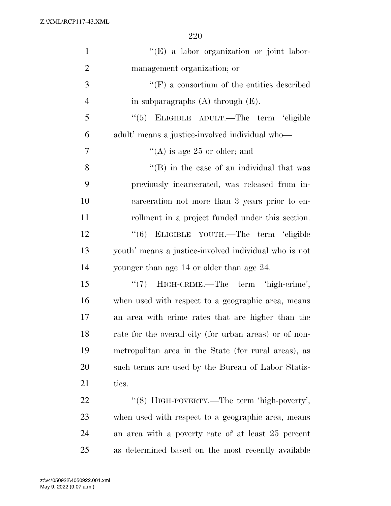| $\mathbf{1}$   | "(E) a labor organization or joint labor-              |
|----------------|--------------------------------------------------------|
| $\overline{2}$ | management organization; or                            |
| 3              | $\lq\lq(F)$ a consortium of the entities described     |
| $\overline{4}$ | in subparagraphs $(A)$ through $(E)$ .                 |
| 5              | "(5) ELIGIBLE ADULT.—The term 'eligible                |
| 6              | adult' means a justice-involved individual who—        |
| 7              | "(A) is age 25 or older; and                           |
| 8              | $\lq\lq$ (B) in the case of an individual that was     |
| 9              | previously incarcerated, was released from in-         |
| 10             | carceration not more than 3 years prior to en-         |
| 11             | rollment in a project funded under this section.       |
| 12             | "(6) ELIGIBLE YOUTH.—The term 'eligible                |
| 13             | youth' means a justice-involved individual who is not  |
| 14             | younger than age 14 or older than age 24.              |
| 15             | "(7) HIGH-CRIME.—The term 'high-crime',                |
| 16             | when used with respect to a geographic area, means     |
| 17             | an area with crime rates that are higher than the      |
| 18             | rate for the overall city (for urban areas) or of non- |
| 19             | metropolitan area in the State (for rural areas), as   |
| 20             | such terms are used by the Bureau of Labor Statis-     |
| 21             | tics.                                                  |
| 22             | "(8) HIGH-POVERTY.—The term 'high-poverty',            |
| 23             | when used with respect to a geographic area, means     |
| 24             | an area with a poverty rate of at least 25 percent     |
| 25             | as determined based on the most recently available     |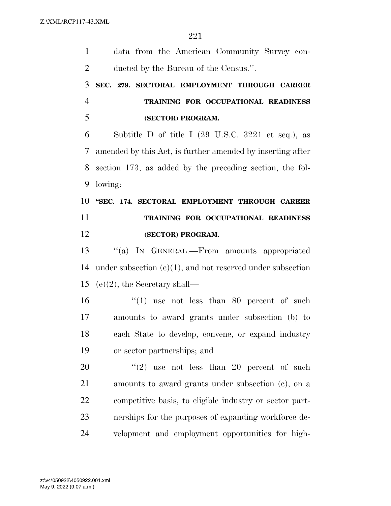| $\mathbf{1}$   | data from the American Community Survey con-                          |
|----------------|-----------------------------------------------------------------------|
| $\overline{2}$ | ducted by the Bureau of the Census.".                                 |
| 3              | SEC. 279. SECTORAL EMPLOYMENT THROUGH CAREER                          |
| $\overline{4}$ | TRAINING FOR OCCUPATIONAL READINESS                                   |
| 5              | (SECTOR) PROGRAM.                                                     |
| 6              | Subtitle D of title I $(29 \text{ U.S.C. } 3221 \text{ et seq.}),$ as |
| 7              | amended by this Act, is further amended by inserting after            |
| 8              | section 173, as added by the preceding section, the fol-              |
| 9              | lowing:                                                               |
| 10             | "SEC. 174. SECTORAL EMPLOYMENT THROUGH CAREER                         |
| 11             | TRAINING FOR OCCUPATIONAL READINESS                                   |
| 12             | (SECTOR) PROGRAM.                                                     |
| 13             | "(a) IN GENERAL.—From amounts appropriated                            |
| 14             | under subsection $(e)(1)$ , and not reserved under subsection         |
| 15             |                                                                       |
|                | $(e)(2)$ , the Secretary shall—                                       |
| 16             | "(1) use not less than 80 percent of such                             |
| 17             | amounts to award grants under subsection (b) to                       |
| 18             | each State to develop, convene, or expand industry                    |
| 19             | or sector partnerships; and                                           |
| 20             | "(2) use not less than 20 percent of such                             |
| 21             | amounts to award grants under subsection (c), on a                    |
| 22             | competitive basis, to eligible industry or sector part-               |
| 23             | nerships for the purposes of expanding workforce de-                  |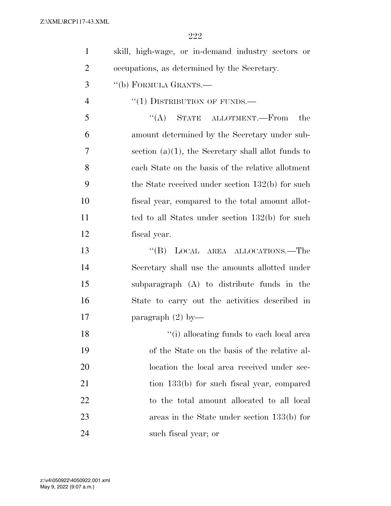| $\mathbf{1}$   | skill, high-wage, or in-demand industry sectors or    |
|----------------|-------------------------------------------------------|
| $\overline{2}$ | occupations, as determined by the Secretary.          |
| 3              | "(b) FORMULA GRANTS.—                                 |
| $\overline{4}$ | $``(1)$ DISTRIBUTION OF FUNDS.—                       |
| 5              | $\lq\lq (A)$ STATE ALLOTMENT.—From<br>the             |
| 6              | amount determined by the Secretary under sub-         |
| $\overline{7}$ | section $(a)(1)$ , the Secretary shall allot funds to |
| 8              | each State on the basis of the relative allotment     |
| 9              | the State received under section $132(b)$ for such    |
| 10             | fiscal year, compared to the total amount allot-      |
| 11             | ted to all States under section $132(b)$ for such     |
| 12             | fiscal year.                                          |
| 13             | "(B) LOCAL AREA ALLOCATIONS.—The                      |
| 14             | Secretary shall use the amounts allotted under        |
| 15             | subparagraph (A) to distribute funds in the           |
| 16             | State to carry out the activities described in        |
| 17             | paragraph $(2)$ by—                                   |
| 18             | "(i) allocating funds to each local area              |
| 19             | of the State on the basis of the relative al-         |
| 20             | location the local area received under sec-           |
| 21             | tion 133(b) for such fiscal year, compared            |
| 22             | to the total amount allocated to all local            |
| 23             | areas in the State under section $133(b)$ for         |
| 24             | such fiscal year; or                                  |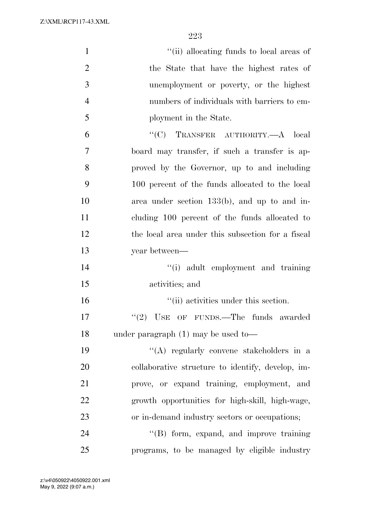| $\mathbf{1}$   | "(ii) allocating funds to local areas of          |
|----------------|---------------------------------------------------|
| $\overline{2}$ | the State that have the highest rates of          |
| 3              | unemployment or poverty, or the highest           |
| $\overline{4}$ | numbers of individuals with barriers to em-       |
| 5              | ployment in the State.                            |
| 6              | "(C) TRANSFER AUTHORITY.—A $local$                |
| 7              | board may transfer, if such a transfer is ap-     |
| 8              | proved by the Governor, up to and including       |
| 9              | 100 percent of the funds allocated to the local   |
| 10             | area under section $133(b)$ , and up to and in-   |
| 11             | cluding 100 percent of the funds allocated to     |
| 12             | the local area under this subsection for a fiscal |
| 13             | year between—                                     |
| 14             | "(i) adult employment and training                |
| 15             | activities; and                                   |
| 16             | "(ii) activities under this section.              |
| 17             | USE OF FUNDS.—The funds awarded<br>(2)            |
| 18             | under paragraph $(1)$ may be used to-             |
| 19             | "(A) regularly convene stakeholders in a          |
| 20             | collaborative structure to identify, develop, im- |
| 21             | prove, or expand training, employment, and        |
| 22             | growth opportunities for high-skill, high-wage,   |
| 23             | or in-demand industry sectors or occupations;     |
| 24             | "(B) form, expand, and improve training           |
| 25             | programs, to be managed by eligible industry      |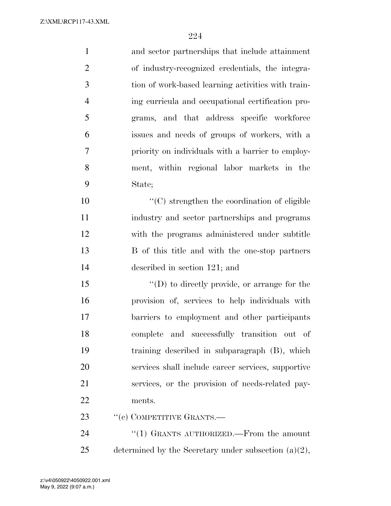and sector partnerships that include attainment of industry-recognized credentials, the integra- tion of work-based learning activities with train- ing curricula and occupational certification pro- grams, and that address specific workforce issues and needs of groups of workers, with a priority on individuals with a barrier to employ- ment, within regional labor markets in the State; ''(C) strengthen the coordination of eligible industry and sector partnerships and programs with the programs administered under subtitle B of this title and with the one-stop partners described in section 121; and  $\langle \text{I}(D) \rangle$  to directly provide, or arrange for the provision of, services to help individuals with barriers to employment and other participants complete and successfully transition out of training described in subparagraph (B), which services shall include career services, supportive services, or the provision of needs-related pay- ments. 23 " (c) COMPETITIVE GRANTS.—

24  $\frac{1}{2}$  (1) GRANTS AUTHORIZED. From the amount 25 determined by the Secretary under subsection  $(a)(2)$ ,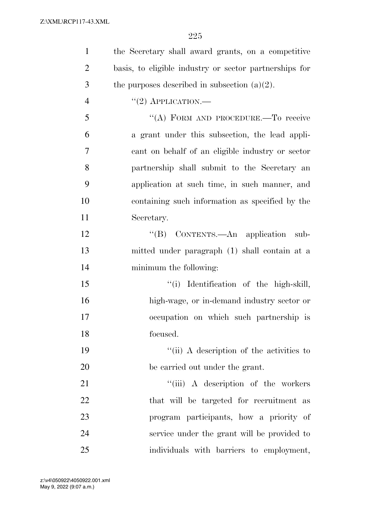| $\mathbf{1}$   | the Secretary shall award grants, on a competitive     |
|----------------|--------------------------------------------------------|
| $\overline{2}$ | basis, to eligible industry or sector partnerships for |
| 3              | the purposes described in subsection $(a)(2)$ .        |
| $\overline{4}$ | $``(2)$ APPLICATION.—                                  |
| 5              | "(A) FORM AND PROCEDURE.—To receive                    |
| 6              | a grant under this subsection, the lead appli-         |
| $\tau$         | cant on behalf of an eligible industry or sector       |
| 8              | partnership shall submit to the Secretary an           |
| 9              | application at such time, in such manner, and          |
| 10             | containing such information as specified by the        |
| 11             | Secretary.                                             |
| 12             | "(B) CONTENTS.—An application sub-                     |
| 13             | mitted under paragraph (1) shall contain at a          |
| 14             | minimum the following:                                 |
| 15             | "(i) Identification of the high-skill,                 |
| 16             | high-wage, or in-demand industry sector or             |
| 17             | occupation on which such partnership is                |
| 18             | focused.                                               |
| 19             | "(ii) A description of the activities to               |
| 20             | be carried out under the grant.                        |
| 21             | "(iii) A description of the workers                    |
| 22             | that will be targeted for recruitment as               |
| 23             | program participants, how a priority of                |
| 24             | service under the grant will be provided to            |
| 25             | individuals with barriers to employment,               |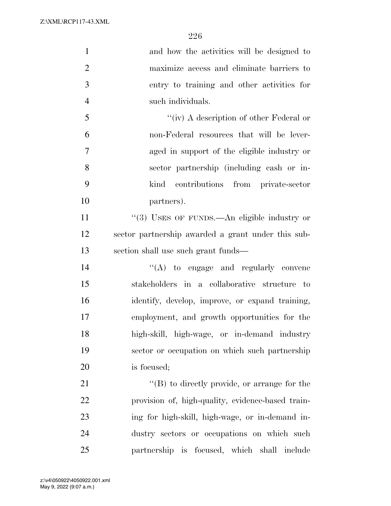| $\mathbf{1}$   | and how the activities will be designed to           |
|----------------|------------------------------------------------------|
| $\overline{2}$ | maximize access and eliminate barriers to            |
| 3              | entry to training and other activities for           |
| $\overline{4}$ | such individuals.                                    |
| 5              | "(iv) A description of other Federal or              |
| 6              | non-Federal resources that will be lever-            |
| 7              | aged in support of the eligible industry or          |
| 8              | sector partnership (including cash or in-            |
| 9              | contributions from private-sector<br>kind            |
| 10             | partners).                                           |
| 11             | "(3) USES OF FUNDS.—An eligible industry or          |
| 12             | sector partnership awarded a grant under this sub-   |
| 13             | section shall use such grant funds—                  |
| 14             | $\lq\lq$ to engage and regularly convene             |
| 15             | stakeholders in a collaborative structure to         |
| 16             | identify, develop, improve, or expand training,      |
| 17             | employment, and growth opportunities for the         |
| 18             | high-skill, high-wage, or in-demand industry         |
| 19             | sector or occupation on which such partnership       |
| 20             | is focused;                                          |
| 21             | $\lq\lq (B)$ to directly provide, or arrange for the |
| 22             | provision of, high-quality, evidence-based train-    |
| 23             | ing for high-skill, high-wage, or in-demand in-      |
| 24             | dustry sectors or occupations on which such          |
| 25             | partnership is focused, which shall include          |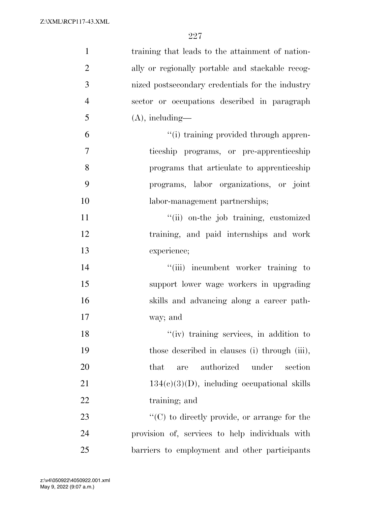| $\mathbf{1}$   | training that leads to the attainment of nation-     |
|----------------|------------------------------------------------------|
| $\overline{2}$ | ally or regionally portable and stackable recog-     |
| 3              | nized postsecondary credentials for the industry     |
| $\overline{4}$ | sector or occupations described in paragraph         |
| 5              | $(A)$ , including—                                   |
| 6              | "(i) training provided through appren-               |
| 7              | ticeship programs, or pre-apprenticeship             |
| 8              | programs that articulate to apprenticeship           |
| 9              | programs, labor organizations, or joint              |
| 10             | labor-management partnerships;                       |
| 11             | "(ii) on-the job training, customized                |
| 12             | training, and paid internships and work              |
| 13             | experience;                                          |
| 14             | "(iii) incumbent worker training to                  |
| 15             | support lower wage workers in upgrading              |
| 16             | skills and advancing along a career path-            |
| 17             | way; and                                             |
| 18             | "(iv) training services, in addition to              |
| 19             | those described in clauses (i) through (iii),        |
| 20             | authorized<br>that<br>under<br>section<br>are        |
| 21             | $134(c)(3)(D)$ , including occupational skills       |
| 22             | training; and                                        |
| 23             | $\lq\lq$ (C) to directly provide, or arrange for the |
| 24             | provision of, services to help individuals with      |
| 25             | barriers to employment and other participants        |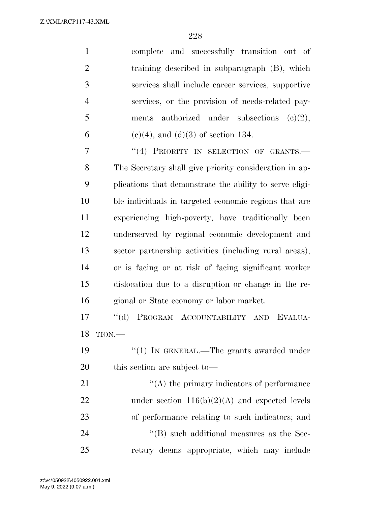| $\mathbf{1}$   | complete and successfully transition out of        |
|----------------|----------------------------------------------------|
| $\overline{2}$ | training described in subparagraph (B), which      |
| 3              | services shall include career services, supportive |
| $\overline{4}$ | services, or the provision of needs-related pay-   |
| 5              | ments authorized under subsections $(c)(2)$ ,      |
| 6              | $(c)(4)$ , and $(d)(3)$ of section 134.            |
|                |                                                    |

7 "(4) PRIORITY IN SELECTION OF GRANTS.— The Secretary shall give priority consideration in ap- plications that demonstrate the ability to serve eligi- ble individuals in targeted economic regions that are experiencing high-poverty, have traditionally been underserved by regional economic development and sector partnership activities (including rural areas), or is facing or at risk of facing significant worker dislocation due to a disruption or change in the re-gional or State economy or labor market.

 ''(d) PROGRAM ACCOUNTABILITY AND EVALUA-TION.—

19 "(1) IN GENERAL.—The grants awarded under this section are subject to—

 $\langle (A)$  the primary indicators of performance 22 under section  $116(b)(2)(A)$  and expected levels of performance relating to such indicators; and  $\langle$  (B) such additional measures as the Sec-retary deems appropriate, which may include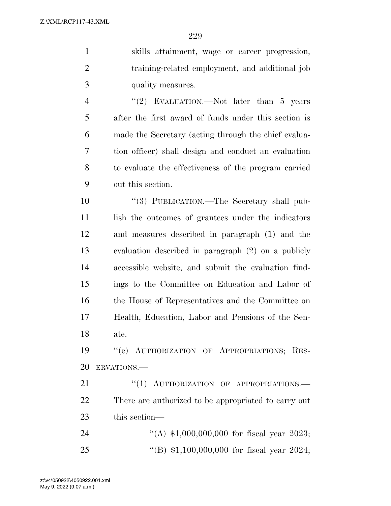skills attainment, wage or career progression,

| $\overline{2}$ | training-related employment, and additional job      |
|----------------|------------------------------------------------------|
| 3              | quality measures.                                    |
| $\overline{4}$ | "(2) EVALUATION.—Not later than $5$ years            |
| 5              | after the first award of funds under this section is |
| 6              | made the Secretary (acting through the chief evalua- |
| 7              | tion officer) shall design and conduct an evaluation |
| 8              | to evaluate the effectiveness of the program carried |
| 9              | out this section.                                    |
| 10             | "(3) PUBLICATION.—The Secretary shall pub-           |
| 11             | lish the outcomes of grantees under the indicators   |
| 12             | and measures described in paragraph (1) and the      |
| 13             | evaluation described in paragraph (2) on a publicly  |
| 14             | accessible website, and submit the evaluation find-  |
| 15             | ings to the Committee on Education and Labor of      |
| 16             | the House of Representatives and the Committee on    |
| 17             | Health, Education, Labor and Pensions of the Sen-    |
| 18             | ate.                                                 |
| 19             | "(e) AUTHORIZATION OF APPROPRIATIONS; RES-           |
| 20             | ERVATIONS.                                           |
| 21             | "(1) AUTHORIZATION OF APPROPRIATIONS.-               |
| 22             | There are authorized to be appropriated to carry out |
| 23             | this section-                                        |
| 24             | "(A) $$1,000,000,000$ for fiscal year 2023;          |
| 25             | "(B) $$1,100,000,000$ for fiscal year 2024;          |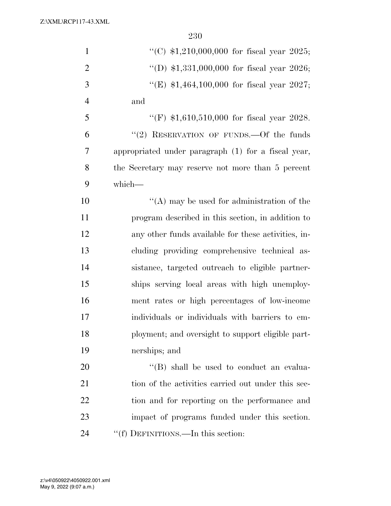| $\mathbf{1}$   | "(C) $$1,210,000,000$ for fiscal year 2025;         |
|----------------|-----------------------------------------------------|
| $\overline{2}$ | "(D) $$1,331,000,000$ for fiscal year 2026;         |
| 3              | "(E) $$1,464,100,000$ for fiscal year 2027;         |
| $\overline{4}$ | and                                                 |
| 5              | "(F) $$1,610,510,000$ for fiscal year 2028.         |
| 6              | "(2) RESERVATION OF FUNDS.—Of the funds             |
| $\overline{7}$ | appropriated under paragraph (1) for a fiscal year, |
| 8              | the Secretary may reserve not more than 5 percent   |
| 9              | which-                                              |
| 10             | $\lq\lq$ may be used for administration of the      |
| 11             | program described in this section, in addition to   |
| 12             | any other funds available for these activities, in- |
| 13             | cluding providing comprehensive technical as-       |
| 14             | sistance, targeted outreach to eligible partner-    |
| 15             | ships serving local areas with high unemploy-       |
| 16             | ment rates or high percentages of low-income        |
| 17             | individuals or individuals with barriers to em-     |
| 18             | ployment; and oversight to support eligible part-   |
| 19             | nerships; and                                       |
| 20             | "(B) shall be used to conduct an evalua-            |
| 21             | tion of the activities carried out under this sec-  |
| 22             | tion and for reporting on the performance and       |
| 23             | impact of programs funded under this section.       |
| 24             | "(f) DEFINITIONS.—In this section:                  |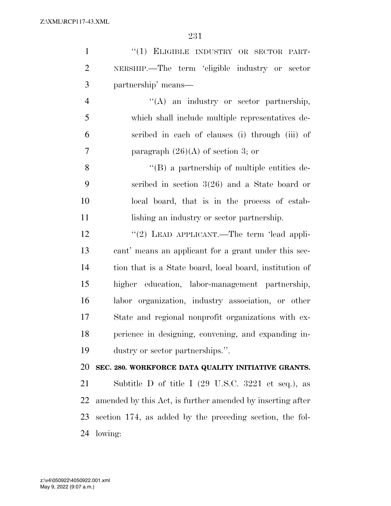| $\mathbf{1}$   | "(1) ELIGIBLE INDUSTRY OR SECTOR PART-                                |
|----------------|-----------------------------------------------------------------------|
| $\overline{2}$ | NERSHIP.—The term 'eligible industry or sector                        |
| 3              | partnership' means—                                                   |
| $\overline{4}$ | "(A) an industry or sector partnership,                               |
| 5              | which shall include multiple representatives de-                      |
| 6              | scribed in each of clauses (i) through (iii) of                       |
| 7              | paragraph $(26)(A)$ of section 3; or                                  |
| 8              | $\lq\lq (B)$ a partnership of multiple entities de-                   |
| 9              | scribed in section $3(26)$ and a State board or                       |
| 10             | local board, that is in the process of estab-                         |
| 11             | lishing an industry or sector partnership.                            |
| 12             | "(2) LEAD APPLICANT.—The term 'lead appli-                            |
| 13             | cant' means an applicant for a grant under this sec-                  |
| 14             | tion that is a State board, local board, institution of               |
| 15             | higher education, labor-management partnership,                       |
| 16             | labor organization, industry association, or other                    |
| 17             | State and regional nonprofit organizations with ex-                   |
| 18             | perience in designing, convening, and expanding in-                   |
| 19             | dustry or sector partnerships.".                                      |
| 20             | SEC. 280. WORKFORCE DATA QUALITY INITIATIVE GRANTS.                   |
| 21             | Subtitle D of title I $(29 \text{ U.S.C. } 3221 \text{ et seq.}),$ as |
| 22             | amended by this Act, is further amended by inserting after            |
| 23             | section 174, as added by the preceding section, the fol-              |
| 24             | lowing:                                                               |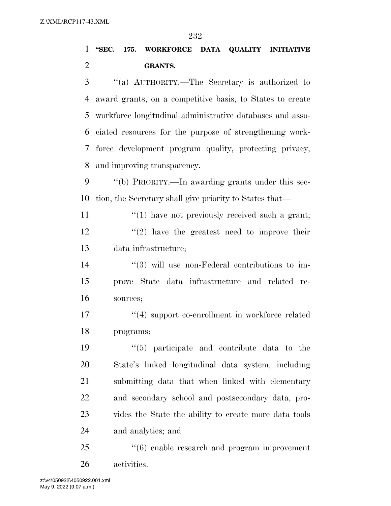## **''SEC. 175. WORKFORCE DATA QUALITY INITIATIVE GRANTS.**

 ''(a) AUTHORITY.—The Secretary is authorized to award grants, on a competitive basis, to States to create workforce longitudinal administrative databases and asso- ciated resources for the purpose of strengthening work- force development program quality, protecting privacy, and improving transparency.

 ''(b) PRIORITY.—In awarding grants under this sec-tion, the Secretary shall give priority to States that—

11  $\frac{1}{2}$  (1) have not previously received such a grant;  $\frac{12}{2}$  ''(2) have the greatest need to improve their data infrastructure;

14  $(3)$  will use non-Federal contributions to im- prove State data infrastructure and related re-sources;

17 ''(4) support co-enrollment in workforce related programs;

 ''(5) participate and contribute data to the State's linked longitudinal data system, including submitting data that when linked with elementary and secondary school and postsecondary data, pro- vides the State the ability to create more data tools and analytics; and

25 "(6) enable research and program improvement activities.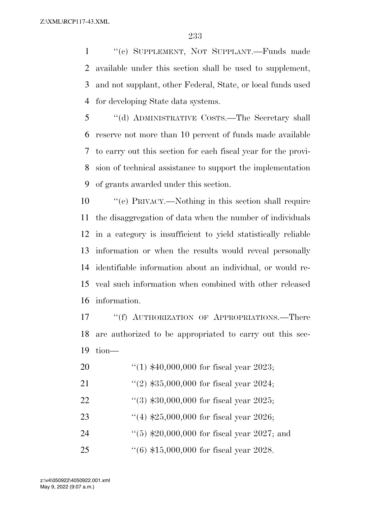''(c) SUPPLEMENT, NOT SUPPLANT.—Funds made available under this section shall be used to supplement, and not supplant, other Federal, State, or local funds used for developing State data systems.

 ''(d) ADMINISTRATIVE COSTS.—The Secretary shall reserve not more than 10 percent of funds made available to carry out this section for each fiscal year for the provi- sion of technical assistance to support the implementation of grants awarded under this section.

 ''(e) PRIVACY.—Nothing in this section shall require the disaggregation of data when the number of individuals in a category is insufficient to yield statistically reliable information or when the results would reveal personally identifiable information about an individual, or would re- veal such information when combined with other released information.

17 ""(f) AUTHORIZATION OF APPROPRIATIONS.—There are authorized to be appropriated to carry out this sec-tion—

| "(1) $$40,000,000$ for fiscal year 2023; | 20 |  |  |  |  |  |
|------------------------------------------|----|--|--|--|--|--|
|------------------------------------------|----|--|--|--|--|--|

- 21 ''(2)  $$35,000,000$  for fiscal year 2024;
- ''(3) \$30,000,000 for fiscal year 2025;
- ''(4) \$25,000,000 for fiscal year 2026;
- 24 ''(5) \$20,000,000 for fiscal year 2027; and
- ''(6) \$15,000,000 for fiscal year 2028.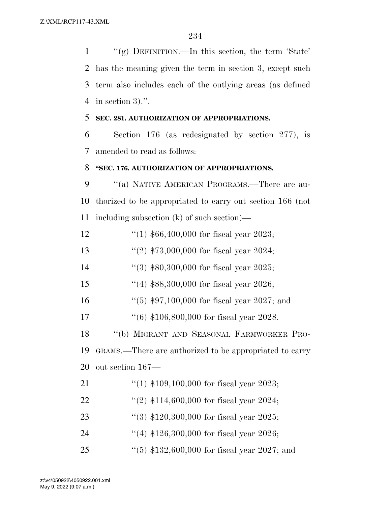''(g) DEFINITION.—In this section, the term 'State' has the meaning given the term in section 3, except such term also includes each of the outlying areas (as defined in section 3).''. **SEC. 281. AUTHORIZATION OF APPROPRIATIONS.**  Section 176 (as redesignated by section 277), is amended to read as follows: **''SEC. 176. AUTHORIZATION OF APPROPRIATIONS.** 

9 "(a) NATIVE AMERICAN PROGRAMS.—There are au- thorized to be appropriated to carry out section 166 (not including subsection (k) of such section)—

''(1) \$66,400,000 for fiscal year 2023;

''(2) \$73,000,000 for fiscal year 2024;

14 ''(3) \$80,300,000 for fiscal year 2025;

''(4) \$88,300,000 for fiscal year 2026;

''(5) \$97,100,000 for fiscal year 2027; and

''(6) \$106,800,000 for fiscal year 2028.

 ''(b) MIGRANT AND SEASONAL FARMWORKER PRO- GRAMS.—There are authorized to be appropriated to carry out section 167—

- ''(1) \$109,100,000 for fiscal year 2023;
- ''(2) \$114,600,000 for fiscal year 2024;
- ''(3) \$120,300,000 for fiscal year 2025;
- 24 ''(4) \$126,300,000 for fiscal year 2026;
- ''(5) \$132,600,000 for fiscal year 2027; and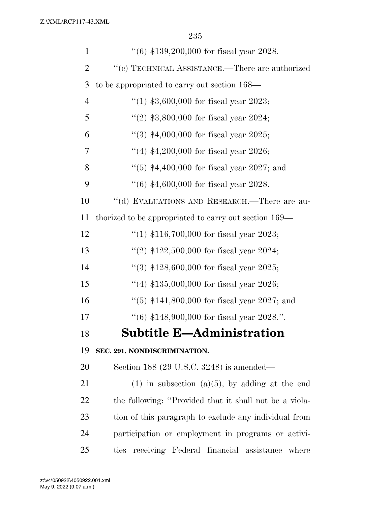| $\mathbf{1}$   | $(6)$ \$139,200,000 for fiscal year 2028.              |
|----------------|--------------------------------------------------------|
| $\overline{2}$ | $``(c)$ TECHNICAL ASSISTANCE.—There are authorized     |
| 3              | to be appropriated to carry out section 168—           |
| $\overline{4}$ | "(1) $$3,600,000$ for fiscal year 2023;                |
| 5              | "(2) $$3,800,000$ for fiscal year 2024;                |
| 6              | "(3) $$4,000,000$ for fiscal year 2025;                |
| 7              | "(4) $$4,200,000$ for fiscal year 2026;                |
| 8              | $(5)$ \$4,400,000 for fiscal year 2027; and            |
| 9              | $(6)$ \$4,600,000 for fiscal year 2028.                |
| 10             | "(d) EVALUATIONS AND RESEARCH.—There are au-           |
| 11             | thorized to be appropriated to carry out section 169—  |
| 12             | "(1) $$116,700,000$ for fiscal year 2023;              |
| 13             | "(2) $$122,500,000$ for fiscal year 2024;              |
| 14             | "(3) $$128,600,000$ for fiscal year 2025;              |
| 15             | "(4) $$135,000,000$ for fiscal year 2026;              |
| 16             | "(5) $$141,800,000$ for fiscal year 2027; and          |
| 17             | "(6) $$148,900,000$ for fiscal year 2028.".            |
| 18             | <b>Subtitle E-Administration</b>                       |
| 19             | SEC. 291. NONDISCRIMINATION.                           |
| 20             | Section 188 (29 U.S.C. 3248) is amended—               |
| 21             | $(1)$ in subsection $(a)(5)$ , by adding at the end    |
| <u>22</u>      | the following: "Provided that it shall not be a viola- |
| 23             | tion of this paragraph to exclude any individual from  |
| 24             | participation or employment in programs or activi-     |
| 25             | ties receiving Federal financial assistance<br>where   |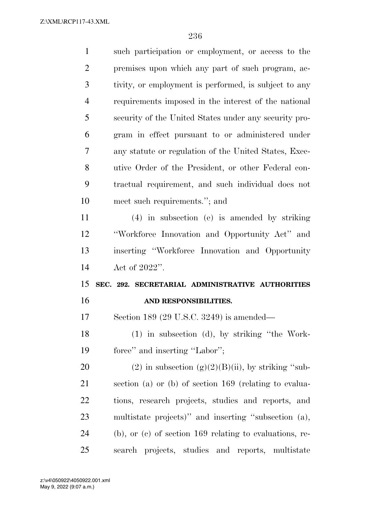| $\mathbf{1}$   | such participation or employment, or access to the           |
|----------------|--------------------------------------------------------------|
| $\overline{2}$ | premises upon which any part of such program, ac-            |
| 3              | tivity, or employment is performed, is subject to any        |
| $\overline{4}$ | requirements imposed in the interest of the national         |
| 5              | security of the United States under any security pro-        |
| 6              | gram in effect pursuant to or administered under             |
| 7              | any statute or regulation of the United States, Exec-        |
| 8              | utive Order of the President, or other Federal con-          |
| 9              | tractual requirement, and such individual does not           |
| 10             | meet such requirements."; and                                |
| 11             | $(4)$ in subsection (e) is amended by striking               |
| 12             | "Workforce Innovation and Opportunity Act" and               |
|                |                                                              |
| 13             | inserting "Workforce Innovation and Opportunity              |
| 14             | Act of 2022".                                                |
| 15             | SEC. 292. SECRETARIAL ADMINISTRATIVE AUTHORITIES             |
| 16             | AND RESPONSIBILITIES.                                        |
| 17             | Section 189 (29 U.S.C. 3249) is amended—                     |
| 18             | (1) in subsection (d), by striking "the Work-                |
| 19             | force" and inserting "Labor";                                |
| <b>20</b>      | $(2)$ in subsection $(g)(2)(B)(ii)$ , by striking "sub-      |
| 21             | section (a) or (b) of section $169$ (relating to evalua-     |
| 22             | tions, research projects, studies and reports, and           |
| 23             | multistate projects)" and inserting "subsection (a),         |
| 24             | $(b)$ , or $(c)$ of section 169 relating to evaluations, re- |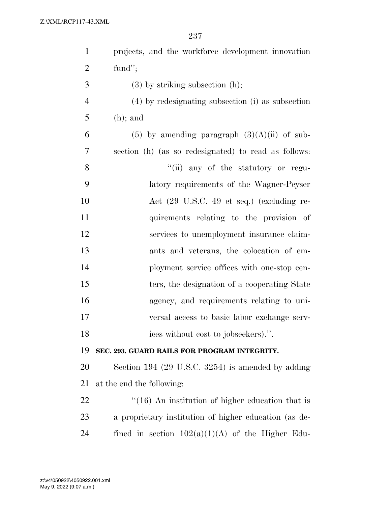| $\mathbf{1}$   | projects, and the workforce development innovation      |
|----------------|---------------------------------------------------------|
| $\overline{2}$ | fund";                                                  |
| 3              | $(3)$ by striking subsection $(h)$ ;                    |
| $\overline{4}$ | (4) by redesignating subsection (i) as subsection       |
| 5              | $(h)$ ; and                                             |
| 6              | $(5)$ by amending paragraph $(3)(A)(ii)$ of sub-        |
| 7              | section (h) (as so redesignated) to read as follows:    |
| 8              | "(ii) any of the statutory or regu-                     |
| 9              | latory requirements of the Wagner-Peyser                |
| 10             | Act (29 U.S.C. 49 et seq.) (excluding re-               |
| 11             | quirements relating to the provision of                 |
| 12             | services to unemployment insurance claim-               |
| 13             | ants and veterans, the colocation of em-                |
| 14             | ployment service offices with one-stop cen-             |
| 15             | ters, the designation of a cooperating State            |
| 16             | agency, and requirements relating to uni-               |
| 17             | versal access to basic labor exchange serv-             |
| 18             | ices without cost to jobseekers).".                     |
| 19             | SEC. 293. GUARD RAILS FOR PROGRAM INTEGRITY.            |
| 20             | Section 194 (29 U.S.C. 3254) is amended by adding       |
| 21             | at the end the following:                               |
| 22             | $\cdot$ (16) An institution of higher education that is |
| 23             | a proprietary institution of higher education (as de-   |
| 24             | fined in section $102(a)(1)(A)$ of the Higher Edu-      |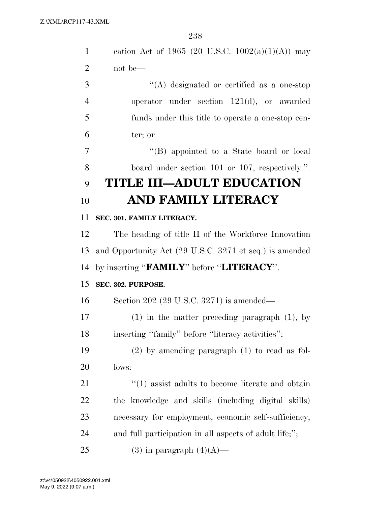| $\mathbf{1}$   | cation Act of 1965 (20 U.S.C. 1002(a)(1)(A)) may            |
|----------------|-------------------------------------------------------------|
| $\overline{2}$ | not be—                                                     |
| 3              | $\lq\lq$ designated or certified as a one-stop              |
| $\overline{4}$ | operator under section $121(d)$ , or awarded                |
| 5              | funds under this title to operate a one-stop cen-           |
| 6              | ter; or                                                     |
| $\overline{7}$ | "(B) appointed to a State board or local                    |
| 8              | board under section 101 or 107, respectively.".             |
| 9              | <b>TITLE III-ADULT EDUCATION</b>                            |
| 10             | AND FAMILY LITERACY                                         |
| 11             | SEC. 301. FAMILY LITERACY.                                  |
| 12             | The heading of title II of the Workforce Innovation         |
| 13             | and Opportunity Act (29 U.S.C. 3271 et seq.) is amended     |
| 14             | by inserting "FAMILY" before "LITERACY".                    |
| 15             | SEC. 302. PURPOSE.                                          |
| 16             | Section 202 $(29 \text{ U.S.C. } 3271)$ is amended—         |
| 17             | $(1)$ in the matter preceding paragraph $(1)$ , by          |
| 18             | inserting "family" before "literacy activities";            |
| 19             | $(2)$ by amending paragraph $(1)$ to read as fol-           |
| 20             | lows:                                                       |
| 21             | $\cdot\cdot(1)$ assist adults to become literate and obtain |
| 22             | the knowledge and skills (including digital skills)         |
| 23             | necessary for employment, economic self-sufficiency,        |
| 24             | and full participation in all aspects of adult life;";      |
| 25             | $(3)$ in paragraph $(4)(A)$ —                               |
|                |                                                             |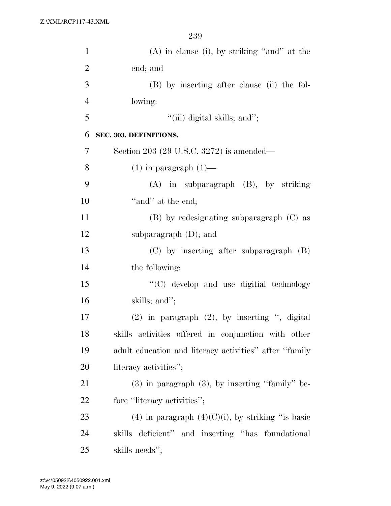| $\mathbf{1}$   | $(A)$ in clause (i), by striking "and" at the          |
|----------------|--------------------------------------------------------|
| $\overline{2}$ | end; and                                               |
| 3              | (B) by inserting after clause (ii) the fol-            |
| $\overline{4}$ | lowing:                                                |
| 5              | "(iii) digital skills; and";                           |
| 6              | SEC. 303. DEFINITIONS.                                 |
| 7              | Section 203 (29 U.S.C. 3272) is amended—               |
| 8              | $(1)$ in paragraph $(1)$ —                             |
| 9              | $(A)$ in subparagraph $(B)$ , by striking              |
| 10             | "and" at the end;                                      |
| 11             | $(B)$ by redesignating subparagraph $(C)$ as           |
| 12             | subparagraph $(D)$ ; and                               |
| 13             | $(C)$ by inserting after subparagraph $(B)$            |
| 14             | the following:                                         |
| 15             | "(C) develop and use digitial technology               |
| 16             | skills; and";                                          |
| 17             | $(2)$ in paragraph $(2)$ , by inserting ", digital     |
| 18             | skills activities offered in conjunction with other    |
| 19             | adult education and literacy activities" after "family |
| 20             | literacy activities";                                  |
| 21             | $(3)$ in paragraph $(3)$ , by inserting "family" be-   |
| 22             | fore "literacy activities";                            |
| 23             | (4) in paragraph $(4)(C)(i)$ , by striking "is basic   |
| 24             | skills deficient" and inserting "has foundational      |
| 25             | skills needs";                                         |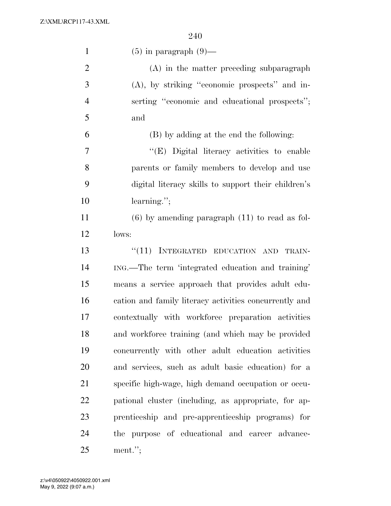| $\mathbf{1}$   | $(5)$ in paragraph $(9)$ —                             |
|----------------|--------------------------------------------------------|
| $\overline{2}$ | (A) in the matter preceding subparagraph               |
| 3              | $(A)$ , by striking "economic prospects" and in-       |
| $\overline{4}$ | serting "economic and educational prospects";          |
| 5              | and                                                    |
| 6              | (B) by adding at the end the following:                |
| $\overline{7}$ | "(E) Digital literacy activities to enable             |
| 8              | parents or family members to develop and use           |
| 9              | digital literacy skills to support their children's    |
| 10             | $learning$ .";                                         |
| 11             | $(6)$ by amending paragraph $(11)$ to read as fol-     |
| 12             | lows:                                                  |
| 13             | "(11) INTEGRATED EDUCATION AND<br>TRAIN-               |
| 14             | ING.—The term 'integrated education and training'      |
| 15             | means a service approach that provides adult edu-      |
| 16             | cation and family literacy activities concurrently and |
| 17             | contextually with workforce preparation activities     |
| 18             | and workforce training (and which may be provided      |
| 19             | concurrently with other adult education activities     |
| 20             | and services, such as adult basic education) for a     |
| 21             | specific high-wage, high demand occupation or occu-    |
| 22             | pational cluster (including, as appropriate, for ap-   |
| 23             | prenticeship and pre-apprenticeship programs) for      |
| 24             | the purpose of educational and career advance-         |
| 25             | $ment.$ ";                                             |

May 9, 2022 (9:07 a.m.) z:\v4\050922\4050922.001.xml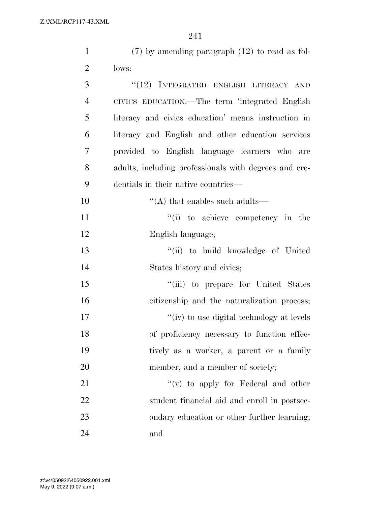| $\mathbf{1}$   | $(7)$ by amending paragraph $(12)$ to read as fol-    |
|----------------|-------------------------------------------------------|
| $\overline{2}$ | lows:                                                 |
| 3              | "(12) INTEGRATED ENGLISH LITERACY AND                 |
| $\overline{4}$ | CIVICS EDUCATION.—The term 'integrated English        |
| 5              | literacy and civics education' means instruction in   |
| 6              | literacy and English and other education services     |
| 7              | provided to English language learners who are         |
| 8              | adults, including professionals with degrees and cre- |
| 9              | dentials in their native countries—                   |
| 10             | $\cdot$ (A) that enables such adults—                 |
| 11             | "(i) to achieve competency in the                     |
| 12             | English language;                                     |
| 13             | "(ii) to build knowledge of United                    |
| 14             | States history and civics;                            |
| 15             | "(iii) to prepare for United States                   |
| 16             | citizenship and the naturalization process;           |
| 17             | "(iv) to use digital technology at levels             |
| 18             | of proficiency necessary to function effec-           |
| 19             | tively as a worker, a parent or a family              |
| 20             | member, and a member of society;                      |
| 21             | "(v) to apply for Federal and other                   |
| 22             | student financial aid and enroll in postsec-          |
| 23             | ondary education or other further learning;           |
| 24             | and                                                   |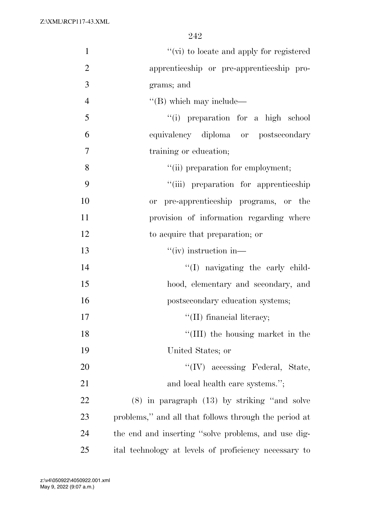| $\mathbf{1}$   | "(vi) to locate and apply for registered              |
|----------------|-------------------------------------------------------|
| $\overline{2}$ | apprenticeship or pre-apprenticeship pro-             |
| 3              | grams; and                                            |
| $\overline{4}$ | $\lq\lq$ (B) which may include—                       |
| 5              | "(i) preparation for a high school                    |
| 6              | equivalency diploma or postsecondary                  |
| 7              | training or education;                                |
| 8              | "(ii) preparation for employment;                     |
| 9              | "(iii) preparation for apprenticeship                 |
| 10             | or pre-apprenticeship programs, or the                |
| 11             | provision of information regarding where              |
| 12             | to acquire that preparation; or                       |
| 13             | $``(iv)$ instruction in—                              |
| 14             | "(I) navigating the early child-                      |
| 15             | hood, elementary and secondary, and                   |
| 16             | postsecondary education systems;                      |
| 17             | $\lq\lq$ (II) financial literacy;                     |
| 18             | "(III) the housing market in the                      |
| 19             | United States; or                                     |
| 20             | $\lq\lq$ (IV) accessing Federal, State,               |
| 21             | and local health care systems.";                      |
| 22             | $(8)$ in paragraph $(13)$ by striking "and solve      |
| 23             | problems," and all that follows through the period at |
| 24             | the end and inserting "solve problems, and use dig-   |
| 25             | ital technology at levels of proficiency necessary to |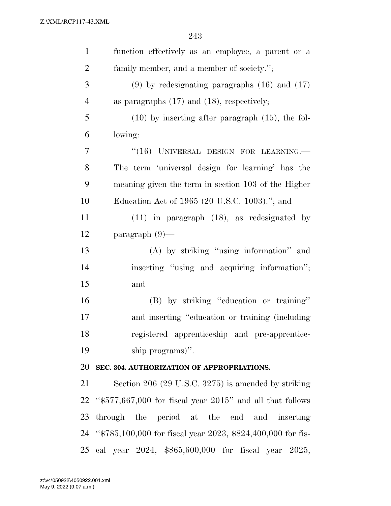| $\mathbf{1}$   | function effectively as an employee, a parent or a             |
|----------------|----------------------------------------------------------------|
| $\overline{2}$ | family member, and a member of society.";                      |
| 3              | $(9)$ by redesignating paragraphs $(16)$ and $(17)$            |
| $\overline{4}$ | as paragraphs $(17)$ and $(18)$ , respectively;                |
| 5              | $(10)$ by inserting after paragraph $(15)$ , the fol-          |
| 6              | lowing:                                                        |
| 7              | "(16) UNIVERSAL DESIGN FOR LEARNING.                           |
| 8              | The term 'universal design for learning' has the               |
| 9              | meaning given the term in section 103 of the Higher            |
| 10             | Education Act of 1965 (20 U.S.C. 1003)."; and                  |
| 11             | $(11)$ in paragraph $(18)$ , as redesignated by                |
| 12             | $\text{param}$ (9)—                                            |
| 13             | (A) by striking "using information" and                        |
| 14             | inserting "using and acquiring information";                   |
| 15             | and                                                            |
| 16             | (B) by striking "education or training"                        |
| 17             | and inserting "education or training (including                |
| 18             | registered apprenticeship and pre-apprentice-                  |
| 19             | ship programs)".                                               |
| 20             | SEC. 304. AUTHORIZATION OF APPROPRIATIONS.                     |
| 21             | Section 206 (29 U.S.C. 3275) is amended by striking            |
| 22             | " $$577,667,000$ for fiscal year $2015$ " and all that follows |
| 23             | through the period at the end and inserting                    |
| 24             | "\$785,100,000 for fiscal year 2023, \$824,400,000 for fis-    |
| 25             | cal year 2024, \$865,600,000 for fiscal year 2025,             |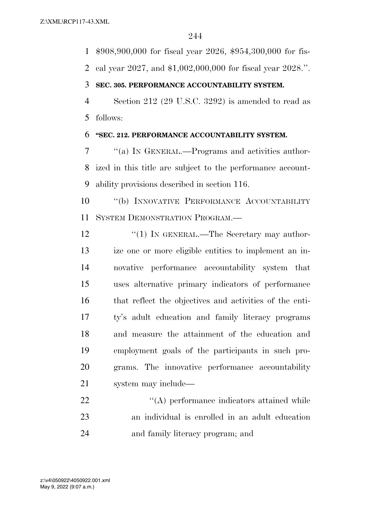\$908,900,000 for fiscal year 2026, \$954,300,000 for fis-

cal year 2027, and \$1,002,000,000 for fiscal year 2028.''.

## **SEC. 305. PERFORMANCE ACCOUNTABILITY SYSTEM.**

 Section 212 (29 U.S.C. 3292) is amended to read as follows:

## **''SEC. 212. PERFORMANCE ACCOUNTABILITY SYSTEM.**

 ''(a) IN GENERAL.—Programs and activities author- ized in this title are subject to the performance account-ability provisions described in section 116.

 ''(b) INNOVATIVE PERFORMANCE ACCOUNTABILITY SYSTEM DEMONSTRATION PROGRAM.—

12 "(1) IN GENERAL.—The Secretary may author- ize one or more eligible entities to implement an in- novative performance accountability system that uses alternative primary indicators of performance that reflect the objectives and activities of the enti- ty's adult education and family literacy programs and measure the attainment of the education and employment goals of the participants in such pro- grams. The innovative performance accountability system may include—

22  $\langle (A)$  performance indicators attained while an individual is enrolled in an adult education and family literacy program; and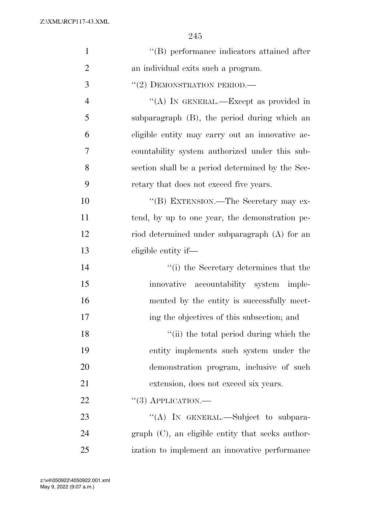| $\mathbf{1}$   | "(B) performance indicators attained after            |
|----------------|-------------------------------------------------------|
| $\overline{2}$ | an individual exits such a program.                   |
| 3              | $``(2)$ DEMONSTRATION PERIOD.—                        |
| $\overline{4}$ | "(A) IN GENERAL.—Except as provided in                |
| 5              | subparagraph (B), the period during which an          |
| 6              | eligible entity may carry out an innovative ac-       |
| 7              | countability system authorized under this sub-        |
| 8              | section shall be a period determined by the Sec-      |
| 9              | retary that does not exceed five years.               |
| 10             | "(B) EXTENSION.—The Secretary may ex-                 |
| 11             | tend, by up to one year, the demonstration pe-        |
| 12             | riod determined under subparagraph (A) for an         |
| 13             | eligible entity if—                                   |
| 14             | "(i) the Secretary determines that the                |
| 15             | innovative accountability system imple-               |
| 16             | mented by the entity is successfully meet-            |
| 17             | ing the objectives of this subsection; and            |
| 18             | "(ii) the total period during which the               |
| 19             | entity implements such system under the               |
| 20             | demonstration program, inclusive of such              |
| 21             | extension, does not exceed six years.                 |
| 22             | $``(3)$ APPLICATION.—                                 |
| 23             | "(A) IN GENERAL.—Subject to subpara-                  |
| 24             | $graph$ $(C)$ , an eligible entity that seeks author- |
| 25             | ization to implement an innovative performance        |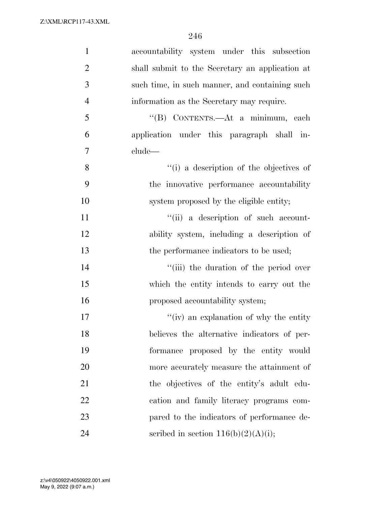| $\mathbf{1}$   | accountability system under this subsection     |
|----------------|-------------------------------------------------|
| $\overline{2}$ | shall submit to the Secretary an application at |
| 3              | such time, in such manner, and containing such  |
| $\overline{4}$ | information as the Secretary may require.       |
| 5              | "(B) CONTENTS.—At a minimum, each               |
| 6              | application under this paragraph shall in-      |
| $\overline{7}$ | clude—                                          |
| 8              | "(i) a description of the objectives of         |
| 9              | the innovative performance accountability       |
| 10             | system proposed by the eligible entity;         |
| 11             | "(ii) a description of such account-            |
| 12             | ability system, including a description of      |
| 13             | the performance indicators to be used;          |
| 14             | "(iii) the duration of the period over          |
| 15             | which the entity intends to carry out the       |
| 16             | proposed accountability system;                 |
| 17             | "(iv) an explanation of why the entity          |
| 18             | believes the alternative indicators of per-     |
| 19             | formance proposed by the entity would           |
| 20             | more accurately measure the attainment of       |
| 21             | the objectives of the entity's adult edu-       |
| 22             | cation and family literacy programs com-        |
| 23             | pared to the indicators of performance de-      |
| 24             | scribed in section $116(b)(2)(A)(i);$           |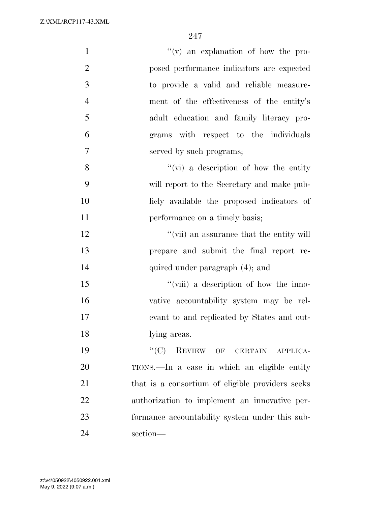| $\mathbf{1}$   | "(v) an explanation of how the pro-              |
|----------------|--------------------------------------------------|
| $\overline{2}$ | posed performance indicators are expected        |
| 3              | to provide a valid and reliable measure-         |
| $\overline{4}$ | ment of the effectiveness of the entity's        |
| 5              | adult education and family literacy pro-         |
| 6              | grams with respect to the individuals            |
| $\tau$         | served by such programs;                         |
| 8              | $\lq\lq$ (vi) a description of how the entity    |
| 9              | will report to the Secretary and make pub-       |
| 10             | licly available the proposed indicators of       |
| 11             | performance on a timely basis;                   |
| 12             | "(vii) an assurance that the entity will         |
| 13             | prepare and submit the final report re-          |
| 14             | quired under paragraph (4); and                  |
| 15             | "(viii) a description of how the inno-           |
| 16             | vative accountability system may be rel-         |
| 17             | evant to and replicated by States and out-       |
| 18             | lying areas.                                     |
| 19             | "(C) REVIEW OF CERTAIN APPLICA-                  |
| 20             | TIONS.—In a case in which an eligible entity     |
| 21             | that is a consortium of eligible providers seeks |
| 22             | authorization to implement an innovative per-    |
| 23             | formance accountability system under this sub-   |
| 24             | section-                                         |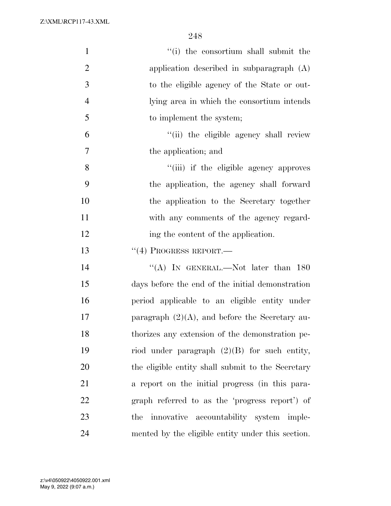| $\mathbf{1}$   | "(i) the consortium shall submit the              |
|----------------|---------------------------------------------------|
| $\overline{2}$ | application described in subparagraph $(A)$       |
| 3              | to the eligible agency of the State or out-       |
| $\overline{4}$ | lying area in which the consortium intends        |
| 5              | to implement the system;                          |
| 6              | "(ii) the eligible agency shall review            |
| 7              | the application; and                              |
| 8              | "(iii) if the eligible agency approves            |
| 9              | the application, the agency shall forward         |
| 10             | the application to the Secretary together         |
| 11             | with any comments of the agency regard-           |
| 12             | ing the content of the application.               |
| 13             | $``(4)$ PROGRESS REPORT.—                         |
| 14             | "(A) IN GENERAL.—Not later than $180$             |
| 15             | days before the end of the initial demonstration  |
| 16             | period applicable to an eligible entity under     |
| 17             | paragraph $(2)(A)$ , and before the Secretary au- |
| 18             | thorizes any extension of the demonstration pe-   |
| 19             | riod under paragraph $(2)(B)$ for such entity,    |
| 20             | the eligible entity shall submit to the Secretary |
| 21             | a report on the initial progress (in this para-   |
| 22             | graph referred to as the 'progress report') of    |
| 23             | innovative accountability system imple-<br>the    |
| 24             | mented by the eligible entity under this section. |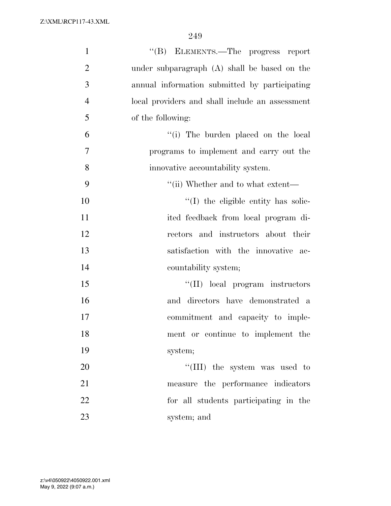| $\mathbf{1}$   | "(B) ELEMENTS.—The progress report              |
|----------------|-------------------------------------------------|
| $\overline{2}$ | under subparagraph (A) shall be based on the    |
| 3              | annual information submitted by participating   |
| $\overline{4}$ | local providers and shall include an assessment |
| 5              | of the following:                               |
| 6              | "(i) The burden placed on the local             |
| $\overline{7}$ | programs to implement and carry out the         |
| 8              | innovative accountability system.               |
| 9              | $\lq\lq$ (ii) Whether and to what extent—       |
| 10             | "(I) the eligible entity has solic-             |
| 11             | ited feedback from local program di-            |
| 12             | rectors and instructors about their             |
| 13             | satisfaction with the innovative ac-            |
| 14             | countability system;                            |
| 15             | "(II) local program instructors                 |
| 16             | and directors have demonstrated a               |
| 17             | commitment and capacity to imple-               |
| 18             | ment or continue to implement the               |
| 19             | system;                                         |
| 20             | "(III) the system was used to                   |
| 21             | measure the performance indicators              |
| 22             | for all students participating in the           |
| 23             | system; and                                     |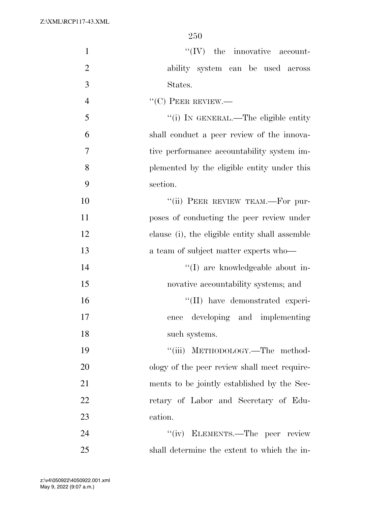| $\mathbf{1}$   | $\lq\lq$ (IV) the innovative account-          |
|----------------|------------------------------------------------|
| $\overline{2}$ | ability system can be used across              |
| 3              | States.                                        |
| $\overline{4}$ | $``(C)$ PEER REVIEW.—                          |
| 5              | "(i) IN GENERAL.—The eligible entity           |
| 6              | shall conduct a peer review of the innova-     |
| $\tau$         | tive performance accountability system im-     |
| 8              | plemented by the eligible entity under this    |
| 9              | section.                                       |
| 10             | "(ii) PEER REVIEW TEAM.—For pur-               |
| 11             | poses of conducting the peer review under      |
| 12             | clause (i), the eligible entity shall assemble |
| 13             | a team of subject matter experts who—          |
| 14             | "(I) are knowledgeable about in-               |
| 15             | novative accountability systems; and           |
| 16             | "(II) have demonstrated experi-                |
| 17             | developing and implementing<br>ence            |
| 18             | such systems.                                  |
| 19             | "(iii) METHODOLOGY.—The method-                |
| 20             | ology of the peer review shall meet require-   |
| 21             | ments to be jointly established by the Sec-    |
| 22             | retary of Labor and Secretary of Edu-          |
| 23             | cation.                                        |
| 24             | "(iv) ELEMENTS.—The peer review                |
| 25             | shall determine the extent to which the in-    |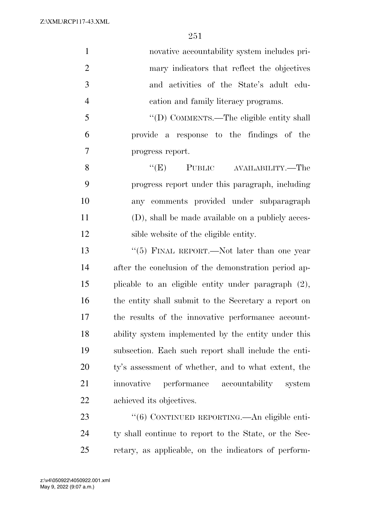| $\mathbf{1}$   | novative accountability system includes pri-          |
|----------------|-------------------------------------------------------|
| $\overline{2}$ | mary indicators that reflect the objectives           |
| 3              | and activities of the State's adult edu-              |
| $\overline{4}$ | cation and family literacy programs.                  |
| 5              | "(D) COMMENTS.—The eligible entity shall              |
| 6              | provide a response to the findings of the             |
| 7              | progress report.                                      |
| 8              | "(E) PUBLIC AVAILABILITY.—The                         |
| 9              | progress report under this paragraph, including       |
| 10             | any comments provided under subparagraph              |
| 11             | (D), shall be made available on a publicly acces-     |
| 12             | sible website of the eligible entity.                 |
| 13             | "(5) FINAL REPORT.—Not later than one year            |
| 14             | after the conclusion of the demonstration period ap-  |
| 15             | plicable to an eligible entity under paragraph (2),   |
| 16             | the entity shall submit to the Secretary a report on  |
| 17             | the results of the innovative performance account-    |
| 18             | ability system implemented by the entity under this   |
| 19             | subsection. Each such report shall include the enti-  |
| 20             | ty's assessment of whether, and to what extent, the   |
| 21             | innovative<br>performance accountability<br>system    |
| 22             | achieved its objectives.                              |
| 23             | "(6) CONTINUED REPORTING.—An eligible enti-           |
| 24             | ty shall continue to report to the State, or the Sec- |

retary, as applicable, on the indicators of perform-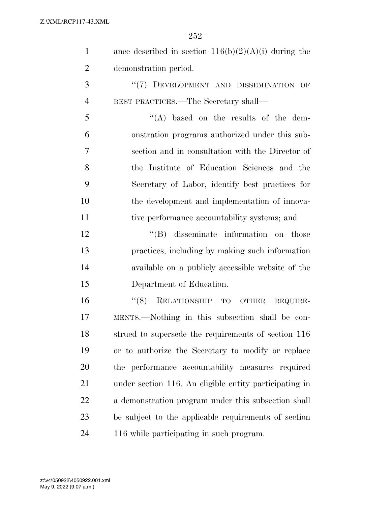| $\mathbf{1}$   | ance described in section $116(b)(2)(A)(i)$ during the |
|----------------|--------------------------------------------------------|
| 2              | demonstration period.                                  |
| 3              | "(7) DEVELOPMENT AND DISSEMINATION OF                  |
| $\overline{4}$ | BEST PRACTICES.—The Secretary shall—                   |
| 5              | $\lq\lq$ based on the results of the dem-              |
| 6              | onstration programs authorized under this sub-         |
| 7              | section and in consultation with the Director of       |
| 8              | the Institute of Education Sciences and the            |
| 9              | Secretary of Labor, identify best practices for        |
| 10             | the development and implementation of innova-          |

tive performance accountability systems; and

12 ''(B) disseminate information on those practices, including by making such information available on a publicly accessible website of the Department of Education.

16 "(8) RELATIONSHIP TO OTHER REQUIRE- MENTS.—Nothing in this subsection shall be con- strued to supersede the requirements of section 116 or to authorize the Secretary to modify or replace the performance accountability measures required under section 116. An eligible entity participating in a demonstration program under this subsection shall be subject to the applicable requirements of section 116 while participating in such program.

May 9, 2022 (9:07 a.m.) z:\v4\050922\4050922.001.xml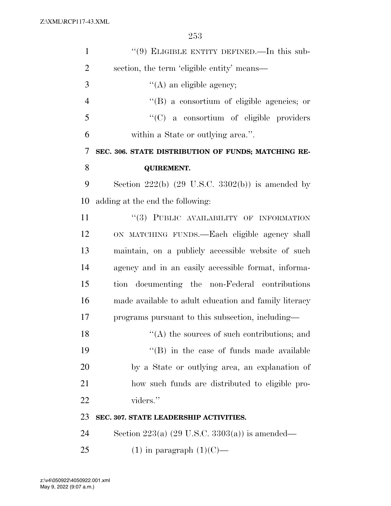| $\mathbf{1}$   | "(9) ELIGIBLE ENTITY DEFINED.—In this sub-                |
|----------------|-----------------------------------------------------------|
| $\overline{2}$ | section, the term 'eligible entity' means—                |
| 3              | $\lq\lq$ (A) an eligible agency;                          |
| $\overline{4}$ | $\lq\lq (B)$ a consortium of eligible agencies; or        |
| 5              | "(C) a consortium of eligible providers                   |
| 6              | within a State or outlying area.".                        |
| 7              | SEC. 306. STATE DISTRIBUTION OF FUNDS; MATCHING RE-       |
| 8              | <b>QUIREMENT.</b>                                         |
| 9              | Section $222(b)$ (29 U.S.C. 3302(b)) is amended by        |
| 10             | adding at the end the following:                          |
| 11             | "(3) PUBLIC AVAILABILITY OF INFORMATION                   |
| 12             | ON MATCHING FUNDS.—Each eligible agency shall             |
| 13             | maintain, on a publicly accessible website of such        |
| 14             | agency and in an easily accessible format, informa-       |
| 15             | tion documenting the non-Federal contributions            |
| 16             | made available to adult education and family literacy     |
| 17             | programs pursuant to this subsection, including—          |
| 18             | $\cdot$ (A) the sources of such contributions; and        |
| 19             | "(B) in the case of funds made available                  |
| 20             | by a State or outlying area, an explanation of            |
| 21             | how such funds are distributed to eligible pro-           |
| 22             | viders."                                                  |
| 23             | SEC. 307. STATE LEADERSHIP ACTIVITIES.                    |
| 24             | Section 223(a) $(29 \text{ U.S.C. } 3303(a))$ is amended— |
| 25             | $(1)$ in paragraph $(1)(C)$ —                             |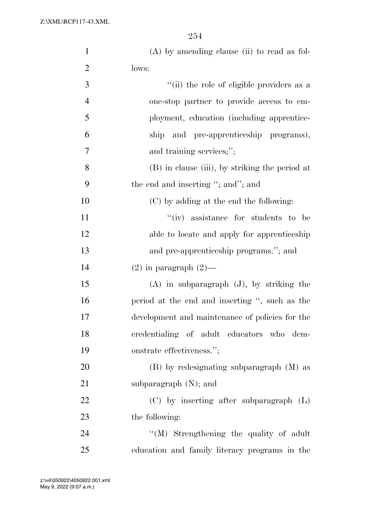Z:\XML\RCP117-43.XML

| $\mathbf{1}$   | $(A)$ by amending clause (ii) to read as fol-   |
|----------------|-------------------------------------------------|
| $\overline{2}$ | lows:                                           |
| 3              | "(ii) the role of eligible providers as a       |
| $\overline{4}$ | one-stop partner to provide access to em-       |
| 5              | ployment, education (including apprentice-      |
| 6              | ship and pre-apprenticeship programs),          |
| 7              | and training services;";                        |
| 8              | (B) in clause (iii), by striking the period at  |
| 9              | the end and inserting "; and"; and              |
| 10             | (C) by adding at the end the following:         |
| 11             | "(iv) assistance for students to be             |
| 12             | able to locate and apply for apprenticeship     |
| 13             | and pre-apprenticeship programs."; and          |
| 14             | $(2)$ in paragraph $(2)$ —                      |
| 15             | $(A)$ in subparagraph $(J)$ , by striking the   |
| 16             | period at the end and inserting ", such as the  |
| 17             | development and maintenance of policies for the |
| 18             | credentialing of adult educators who<br>dem-    |
| 19             | onstrate effectiveness.";                       |
| 20             | (B) by redesignating subparagraph (M) as        |
| 21             | subparagraph $(N)$ ; and                        |
| 22             | $(C)$ by inserting after subparagraph $(L)$     |
| 23             | the following:                                  |
| 24             | "(M) Strengthening the quality of adult         |
| 25             | education and family literacy programs in the   |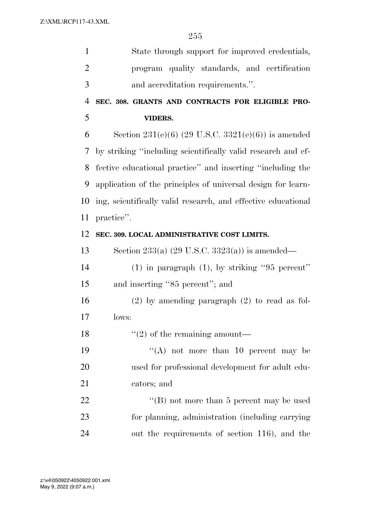| $\mathbf{1}$   | State through support for improved credentials,               |
|----------------|---------------------------------------------------------------|
| $\overline{2}$ | program quality standards, and certification                  |
| 3              | and accreditation requirements.".                             |
| $\overline{4}$ | SEC. 308. GRANTS AND CONTRACTS FOR ELIGIBLE PRO-              |
| 5              | <b>VIDERS.</b>                                                |
| 6              | Section 231(e)(6) (29 U.S.C. 3321(e)(6)) is amended           |
| 7              | by striking "including scientifically valid research and ef-  |
| 8              | fective educational practice" and inserting "including the    |
| 9              | application of the principles of universal design for learn-  |
| 10             | ing, scientifically valid research, and effective educational |
| 11             | practice".                                                    |
| 12             | SEC. 309. LOCAL ADMINISTRATIVE COST LIMITS.                   |
| 13             | Section 233(a) $(29 \text{ U.S.C. } 3323(a))$ is amended—     |
| 14             | $(1)$ in paragraph $(1)$ , by striking "95 percent"           |
| 15             | and inserting "85 percent"; and                               |
| 16             | $(2)$ by amending paragraph $(2)$ to read as fol-             |
| 17             | lows:                                                         |
| 18             | $\lq(2)$ of the remaining amount—                             |
| 19             | "(A) not more than 10 percent may be                          |
| 20             | used for professional development for adult edu-              |
| 21             | cators; and                                                   |
| 22             | "(B) not more than 5 percent may be used                      |
| 23             | for planning, administration (including carrying              |
| 24             | out the requirements of section 116), and the                 |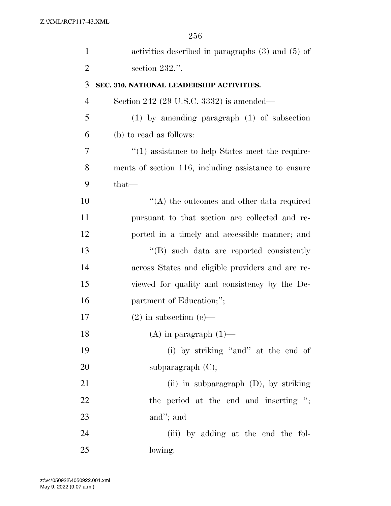| $\mathbf{1}$   | activities described in paragraphs $(3)$ and $(5)$ of |
|----------------|-------------------------------------------------------|
| $\overline{2}$ | section 232.".                                        |
| 3              | SEC. 310. NATIONAL LEADERSHIP ACTIVITIES.             |
| 4              | Section 242 (29 U.S.C. 3332) is amended—              |
| 5              | $(1)$ by amending paragraph $(1)$ of subsection       |
| 6              | (b) to read as follows:                               |
| 7              | $\lq(1)$ assistance to help States meet the require-  |
| 8              | ments of section 116, including assistance to ensure  |
| 9              | that-                                                 |
| 10             | $\lq\lq$ the outcomes and other data required         |
| 11             | pursuant to that section are collected and re-        |
| 12             | ported in a timely and accessible manner; and         |
| 13             | "(B) such data are reported consistently              |
| 14             | across States and eligible providers and are re-      |
| 15             | viewed for quality and consistency by the De-         |
| 16             | partment of Education;";                              |
| 17             | $(2)$ in subsection $(e)$ —                           |
| 18             | $(A)$ in paragraph $(1)$ —                            |
| 19             | (i) by striking "and" at the end of                   |
| 20             | subparagraph $(C)$ ;                                  |
| 21             | (ii) in subparagraph $(D)$ , by striking              |
| 22             | the period at the end and inserting ";                |
| 23             | and"; and                                             |
| 24             | (iii) by adding at the end the fol-                   |
| 25             | lowing:                                               |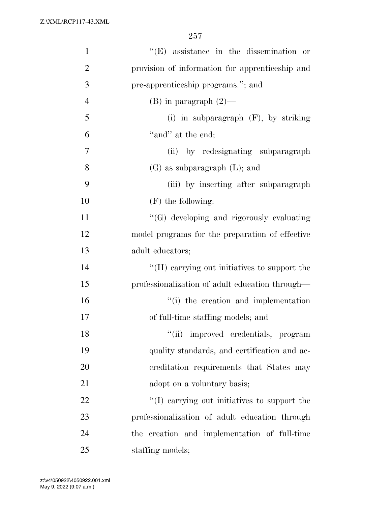Z:\XML\RCP117-43.XML

| $\mathbf{1}$   | $\lq\lq$ (E) assistance in the dissemination or |
|----------------|-------------------------------------------------|
| $\overline{2}$ | provision of information for apprenticeship and |
| 3              | pre-apprenticeship programs."; and              |
| $\overline{4}$ | $(B)$ in paragraph $(2)$ —                      |
| 5              | (i) in subparagraph $(F)$ , by striking         |
| 6              | "and" at the end;                               |
| 7              | (ii) by redesignating subparagraph              |
| 8              | $(G)$ as subparagraph $(L)$ ; and               |
| 9              | (iii) by inserting after subparagraph           |
| 10             | $(F)$ the following:                            |
| 11             | "(G) developing and rigorously evaluating       |
| 12             | model programs for the preparation of effective |
| 13             | adult educators;                                |
| 14             | "(H) carrying out initiatives to support the    |
| 15             | professionalization of adult education through— |
| 16             | "(i) the creation and implementation            |
| 17             | of full-time staffing models; and               |
| 18             | "(ii) improved credentials, program             |
| 19             | quality standards, and certification and ac-    |
| 20             | creditation requirements that States may        |
| 21             | adopt on a voluntary basis;                     |
| 22             | "(I) carrying out initiatives to support the    |
| 23             | professionalization of adult education through  |
| 24             | the creation and implementation of full-time    |
| 25             | staffing models;                                |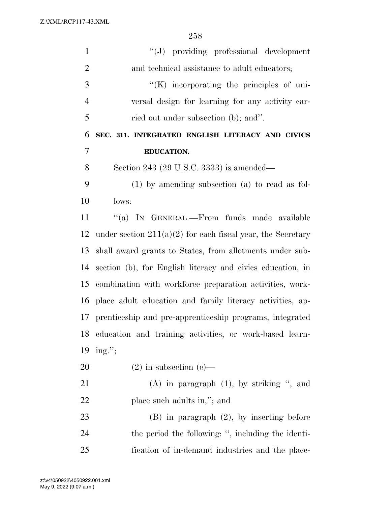Z:\XML\RCP117-43.XML

| $\mathbf{1}$   | $\lq\lq(J)$ providing professional development                |
|----------------|---------------------------------------------------------------|
| $\overline{2}$ | and technical assistance to adult educators;                  |
| 3              | $\lq\lq(K)$ incorporating the principles of uni-              |
| $\overline{4}$ | versal design for learning for any activity car-              |
| 5              | ried out under subsection (b); and".                          |
| 6              | SEC. 311. INTEGRATED ENGLISH LITERACY AND CIVICS              |
| $\overline{7}$ | <b>EDUCATION.</b>                                             |
| 8              | Section 243 (29 U.S.C. 3333) is amended—                      |
| 9              | $(1)$ by amending subsection $(a)$ to read as fol-            |
| 10             | lows:                                                         |
| 11             | "(a) IN GENERAL.—From funds made available                    |
| 12             | under section $211(a)(2)$ for each fiscal year, the Secretary |
| 13             | shall award grants to States, from allotments under sub-      |
| 14             | section (b), for English literacy and civics education, in    |
| 15             | combination with workforce preparation activities, work-      |
| 16             | place adult education and family literacy activities, ap-     |
| 17             | prenticeship and pre-apprenticeship programs, integrated      |
| 18             | education and training activities, or work-based learn-       |
| 19             | $ing.'$ ;                                                     |
| 20             | $(2)$ in subsection $(e)$ —                                   |
| 21             | $(A)$ in paragraph $(1)$ , by striking ", and                 |
| 22             | place such adults in,"; and                                   |
| 23             | $(B)$ in paragraph $(2)$ , by inserting before                |
| 24             | the period the following: ", including the identi-            |
| 25             | fication of in-demand industries and the place-               |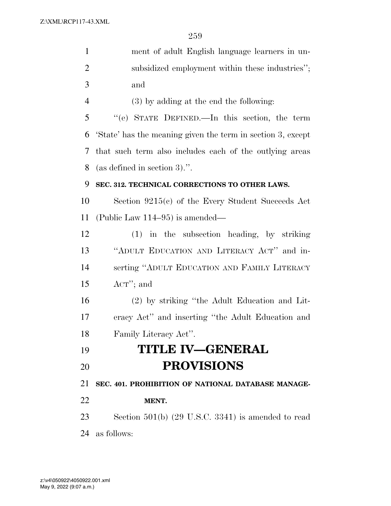| $\mathbf{1}$   | ment of adult English language learners in un-              |
|----------------|-------------------------------------------------------------|
| $\overline{2}$ | subsidized employment within these industries";             |
| 3              | and                                                         |
| $\overline{4}$ | (3) by adding at the end the following:                     |
| 5              | "(e) STATE DEFINED.—In this section, the term               |
| 6              | 'State' has the meaning given the term in section 3, except |
| 7              | that such term also includes each of the outlying areas     |
| 8              | (as defined in section 3).".                                |
| 9              | SEC. 312. TECHNICAL CORRECTIONS TO OTHER LAWS.              |
| 10             | Section $9215(c)$ of the Every Student Succeeds Act         |
| 11             | (Public Law $114-95$ ) is amended—                          |
| 12             | (1) in the subsection heading, by striking                  |
| 13             | "ADULT EDUCATION AND LITERACY ACT" and in-                  |
| 14             | serting "ADULT EDUCATION AND FAMILY LITERACY                |
| 15             | $ACT$ "; and                                                |
| 16             | (2) by striking "the Adult Education and Lit-               |
| 17             | eracy Act" and inserting "the Adult Education and           |
| 18             | Family Literacy Act".                                       |
| 19             | <b>TITLE IV-GENERAL</b>                                     |
| 20             | <b>PROVISIONS</b>                                           |
| 21             | SEC. 401. PROHIBITION OF NATIONAL DATABASE MANAGE-          |
| 22             | MENT.                                                       |
| 23             | Section $501(b)$ (29 U.S.C. 3341) is amended to read        |
| 24             | as follows:                                                 |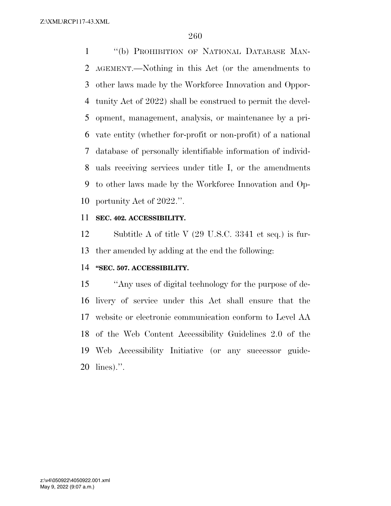''(b) PROHIBITION OF NATIONAL DATABASE MAN- AGEMENT.—Nothing in this Act (or the amendments to other laws made by the Workforce Innovation and Oppor- tunity Act of 2022) shall be construed to permit the devel- opment, management, analysis, or maintenance by a pri- vate entity (whether for-profit or non-profit) of a national database of personally identifiable information of individ- uals receiving services under title I, or the amendments to other laws made by the Workforce Innovation and Op-portunity Act of 2022.''.

### **SEC. 402. ACCESSIBILITY.**

 Subtitle A of title V (29 U.S.C. 3341 et seq.) is fur-ther amended by adding at the end the following:

# **''SEC. 507. ACCESSIBILITY.**

 ''Any uses of digital technology for the purpose of de- livery of service under this Act shall ensure that the website or electronic communication conform to Level AA of the Web Content Accessibility Guidelines 2.0 of the Web Accessibility Initiative (or any successor guide-lines).''.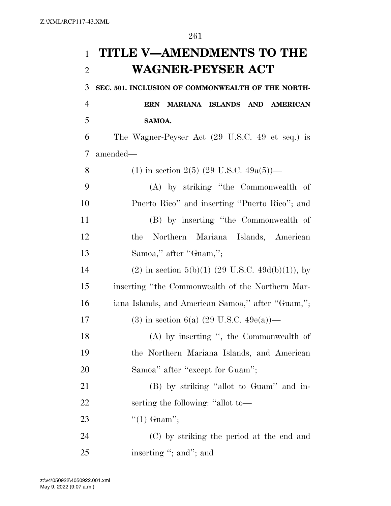# **TITLE V—AMENDMENTS TO THE WAGNER-PEYSER ACT**

**SEC. 501. INCLUSION OF COMMONWEALTH OF THE NORTH-**

 **ERN MARIANA ISLANDS AND AMERICAN SAMOA.** 

 The Wagner-Peyser Act (29 U.S.C. 49 et seq.) is amended—

| 8  | (1) in section 2(5) (29 U.S.C. $49a(5)$ )—          |
|----|-----------------------------------------------------|
| 9  | (A) by striking "the Commonwealth of                |
| 10 | Puerto Rico" and inserting "Puerto Rico"; and       |
| 11 | (B) by inserting "the Commonwealth of               |
| 12 | Northern<br>Mariana Islands, American<br>the        |
| 13 | Samoa," after "Guam,";                              |
| 14 | (2) in section 5(b)(1) (29 U.S.C. 49d(b)(1)), by    |
| 15 | inserting "the Commonwealth of the Northern Mar-    |
| 16 | iana Islands, and American Samoa," after "Guam,";   |
| 17 | (3) in section 6(a) $(29 \text{ U.S.C. } 49e(a))$ — |
| 18 | (A) by inserting ", the Commonwealth of             |
| 19 | the Northern Mariana Islands, and American          |
| 20 | Samoa" after "except for Guam";                     |
| 21 | (B) by striking "allot to Guam" and in-             |
| 22 | serting the following: "allot to-                   |
| 23 | "(1) Guam";                                         |
| 24 | (C) by striking the period at the end and           |
| 25 | inserting "; and"; and                              |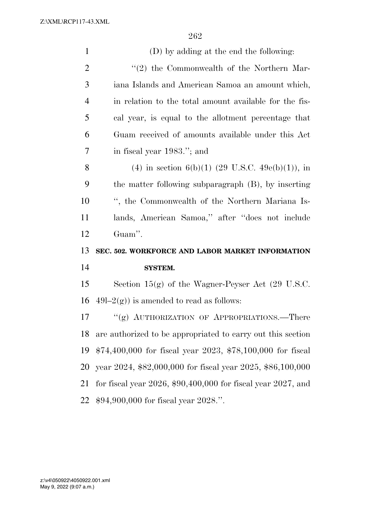| $\mathbf{1}$   | (D) by adding at the end the following:                             |
|----------------|---------------------------------------------------------------------|
| 2              | "(2) the Commonwealth of the Northern Mar-                          |
| 3              | iana Islands and American Samoa an amount which,                    |
| $\overline{4}$ | in relation to the total amount available for the fis-              |
| 5              | cal year, is equal to the allotment percentage that                 |
| 6              | Guam received of amounts available under this Act                   |
| 7              | in fiscal year 1983."; and                                          |
| 8              | (4) in section 6(b)(1) (29 U.S.C. 49e(b)(1)), in                    |
| 9              | the matter following subparagraph (B), by inserting                 |
| 10             | ", the Commonwealth of the Northern Mariana Is-                     |
| 11             | lands, American Samoa," after "does not include                     |
|                |                                                                     |
| 12             | Guam".                                                              |
| 13             | SEC. 502. WORKFORCE AND LABOR MARKET INFORMATION                    |
| 14             | <b>SYSTEM.</b>                                                      |
| 15             | Section $15(g)$ of the Wagner-Peyser Act (29 U.S.C.                 |
| 16             | $49l-2(g)$ ) is amended to read as follows:                         |
| 17             | "(g) AUTHORIZATION OF APPROPRIATIONS.—There                         |
| 18             | are authorized to be appropriated to carry out this section         |
| 19             | $$74,400,000$ for fiscal year 2023, $$78,100,000$ for fiscal        |
| 20             | year 2024, \$82,000,000 for fiscal year 2025, \$86,100,000          |
| 21             | for fiscal year $2026$ , $$90,400,000$ for fiscal year $2027$ , and |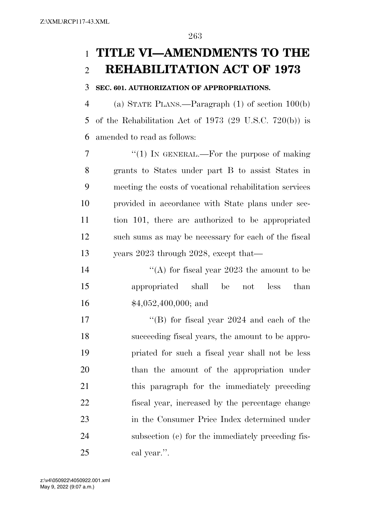# **TITLE VI—AMENDMENTS TO THE REHABILITATION ACT OF 1973**

### **SEC. 601. AUTHORIZATION OF APPROPRIATIONS.**

 (a) STATE PLANS.—Paragraph (1) of section 100(b) of the Rehabilitation Act of 1973 (29 U.S.C. 720(b)) is amended to read as follows:

7 "(1) In GENERAL.—For the purpose of making grants to States under part B to assist States in meeting the costs of vocational rehabilitation services provided in accordance with State plans under sec- tion 101, there are authorized to be appropriated such sums as may be necessary for each of the fiscal years 2023 through 2028, except that—

14  $\langle (A)$  for fiscal year 2023 the amount to be appropriated shall be not less than \$4,052,400,000; and

17 ''(B) for fiscal year 2024 and each of the succeeding fiscal years, the amount to be appro- priated for such a fiscal year shall not be less than the amount of the appropriation under this paragraph for the immediately preceding fiscal year, increased by the percentage change in the Consumer Price Index determined under subsection (c) for the immediately preceding fis-cal year.''.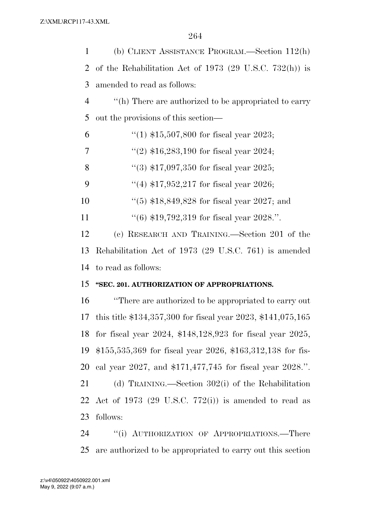| $\mathbf{1}$   | (b) CLIENT ASSISTANCE PROGRAM.—Section 112(h)                   |
|----------------|-----------------------------------------------------------------|
| 2              | of the Rehabilitation Act of 1973 (29 U.S.C. 732(h)) is         |
| 3              | amended to read as follows:                                     |
| $\overline{4}$ | "(h) There are authorized to be appropriated to carry           |
| 5              | out the provisions of this section—                             |
| 6              | "(1) $$15,507,800$ for fiscal year 2023;                        |
| 7              | "(2) $$16,283,190$ for fiscal year 2024;                        |
| 8              | $(3)$ \$17,097,350 for fiscal year 2025;                        |
| 9              | "(4) $$17,952,217$ for fiscal year 2026;                        |
| 10             | $(5)$ \$18,849,828 for fiscal year 2027; and                    |
| 11             | $(6)$ \$19,792,319 for fiscal year 2028.".                      |
| 12             | (c) RESEARCH AND TRAINING.—Section 201 of the                   |
| 13             | Rehabilitation Act of 1973 (29 U.S.C. 761) is amended           |
| 14             | to read as follows:                                             |
| 15             | "SEC. 201. AUTHORIZATION OF APPROPRIATIONS.                     |
| 16             | "There are authorized to be appropriated to carry out           |
| 17             | this title $$134,357,300$ for fiscal year 2023, $$141,075,165$  |
| 18             | for fiscal year $2024$ , \$148,128,923 for fiscal year $2025$ , |
| 19             | $$155,535,369$ for fiscal year 2026, \$163,312,138 for fis-     |
| 20             | cal year 2027, and $$171,477,745$ for fiscal year 2028.".       |
| 21             | (d) TRAINING.—Section $302(i)$ of the Rehabilitation            |
| 22             | Act of 1973 (29 U.S.C. $772(i)$ ) is amended to read as         |
| 23             | follows:                                                        |
| 24             | "(i) AUTHORIZATION OF APPROPRIATIONS.—There                     |

are authorized to be appropriated to carry out this section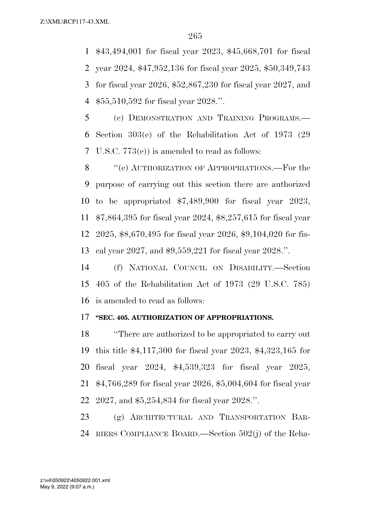\$43,494,001 for fiscal year 2023, \$45,668,701 for fiscal year 2024, \$47,952,136 for fiscal year 2025, \$50,349,743 for fiscal year 2026, \$52,867,230 for fiscal year 2027, and \$55,510,592 for fiscal year 2028.''.

 (e) DEMONSTRATION AND TRAINING PROGRAMS.— Section 303(e) of the Rehabilitation Act of 1973 (29 U.S.C. 773(e)) is amended to read as follows:

8 "(e) AUTHORIZATION OF APPROPRIATIONS.—For the purpose of carrying out this section there are authorized to be appropriated \$7,489,900 for fiscal year 2023, \$7,864,395 for fiscal year 2024, \$8,257,615 for fiscal year 2025, \$8,670,495 for fiscal year 2026, \$9,104,020 for fis-cal year 2027, and \$9,559,221 for fiscal year 2028.''.

 (f) NATIONAL COUNCIL ON DISABILITY.—Section 405 of the Rehabilitation Act of 1973 (29 U.S.C. 785) is amended to read as follows:

#### **''SEC. 405. AUTHORIZATION OF APPROPRIATIONS.**

 ''There are authorized to be appropriated to carry out this title \$4,117,300 for fiscal year 2023, \$4,323,165 for fiscal year 2024, \$4,539,323 for fiscal year 2025, \$4,766,289 for fiscal year 2026, \$5,004,604 for fiscal year 2027, and \$5,254,834 for fiscal year 2028.''.

 (g) ARCHITECTURAL AND TRANSPORTATION BAR-RIERS COMPLIANCE BOARD.—Section 502(j) of the Reha-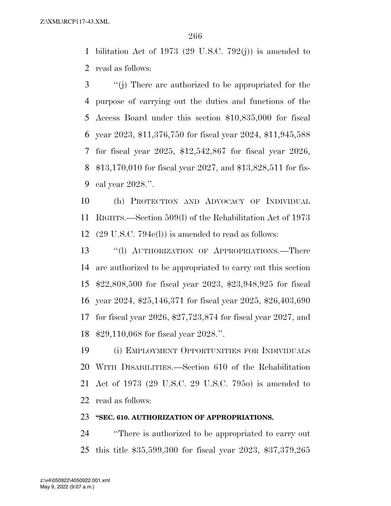bilitation Act of 1973 (29 U.S.C. 792(j)) is amended to read as follows:

 ''(j) There are authorized to be appropriated for the purpose of carrying out the duties and functions of the Access Board under this section \$10,835,000 for fiscal year 2023, \$11,376,750 for fiscal year 2024, \$11,945,588 for fiscal year 2025, \$12,542,867 for fiscal year 2026, \$13,170,010 for fiscal year 2027, and \$13,828,511 for fis-cal year 2028.''.

 (h) PROTECTION AND ADVOCACY OF INDIVIDUAL RIGHTS.—Section 509(l) of the Rehabilitation Act of 1973 (29 U.S.C. 794e(l)) is amended to read as follows:

13 "(1) AUTHORIZATION OF APPROPRIATIONS.—There are authorized to be appropriated to carry out this section \$22,808,500 for fiscal year 2023, \$23,948,925 for fiscal year 2024, \$25,146,371 for fiscal year 2025, \$26,403,690 for fiscal year 2026, \$27,723,874 for fiscal year 2027, and \$29,110,068 for fiscal year 2028.''.

 (i) EMPLOYMENT OPPORTUNITIES FOR INDIVIDUALS WITH DISABILITIES.—Section 610 of the Rehabilitation Act of 1973 (29 U.S.C. 29 U.S.C. 795o) is amended to read as follows:

# **''SEC. 610. AUTHORIZATION OF APPROPRIATIONS.**

 ''There is authorized to be appropriated to carry out this title \$35,599,300 for fiscal year 2023, \$37,379,265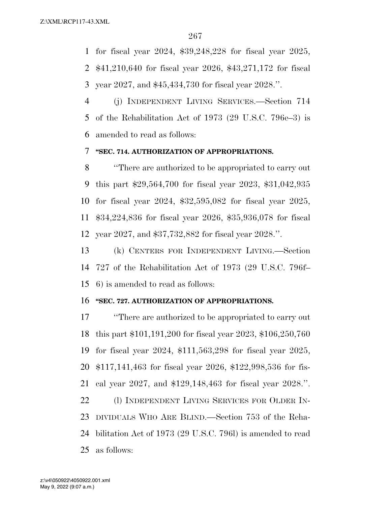for fiscal year 2024, \$39,248,228 for fiscal year 2025, \$41,210,640 for fiscal year 2026, \$43,271,172 for fiscal year 2027, and \$45,434,730 for fiscal year 2028.''.

 (j) INDEPENDENT LIVING SERVICES.—Section 714 of the Rehabilitation Act of 1973 (29 U.S.C. 796e–3) is amended to read as follows:

#### **''SEC. 714. AUTHORIZATION OF APPROPRIATIONS.**

 ''There are authorized to be appropriated to carry out this part \$29,564,700 for fiscal year 2023, \$31,042,935 for fiscal year 2024, \$32,595,082 for fiscal year 2025, \$34,224,836 for fiscal year 2026, \$35,936,078 for fiscal year 2027, and \$37,732,882 for fiscal year 2028.''.

 (k) CENTERS FOR INDEPENDENT LIVING.—Section 727 of the Rehabilitation Act of 1973 (29 U.S.C. 796f– 6) is amended to read as follows:

# **''SEC. 727. AUTHORIZATION OF APPROPRIATIONS.**

 ''There are authorized to be appropriated to carry out this part \$101,191,200 for fiscal year 2023, \$106,250,760 for fiscal year 2024, \$111,563,298 for fiscal year 2025, \$117,141,463 for fiscal year 2026, \$122,998,536 for fis- cal year 2027, and \$129,148,463 for fiscal year 2028.''. 22 (1) INDEPENDENT LIVING SERVICES FOR OLDER IN- DIVIDUALS WHO ARE BLIND.—Section 753 of the Reha- bilitation Act of 1973 (29 U.S.C. 796l) is amended to read as follows: